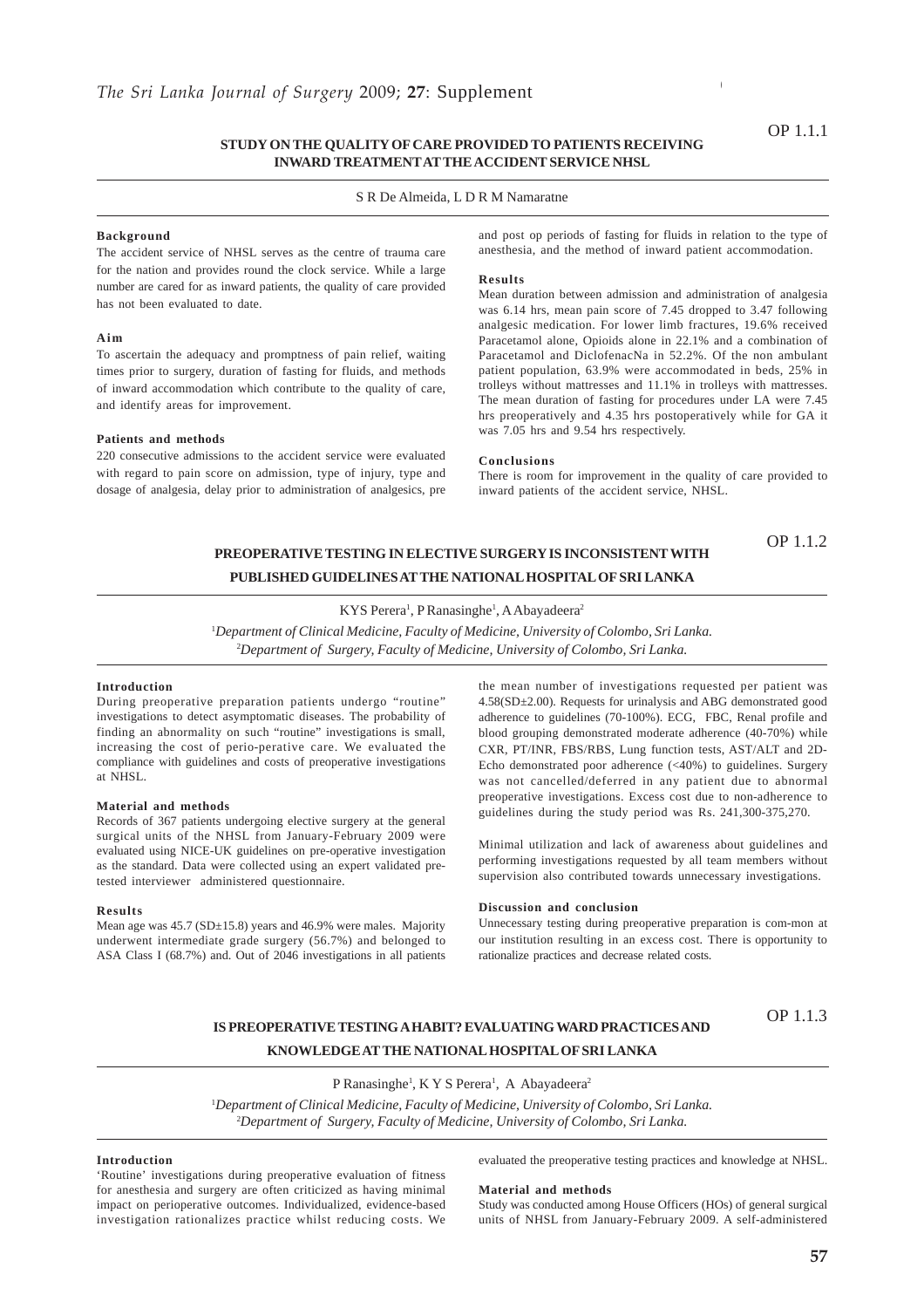### **STUDY ON THE QUALITY OF CARE PROVIDED TO PATIENTS RECEIVING INWARD TREATMENT AT THE ACCIDENT SERVICE NHSL**

### S R De Almeida, L D R M Namaratne

### **Background**

The accident service of NHSL serves as the centre of trauma care for the nation and provides round the clock service. While a large number are cared for as inward patients, the quality of care provided has not been evaluated to date.

#### **Aim**

To ascertain the adequacy and promptness of pain relief, waiting times prior to surgery, duration of fasting for fluids, and methods of inward accommodation which contribute to the quality of care, and identify areas for improvement.

### **Patients and methods**

220 consecutive admissions to the accident service were evaluated with regard to pain score on admission, type of injury, type and dosage of analgesia, delay prior to administration of analgesics, pre

and post op periods of fasting for fluids in relation to the type of anesthesia, and the method of inward patient accommodation.

### **Results**

Mean duration between admission and administration of analgesia was 6.14 hrs, mean pain score of 7.45 dropped to 3.47 following analgesic medication. For lower limb fractures, 19.6% received Paracetamol alone, Opioids alone in 22.1% and a combination of Paracetamol and DiclofenacNa in 52.2%. Of the non ambulant patient population, 63.9% were accommodated in beds, 25% in trolleys without mattresses and 11.1% in trolleys with mattresses. The mean duration of fasting for procedures under LA were 7.45 hrs preoperatively and 4.35 hrs postoperatively while for GA it was 7.05 hrs and 9.54 hrs respectively.

#### **Conclusions**

There is room for improvement in the quality of care provided to inward patients of the accident service, NHSL.

OP 1.1.2

## **PREOPERATIVE TESTING IN ELECTIVE SURGERY IS INCONSISTENT WITH PUBLISHED GUIDELINES AT THE NATIONAL HOSPITAL OF SRI LANKA**

### KYS Perera<sup>1</sup>, P Ranasinghe<sup>1</sup>, A Abayadeera<sup>2</sup>

1 *Department of Clinical Medicine, Faculty of Medicine, University of Colombo, Sri Lanka.* 2 *Department of Surgery, Faculty of Medicine, University of Colombo, Sri Lanka.*

### **Introduction**

During preoperative preparation patients undergo "routine" investigations to detect asymptomatic diseases. The probability of finding an abnormality on such "routine" investigations is small, increasing the cost of perio-perative care. We evaluated the compliance with guidelines and costs of preoperative investigations at NHSL.

### **Material and methods**

Records of 367 patients undergoing elective surgery at the general surgical units of the NHSL from January-February 2009 were evaluated using NICE-UK guidelines on pre-operative investigation as the standard. Data were collected using an expert validated pretested interviewer administered questionnaire.

#### **Results**

Mean age was  $45.7$  (SD $\pm$ 15.8) years and 46.9% were males. Majority underwent intermediate grade surgery (56.7%) and belonged to ASA Class I (68.7%) and. Out of 2046 investigations in all patients the mean number of investigations requested per patient was 4.58(SD±2.00). Requests for urinalysis and ABG demonstrated good adherence to guidelines (70-100%). ECG, FBC, Renal profile and blood grouping demonstrated moderate adherence (40-70%) while CXR, PT/INR, FBS/RBS, Lung function tests, AST/ALT and 2D-Echo demonstrated poor adherence (<40%) to guidelines. Surgery was not cancelled/deferred in any patient due to abnormal preoperative investigations. Excess cost due to non-adherence to guidelines during the study period was Rs. 241,300-375,270.

Minimal utilization and lack of awareness about guidelines and performing investigations requested by all team members without supervision also contributed towards unnecessary investigations.

### **Discussion and conclusion**

Unnecessary testing during preoperative preparation is com-mon at our institution resulting in an excess cost. There is opportunity to rationalize practices and decrease related costs.

### **IS PREOPERATIVE TESTING A HABIT? EVALUATING WARD PRACTICES AND KNOWLEDGE AT THE NATIONAL HOSPITAL OF SRI LANKA**

### OP 1.1.3

P Ranasinghe<sup>1</sup>, K Y S Perera<sup>1</sup>, A Abayadeera<sup>2</sup>

1 *Department of Clinical Medicine, Faculty of Medicine, University of Colombo, Sri Lanka.* 2 *Department of Surgery, Faculty of Medicine, University of Colombo, Sri Lanka.*

### **Introduction**

'Routine' investigations during preoperative evaluation of fitness for anesthesia and surgery are often criticized as having minimal impact on perioperative outcomes. Individualized, evidence-based investigation rationalizes practice whilst reducing costs. We

evaluated the preoperative testing practices and knowledge at NHSL.

#### **Material and methods**

Study was conducted among House Officers (HOs) of general surgical units of NHSL from January-February 2009. A self-administered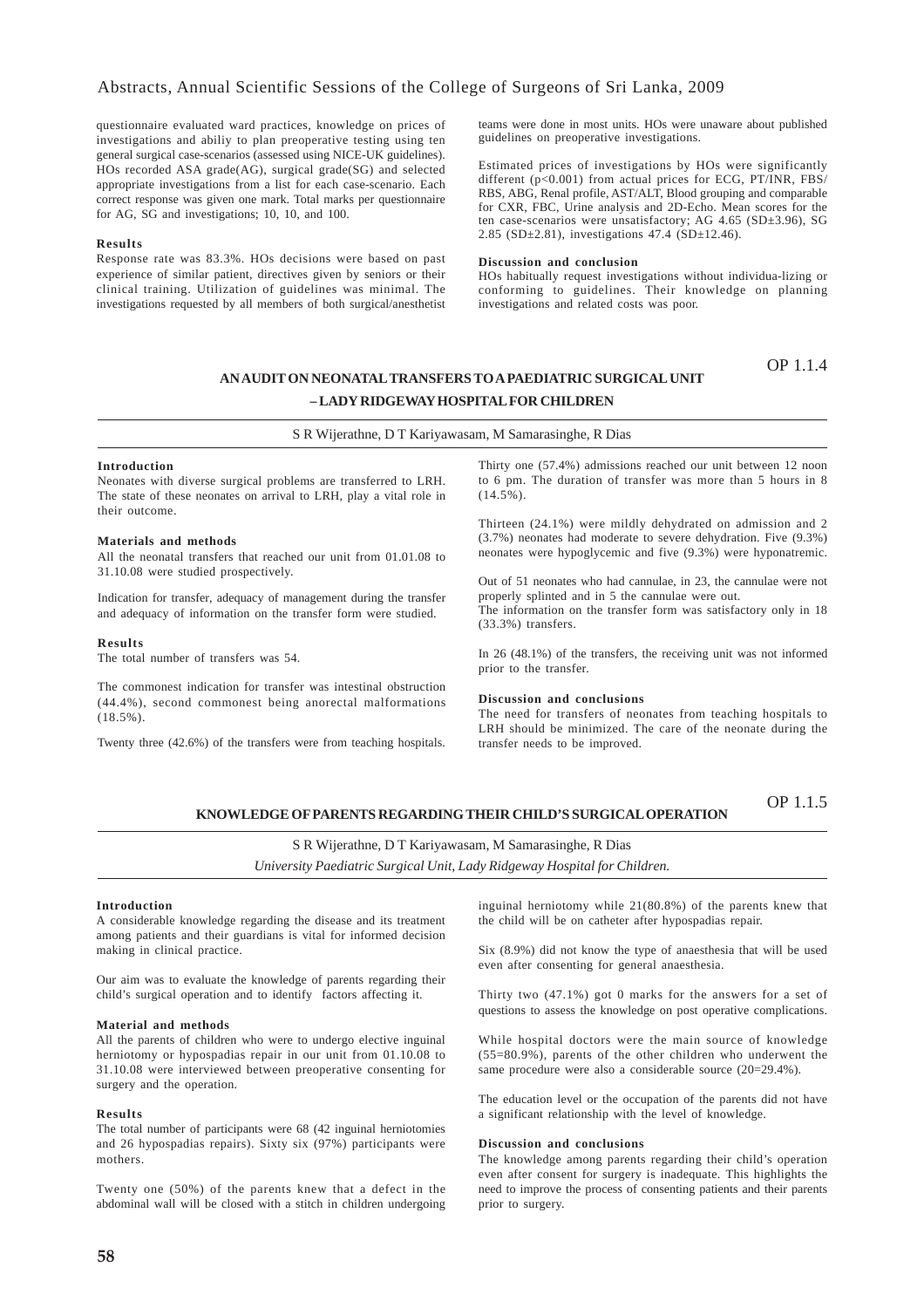### Abstracts, Annual Scientific Sessions of the College of Surgeons of Sri Lanka, 2009

questionnaire evaluated ward practices, knowledge on prices of investigations and abiliy to plan preoperative testing using ten general surgical case-scenarios (assessed using NICE-UK guidelines). HOs recorded ASA grade(AG), surgical grade(SG) and selected appropriate investigations from a list for each case-scenario. Each correct response was given one mark. Total marks per questionnaire for AG, SG and investigations; 10, 10, and 100.

### **Results**

Response rate was 83.3%. HOs decisions were based on past experience of similar patient, directives given by seniors or their clinical training. Utilization of guidelines was minimal. The investigations requested by all members of both surgical/anesthetist teams were done in most units. HOs were unaware about published guidelines on preoperative investigations.

Estimated prices of investigations by HOs were significantly different (p<0.001) from actual prices for ECG, PT/INR, FBS/ RBS, ABG, Renal profile, AST/ALT, Blood grouping and comparable for CXR, FBC, Urine analysis and 2D-Echo. Mean scores for the ten case-scenarios were unsatisfactory; AG 4.65 (SD±3.96), SG 2.85 (SD±2.81), investigations 47.4 (SD±12.46).

#### **Discussion and conclusion**

HOs habitually request investigations without individua-lizing or conforming to guidelines. Their knowledge on planning investigations and related costs was poor.

OP 1.1.4

## **AN AUDIT ON NEONATAL TRANSFERS TO A PAEDIATRIC SURGICAL UNIT – LADY RIDGEWAY HOSPITAL FOR CHILDREN**

S R Wijerathne, D T Kariyawasam, M Samarasinghe, R Dias

#### **Introduction**

Neonates with diverse surgical problems are transferred to LRH. The state of these neonates on arrival to LRH, play a vital role in their outcome.

#### **Materials and methods**

All the neonatal transfers that reached our unit from 01.01.08 to 31.10.08 were studied prospectively.

Indication for transfer, adequacy of management during the transfer and adequacy of information on the transfer form were studied.

#### **Results**

The total number of transfers was 54.

The commonest indication for transfer was intestinal obstruction (44.4%), second commonest being anorectal malformations (18.5%).

Twenty three (42.6%) of the transfers were from teaching hospitals.

Thirty one (57.4%) admissions reached our unit between 12 noon to 6 pm. The duration of transfer was more than 5 hours in 8  $(14.5\%)$ .

Thirteen (24.1%) were mildly dehydrated on admission and 2 (3.7%) neonates had moderate to severe dehydration. Five (9.3%) neonates were hypoglycemic and five (9.3%) were hyponatremic.

Out of 51 neonates who had cannulae, in 23, the cannulae were not properly splinted and in 5 the cannulae were out. The information on the transfer form was satisfactory only in 18 (33.3%) transfers.

In 26 (48.1%) of the transfers, the receiving unit was not informed prior to the transfer.

#### **Discussion and conclusions**

The need for transfers of neonates from teaching hospitals to LRH should be minimized. The care of the neonate during the transfer needs to be improved.

#### **KNOWLEDGE OF PARENTS REGARDING THEIR CHILD'S SURGICAL OPERATION** OP 1.1.5

S R Wijerathne, D T Kariyawasam, M Samarasinghe, R Dias *University Paediatric Surgical Unit, Lady Ridgeway Hospital for Children.*

#### **Introduction**

A considerable knowledge regarding the disease and its treatment among patients and their guardians is vital for informed decision making in clinical practice.

Our aim was to evaluate the knowledge of parents regarding their child's surgical operation and to identify factors affecting it.

### **Material and methods**

All the parents of children who were to undergo elective inguinal herniotomy or hypospadias repair in our unit from 01.10.08 to 31.10.08 were interviewed between preoperative consenting for surgery and the operation.

#### **Results**

The total number of participants were 68 (42 inguinal herniotomies and 26 hypospadias repairs). Sixty six (97%) participants were mothers.

Twenty one (50%) of the parents knew that a defect in the abdominal wall will be closed with a stitch in children undergoing

inguinal herniotomy while 21(80.8%) of the parents knew that the child will be on catheter after hypospadias repair.

Six (8.9%) did not know the type of anaesthesia that will be used even after consenting for general anaesthesia.

Thirty two (47.1%) got 0 marks for the answers for a set of questions to assess the knowledge on post operative complications.

While hospital doctors were the main source of knowledge (55=80.9%), parents of the other children who underwent the same procedure were also a considerable source (20=29.4%).

The education level or the occupation of the parents did not have a significant relationship with the level of knowledge.

### **Discussion and conclusions**

The knowledge among parents regarding their child's operation even after consent for surgery is inadequate. This highlights the need to improve the process of consenting patients and their parents prior to surgery.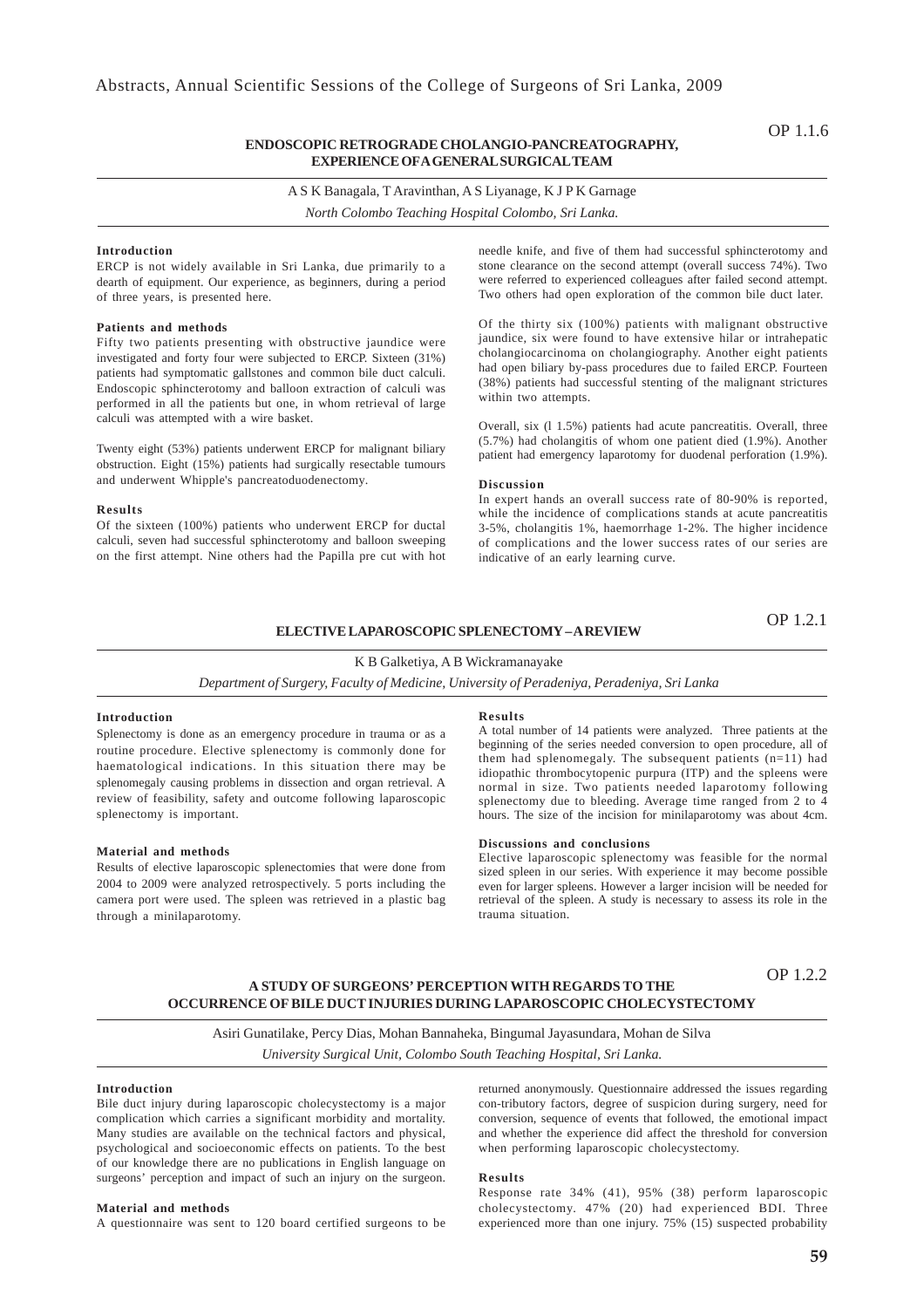### **ENDOSCOPIC RETROGRADE CHOLANGIO-PANCREATOGRAPHY, EXPERIENCE OF A GENERAL SURGICAL TEAM**

A S K Banagala, T Aravinthan, A S Liyanage, K J P K Garnage

*North Colombo Teaching Hospital Colombo, Sri Lanka.*

### **Introduction**

ERCP is not widely available in Sri Lanka, due primarily to a dearth of equipment. Our experience, as beginners, during a period of three years, is presented here.

### **Patients and methods**

Fifty two patients presenting with obstructive jaundice were investigated and forty four were subjected to ERCP. Sixteen (31%) patients had symptomatic gallstones and common bile duct calculi. Endoscopic sphincterotomy and balloon extraction of calculi was performed in all the patients but one, in whom retrieval of large calculi was attempted with a wire basket.

Twenty eight (53%) patients underwent ERCP for malignant biliary obstruction. Eight (15%) patients had surgically resectable tumours and underwent Whipple's pancreatoduodenectomy.

#### **Results**

Of the sixteen (100%) patients who underwent ERCP for ductal calculi, seven had successful sphincterotomy and balloon sweeping on the first attempt. Nine others had the Papilla pre cut with hot needle knife, and five of them had successful sphincterotomy and stone clearance on the second attempt (overall success 74%). Two were referred to experienced colleagues after failed second attempt. Two others had open exploration of the common bile duct later.

Of the thirty six (100%) patients with malignant obstructive jaundice, six were found to have extensive hilar or intrahepatic cholangiocarcinoma on cholangiography. Another eight patients had open biliary by-pass procedures due to failed ERCP. Fourteen (38%) patients had successful stenting of the malignant strictures within two attempts.

Overall, six (l 1.5%) patients had acute pancreatitis. Overall, three (5.7%) had cholangitis of whom one patient died (1.9%). Another patient had emergency laparotomy for duodenal perforation (1.9%).

#### **Discussion**

In expert hands an overall success rate of 80-90% is reported, while the incidence of complications stands at acute pancreatitis 3-5%, cholangitis 1%, haemorrhage 1-2%. The higher incidence of complications and the lower success rates of our series are indicative of an early learning curve.

### **ELECTIVE LAPAROSCOPIC SPLENECTOMY – A REVIEW**

OP 1.2.1

### K B Galketiya, A B Wickramanayake

*Department of Surgery, Faculty of Medicine, University of Peradeniya, Peradeniya, Sri Lanka*

#### **Introduction**

Splenectomy is done as an emergency procedure in trauma or as a routine procedure. Elective splenectomy is commonly done for haematological indications. In this situation there may be splenomegaly causing problems in dissection and organ retrieval. A review of feasibility, safety and outcome following laparoscopic splenectomy is important.

#### **Material and methods**

Results of elective laparoscopic splenectomies that were done from 2004 to 2009 were analyzed retrospectively. 5 ports including the camera port were used. The spleen was retrieved in a plastic bag through a minilaparotomy.

#### **Results**

A total number of 14 patients were analyzed. Three patients at the beginning of the series needed conversion to open procedure, all of them had splenomegaly. The subsequent patients  $(n=11)$  had idiopathic thrombocytopenic purpura (ITP) and the spleens were normal in size. Two patients needed laparotomy following splenectomy due to bleeding. Average time ranged from 2 to 4 hours. The size of the incision for minilaparotomy was about 4cm.

### **Discussions and conclusions**

Elective laparoscopic splenectomy was feasible for the normal sized spleen in our series. With experience it may become possible even for larger spleens. However a larger incision will be needed for retrieval of the spleen. A study is necessary to assess its role in the trauma situation.

### OP 1.2.2

### **A STUDY OF SURGEONS' PERCEPTION WITH REGARDS TO THE OCCURRENCE OF BILE DUCT INJURIES DURING LAPAROSCOPIC CHOLECYSTECTOMY**

Asiri Gunatilake, Percy Dias, Mohan Bannaheka, Bingumal Jayasundara, Mohan de Silva *University Surgical Unit, Colombo South Teaching Hospital, Sri Lanka.*

#### **Introduction**

Bile duct injury during laparoscopic cholecystectomy is a major complication which carries a significant morbidity and mortality. Many studies are available on the technical factors and physical, psychological and socioeconomic effects on patients. To the best of our knowledge there are no publications in English language on surgeons' perception and impact of such an injury on the surgeon.

### **Material and methods**

A questionnaire was sent to 120 board certified surgeons to be

returned anonymously. Questionnaire addressed the issues regarding con-tributory factors, degree of suspicion during surgery, need for conversion, sequence of events that followed, the emotional impact and whether the experience did affect the threshold for conversion when performing laparoscopic cholecystectomy.

#### **Results**

Response rate 34% (41), 95% (38) perform laparoscopic cholecystectomy. 47% (20) had experienced BDI. Three experienced more than one injury. 75% (15) suspected probability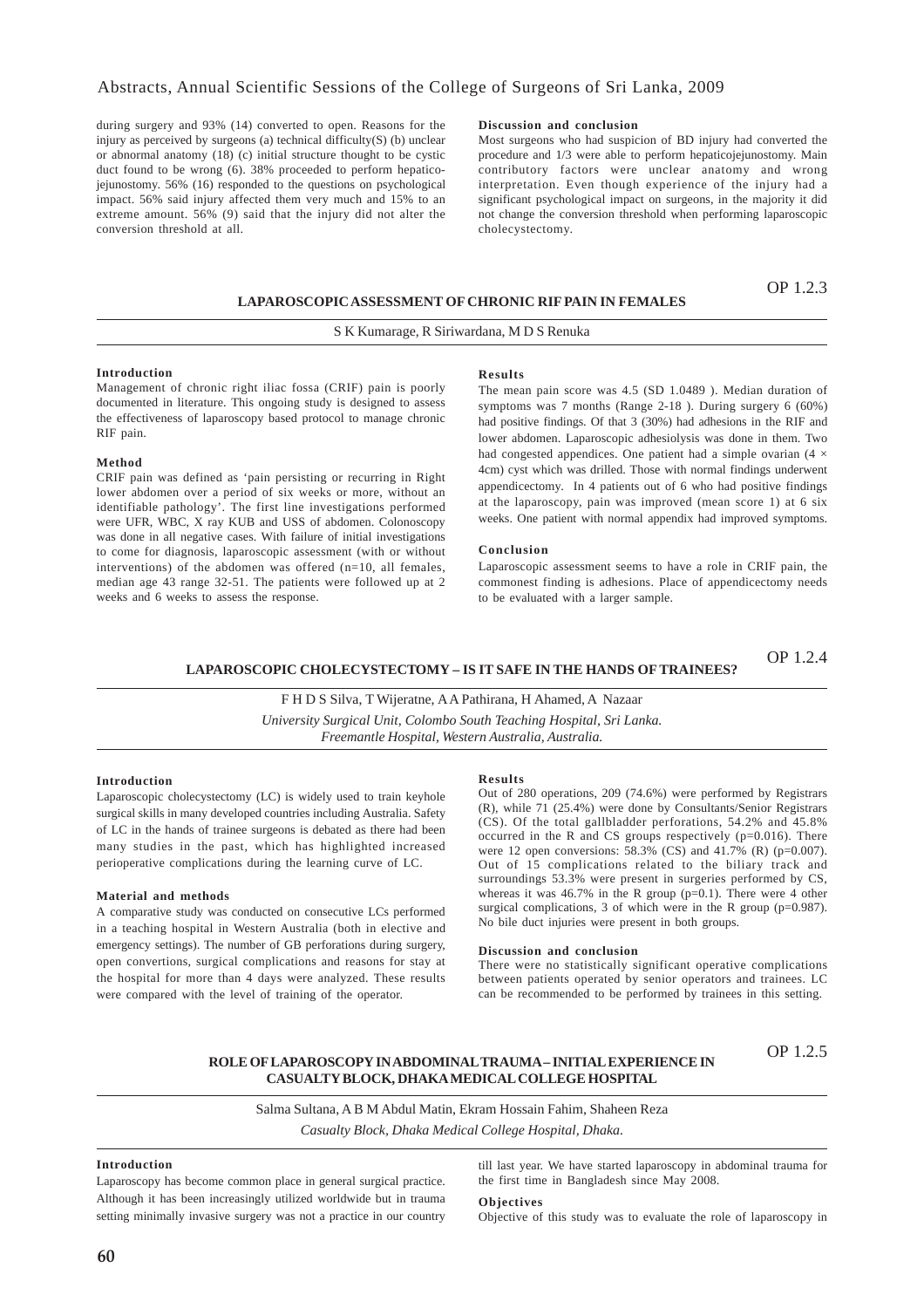### Abstracts, Annual Scientific Sessions of the College of Surgeons of Sri Lanka, 2009

during surgery and 93% (14) converted to open. Reasons for the injury as perceived by surgeons (a) technical difficulty( $S$ ) (b) unclear or abnormal anatomy (18) (c) initial structure thought to be cystic duct found to be wrong (6). 38% proceeded to perform hepaticojejunostomy. 56% (16) responded to the questions on psychological impact. 56% said injury affected them very much and 15% to an extreme amount. 56% (9) said that the injury did not alter the conversion threshold at all.

### **Discussion and conclusion**

Most surgeons who had suspicion of BD injury had converted the procedure and 1/3 were able to perform hepaticojejunostomy. Main contributory factors were unclear anatomy and wrong interpretation. Even though experience of the injury had a significant psychological impact on surgeons, in the majority it did not change the conversion threshold when performing laparoscopic cholecystectomy.

### **LAPAROSCOPIC ASSESSMENT OF CHRONIC RIF PAIN IN FEMALES**

OP 1.2.3

### S K Kumarage, R Siriwardana, M D S Renuka

#### **Introduction**

Management of chronic right iliac fossa (CRIF) pain is poorly documented in literature. This ongoing study is designed to assess the effectiveness of laparoscopy based protocol to manage chronic RIF pain.

### **Method**

CRIF pain was defined as 'pain persisting or recurring in Right lower abdomen over a period of six weeks or more, without an identifiable pathology'. The first line investigations performed were UFR, WBC, X ray KUB and USS of abdomen. Colonoscopy was done in all negative cases. With failure of initial investigations to come for diagnosis, laparoscopic assessment (with or without interventions) of the abdomen was offered (n=10, all females, median age 43 range 32-51. The patients were followed up at 2 weeks and 6 weeks to assess the response.

#### **Results**

The mean pain score was 4.5 (SD 1.0489 ). Median duration of symptoms was 7 months (Range 2-18 ). During surgery 6 (60%) had positive findings. Of that 3 (30%) had adhesions in the RIF and lower abdomen. Laparoscopic adhesiolysis was done in them. Two had congested appendices. One patient had a simple ovarian  $(4 \times$ 4cm) cyst which was drilled. Those with normal findings underwent appendicectomy. In 4 patients out of 6 who had positive findings at the laparoscopy, pain was improved (mean score 1) at 6 six weeks. One patient with normal appendix had improved symptoms.

### **Conclusion**

Laparoscopic assessment seems to have a role in CRIF pain, the commonest finding is adhesions. Place of appendicectomy needs to be evaluated with a larger sample.

#### OP 1.2.4 **LAPAROSCOPIC CHOLECYSTECTOMY – IS IT SAFE IN THE HANDS OF TRAINEES?**

F H D S Silva, T Wijeratne, A A Pathirana, H Ahamed, A Nazaar

*University Surgical Unit, Colombo South Teaching Hospital, Sri Lanka. Freemantle Hospital, Western Australia, Australia.*

### **Introduction**

Laparoscopic cholecystectomy (LC) is widely used to train keyhole surgical skills in many developed countries including Australia. Safety of LC in the hands of trainee surgeons is debated as there had been many studies in the past, which has highlighted increased perioperative complications during the learning curve of LC.

### **Material and methods**

A comparative study was conducted on consecutive LCs performed in a teaching hospital in Western Australia (both in elective and emergency settings). The number of GB perforations during surgery, open convertions, surgical complications and reasons for stay at the hospital for more than 4 days were analyzed. These results were compared with the level of training of the operator.

#### **Results**

Out of 280 operations, 209 (74.6%) were performed by Registrars (R), while 71 (25.4%) were done by Consultants/Senior Registrars (CS). Of the total gallbladder perforations, 54.2% and 45.8% occurred in the R and CS groups respectively (p=0.016). There were 12 open conversions:  $58.3\%$  (CS) and  $41.7\%$  (R) (p=0.007). Out of 15 complications related to the biliary track and surroundings 53.3% were present in surgeries performed by CS, whereas it was  $46.7\%$  in the R group (p=0.1). There were 4 other surgical complications, 3 of which were in the R group (p=0.987). No bile duct injuries were present in both groups.

### **Discussion and conclusion**

There were no statistically significant operative complications between patients operated by senior operators and trainees. LC can be recommended to be performed by trainees in this setting.

### **ROLE OF LAPAROSCOPY IN ABDOMINAL TRAUMA – INITIAL EXPERIENCE IN CASUALTY BLOCK, DHAKA MEDICAL COLLEGE HOSPITAL**

OP 1.2.5

## Salma Sultana, A B M Abdul Matin, Ekram Hossain Fahim, Shaheen Reza

*Casualty Block, Dhaka Medical College Hospital, Dhaka.*

### **Introduction**

Laparoscopy has become common place in general surgical practice. Although it has been increasingly utilized worldwide but in trauma setting minimally invasive surgery was not a practice in our country

till last year. We have started laparoscopy in abdominal trauma for the first time in Bangladesh since May 2008.

### **Objectives**

Objective of this study was to evaluate the role of laparoscopy in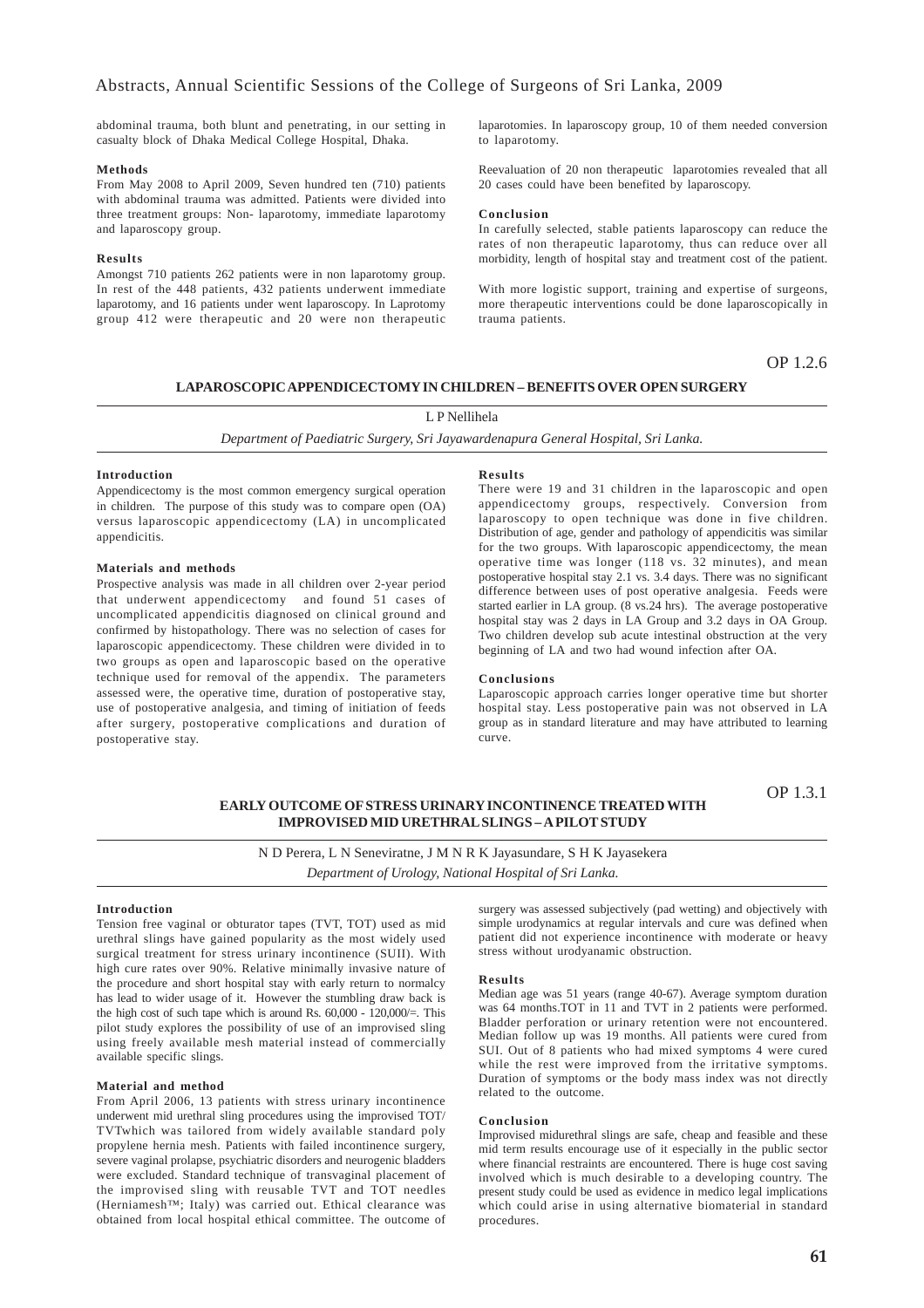abdominal trauma, both blunt and penetrating, in our setting in casualty block of Dhaka Medical College Hospital, Dhaka.

#### **Methods**

From May 2008 to April 2009, Seven hundred ten (710) patients with abdominal trauma was admitted. Patients were divided into three treatment groups: Non- laparotomy, immediate laparotomy and laparoscopy group.

### **Results**

Amongst 710 patients 262 patients were in non laparotomy group. In rest of the 448 patients, 432 patients underwent immediate laparotomy, and 16 patients under went laparoscopy. In Laprotomy group 412 were therapeutic and 20 were non therapeutic laparotomies. In laparoscopy group, 10 of them needed conversion to laparotomy.

Reevaluation of 20 non therapeutic laparotomies revealed that all 20 cases could have been benefited by laparoscopy.

#### **Conclusion**

In carefully selected, stable patients laparoscopy can reduce the rates of non therapeutic laparotomy, thus can reduce over all morbidity, length of hospital stay and treatment cost of the patient.

With more logistic support, training and expertise of surgeons, more therapeutic interventions could be done laparoscopically in trauma patients.

OP 1.2.6

### **LAPAROSCOPIC APPENDICECTOMY IN CHILDREN – BENEFITS OVER OPEN SURGERY**

### L P Nellihela

*Department of Paediatric Surgery, Sri Jayawardenapura General Hospital, Sri Lanka.*

### **Introduction**

Appendicectomy is the most common emergency surgical operation in children. The purpose of this study was to compare open (OA) versus laparoscopic appendicectomy (LA) in uncomplicated appendicitis.

### **Materials and methods**

Prospective analysis was made in all children over 2-year period that underwent appendicectomy and found 51 cases of uncomplicated appendicitis diagnosed on clinical ground and confirmed by histopathology. There was no selection of cases for laparoscopic appendicectomy. These children were divided in to two groups as open and laparoscopic based on the operative technique used for removal of the appendix. The parameters assessed were, the operative time, duration of postoperative stay, use of postoperative analgesia, and timing of initiation of feeds after surgery, postoperative complications and duration of postoperative stay.

### **Results**

There were 19 and 31 children in the laparoscopic and open appendicectomy groups, respectively. Conversion from laparoscopy to open technique was done in five children. Distribution of age, gender and pathology of appendicitis was similar for the two groups. With laparoscopic appendicectomy, the mean operative time was longer (118 vs. 32 minutes), and mean postoperative hospital stay 2.1 vs. 3.4 days. There was no significant difference between uses of post operative analgesia. Feeds were started earlier in LA group.  $(8 \text{ vs. } 24 \text{ hrs})$ . The average postoperative hospital stay was 2 days in LA Group and 3.2 days in OA Group. Two children develop sub acute intestinal obstruction at the very beginning of LA and two had wound infection after OA.

#### **Conclusions**

Laparoscopic approach carries longer operative time but shorter hospital stay. Less postoperative pain was not observed in LA group as in standard literature and may have attributed to learning curve.

### **EARLY OUTCOME OF STRESS URINARY INCONTINENCE TREATED WITH IMPROVISED MID URETHRAL SLINGS – A PILOT STUDY**

OP 1.3.1

## N D Perera, L N Seneviratne, J M N R K Jayasundare, S H K Jayasekera *Department of Urology, National Hospital of Sri Lanka.*

#### **Introduction**

Tension free vaginal or obturator tapes (TVT, TOT) used as mid urethral slings have gained popularity as the most widely used surgical treatment for stress urinary incontinence (SUII). With high cure rates over 90%. Relative minimally invasive nature of the procedure and short hospital stay with early return to normalcy has lead to wider usage of it. However the stumbling draw back is the high cost of such tape which is around Rs.  $60,000 - 120,000/$ =. This pilot study explores the possibility of use of an improvised sling using freely available mesh material instead of commercially available specific slings.

#### **Material and method**

From April 2006, 13 patients with stress urinary incontinence underwent mid urethral sling procedures using the improvised TOT/ TVTwhich was tailored from widely available standard poly propylene hernia mesh. Patients with failed incontinence surgery, severe vaginal prolapse, psychiatric disorders and neurogenic bladders were excluded. Standard technique of transvaginal placement of the improvised sling with reusable TVT and TOT needles (Herniamesh™; Italy) was carried out. Ethical clearance was obtained from local hospital ethical committee. The outcome of

surgery was assessed subjectively (pad wetting) and objectively with simple urodynamics at regular intervals and cure was defined when patient did not experience incontinence with moderate or heavy stress without urodyanamic obstruction.

### **Results**

Median age was 51 years (range 40-67). Average symptom duration was 64 months.TOT in 11 and TVT in 2 patients were performed. Bladder perforation or urinary retention were not encountered. Median follow up was 19 months. All patients were cured from SUI. Out of 8 patients who had mixed symptoms 4 were cured while the rest were improved from the irritative symptoms. Duration of symptoms or the body mass index was not directly related to the outcome.

### **Conclusion**

Improvised midurethral slings are safe, cheap and feasible and these mid term results encourage use of it especially in the public sector where financial restraints are encountered. There is huge cost saving involved which is much desirable to a developing country. The present study could be used as evidence in medico legal implications which could arise in using alternative biomaterial in standard procedures.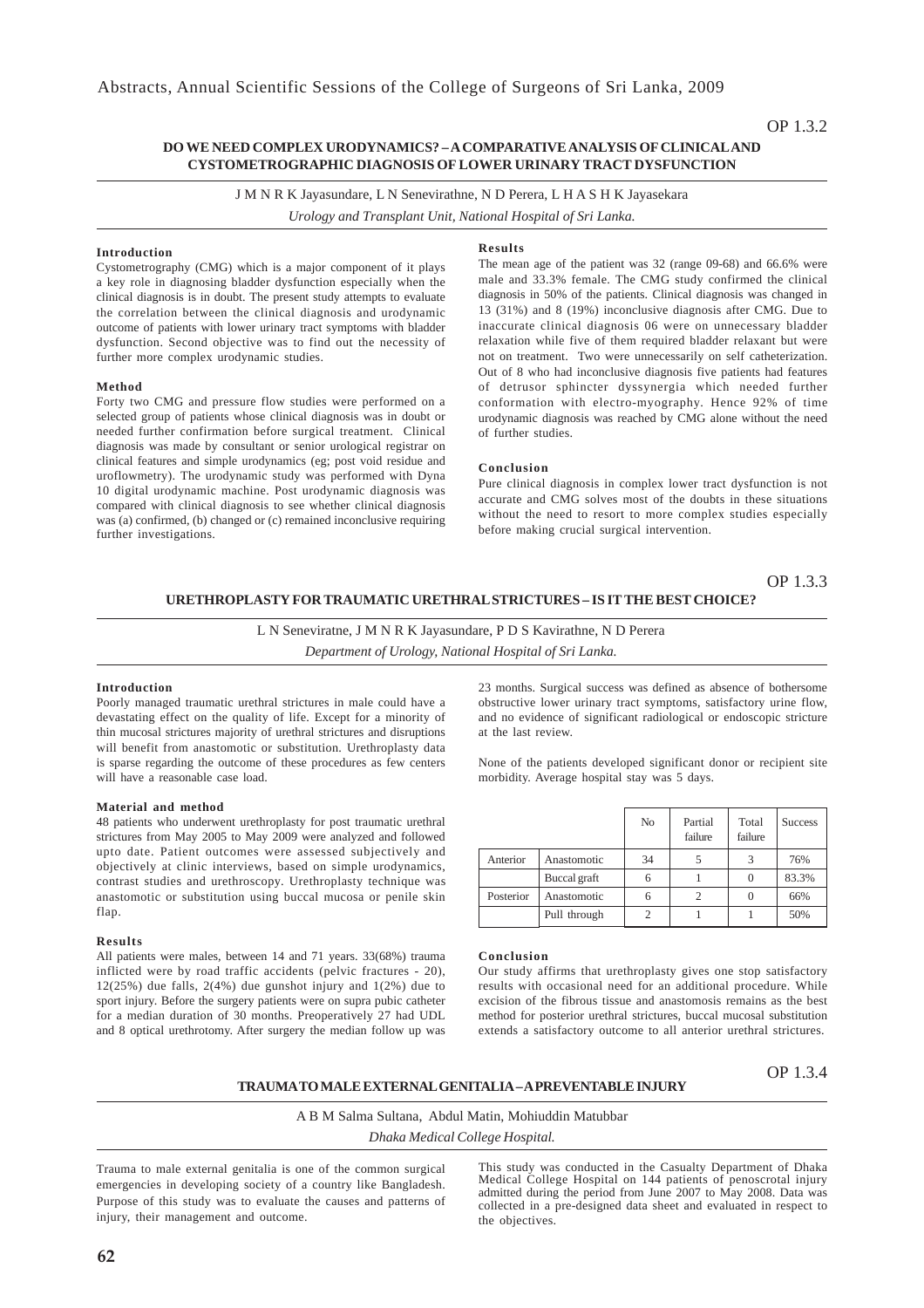### **DO WE NEED COMPLEX URODYNAMICS? – A COMPARATIVE ANALYSIS OF CLINICAL AND CYSTOMETROGRAPHIC DIAGNOSIS OF LOWER URINARY TRACT DYSFUNCTION**

J M N R K Jayasundare, L N Senevirathne, N D Perera, L H A S H K Jayasekara

*Urology and Transplant Unit, National Hospital of Sri Lanka.*

### **Introduction**

Cystometrography (CMG) which is a major component of it plays a key role in diagnosing bladder dysfunction especially when the clinical diagnosis is in doubt. The present study attempts to evaluate the correlation between the clinical diagnosis and urodynamic outcome of patients with lower urinary tract symptoms with bladder dysfunction. Second objective was to find out the necessity of further more complex urodynamic studies.

### **Method**

Forty two CMG and pressure flow studies were performed on a selected group of patients whose clinical diagnosis was in doubt or needed further confirmation before surgical treatment. Clinical diagnosis was made by consultant or senior urological registrar on clinical features and simple urodynamics (eg; post void residue and uroflowmetry). The urodynamic study was performed with Dyna 10 digital urodynamic machine. Post urodynamic diagnosis was compared with clinical diagnosis to see whether clinical diagnosis was (a) confirmed, (b) changed or (c) remained inconclusive requiring further investigations.

### **Results**

The mean age of the patient was 32 (range 09-68) and 66.6% were male and 33.3% female. The CMG study confirmed the clinical diagnosis in 50% of the patients. Clinical diagnosis was changed in 13 (31%) and 8 (19%) inconclusive diagnosis after CMG. Due to inaccurate clinical diagnosis 06 were on unnecessary bladder relaxation while five of them required bladder relaxant but were not on treatment. Two were unnecessarily on self catheterization. Out of 8 who had inconclusive diagnosis five patients had features of detrusor sphincter dyssynergia which needed further conformation with electro-myography. Hence 92% of time urodynamic diagnosis was reached by CMG alone without the need of further studies.

### **Conclusion**

Pure clinical diagnosis in complex lower tract dysfunction is not accurate and CMG solves most of the doubts in these situations without the need to resort to more complex studies especially before making crucial surgical intervention.

OP 1.3.3

### **URETHROPLASTY FOR TRAUMATIC URETHRAL STRICTURES – IS IT THE BEST CHOICE?**

L N Seneviratne, J M N R K Jayasundare, P D S Kavirathne, N D Perera *Department of Urology, National Hospital of Sri Lanka.*

### **Introduction**

Poorly managed traumatic urethral strictures in male could have a devastating effect on the quality of life. Except for a minority of thin mucosal strictures majority of urethral strictures and disruptions will benefit from anastomotic or substitution. Urethroplasty data is sparse regarding the outcome of these procedures as few centers will have a reasonable case load.

### **Material and method**

48 patients who underwent urethroplasty for post traumatic urethral strictures from May 2005 to May 2009 were analyzed and followed upto date. Patient outcomes were assessed subjectively and objectively at clinic interviews, based on simple urodynamics, contrast studies and urethroscopy. Urethroplasty technique was anastomotic or substitution using buccal mucosa or penile skin flap.

### **Results**

All patients were males, between 14 and 71 years. 33(68%) trauma inflicted were by road traffic accidents (pelvic fractures - 20),  $12(25%)$  due falls,  $2(4%)$  due gunshot injury and  $1(2%)$  due to sport injury. Before the surgery patients were on supra pubic catheter for a median duration of 30 months. Preoperatively 27 had UDL and 8 optical urethrotomy. After surgery the median follow up was

23 months. Surgical success was defined as absence of bothersome obstructive lower urinary tract symptoms, satisfactory urine flow, and no evidence of significant radiological or endoscopic stricture at the last review.

None of the patients developed significant donor or recipient site morbidity. Average hospital stay was 5 days.

|           |              | No | Partial<br>failure | Total<br>failure | <b>Success</b> |
|-----------|--------------|----|--------------------|------------------|----------------|
| Anterior  | Anastomotic  | 34 |                    |                  | 76%            |
|           | Buccal graft | 6  |                    | $\theta$         | 83.3%          |
| Posterior | Anastomotic  | 6  |                    | $\theta$         | 66%            |
|           | Pull through | 2  |                    |                  | 50%            |

### **Conclusion**

Our study affirms that urethroplasty gives one stop satisfactory results with occasional need for an additional procedure. While excision of the fibrous tissue and anastomosis remains as the best method for posterior urethral strictures, buccal mucosal substitution extends a satisfactory outcome to all anterior urethral strictures.

### **TRAUMA TO MALE EXTERNAL GENITALIA – A PREVENTABLE INJURY**

OP 1.3.4

A B M Salma Sultana, Abdul Matin, Mohiuddin Matubbar

### *Dhaka Medical College Hospital.*

Trauma to male external genitalia is one of the common surgical emergencies in developing society of a country like Bangladesh. Purpose of this study was to evaluate the causes and patterns of injury, their management and outcome.

This study was conducted in the Casualty Department of Dhaka Medical College Hospital on 144 patients of penoscrotal injury admitted during the period from June 2007 to May 2008. Data was collected in a pre-designed data sheet and evaluated in respect to the objectives.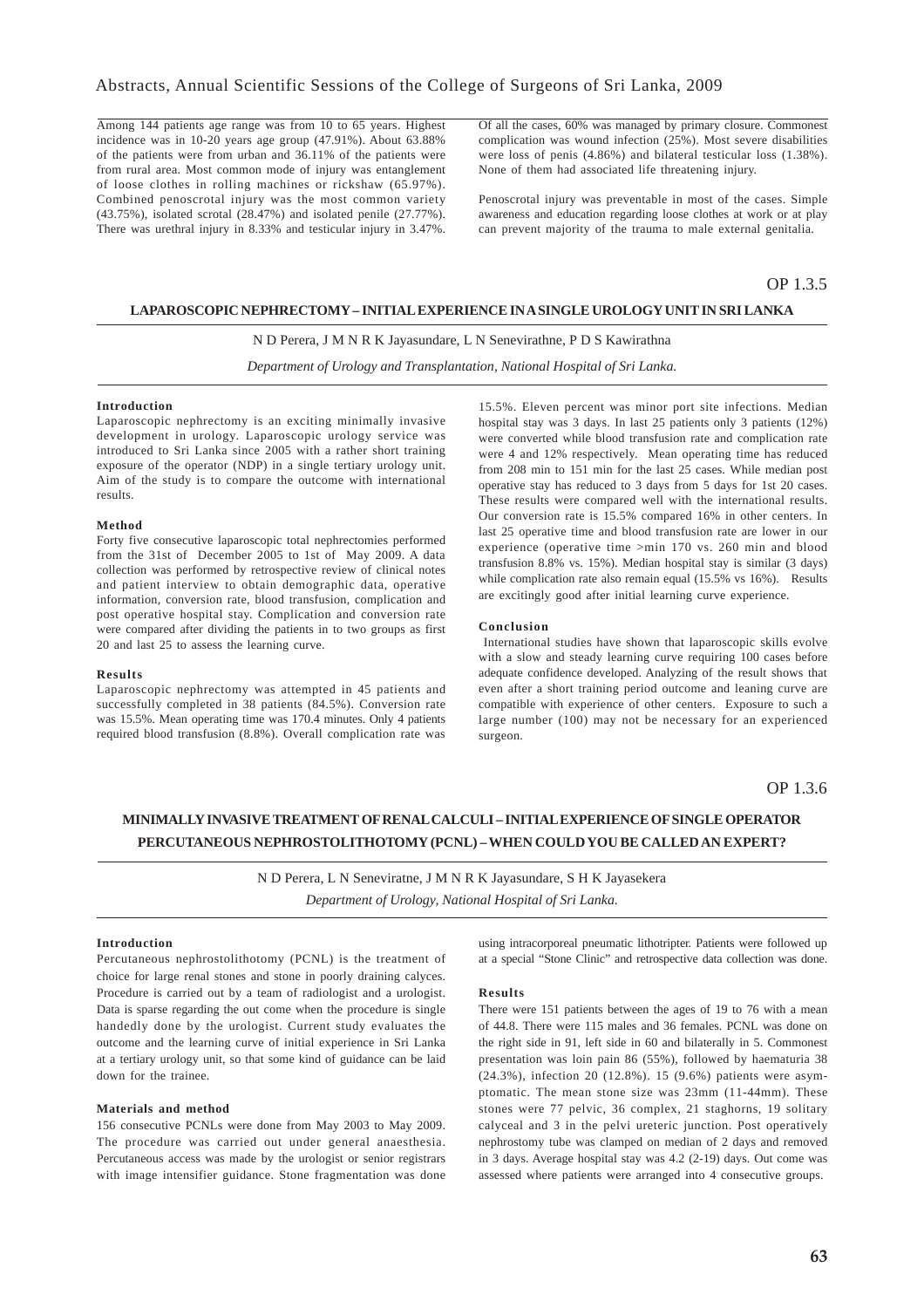Among 144 patients age range was from 10 to 65 years. Highest incidence was in 10-20 years age group (47.91%). About 63.88% of the patients were from urban and 36.11% of the patients were from rural area. Most common mode of injury was entanglement of loose clothes in rolling machines or rickshaw (65.97%). Combined penoscrotal injury was the most common variety (43.75%), isolated scrotal (28.47%) and isolated penile (27.77%). There was urethral injury in 8.33% and testicular injury in 3.47%.

Of all the cases, 60% was managed by primary closure. Commonest complication was wound infection (25%). Most severe disabilities were loss of penis (4.86%) and bilateral testicular loss (1.38%). None of them had associated life threatening injury.

Penoscrotal injury was preventable in most of the cases. Simple awareness and education regarding loose clothes at work or at play can prevent majority of the trauma to male external genitalia.

### OP 1.3.5

### **LAPAROSCOPIC NEPHRECTOMY – INITIAL EXPERIENCE IN A SINGLE UROLOGY UNIT IN SRI LANKA**

### N D Perera, J M N R K Jayasundare, L N Senevirathne, P D S Kawirathna

*Department of Urology and Transplantation, National Hospital of Sri Lanka.*

### **Introduction**

Laparoscopic nephrectomy is an exciting minimally invasive development in urology. Laparoscopic urology service was introduced to Sri Lanka since 2005 with a rather short training exposure of the operator (NDP) in a single tertiary urology unit. Aim of the study is to compare the outcome with international results.

#### **Method**

Forty five consecutive laparoscopic total nephrectomies performed from the 31st of December 2005 to 1st of May 2009. A data collection was performed by retrospective review of clinical notes and patient interview to obtain demographic data, operative information, conversion rate, blood transfusion, complication and post operative hospital stay. Complication and conversion rate were compared after dividing the patients in to two groups as first 20 and last 25 to assess the learning curve.

### **Results**

Laparoscopic nephrectomy was attempted in 45 patients and successfully completed in 38 patients (84.5%). Conversion rate was 15.5%. Mean operating time was 170.4 minutes. Only 4 patients required blood transfusion (8.8%). Overall complication rate was

15.5%. Eleven percent was minor port site infections. Median hospital stay was 3 days. In last 25 patients only 3 patients (12%) were converted while blood transfusion rate and complication rate were 4 and 12% respectively. Mean operating time has reduced from 208 min to 151 min for the last 25 cases. While median post operative stay has reduced to 3 days from 5 days for 1st 20 cases. These results were compared well with the international results. Our conversion rate is 15.5% compared 16% in other centers. In last 25 operative time and blood transfusion rate are lower in our experience (operative time >min 170 vs. 260 min and blood transfusion 8.8% vs. 15%). Median hospital stay is similar (3 days) while complication rate also remain equal (15.5% vs 16%). Results are excitingly good after initial learning curve experience.

#### **Conclusion**

 International studies have shown that laparoscopic skills evolve with a slow and steady learning curve requiring 100 cases before adequate confidence developed. Analyzing of the result shows that even after a short training period outcome and leaning curve are compatible with experience of other centers. Exposure to such a large number (100) may not be necessary for an experienced surgeon.

OP 1.3.6

## **MINIMALLY INVASIVE TREATMENT OF RENAL CALCULI – INITIAL EXPERIENCE OF SINGLE OPERATOR PERCUTANEOUS NEPHROSTOLITHOTOMY (PCNL) – WHEN COULD YOU BE CALLED AN EXPERT?**

N D Perera, L N Seneviratne, J M N R K Jayasundare, S H K Jayasekera *Department of Urology, National Hospital of Sri Lanka.*

#### **Introduction**

Percutaneous nephrostolithotomy (PCNL) is the treatment of choice for large renal stones and stone in poorly draining calyces. Procedure is carried out by a team of radiologist and a urologist. Data is sparse regarding the out come when the procedure is single handedly done by the urologist. Current study evaluates the outcome and the learning curve of initial experience in Sri Lanka at a tertiary urology unit, so that some kind of guidance can be laid down for the trainee.

### **Materials and method**

156 consecutive PCNLs were done from May 2003 to May 2009. The procedure was carried out under general anaesthesia. Percutaneous access was made by the urologist or senior registrars with image intensifier guidance. Stone fragmentation was done using intracorporeal pneumatic lithotripter. Patients were followed up at a special "Stone Clinic" and retrospective data collection was done.

### **Results**

There were 151 patients between the ages of 19 to 76 with a mean of 44.8. There were 115 males and 36 females. PCNL was done on the right side in 91, left side in 60 and bilaterally in 5. Commonest presentation was loin pain 86 (55%), followed by haematuria 38 (24.3%), infection 20 (12.8%). 15 (9.6%) patients were asymptomatic. The mean stone size was 23mm (11-44mm). These stones were 77 pelvic, 36 complex, 21 staghorns, 19 solitary calyceal and 3 in the pelvi ureteric junction. Post operatively nephrostomy tube was clamped on median of 2 days and removed in 3 days. Average hospital stay was 4.2 (2-19) days. Out come was assessed where patients were arranged into 4 consecutive groups.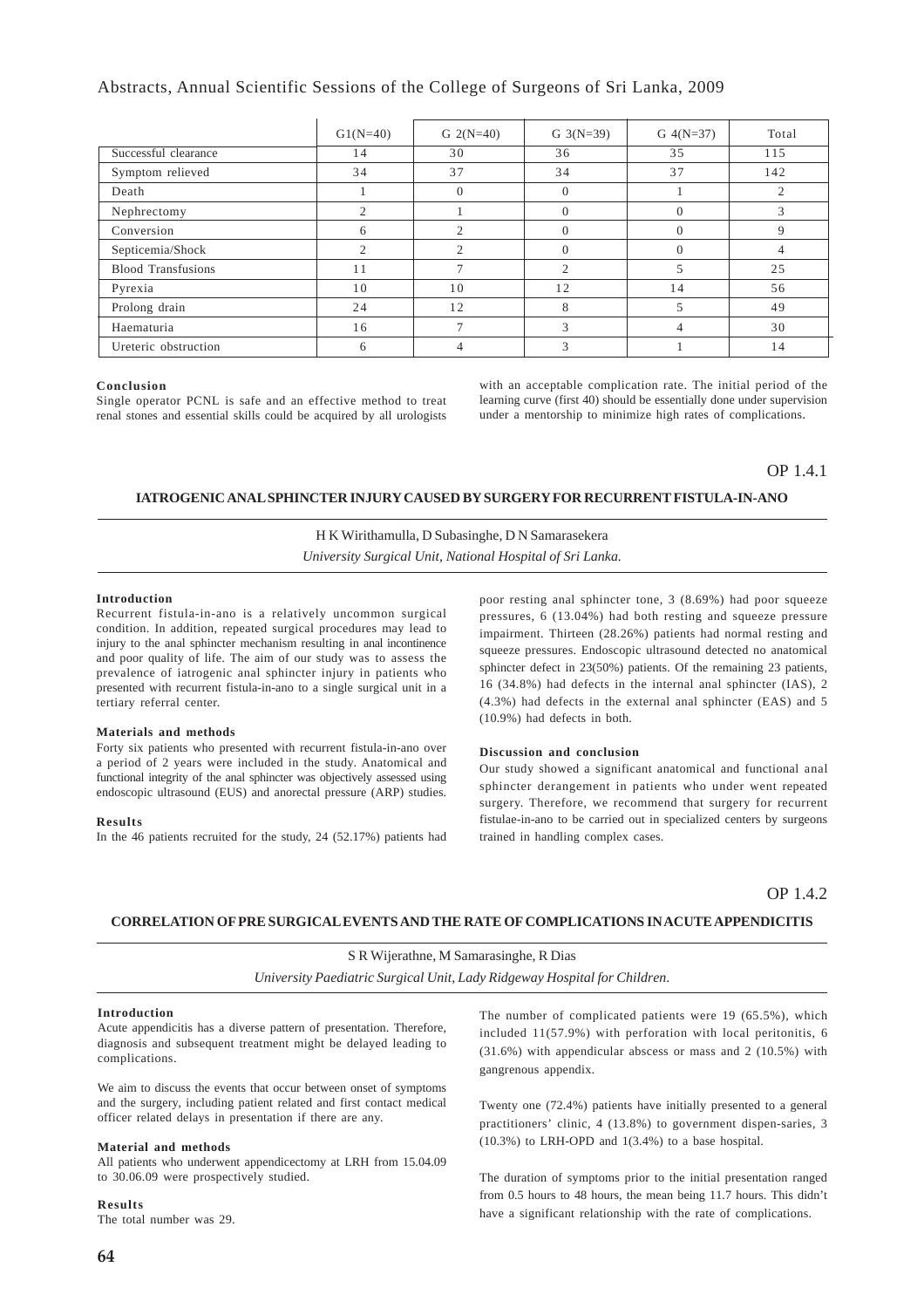### Abstracts, Annual Scientific Sessions of the College of Surgeons of Sri Lanka, 2009

|                           | $G1(N=40)$ | G $2(N=40)$  | G $3(N=39)$    | $G \ 4(N=37)$ | Total         |
|---------------------------|------------|--------------|----------------|---------------|---------------|
| Successful clearance      | 14         | 30           | 36             | 35            | 115           |
| Symptom relieved          | 34         | 37           | 34             | 37            | 142           |
| Death                     |            | $\Omega$     | $\Omega$       |               | $\mathcal{L}$ |
| Nephrectomy               | ◠          |              | $\Omega$       |               | 3             |
| Conversion                | 6          |              | $\overline{0}$ |               | 9             |
| Septicemia/Shock          | ◠          | $\bigcap$    | $\Omega$       |               |               |
| <b>Blood Transfusions</b> | 11         | $\mathbf{r}$ | $\bigcap$      | 5             | 25            |
| Pyrexia                   | 10         | 10           | 12             | 14            | 56            |
| Prolong drain             | 24         | 12           | 8              | 5             | 49            |
| Haematuria                | 16         | $\mathbf{r}$ | 3              |               | 30            |
| Ureteric obstruction      | h          |              | 3              |               | 14            |

#### **Conclusion**

Single operator PCNL is safe and an effective method to treat renal stones and essential skills could be acquired by all urologists

with an acceptable complication rate. The initial period of the learning curve (first 40) should be essentially done under supervision under a mentorship to minimize high rates of complications.

### OP 1.4.1

### **IATROGENIC ANAL SPHINCTER INJURY CAUSED BY SURGERY FOR RECURRENT FISTULA-IN-ANO**

H K Wirithamulla, D Subasinghe, D N Samarasekera *University Surgical Unit, National Hospital of Sri Lanka.*

#### **Introduction**

Recurrent fistula-in-ano is a relatively uncommon surgical condition. In addition, repeated surgical procedures may lead to injury to the anal sphincter mechanism resulting in anal incontinence and poor quality of life. The aim of our study was to assess the prevalence of iatrogenic anal sphincter injury in patients who presented with recurrent fistula-in-ano to a single surgical unit in a tertiary referral center.

#### **Materials and methods**

Forty six patients who presented with recurrent fistula-in-ano over a period of 2 years were included in the study. Anatomical and functional integrity of the anal sphincter was objectively assessed using endoscopic ultrasound (EUS) and anorectal pressure (ARP) studies.

#### **Results**

In the 46 patients recruited for the study, 24 (52.17%) patients had

poor resting anal sphincter tone, 3 (8.69%) had poor squeeze pressures, 6 (13.04%) had both resting and squeeze pressure impairment. Thirteen (28.26%) patients had normal resting and squeeze pressures. Endoscopic ultrasound detected no anatomical sphincter defect in 23(50%) patients. Of the remaining 23 patients, 16 (34.8%) had defects in the internal anal sphincter (IAS), 2 (4.3%) had defects in the external anal sphincter (EAS) and 5 (10.9%) had defects in both.

### **Discussion and conclusion**

Our study showed a significant anatomical and functional anal sphincter derangement in patients who under went repeated surgery. Therefore, we recommend that surgery for recurrent fistulae-in-ano to be carried out in specialized centers by surgeons trained in handling complex cases.

OP 1.4.2

### **CORRELATION OF PRE SURGICAL EVENTS AND THE RATE OF COMPLICATIONS IN ACUTE APPENDICITIS**

S R Wijerathne, M Samarasinghe, R Dias *University Paediatric Surgical Unit, Lady Ridgeway Hospital for Children*.

#### **Introduction**

Acute appendicitis has a diverse pattern of presentation. Therefore, diagnosis and subsequent treatment might be delayed leading to complications.

We aim to discuss the events that occur between onset of symptoms and the surgery, including patient related and first contact medical officer related delays in presentation if there are any.

### **Material and methods**

All patients who underwent appendicectomy at LRH from 15.04.09 to 30.06.09 were prospectively studied.

#### **Results**

The total number was 29.

The number of complicated patients were 19 (65.5%), which included 11(57.9%) with perforation with local peritonitis, 6 (31.6%) with appendicular abscess or mass and 2 (10.5%) with gangrenous appendix.

Twenty one (72.4%) patients have initially presented to a general practitioners' clinic, 4 (13.8%) to government dispen-saries, 3 (10.3%) to LRH-OPD and 1(3.4%) to a base hospital.

The duration of symptoms prior to the initial presentation ranged from 0.5 hours to 48 hours, the mean being 11.7 hours. This didn't have a significant relationship with the rate of complications.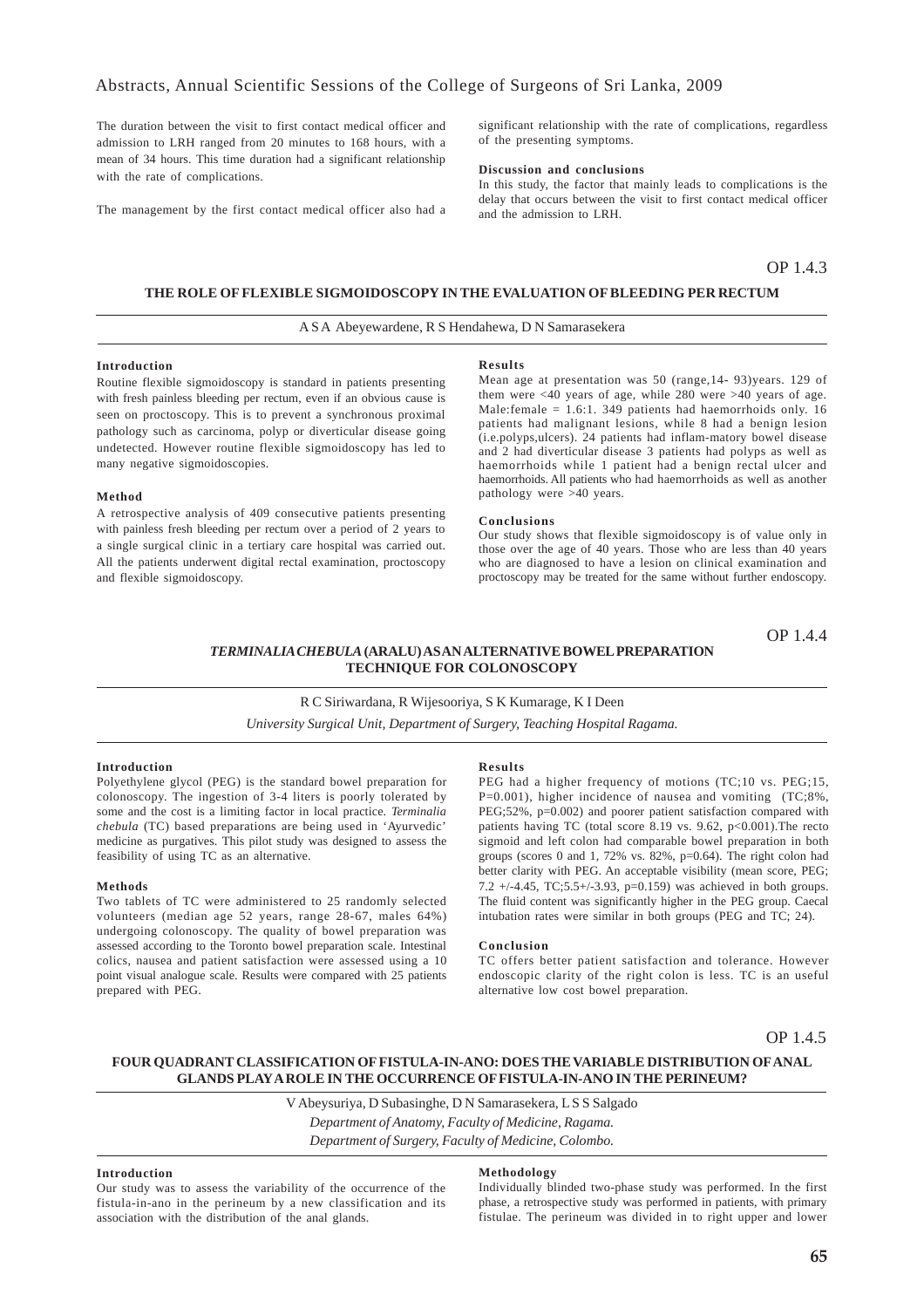The duration between the visit to first contact medical officer and admission to LRH ranged from 20 minutes to 168 hours, with a mean of 34 hours. This time duration had a significant relationship with the rate of complications.

The management by the first contact medical officer also had a

significant relationship with the rate of complications, regardless of the presenting symptoms.

### **Discussion and conclusions**

In this study, the factor that mainly leads to complications is the delay that occurs between the visit to first contact medical officer and the admission to LRH.

### OP 1.4.3

OP 1.4.4

### **THE ROLE OF FLEXIBLE SIGMOIDOSCOPY IN THE EVALUATION OF BLEEDING PER RECTUM**

### A S A Abeyewardene, R S Hendahewa, D N Samarasekera

### **Introduction**

Routine flexible sigmoidoscopy is standard in patients presenting with fresh painless bleeding per rectum, even if an obvious cause is seen on proctoscopy. This is to prevent a synchronous proximal pathology such as carcinoma, polyp or diverticular disease going undetected. However routine flexible sigmoidoscopy has led to many negative sigmoidoscopies.

#### **Method**

A retrospective analysis of 409 consecutive patients presenting with painless fresh bleeding per rectum over a period of 2 years to a single surgical clinic in a tertiary care hospital was carried out. All the patients underwent digital rectal examination, proctoscopy and flexible sigmoidoscopy.

#### **Results**

Mean age at presentation was 50 (range,14- 93)years. 129 of them were <40 years of age, while 280 were >40 years of age. Male:female = 1.6:1. 349 patients had haemorrhoids only. 16 patients had malignant lesions, while 8 had a benign lesion (i.e.polyps,ulcers). 24 patients had inflam-matory bowel disease and 2 had diverticular disease 3 patients had polyps as well as haemorrhoids while 1 patient had a benign rectal ulcer and haemorrhoids. All patients who had haemorrhoids as well as another pathology were >40 years.

#### **Conclusions**

Our study shows that flexible sigmoidoscopy is of value only in those over the age of 40 years. Those who are less than 40 years who are diagnosed to have a lesion on clinical examination and proctoscopy may be treated for the same without further endoscopy.

### *TERMINALIA CHEBULA* **(ARALU) AS AN ALTERNATIVE BOWEL PREPARATION TECHNIQUE FOR COLONOSCOPY**

### R C Siriwardana, R Wijesooriya, S K Kumarage, K I Deen *University Surgical Unit, Department of Surgery, Teaching Hospital Ragama.*

#### **Introduction**

Polyethylene glycol (PEG) is the standard bowel preparation for colonoscopy. The ingestion of 3-4 liters is poorly tolerated by some and the cost is a limiting factor in local practice. *Terminalia chebula* (TC) based preparations are being used in 'Ayurvedic' medicine as purgatives. This pilot study was designed to assess the feasibility of using TC as an alternative.

### **Methods**

Two tablets of TC were administered to 25 randomly selected volunteers (median age 52 years, range 28-67, males 64%) undergoing colonoscopy. The quality of bowel preparation was assessed according to the Toronto bowel preparation scale. Intestinal colics, nausea and patient satisfaction were assessed using a 10 point visual analogue scale. Results were compared with 25 patients prepared with PEG.

#### **Results**

PEG had a higher frequency of motions (TC;10 vs. PEG;15, P=0.001), higher incidence of nausea and vomiting (TC;8%, PEG;52%, p=0.002) and poorer patient satisfaction compared with patients having TC (total score 8.19 vs. 9.62,  $p<0.001$ ). The recto sigmoid and left colon had comparable bowel preparation in both groups (scores 0 and 1, 72% vs. 82%, p=0.64). The right colon had better clarity with PEG. An acceptable visibility (mean score, PEG; 7.2  $+/-4.45$ , TC:5.5 $+/-3.93$ , p=0.159) was achieved in both groups. The fluid content was significantly higher in the PEG group. Caecal intubation rates were similar in both groups (PEG and TC; 24).

### **Conclusion**

TC offers better patient satisfaction and tolerance. However endoscopic clarity of the right colon is less. TC is an useful alternative low cost bowel preparation.

### OP 1.4.5

### **FOUR QUADRANT CLASSIFICATION OF FISTULA-IN-ANO: DOES THE VARIABLE DISTRIBUTION OF ANAL GLANDS PLAY A ROLE IN THE OCCURRENCE OF FISTULA-IN-ANO IN THE PERINEUM?**

V Abeysuriya, D Subasinghe, D N Samarasekera, L S S Salgado *Department of Anatomy, Faculty of Medicine, Ragama. Department of Surgery, Faculty of Medicine, Colombo.*

### **Introduction**

Our study was to assess the variability of the occurrence of the fistula-in-ano in the perineum by a new classification and its association with the distribution of the anal glands.

### **Methodology**

Individually blinded two-phase study was performed. In the first phase, a retrospective study was performed in patients, with primary fistulae. The perineum was divided in to right upper and lower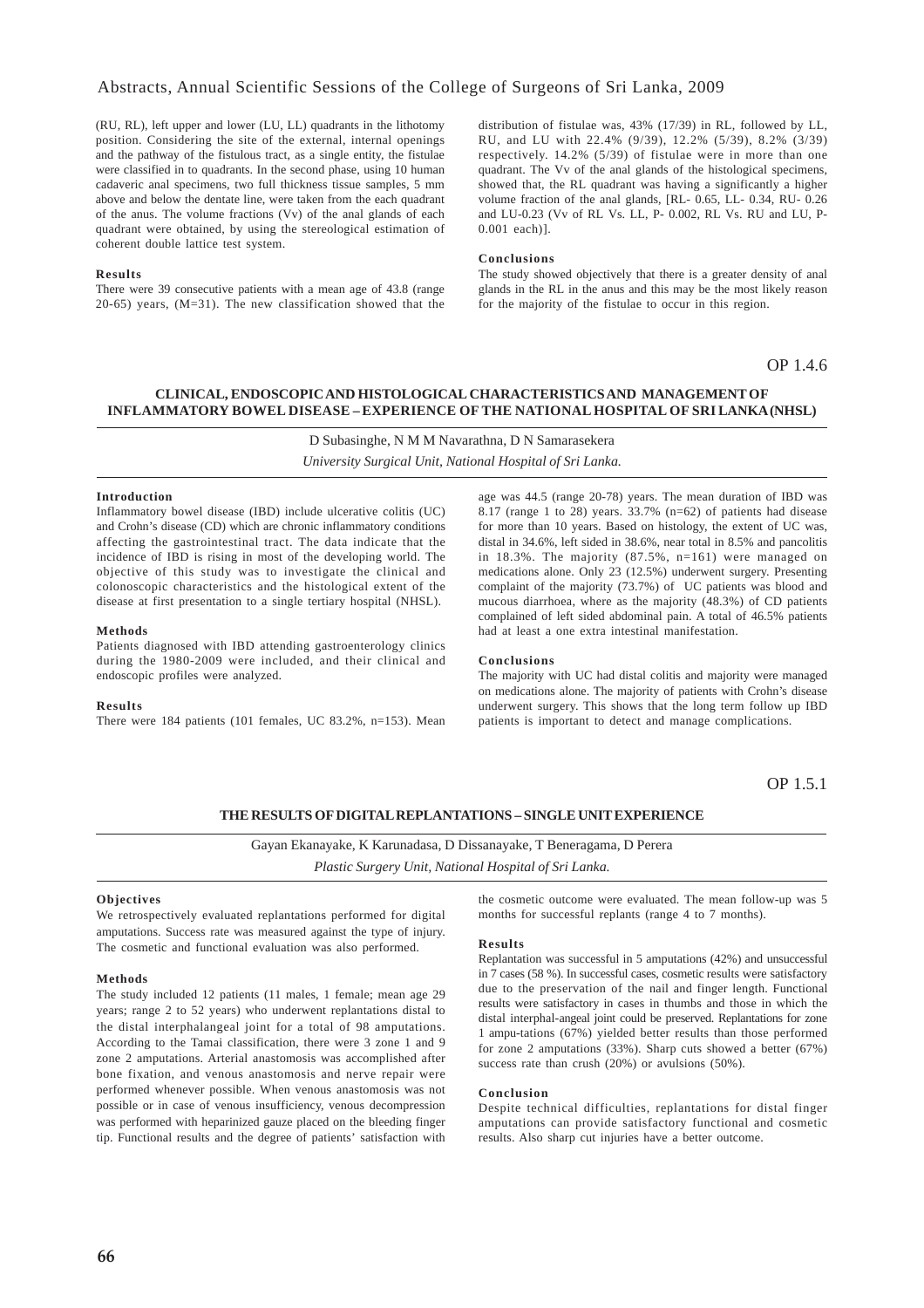### Abstracts, Annual Scientific Sessions of the College of Surgeons of Sri Lanka, 2009

(RU, RL), left upper and lower (LU, LL) quadrants in the lithotomy position. Considering the site of the external, internal openings and the pathway of the fistulous tract, as a single entity, the fistulae were classified in to quadrants. In the second phase, using 10 human cadaveric anal specimens, two full thickness tissue samples, 5 mm above and below the dentate line, were taken from the each quadrant of the anus. The volume fractions (Vv) of the anal glands of each quadrant were obtained, by using the stereological estimation of coherent double lattice test system.

#### **Results**

There were 39 consecutive patients with a mean age of 43.8 (range 20-65) years, (M=31). The new classification showed that the distribution of fistulae was, 43% (17/39) in RL, followed by LL, RU, and LU with 22.4% (9/39), 12.2% (5/39), 8.2% (3/39) respectively. 14.2% (5/39) of fistulae were in more than one quadrant. The Vv of the anal glands of the histological specimens, showed that, the RL quadrant was having a significantly a higher volume fraction of the anal glands, [RL- 0.65, LL- 0.34, RU- 0.26 and LU-0.23 (Vv of RL Vs. LL, P- 0.002, RL Vs. RU and LU, P-0.001 each)].

#### **Conclusions**

The study showed objectively that there is a greater density of anal glands in the RL in the anus and this may be the most likely reason for the majority of the fistulae to occur in this region.

OP 1.4.6

### **CLINICAL, ENDOSCOPIC AND HISTOLOGICAL CHARACTERISTICS AND MANAGEMENT OF INFLAMMATORY BOWEL DISEASE – EXPERIENCE OF THE NATIONAL HOSPITAL OF SRI LANKA (NHSL)**

D Subasinghe, N M M Navarathna, D N Samarasekera

*University Surgical Unit, National Hospital of Sri Lanka.*

#### **Introduction**

Inflammatory bowel disease (IBD) include ulcerative colitis (UC) and Crohn's disease (CD) which are chronic inflammatory conditions affecting the gastrointestinal tract. The data indicate that the incidence of IBD is rising in most of the developing world. The objective of this study was to investigate the clinical and colonoscopic characteristics and the histological extent of the disease at first presentation to a single tertiary hospital (NHSL).

#### **Methods**

Patients diagnosed with IBD attending gastroenterology clinics during the 1980-2009 were included, and their clinical and endoscopic profiles were analyzed.

### **Results**

There were 184 patients (101 females, UC 83.2%, n=153). Mean

age was 44.5 (range 20-78) years. The mean duration of IBD was 8.17 (range 1 to 28) years. 33.7% (n=62) of patients had disease for more than 10 years. Based on histology, the extent of UC was, distal in 34.6%, left sided in 38.6%, near total in 8.5% and pancolitis in 18.3%. The majority (87.5%, n=161) were managed on medications alone. Only 23 (12.5%) underwent surgery. Presenting complaint of the majority (73.7%) of UC patients was blood and mucous diarrhoea, where as the majority (48.3%) of CD patients complained of left sided abdominal pain. A total of 46.5% patients had at least a one extra intestinal manifestation.

#### **Conclusions**

The majority with UC had distal colitis and majority were managed on medications alone. The majority of patients with Crohn's disease underwent surgery. This shows that the long term follow up IBD patients is important to detect and manage complications.

OP 1.5.1

### **THE RESULTS OF DIGITAL REPLANTATIONS – SINGLE UNIT EXPERIENCE**

Gayan Ekanayake, K Karunadasa, D Dissanayake, T Beneragama, D Perera *Plastic Surgery Unit, National Hospital of Sri Lanka.*

#### **Objectives**

We retrospectively evaluated replantations performed for digital amputations. Success rate was measured against the type of injury. The cosmetic and functional evaluation was also performed.

#### **Methods**

The study included 12 patients (11 males, 1 female; mean age 29 years; range 2 to 52 years) who underwent replantations distal to the distal interphalangeal joint for a total of 98 amputations. According to the Tamai classification, there were 3 zone 1 and 9 zone 2 amputations. Arterial anastomosis was accomplished after bone fixation, and venous anastomosis and nerve repair were performed whenever possible. When venous anastomosis was not possible or in case of venous insufficiency, venous decompression was performed with heparinized gauze placed on the bleeding finger tip. Functional results and the degree of patients' satisfaction with the cosmetic outcome were evaluated. The mean follow-up was 5 months for successful replants (range 4 to 7 months).

### **Results**

Replantation was successful in 5 amputations (42%) and unsuccessful in 7 cases (58 %). In successful cases, cosmetic results were satisfactory due to the preservation of the nail and finger length. Functional results were satisfactory in cases in thumbs and those in which the distal interphal-angeal joint could be preserved. Replantations for zone 1 ampu-tations (67%) yielded better results than those performed for zone 2 amputations (33%). Sharp cuts showed a better (67%) success rate than crush (20%) or avulsions (50%).

### **Conclusion**

Despite technical difficulties, replantations for distal finger amputations can provide satisfactory functional and cosmetic results. Also sharp cut injuries have a better outcome.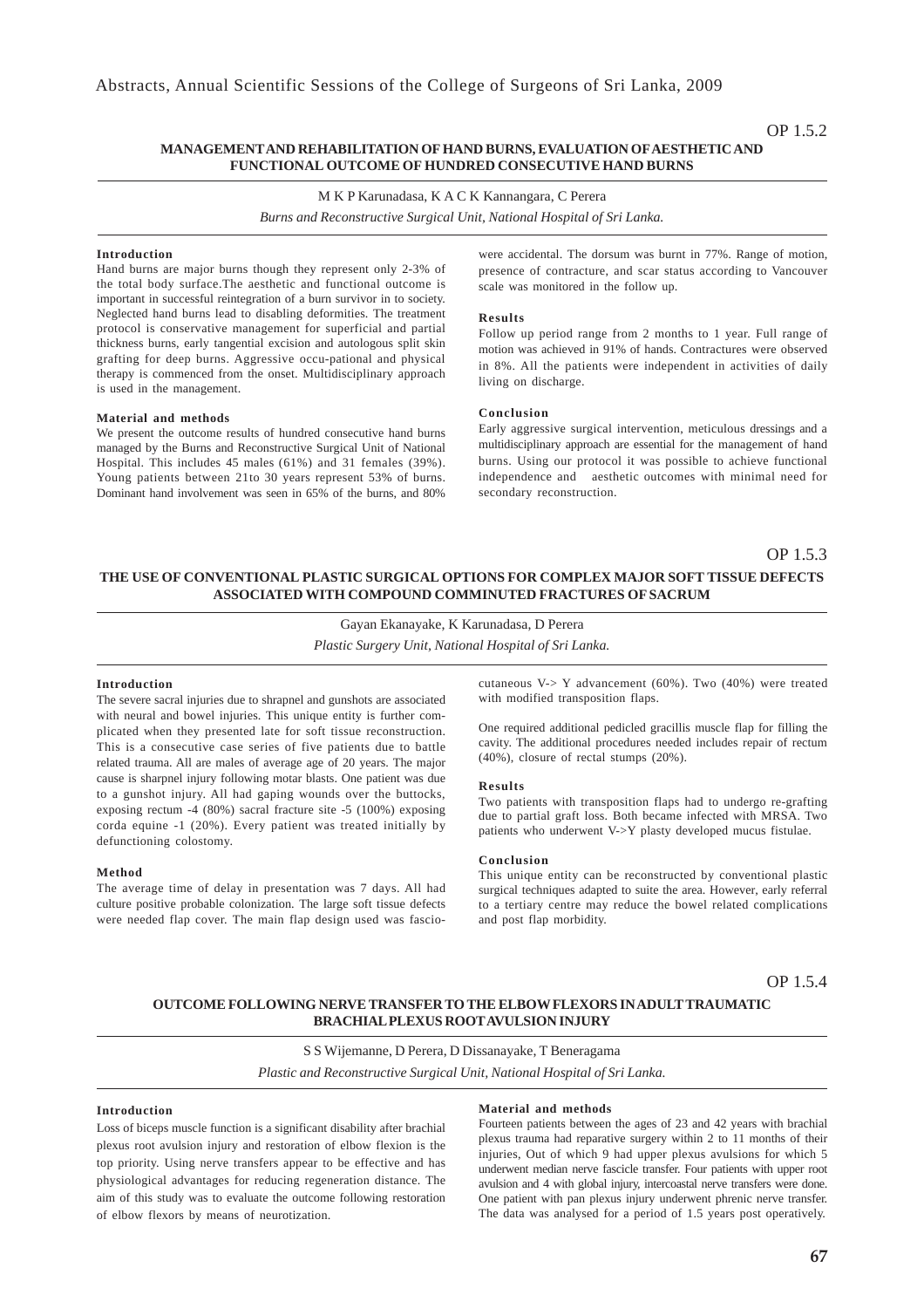### **MANAGEMENT AND REHABILITATION OF HAND BURNS, EVALUATION OF AESTHETIC AND FUNCTIONAL OUTCOME OF HUNDRED CONSECUTIVE HAND BURNS**

M K P Karunadasa, K A C K Kannangara, C Perera

*Burns and Reconstructive Surgical Unit, National Hospital of Sri Lanka.*

### **Introduction**

Hand burns are major burns though they represent only 2-3% of the total body surface.The aesthetic and functional outcome is important in successful reintegration of a burn survivor in to society. Neglected hand burns lead to disabling deformities. The treatment protocol is conservative management for superficial and partial thickness burns, early tangential excision and autologous split skin grafting for deep burns. Aggressive occu-pational and physical therapy is commenced from the onset. Multidisciplinary approach is used in the management.

#### **Material and methods**

We present the outcome results of hundred consecutive hand burns managed by the Burns and Reconstructive Surgical Unit of National Hospital. This includes 45 males (61%) and 31 females (39%). Young patients between 21to 30 years represent 53% of burns. Dominant hand involvement was seen in 65% of the burns, and 80%

were accidental. The dorsum was burnt in 77%. Range of motion, presence of contracture, and scar status according to Vancouver scale was monitored in the follow up.

### **Results**

Follow up period range from 2 months to 1 year. Full range of motion was achieved in 91% of hands. Contractures were observed in 8%. All the patients were independent in activities of daily living on discharge.

#### **Conclusion**

Early aggressive surgical intervention, meticulous dressings and a multidisciplinary approach are essential for the management of hand burns. Using our protocol it was possible to achieve functional independence and aesthetic outcomes with minimal need for secondary reconstruction.

### OP 1.5.3

### **THE USE OF CONVENTIONAL PLASTIC SURGICAL OPTIONS FOR COMPLEX MAJOR SOFT TISSUE DEFECTS ASSOCIATED WITH COMPOUND COMMINUTED FRACTURES OF SACRUM**

Gayan Ekanayake, K Karunadasa, D Perera *Plastic Surgery Unit, National Hospital of Sri Lanka.*

#### **Introduction**

The severe sacral injuries due to shrapnel and gunshots are associated with neural and bowel injuries. This unique entity is further complicated when they presented late for soft tissue reconstruction. This is a consecutive case series of five patients due to battle related trauma. All are males of average age of 20 years. The major cause is sharpnel injury following motar blasts. One patient was due to a gunshot injury. All had gaping wounds over the buttocks, exposing rectum -4 (80%) sacral fracture site -5 (100%) exposing corda equine -1 (20%). Every patient was treated initially by defunctioning colostomy.

#### **Method**

The average time of delay in presentation was 7 days. All had culture positive probable colonization. The large soft tissue defects were needed flap cover. The main flap design used was fasciocutaneous V-> Y advancement (60%). Two (40%) were treated with modified transposition flaps.

One required additional pedicled gracillis muscle flap for filling the cavity. The additional procedures needed includes repair of rectum (40%), closure of rectal stumps (20%).

### **Results**

Two patients with transposition flaps had to undergo re-grafting due to partial graft loss. Both became infected with MRSA. Two patients who underwent V->Y plasty developed mucus fistulae.

### **Conclusion**

This unique entity can be reconstructed by conventional plastic surgical techniques adapted to suite the area. However, early referral to a tertiary centre may reduce the bowel related complications and post flap morbidity.

OP 1.5.4

### **OUTCOME FOLLOWING NERVE TRANSFER TO THE ELBOW FLEXORS IN ADULT TRAUMATIC BRACHIAL PLEXUS ROOT AVULSION INJURY**

S S Wijemanne, D Perera, D Dissanayake, T Beneragama *Plastic and Reconstructive Surgical Unit, National Hospital of Sri Lanka.*

### **Introduction**

Loss of biceps muscle function is a significant disability after brachial plexus root avulsion injury and restoration of elbow flexion is the top priority. Using nerve transfers appear to be effective and has physiological advantages for reducing regeneration distance. The aim of this study was to evaluate the outcome following restoration of elbow flexors by means of neurotization.

#### **Material and methods**

Fourteen patients between the ages of 23 and 42 years with brachial plexus trauma had reparative surgery within 2 to 11 months of their injuries, Out of which 9 had upper plexus avulsions for which 5 underwent median nerve fascicle transfer. Four patients with upper root avulsion and 4 with global injury, intercoastal nerve transfers were done. One patient with pan plexus injury underwent phrenic nerve transfer. The data was analysed for a period of 1.5 years post operatively.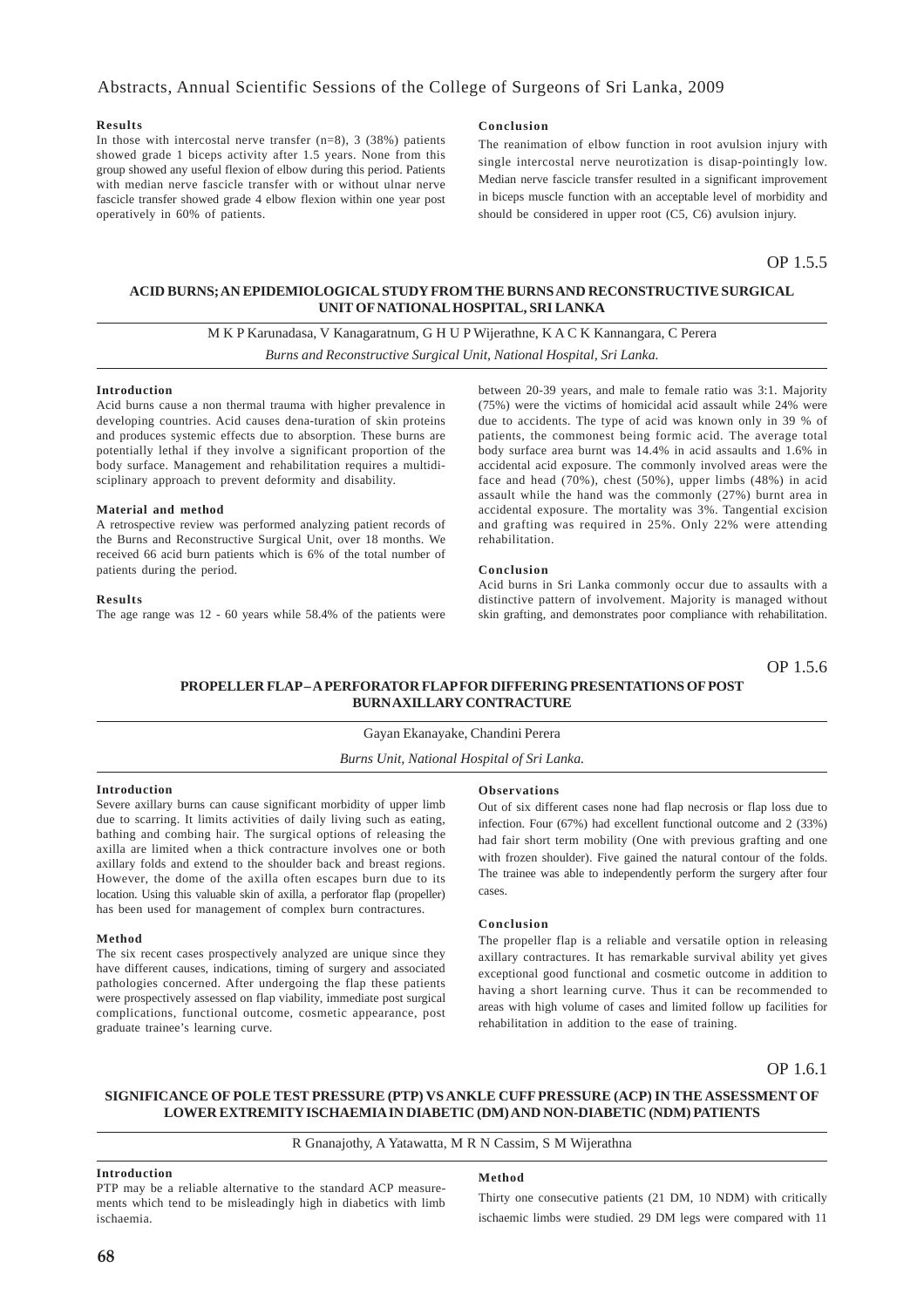### **Results**

In those with intercostal nerve transfer  $(n=8)$ , 3 (38%) patients showed grade 1 biceps activity after 1.5 years. None from this group showed any useful flexion of elbow during this period. Patients with median nerve fascicle transfer with or without ulnar nerve fascicle transfer showed grade 4 elbow flexion within one year post operatively in 60% of patients.

### **Conclusion**

The reanimation of elbow function in root avulsion injury with single intercostal nerve neurotization is disap-pointingly low. Median nerve fascicle transfer resulted in a significant improvement in biceps muscle function with an acceptable level of morbidity and should be considered in upper root (C5, C6) avulsion injury.

OP 1.5.5

### **ACID BURNS; AN EPIDEMIOLOGICAL STUDY FROM THE BURNS AND RECONSTRUCTIVE SURGICAL UNIT OF NATIONAL HOSPITAL, SRI LANKA**

M K P Karunadasa, V Kanagaratnum, G H U P Wijerathne, K A C K Kannangara, C Perera

*Burns and Reconstructive Surgical Unit, National Hospital, Sri Lanka.*

#### **Introduction**

Acid burns cause a non thermal trauma with higher prevalence in developing countries. Acid causes dena-turation of skin proteins and produces systemic effects due to absorption. These burns are potentially lethal if they involve a significant proportion of the body surface. Management and rehabilitation requires a multidisciplinary approach to prevent deformity and disability.

### **Material and method**

A retrospective review was performed analyzing patient records of the Burns and Reconstructive Surgical Unit, over 18 months. We received 66 acid burn patients which is 6% of the total number of patients during the period.

#### **Results**

The age range was 12 - 60 years while 58.4% of the patients were

between 20-39 years, and male to female ratio was 3:1. Majority (75%) were the victims of homicidal acid assault while 24% were due to accidents. The type of acid was known only in 39 % of patients, the commonest being formic acid. The average total body surface area burnt was 14.4% in acid assaults and 1.6% in accidental acid exposure. The commonly involved areas were the face and head (70%), chest (50%), upper limbs (48%) in acid assault while the hand was the commonly (27%) burnt area in accidental exposure. The mortality was 3%. Tangential excision and grafting was required in 25%. Only 22% were attending rehabilitation.

#### **Conclusion**

Acid burns in Sri Lanka commonly occur due to assaults with a distinctive pattern of involvement. Majority is managed without skin grafting, and demonstrates poor compliance with rehabilitation.

OP 1.5.6

### **PROPELLER FLAP – A PERFORATOR FLAP FOR DIFFERING PRESENTATIONS OF POST BURN AXILLARY CONTRACTURE**

### Gayan Ekanayake, Chandini Perera

*Burns Unit, National Hospital of Sri Lanka.*

### **Introduction**

Severe axillary burns can cause significant morbidity of upper limb due to scarring. It limits activities of daily living such as eating, bathing and combing hair. The surgical options of releasing the axilla are limited when a thick contracture involves one or both axillary folds and extend to the shoulder back and breast regions. However, the dome of the axilla often escapes burn due to its location. Using this valuable skin of axilla, a perforator flap (propeller) has been used for management of complex burn contractures.

#### **Method**

The six recent cases prospectively analyzed are unique since they have different causes, indications, timing of surgery and associated pathologies concerned. After undergoing the flap these patients were prospectively assessed on flap viability, immediate post surgical complications, functional outcome, cosmetic appearance, post graduate trainee's learning curve.

### **Observations**

Out of six different cases none had flap necrosis or flap loss due to infection. Four (67%) had excellent functional outcome and 2 (33%) had fair short term mobility (One with previous grafting and one with frozen shoulder). Five gained the natural contour of the folds. The trainee was able to independently perform the surgery after four cases.

### **Conclusion**

The propeller flap is a reliable and versatile option in releasing axillary contractures. It has remarkable survival ability yet gives exceptional good functional and cosmetic outcome in addition to having a short learning curve. Thus it can be recommended to areas with high volume of cases and limited follow up facilities for rehabilitation in addition to the ease of training.

OP 1.6.1

### **SIGNIFICANCE OF POLE TEST PRESSURE (PTP) VS ANKLE CUFF PRESSURE (ACP) IN THE ASSESSMENT OF LOWER EXTREMITY ISCHAEMIA IN DIABETIC (DM) AND NON-DIABETIC (NDM) PATIENTS**

### R Gnanajothy, A Yatawatta, M R N Cassim, S M Wijerathna

### **Introduction**

PTP may be a reliable alternative to the standard ACP measurements which tend to be misleadingly high in diabetics with limb ischaemia.

### **Method**

Thirty one consecutive patients (21 DM, 10 NDM) with critically ischaemic limbs were studied. 29 DM legs were compared with 11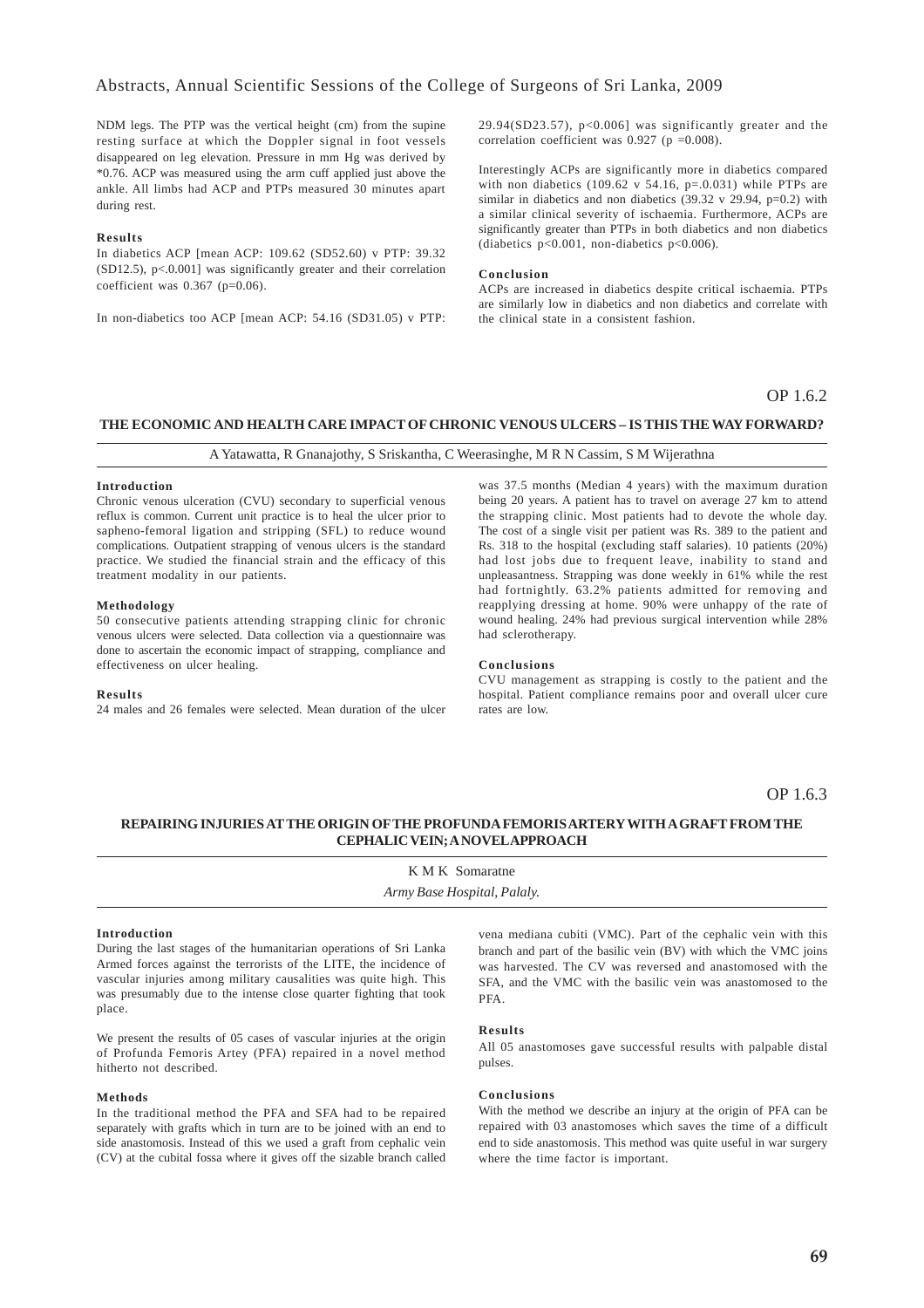NDM legs. The PTP was the vertical height (cm) from the supine resting surface at which the Doppler signal in foot vessels disappeared on leg elevation. Pressure in mm Hg was derived by \*0.76. ACP was measured using the arm cuff applied just above the ankle. All limbs had ACP and PTPs measured 30 minutes apart during rest.

### **Results**

In diabetics ACP [mean ACP: 109.62 (SD52.60) v PTP: 39.32  $(SD12.5)$ , p<.0.001] was significantly greater and their correlation coefficient was  $0.367$  (p= $0.06$ ).

In non-diabetics too ACP [mean ACP: 54.16 (SD31.05) v PTP:

29.94(SD23.57), p<0.006] was significantly greater and the correlation coefficient was 0.927 ( $p = 0.008$ ).

Interestingly ACPs are significantly more in diabetics compared with non diabetics  $(109.62 \text{ v } 54.16, \text{ p} = 0.031)$  while PTPs are similar in diabetics and non diabetics  $(39.32 \text{ v } 29.94, \text{ p=0.2})$  with a similar clinical severity of ischaemia. Furthermore, ACPs are significantly greater than PTPs in both diabetics and non diabetics (diabetics p<0.001, non-diabetics p<0.006).

#### **Conclusion**

ACPs are increased in diabetics despite critical ischaemia. PTPs are similarly low in diabetics and non diabetics and correlate with the clinical state in a consistent fashion.

### OP 1.6.2

### **THE ECONOMIC AND HEALTH CARE IMPACT OF CHRONIC VENOUS ULCERS – IS THIS THE WAY FORWARD?**

A Yatawatta, R Gnanajothy, S Sriskantha, C Weerasinghe, M R N Cassim, S M Wijerathna

### **Introduction**

Chronic venous ulceration (CVU) secondary to superficial venous reflux is common. Current unit practice is to heal the ulcer prior to sapheno-femoral ligation and stripping (SFL) to reduce wound complications. Outpatient strapping of venous ulcers is the standard practice. We studied the financial strain and the efficacy of this treatment modality in our patients.

### **Methodology**

50 consecutive patients attending strapping clinic for chronic venous ulcers were selected. Data collection via a questionnaire was done to ascertain the economic impact of strapping, compliance and effectiveness on ulcer healing.

#### **Results**

24 males and 26 females were selected. Mean duration of the ulcer

was 37.5 months (Median 4 years) with the maximum duration being 20 years. A patient has to travel on average 27 km to attend the strapping clinic. Most patients had to devote the whole day. The cost of a single visit per patient was Rs. 389 to the patient and Rs. 318 to the hospital (excluding staff salaries). 10 patients (20%) had lost jobs due to frequent leave, inability to stand and unpleasantness. Strapping was done weekly in 61% while the rest had fortnightly.  $63.2\%$  patients admitted for removing and reapplying dressing at home. 90% were unhappy of the rate of wound healing. 24% had previous surgical intervention while 28% had sclerotherapy.

#### **Conclusions**

CVU management as strapping is costly to the patient and the hospital. Patient compliance remains poor and overall ulcer cure rates are low.

### OP 1.63

### **REPAIRING INJURIES AT THE ORIGIN OF THE PROFUNDA FEMORIS ARTERY WITH A GRAFT FROM THE CEPHALIC VEIN; A NOVEL APPROACH**

K M K Somaratne *Army Base Hospital, Palaly.*

### **Introduction**

During the last stages of the humanitarian operations of Sri Lanka Armed forces against the terrorists of the LITE, the incidence of vascular injuries among military causalities was quite high. This was presumably due to the intense close quarter fighting that took place.

We present the results of 05 cases of vascular injuries at the origin of Profunda Femoris Artey (PFA) repaired in a novel method hitherto not described.

### **Methods**

In the traditional method the PFA and SFA had to be repaired separately with grafts which in turn are to be joined with an end to side anastomosis. Instead of this we used a graft from cephalic vein (CV) at the cubital fossa where it gives off the sizable branch called

vena mediana cubiti (VMC). Part of the cephalic vein with this branch and part of the basilic vein (BV) with which the VMC joins was harvested. The CV was reversed and anastomosed with the SFA, and the VMC with the basilic vein was anastomosed to the PFA.

#### **Results**

All 05 anastomoses gave successful results with palpable distal pulses.

### **Conclusions**

With the method we describe an injury at the origin of PFA can be repaired with 03 anastomoses which saves the time of a difficult end to side anastomosis. This method was quite useful in war surgery where the time factor is important.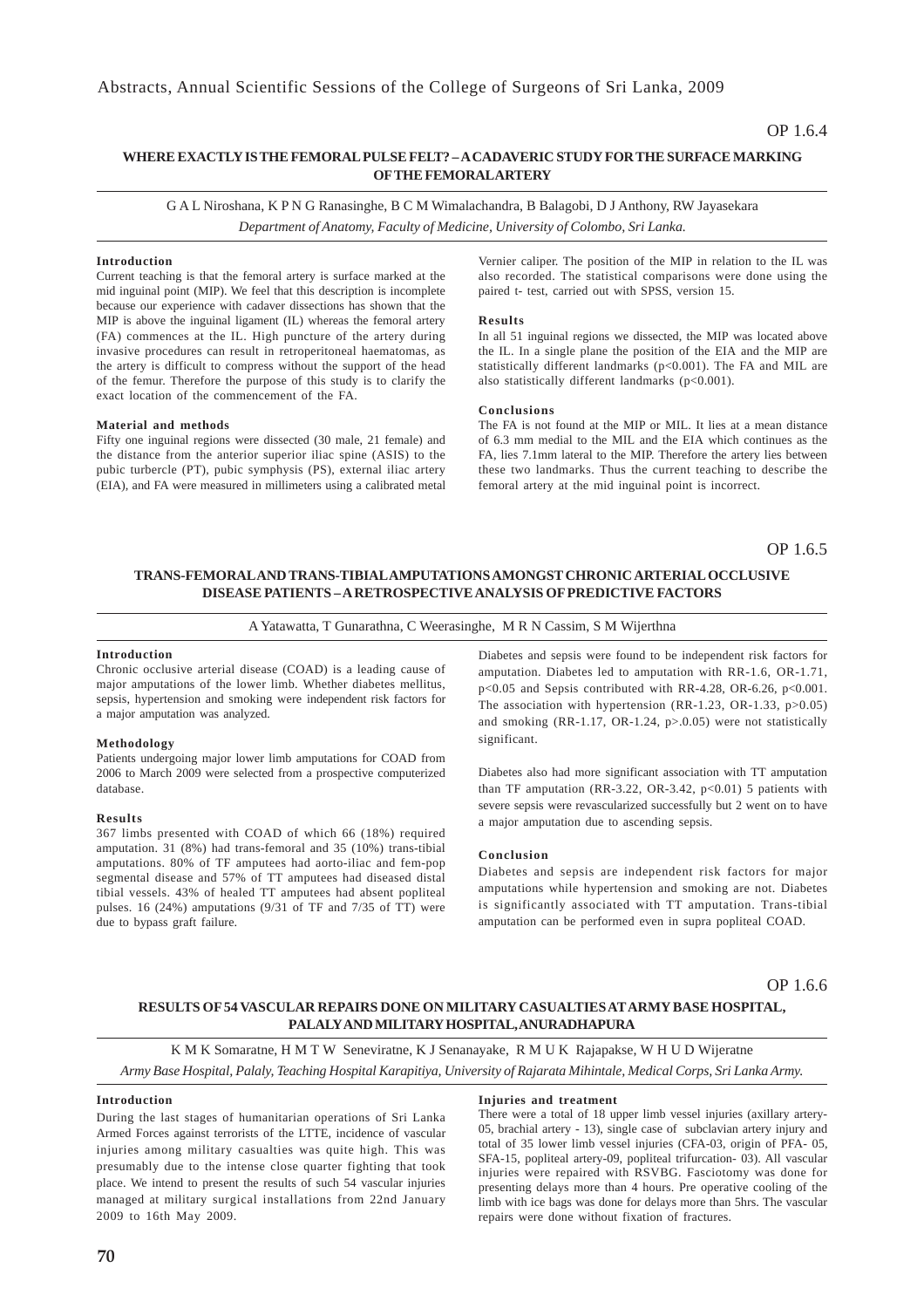### **WHERE EXACTLY IS THE FEMORAL PULSE FELT? – A CADAVERIC STUDY FOR THE SURFACE MARKING OF THE FEMORAL ARTERY**

G A L Niroshana, K P N G Ranasinghe, B C M Wimalachandra, B Balagobi, D J Anthony, RW Jayasekara *Department of Anatomy, Faculty of Medicine, University of Colombo, Sri Lanka.*

### **Introduction**

Current teaching is that the femoral artery is surface marked at the mid inguinal point (MIP). We feel that this description is incomplete because our experience with cadaver dissections has shown that the MIP is above the inguinal ligament (IL) whereas the femoral artery (FA) commences at the IL. High puncture of the artery during invasive procedures can result in retroperitoneal haematomas, as the artery is difficult to compress without the support of the head of the femur. Therefore the purpose of this study is to clarify the exact location of the commencement of the FA.

#### **Material and methods**

Fifty one inguinal regions were dissected (30 male, 21 female) and the distance from the anterior superior iliac spine (ASIS) to the pubic turbercle (PT), pubic symphysis (PS), external iliac artery (EIA), and FA were measured in millimeters using a calibrated metal

Vernier caliper. The position of the MIP in relation to the IL was also recorded. The statistical comparisons were done using the paired t- test, carried out with SPSS, version 15.

#### **Results**

In all 51 inguinal regions we dissected, the MIP was located above the IL. In a single plane the position of the EIA and the MIP are statistically different landmarks (p<0.001). The FA and MIL are also statistically different landmarks (p<0.001).

#### **Conclusions**

The FA is not found at the MIP or MIL. It lies at a mean distance of 6.3 mm medial to the MIL and the EIA which continues as the FA, lies 7.1mm lateral to the MIP. Therefore the artery lies between these two landmarks. Thus the current teaching to describe the femoral artery at the mid inguinal point is incorrect.

OP 1.6.5

### **TRANS-FEMORAL AND TRANS-TIBIAL AMPUTATIONS AMONGST CHRONIC ARTERIAL OCCLUSIVE DISEASE PATIENTS – A RETROSPECTIVE ANALYSIS OF PREDICTIVE FACTORS**

A Yatawatta, T Gunarathna, C Weerasinghe, M R N Cassim, S M Wijerthna

### **Introduction**

Chronic occlusive arterial disease (COAD) is a leading cause of major amputations of the lower limb. Whether diabetes mellitus, sepsis, hypertension and smoking were independent risk factors for a major amputation was analyzed.

#### **Methodology**

Patients undergoing major lower limb amputations for COAD from 2006 to March 2009 were selected from a prospective computerized database.

#### **Results**

367 limbs presented with COAD of which 66 (18%) required amputation. 31 (8%) had trans-femoral and 35 (10%) trans-tibial amputations. 80% of TF amputees had aorto-iliac and fem-pop segmental disease and 57% of TT amputees had diseased distal tibial vessels. 43% of healed TT amputees had absent popliteal pulses. 16 (24%) amputations (9/31 of TF and 7/35 of TT) were due to bypass graft failure.

amputation. Diabetes led to amputation with RR-1.6, OR-1.71,  $p<0.05$  and Sepsis contributed with RR-4.28, OR-6.26,  $p<0.001$ . The association with hypertension (RR-1.23, OR-1.33, p>0.05) and smoking (RR-1.17, OR-1.24, p>.0.05) were not statistically significant.

Diabetes also had more significant association with TT amputation than TF amputation (RR-3.22, OR-3.42,  $p<0.01$ ) 5 patients with severe sepsis were revascularized successfully but 2 went on to have a major amputation due to ascending sepsis.

### **Conclusion**

Diabetes and sepsis are independent risk factors for major amputations while hypertension and smoking are not. Diabetes is significantly associated with TT amputation. Trans-tibial amputation can be performed even in supra popliteal COAD.

OP 1.6.6

### **RESULTS OF 54 VASCULAR REPAIRS DONE ON MILITARY CASUALTIES AT ARMY BASE HOSPITAL, PALALY AND MILITARY HOSPITAL, ANURADHAPURA**

K M K Somaratne, H M T W Seneviratne, K J Senanayake, R M U K Rajapakse, W H U D Wijeratne

*Army Base Hospital, Palaly, Teaching Hospital Karapitiya, University of Rajarata Mihintale, Medical Corps, Sri Lanka Army.*

#### **Introduction**

During the last stages of humanitarian operations of Sri Lanka Armed Forces against terrorists of the LTTE, incidence of vascular injuries among military casualties was quite high. This was presumably due to the intense close quarter fighting that took place. We intend to present the results of such 54 vascular injuries managed at military surgical installations from 22nd January 2009 to 16th May 2009.

#### **Injuries and treatment**

There were a total of 18 upper limb vessel injuries (axillary artery-05, brachial artery - 13), single case of subclavian artery injury and total of 35 lower limb vessel injuries (CFA-03, origin of PFA- 05, SFA-15, popliteal artery-09, popliteal trifurcation- 03). All vascular injuries were repaired with RSVBG. Fasciotomy was done for presenting delays more than 4 hours. Pre operative cooling of the limb with ice bags was done for delays more than 5hrs. The vascular repairs were done without fixation of fractures.

Diabetes and sepsis were found to be independent risk factors for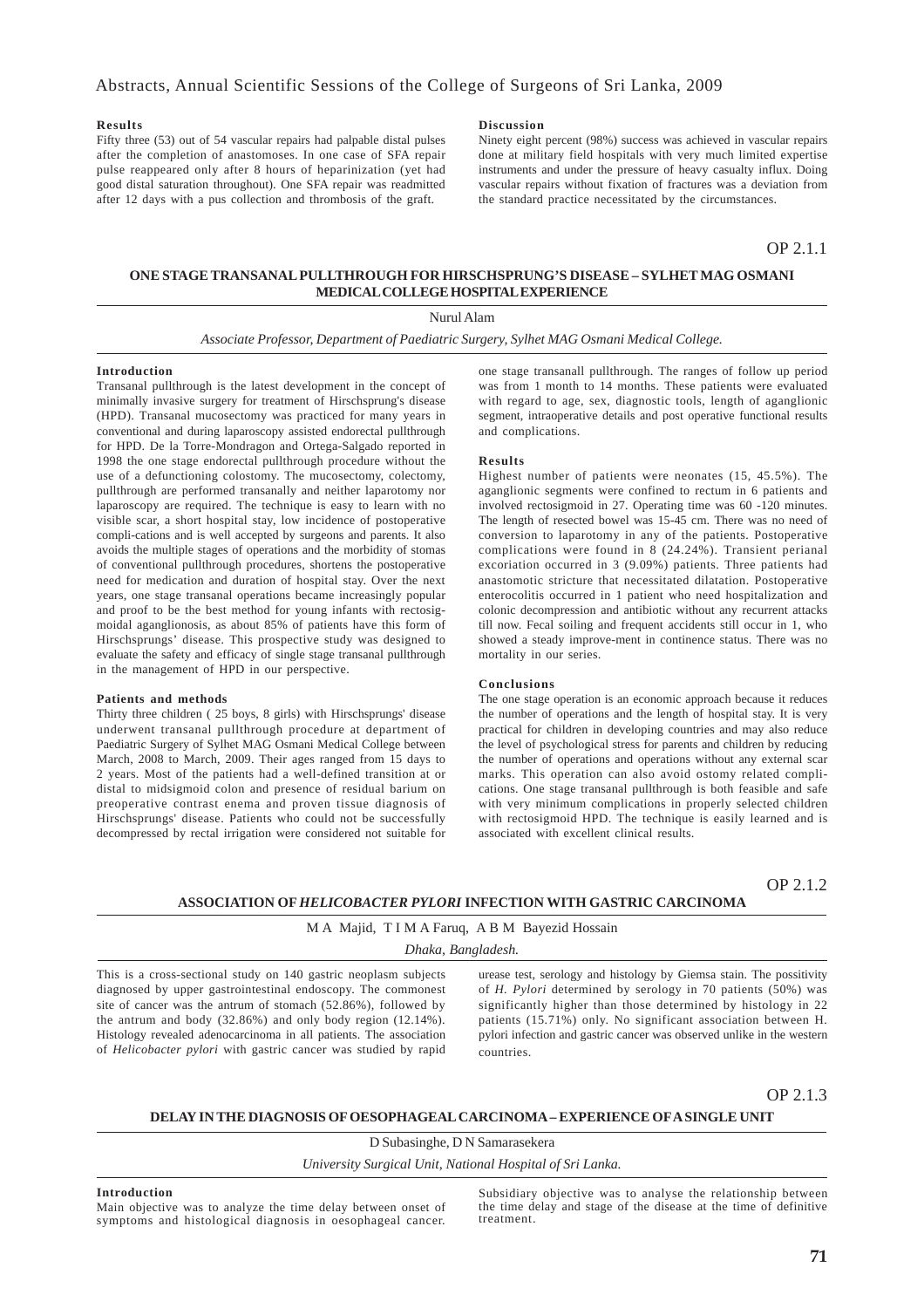### **Results**

Fifty three (53) out of 54 vascular repairs had palpable distal pulses after the completion of anastomoses. In one case of SFA repair pulse reappeared only after 8 hours of heparinization (yet had good distal saturation throughout). One SFA repair was readmitted after 12 days with a pus collection and thrombosis of the graft.

### **Discussion**

Ninety eight percent (98%) success was achieved in vascular repairs done at military field hospitals with very much limited expertise instruments and under the pressure of heavy casualty influx. Doing vascular repairs without fixation of fractures was a deviation from the standard practice necessitated by the circumstances.

OP 2.1.1

### **ONE STAGE TRANSANAL PULLTHROUGH FOR HIRSCHSPRUNG'S DISEASE – SYLHET MAG OSMANI MEDICAL COLLEGE HOSPITAL EXPERIENCE**

Nurul Alam

*Associate Professor, Department of Paediatric Surgery, Sylhet MAG Osmani Medical College.*

### **Introduction**

Transanal pullthrough is the latest development in the concept of minimally invasive surgery for treatment of Hirschsprung's disease (HPD). Transanal mucosectomy was practiced for many years in conventional and during laparoscopy assisted endorectal pullthrough for HPD. De la Torre-Mondragon and Ortega-Salgado reported in 1998 the one stage endorectal pullthrough procedure without the use of a defunctioning colostomy. The mucosectomy, colectomy, pullthrough are performed transanally and neither laparotomy nor laparoscopy are required. The technique is easy to learn with no visible scar, a short hospital stay, low incidence of postoperative compli-cations and is well accepted by surgeons and parents. It also avoids the multiple stages of operations and the morbidity of stomas of conventional pullthrough procedures, shortens the postoperative need for medication and duration of hospital stay. Over the next years, one stage transanal operations became increasingly popular and proof to be the best method for young infants with rectosigmoidal aganglionosis, as about 85% of patients have this form of Hirschsprungs' disease. This prospective study was designed to evaluate the safety and efficacy of single stage transanal pullthrough in the management of HPD in our perspective.

#### **Patients and methods**

Thirty three children ( 25 boys, 8 girls) with Hirschsprungs' disease underwent transanal pullthrough procedure at department of Paediatric Surgery of Sylhet MAG Osmani Medical College between March, 2008 to March, 2009. Their ages ranged from 15 days to 2 years. Most of the patients had a well-defined transition at or distal to midsigmoid colon and presence of residual barium on preoperative contrast enema and proven tissue diagnosis of Hirschsprungs' disease. Patients who could not be successfully decompressed by rectal irrigation were considered not suitable for

one stage transanall pullthrough. The ranges of follow up period was from 1 month to 14 months. These patients were evaluated with regard to age, sex, diagnostic tools, length of aganglionic segment, intraoperative details and post operative functional results and complications.

#### **Results**

Highest number of patients were neonates (15, 45.5%). The aganglionic segments were confined to rectum in 6 patients and involved rectosigmoid in 27. Operating time was 60 -120 minutes. The length of resected bowel was 15-45 cm. There was no need of conversion to laparotomy in any of the patients. Postoperative complications were found in 8 (24.24%). Transient perianal excoriation occurred in 3 (9.09%) patients. Three patients had anastomotic stricture that necessitated dilatation. Postoperative enterocolitis occurred in 1 patient who need hospitalization and colonic decompression and antibiotic without any recurrent attacks till now. Fecal soiling and frequent accidents still occur in 1, who showed a steady improve-ment in continence status. There was no mortality in our series.

#### **Conclusions**

The one stage operation is an economic approach because it reduces the number of operations and the length of hospital stay. It is very practical for children in developing countries and may also reduce the level of psychological stress for parents and children by reducing the number of operations and operations without any external scar marks. This operation can also avoid ostomy related complications. One stage transanal pullthrough is both feasible and safe with very minimum complications in properly selected children with rectosigmoid HPD. The technique is easily learned and is associated with excellent clinical results.

OP 2.1.2

### **ASSOCIATION OF** *HELICOBACTER PYLORI* **INFECTION WITH GASTRIC CARCINOMA**

### M A Majid, T I M A Faruq, A B M Bayezid Hossain

*Dhaka, Bangladesh.*

This is a cross-sectional study on 140 gastric neoplasm subjects diagnosed by upper gastrointestinal endoscopy. The commonest site of cancer was the antrum of stomach (52.86%), followed by the antrum and body (32.86%) and only body region (12.14%). Histology revealed adenocarcinoma in all patients. The association of *Helicobacter pylori* with gastric cancer was studied by rapid

urease test, serology and histology by Giemsa stain. The possitivity of *H. Pylori* determined by serology in 70 patients (50%) was significantly higher than those determined by histology in 22 patients (15.71%) only. No significant association between H. pylori infection and gastric cancer was observed unlike in the western countries.

### OP 2.1.3

### **DELAY IN THE DIAGNOSIS OF OESOPHAGEAL CARCINOMA – EXPERIENCE OF A SINGLE UNIT**

D Subasinghe, D N Samarasekera

*University Surgical Unit, National Hospital of Sri Lanka.*

### **Introduction**

Main objective was to analyze the time delay between onset of symptoms and histological diagnosis in oesophageal cancer.

Subsidiary objective was to analyse the relationship between the time delay and stage of the disease at the time of definitive treatment.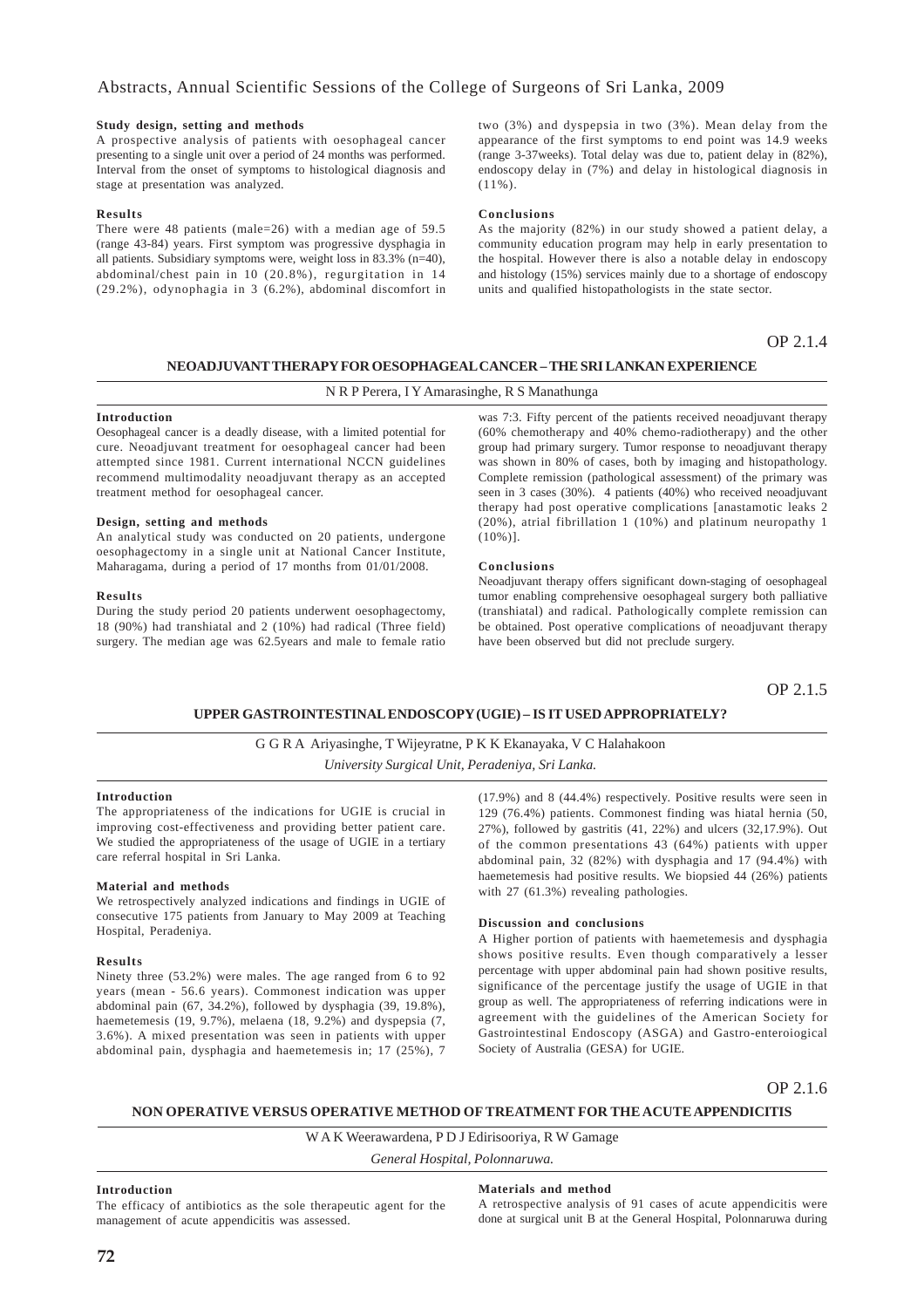### **Study design, setting and methods**

A prospective analysis of patients with oesophageal cancer presenting to a single unit over a period of 24 months was performed. Interval from the onset of symptoms to histological diagnosis and stage at presentation was analyzed.

### **Results**

There were 48 patients (male=26) with a median age of 59.5 (range 43-84) years. First symptom was progressive dysphagia in all patients. Subsidiary symptoms were, weight loss in 83.3% (n=40), abdominal/chest pain in 10 (20.8%), regurgitation in 14 (29.2%), odynophagia in 3 (6.2%), abdominal discomfort in two (3%) and dyspepsia in two (3%). Mean delay from the appearance of the first symptoms to end point was 14.9 weeks (range 3-37weeks). Total delay was due to, patient delay in (82%), endoscopy delay in (7%) and delay in histological diagnosis in  $(11\%)$ 

#### **Conclusions**

As the majority (82%) in our study showed a patient delay, a community education program may help in early presentation to the hospital. However there is also a notable delay in endoscopy and histology (15%) services mainly due to a shortage of endoscopy units and qualified histopathologists in the state sector.

### OP 2.1.4

### **NEOADJUVANT THERAPY FOR OESOPHAGEAL CANCER – THE SRI LANKAN EXPERIENCE**

### N R P Perera, I Y Amarasinghe, R S Manathunga

### **Introduction**

Oesophageal cancer is a deadly disease, with a limited potential for cure. Neoadjuvant treatment for oesophageal cancer had been attempted since 1981. Current international NCCN guidelines recommend multimodality neoadjuvant therapy as an accepted treatment method for oesophageal cancer.

### **Design, setting and methods**

An analytical study was conducted on 20 patients, undergone oesophagectomy in a single unit at National Cancer Institute, Maharagama, during a period of 17 months from 01/01/2008.

#### **Results**

During the study period 20 patients underwent oesophagectomy, 18 (90%) had transhiatal and 2 (10%) had radical (Three field) surgery. The median age was 62.5years and male to female ratio

was 7:3. Fifty percent of the patients received neoadjuvant therapy (60% chemotherapy and 40% chemo-radiotherapy) and the other group had primary surgery. Tumor response to neoadjuvant therapy was shown in 80% of cases, both by imaging and histopathology. Complete remission (pathological assessment) of the primary was seen in 3 cases (30%). 4 patients (40%) who received neoadjuvant therapy had post operative complications [anastamotic leaks 2 (20%), atrial fibrillation 1 (10%) and platinum neuropathy 1  $(10\%)$ ].

### **Conclusions**

Neoadjuvant therapy offers significant down-staging of oesophageal tumor enabling comprehensive oesophageal surgery both palliative (transhiatal) and radical. Pathologically complete remission can be obtained. Post operative complications of neoadjuvant therapy have been observed but did not preclude surgery.

OP 2.1.5

### **UPPER GASTROINTESTINAL ENDOSCOPY (UGIE) – IS IT USED APPROPRIATELY?**

### G G R A Ariyasinghe, T Wijeyratne, P K K Ekanayaka, V C Halahakoon *University Surgical Unit, Peradeniya, Sri Lanka.*

#### **Introduction**

The appropriateness of the indications for UGIE is crucial in improving cost-effectiveness and providing better patient care. We studied the appropriateness of the usage of UGIE in a tertiary care referral hospital in Sri Lanka.

#### **Material and methods**

We retrospectively analyzed indications and findings in UGIE of consecutive 175 patients from January to May 2009 at Teaching Hospital, Peradeniya.

#### **Results**

Ninety three (53.2%) were males. The age ranged from 6 to 92 years (mean - 56.6 years). Commonest indication was upper abdominal pain (67, 34.2%), followed by dysphagia (39, 19.8%), haemetemesis (19, 9.7%), melaena (18, 9.2%) and dyspepsia (7, 3.6%). A mixed presentation was seen in patients with upper abdominal pain, dysphagia and haemetemesis in; 17 (25%), 7

(17.9%) and 8 (44.4%) respectively. Positive results were seen in 129 (76.4%) patients. Commonest finding was hiatal hernia (50, 27%), followed by gastritis (41, 22%) and ulcers (32,17.9%). Out of the common presentations 43 (64%) patients with upper abdominal pain, 32 (82%) with dysphagia and 17 (94.4%) with haemetemesis had positive results. We biopsied 44 (26%) patients with 27 (61.3%) revealing pathologies.

### **Discussion and conclusions**

A Higher portion of patients with haemetemesis and dysphagia shows positive results. Even though comparatively a lesser percentage with upper abdominal pain had shown positive results, significance of the percentage justify the usage of UGIE in that group as well. The appropriateness of referring indications were in agreement with the guidelines of the American Society for Gastrointestinal Endoscopy (ASGA) and Gastro-enteroiogical Society of Australia (GESA) for UGIE.

OP 2.1.6

### **NON OPERATIVE VERSUS OPERATIVE METHOD OF TREATMENT FOR THE ACUTE APPENDICITIS**

W A K Weerawardena, P D J Edirisooriya, R W Gamage

*General Hospital, Polonnaruwa.*

### **Introduction**

The efficacy of antibiotics as the sole therapeutic agent for the management of acute appendicitis was assessed.

### **Materials and method**

A retrospective analysis of 91 cases of acute appendicitis were done at surgical unit B at the General Hospital, Polonnaruwa during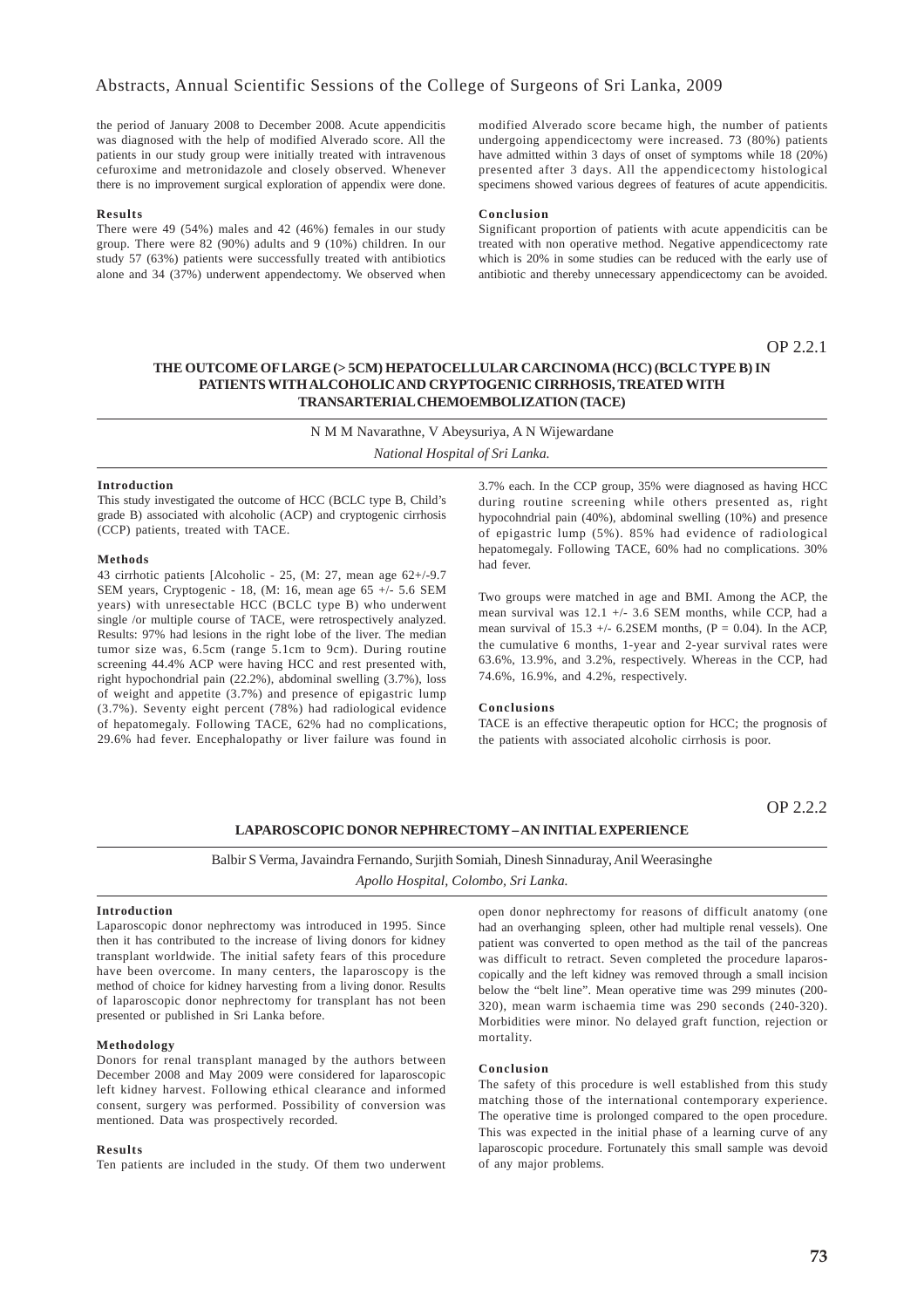the period of January 2008 to December 2008. Acute appendicitis was diagnosed with the help of modified Alverado score. All the patients in our study group were initially treated with intravenous cefuroxime and metronidazole and closely observed. Whenever there is no improvement surgical exploration of appendix were done.

#### **Results**

There were 49 (54%) males and 42 (46%) females in our study group. There were 82 (90%) adults and 9 (10%) children. In our study 57 (63%) patients were successfully treated with antibiotics alone and 34 (37%) underwent appendectomy. We observed when

modified Alverado score became high, the number of patients undergoing appendicectomy were increased. 73 (80%) patients have admitted within 3 days of onset of symptoms while 18 (20%) presented after 3 days. All the appendicectomy histological specimens showed various degrees of features of acute appendicitis.

#### **Conclusion**

Significant proportion of patients with acute appendicitis can be treated with non operative method. Negative appendicectomy rate which is 20% in some studies can be reduced with the early use of antibiotic and thereby unnecessary appendicectomy can be avoided.

OP 2.2.1

### **THE OUTCOME OF LARGE (> 5CM) HEPATOCELLULAR CARCINOMA (HCC) (BCLC TYPE B) IN PATIENTS WITH ALCOHOLIC AND CRYPTOGENIC CIRRHOSIS, TREATED WITH TRANSARTERIAL CHEMOEMBOLIZATION (TACE)**

N M M Navarathne, V Abeysuriya, A N Wijewardane *National Hospital of Sri Lanka.*

### **Introduction**

This study investigated the outcome of HCC (BCLC type B, Child's grade B) associated with alcoholic (ACP) and cryptogenic cirrhosis (CCP) patients, treated with TACE.

#### **Methods**

43 cirrhotic patients [Alcoholic - 25, (M: 27, mean age 62+/-9.7 SEM years, Cryptogenic - 18, (M: 16, mean age 65  $+/-$  5.6 SEM years) with unresectable HCC (BCLC type B) who underwent single /or multiple course of TACE, were retrospectively analyzed. Results: 97% had lesions in the right lobe of the liver. The median tumor size was, 6.5cm (range 5.1cm to 9cm). During routine screening 44.4% ACP were having HCC and rest presented with, right hypochondrial pain (22.2%), abdominal swelling (3.7%), loss of weight and appetite (3.7%) and presence of epigastric lump (3.7%). Seventy eight percent (78%) had radiological evidence of hepatomegaly. Following TACE, 62% had no complications, 29.6% had fever. Encephalopathy or liver failure was found in

3.7% each. In the CCP group, 35% were diagnosed as having HCC during routine screening while others presented as, right hypocohndrial pain (40%), abdominal swelling (10%) and presence of epigastric lump (5%). 85% had evidence of radiological hepatomegaly. Following TACE, 60% had no complications. 30% had fever.

Two groups were matched in age and BMI. Among the ACP, the mean survival was 12.1 +/- 3.6 SEM months, while CCP, had a mean survival of 15.3  $\pm$ /- 6.2SEM months, (P = 0.04). In the ACP, the cumulative 6 months, 1-year and 2-year survival rates were 63.6%, 13.9%, and 3.2%, respectively. Whereas in the CCP, had 74.6%, 16.9%, and 4.2%, respectively.

### **Conclusions**

TACE is an effective therapeutic option for HCC; the prognosis of the patients with associated alcoholic cirrhosis is poor.

OP 2.2.2

### **LAPAROSCOPIC DONOR NEPHRECTOMY – AN INITIAL EXPERIENCE**

Balbir S Verma, Javaindra Fernando, Surjith Somiah, Dinesh Sinnaduray, Anil Weerasinghe *Apollo Hospital, Colombo, Sri Lanka.*

### **Introduction**

Laparoscopic donor nephrectomy was introduced in 1995. Since then it has contributed to the increase of living donors for kidney transplant worldwide. The initial safety fears of this procedure have been overcome. In many centers, the laparoscopy is the method of choice for kidney harvesting from a living donor. Results of laparoscopic donor nephrectomy for transplant has not been presented or published in Sri Lanka before.

### **Methodology**

Donors for renal transplant managed by the authors between December 2008 and May 2009 were considered for laparoscopic left kidney harvest. Following ethical clearance and informed consent, surgery was performed. Possibility of conversion was mentioned. Data was prospectively recorded.

#### **Results**

Ten patients are included in the study. Of them two underwent

open donor nephrectomy for reasons of difficult anatomy (one had an overhanging spleen, other had multiple renal vessels). One patient was converted to open method as the tail of the pancreas was difficult to retract. Seven completed the procedure laparoscopically and the left kidney was removed through a small incision below the "belt line". Mean operative time was 299 minutes (200- 320), mean warm ischaemia time was 290 seconds (240-320). Morbidities were minor. No delayed graft function, rejection or mortality.

### **Conclusion**

The safety of this procedure is well established from this study matching those of the international contemporary experience. The operative time is prolonged compared to the open procedure. This was expected in the initial phase of a learning curve of any laparoscopic procedure. Fortunately this small sample was devoid of any major problems.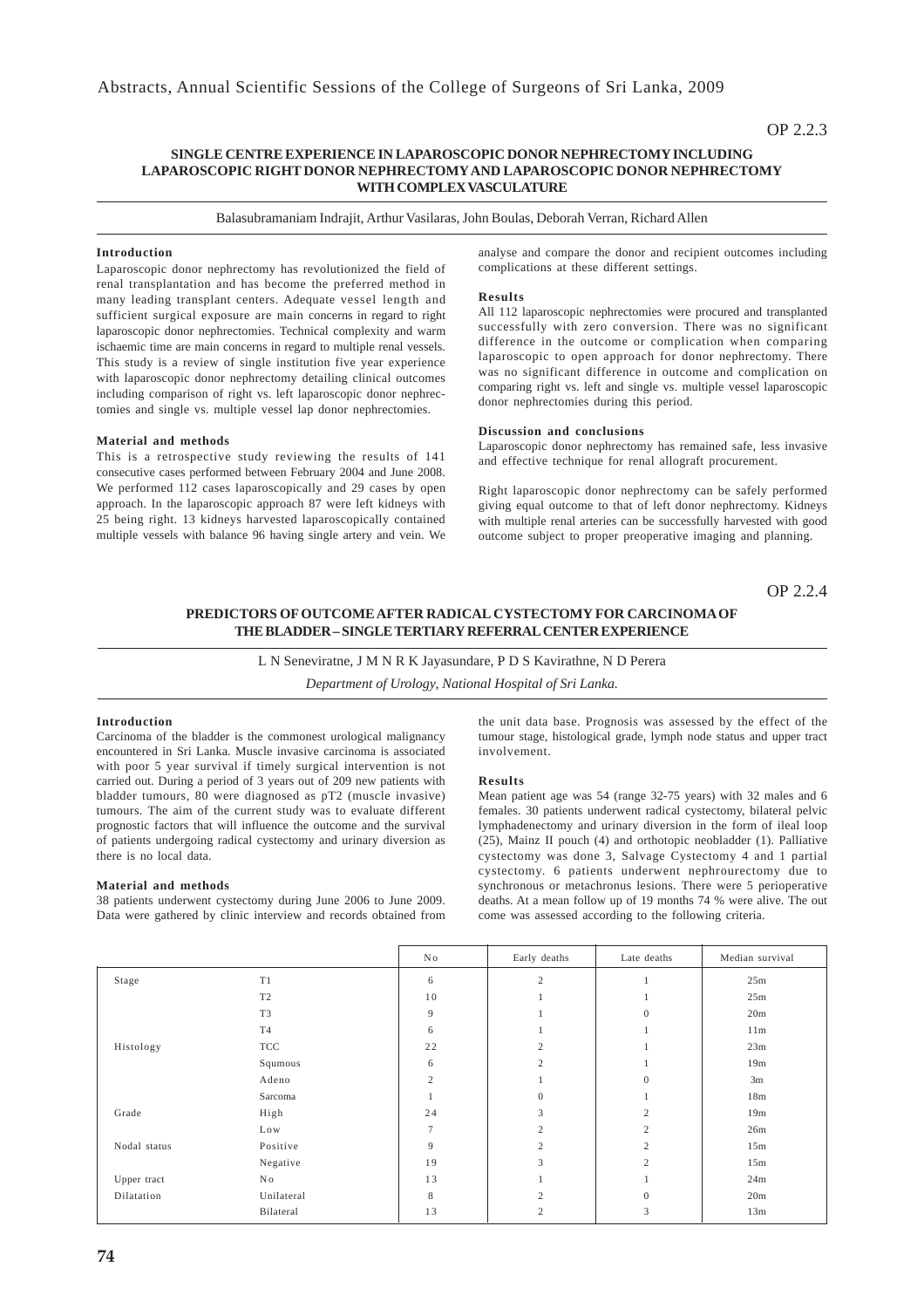### **SINGLE CENTRE EXPERIENCE IN LAPAROSCOPIC DONOR NEPHRECTOMY INCLUDING LAPAROSCOPIC RIGHT DONOR NEPHRECTOMY AND LAPAROSCOPIC DONOR NEPHRECTOMY WITH COMPLEX VASCULATURE**

Balasubramaniam Indrajit, Arthur Vasilaras, John Boulas, Deborah Verran, Richard Allen

### **Introduction**

Laparoscopic donor nephrectomy has revolutionized the field of renal transplantation and has become the preferred method in many leading transplant centers. Adequate vessel length and sufficient surgical exposure are main concerns in regard to right laparoscopic donor nephrectomies. Technical complexity and warm ischaemic time are main concerns in regard to multiple renal vessels. This study is a review of single institution five year experience with laparoscopic donor nephrectomy detailing clinical outcomes including comparison of right vs. left laparoscopic donor nephrectomies and single vs. multiple vessel lap donor nephrectomies.

### **Material and methods**

This is a retrospective study reviewing the results of 141 consecutive cases performed between February 2004 and June 2008. We performed 112 cases laparoscopically and 29 cases by open approach. In the laparoscopic approach 87 were left kidneys with 25 being right. 13 kidneys harvested laparoscopically contained multiple vessels with balance 96 having single artery and vein. We analyse and compare the donor and recipient outcomes including complications at these different settings.

### **Results**

All 112 laparoscopic nephrectomies were procured and transplanted successfully with zero conversion. There was no significant difference in the outcome or complication when comparing laparoscopic to open approach for donor nephrectomy. There was no significant difference in outcome and complication on comparing right vs. left and single vs. multiple vessel laparoscopic donor nephrectomies during this period.

### **Discussion and conclusions**

Laparoscopic donor nephrectomy has remained safe, less invasive and effective technique for renal allograft procurement.

Right laparoscopic donor nephrectomy can be safely performed giving equal outcome to that of left donor nephrectomy. Kidneys with multiple renal arteries can be successfully harvested with good outcome subject to proper preoperative imaging and planning.

OP 2.2.4

### **PREDICTORS OF OUTCOME AFTER RADICAL CYSTECTOMY FOR CARCINOMA OF THE BLADDER – SINGLE TERTIARY REFERRAL CENTER EXPERIENCE**

L N Seneviratne, J M N R K Jayasundare, P D S Kavirathne, N D Perera

*Department of Urology, National Hospital of Sri Lanka.*

### **Introduction**

Carcinoma of the bladder is the commonest urological malignancy encountered in Sri Lanka. Muscle invasive carcinoma is associated with poor 5 year survival if timely surgical intervention is not carried out. During a period of 3 years out of 209 new patients with bladder tumours, 80 were diagnosed as pT2 (muscle invasive) tumours. The aim of the current study was to evaluate different prognostic factors that will influence the outcome and the survival of patients undergoing radical cystectomy and urinary diversion as there is no local data.

### **Material and methods**

38 patients underwent cystectomy during June 2006 to June 2009. Data were gathered by clinic interview and records obtained from the unit data base. Prognosis was assessed by the effect of the tumour stage, histological grade, lymph node status and upper tract involvement.

#### **Results**

Mean patient age was 54 (range 32-75 years) with 32 males and 6 females. 30 patients underwent radical cystectomy, bilateral pelvic lymphadenectomy and urinary diversion in the form of ileal loop (25), Mainz II pouch (4) and orthotopic neobladder (1). Palliative cystectomy was done 3, Salvage Cystectomy 4 and 1 partial cystectomy. 6 patients underwent nephrourectomy due to synchronous or metachronus lesions. There were 5 perioperative deaths. At a mean follow up of 19 months 74 % were alive. The out come was assessed according to the following criteria.

|              |                | No. | Early deaths   | Late deaths      | Median survival |
|--------------|----------------|-----|----------------|------------------|-----------------|
| Stage        | T1             | 6   | $\overline{c}$ |                  | 25m             |
|              | T <sub>2</sub> | 10  |                |                  | 25m             |
|              | T <sub>3</sub> | 9   |                | $\overline{0}$   | 20m             |
|              | T <sub>4</sub> | 6   |                |                  | 11m             |
| Histology    | <b>TCC</b>     | 22  | $\overline{2}$ |                  | 23m             |
|              | Squmous        | 6   | $\overline{2}$ |                  | 19m             |
|              | Adeno          | 2   |                | $\mathbf{0}$     | 3m              |
|              | Sarcoma        |     | $\Omega$       |                  | 18m             |
| Grade        | High           | 24  | 3              | $\mathfrak{2}$   | 19m             |
|              | Low            | 7   | $\overline{2}$ | $\mathfrak{2}$   | 26m             |
| Nodal status | Positive       | 9   | $\overline{c}$ | $\overline{c}$   | 15m             |
|              | Negative       | 19  | 3              | $\mathfrak{2}$   | 15m             |
| Upper tract  | No             | 13  |                |                  | 24m             |
| Dilatation   | Unilateral     | 8   | $\overline{c}$ | $\boldsymbol{0}$ | 20m             |
|              | Bilateral      | 13  | $\overline{c}$ | 3                | 13m             |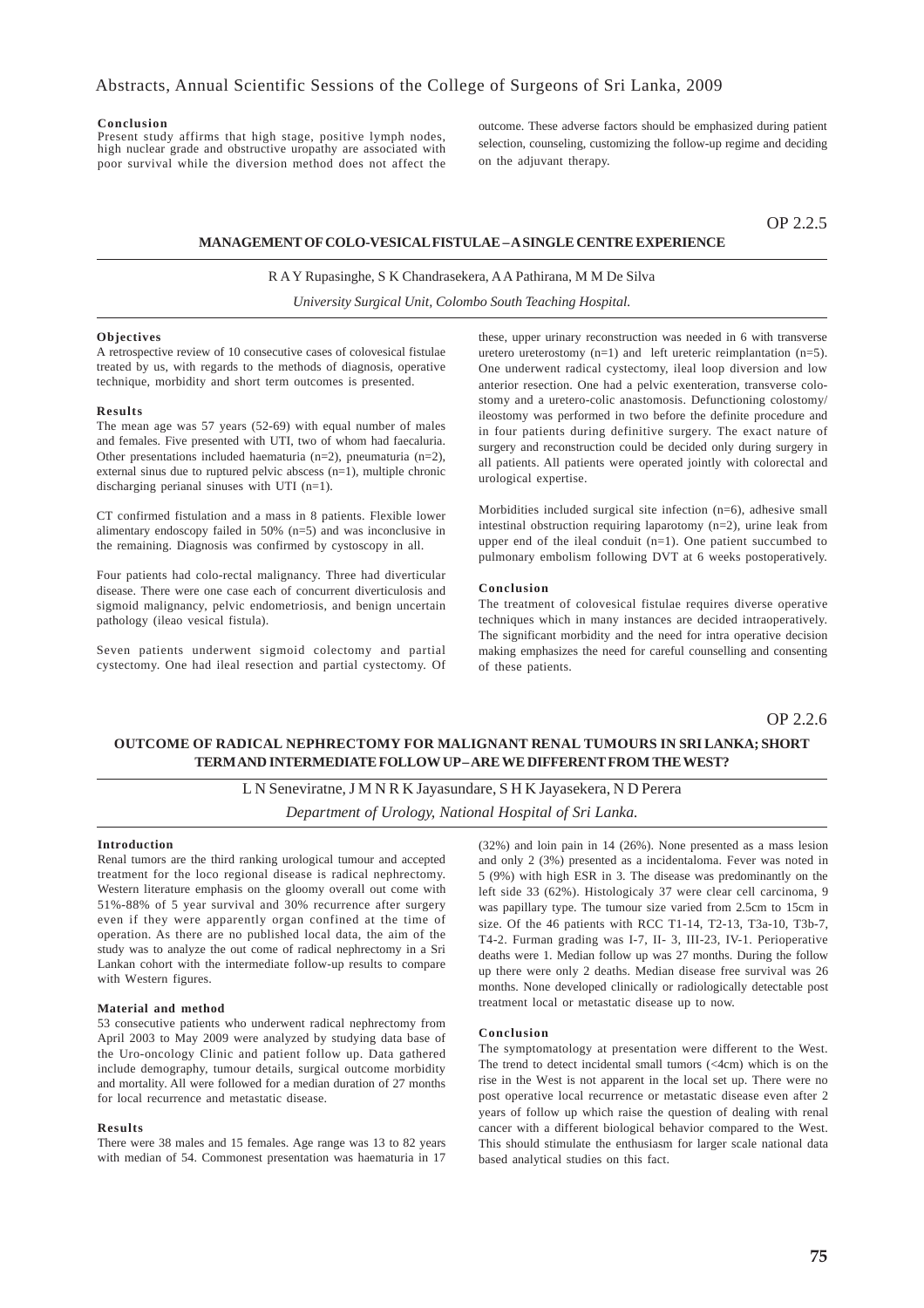#### **Conclusion**

Present study affirms that high stage, positive lymph nodes, high nuclear grade and obstructive uropathy are associated with poor survival while the diversion method does not affect the

outcome. These adverse factors should be emphasized during patient selection, counseling, customizing the follow-up regime and deciding on the adjuvant therapy.

OP 2.2.5

### **MANAGEMENT OF COLO-VESICAL FISTULAE – A SINGLE CENTRE EXPERIENCE**

### R A Y Rupasinghe, S K Chandrasekera, A A Pathirana, M M De Silva

*University Surgical Unit, Colombo South Teaching Hospital.*

### **Objectives**

A retrospective review of 10 consecutive cases of colovesical fistulae treated by us, with regards to the methods of diagnosis, operative technique, morbidity and short term outcomes is presented.

#### **Results**

The mean age was 57 years (52-69) with equal number of males and females. Five presented with UTI, two of whom had faecaluria. Other presentations included haematuria (n=2), pneumaturia (n=2), external sinus due to ruptured pelvic abscess  $(n=1)$ , multiple chronic discharging perianal sinuses with UTI (n=1).

CT confirmed fistulation and a mass in 8 patients. Flexible lower alimentary endoscopy failed in 50% (n=5) and was inconclusive in the remaining. Diagnosis was confirmed by cystoscopy in all.

Four patients had colo-rectal malignancy. Three had diverticular disease. There were one case each of concurrent diverticulosis and sigmoid malignancy, pelvic endometriosis, and benign uncertain pathology (ileao vesical fistula).

Seven patients underwent sigmoid colectomy and partial cystectomy. One had ileal resection and partial cystectomy. Of these, upper urinary reconstruction was needed in 6 with transverse uretero ureterostomy  $(n=1)$  and left ureteric reimplantation  $(n=5)$ . One underwent radical cystectomy, ileal loop diversion and low anterior resection. One had a pelvic exenteration, transverse colostomy and a uretero-colic anastomosis. Defunctioning colostomy/ ileostomy was performed in two before the definite procedure and in four patients during definitive surgery. The exact nature of surgery and reconstruction could be decided only during surgery in all patients. All patients were operated jointly with colorectal and urological expertise.

Morbidities included surgical site infection (n=6), adhesive small intestinal obstruction requiring laparotomy (n=2), urine leak from upper end of the ileal conduit (n=1). One patient succumbed to pulmonary embolism following DVT at 6 weeks postoperatively.

### **Conclusion**

The treatment of colovesical fistulae requires diverse operative techniques which in many instances are decided intraoperatively. The significant morbidity and the need for intra operative decision making emphasizes the need for careful counselling and consenting of these patients.

OP 2.2.6

### **OUTCOME OF RADICAL NEPHRECTOMY FOR MALIGNANT RENAL TUMOURS IN SRI LANKA; SHORT TERM AND INTERMEDIATE FOLLOW UP – ARE WE DIFFERENT FROM THE WEST?**

L N Seneviratne, J M N R K Jayasundare, S H K Jayasekera, N D Perera *Department of Urology, National Hospital of Sri Lanka.*

### **Introduction**

Renal tumors are the third ranking urological tumour and accepted treatment for the loco regional disease is radical nephrectomy. Western literature emphasis on the gloomy overall out come with 51%-88% of 5 year survival and 30% recurrence after surgery even if they were apparently organ confined at the time of operation. As there are no published local data, the aim of the study was to analyze the out come of radical nephrectomy in a Sri Lankan cohort with the intermediate follow-up results to compare with Western figures.

### **Material and method**

53 consecutive patients who underwent radical nephrectomy from April 2003 to May 2009 were analyzed by studying data base of the Uro-oncology Clinic and patient follow up. Data gathered include demography, tumour details, surgical outcome morbidity and mortality. All were followed for a median duration of 27 months for local recurrence and metastatic disease.

### **Results**

There were 38 males and 15 females. Age range was 13 to 82 years with median of 54. Commonest presentation was haematuria in 17

(32%) and loin pain in 14 (26%). None presented as a mass lesion and only 2 (3%) presented as a incidentaloma. Fever was noted in 5 (9%) with high ESR in 3. The disease was predominantly on the left side 33 (62%). Histologicaly 37 were clear cell carcinoma, 9 was papillary type. The tumour size varied from 2.5cm to 15cm in size. Of the 46 patients with RCC T1-14, T2-13, T3a-10, T3b-7, T4-2. Furman grading was I-7, II- 3, III-23, IV-1. Perioperative deaths were 1. Median follow up was 27 months. During the follow up there were only 2 deaths. Median disease free survival was 26 months. None developed clinically or radiologically detectable post treatment local or metastatic disease up to now.

### **Conclusion**

The symptomatology at presentation were different to the West. The trend to detect incidental small tumors  $( $4cm$ )$  which is on the rise in the West is not apparent in the local set up. There were no post operative local recurrence or metastatic disease even after 2 years of follow up which raise the question of dealing with renal cancer with a different biological behavior compared to the West. This should stimulate the enthusiasm for larger scale national data based analytical studies on this fact.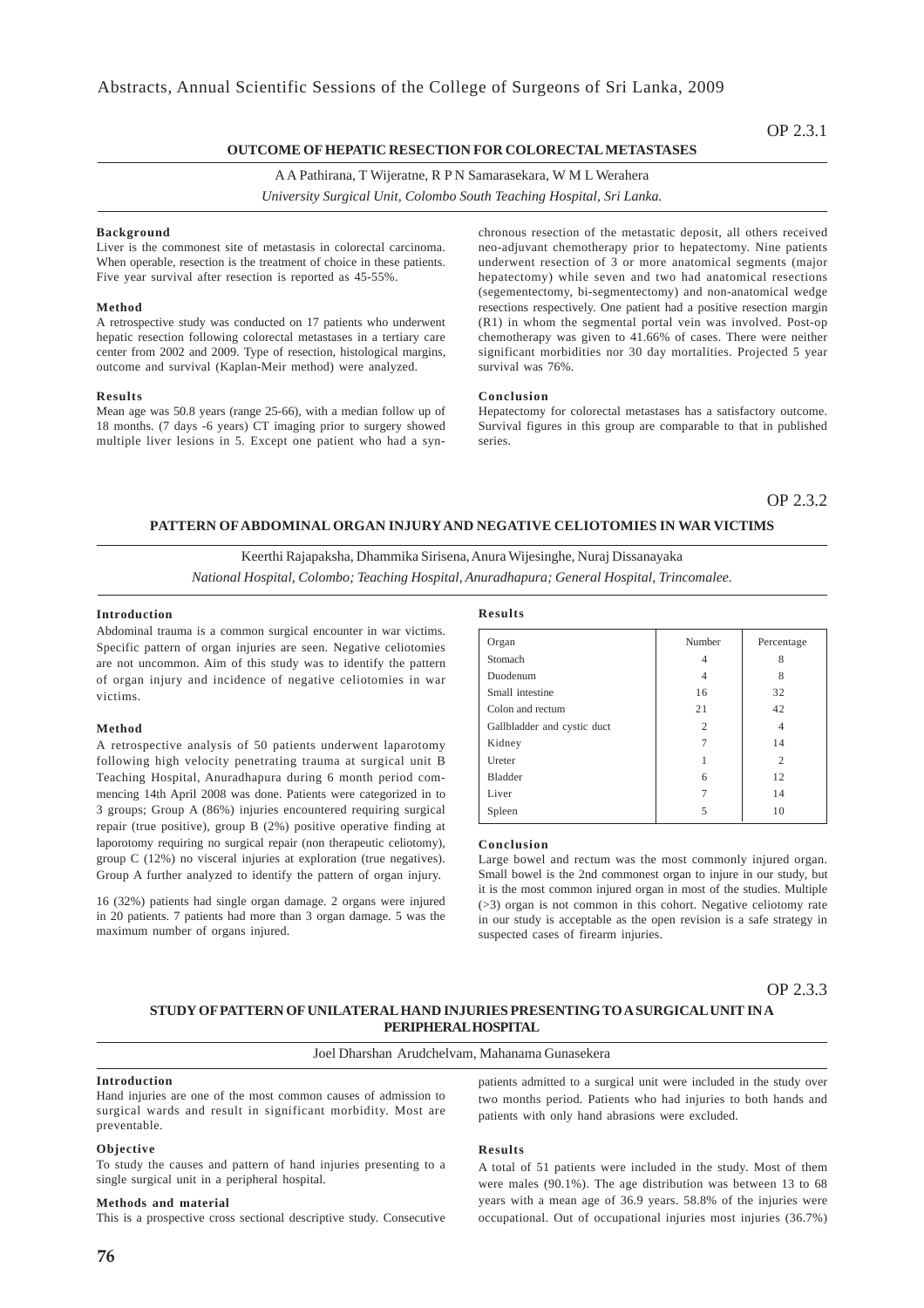### **OUTCOME OF HEPATIC RESECTION FOR COLORECTAL METASTASES**

### A A Pathirana, T Wijeratne, R P N Samarasekara, W M L Werahera

*University Surgical Unit, Colombo South Teaching Hospital, Sri Lanka.*

### **Background**

Liver is the commonest site of metastasis in colorectal carcinoma. When operable, resection is the treatment of choice in these patients. Five year survival after resection is reported as 45-55%.

#### **Method**

A retrospective study was conducted on 17 patients who underwent hepatic resection following colorectal metastases in a tertiary care center from 2002 and 2009. Type of resection, histological margins, outcome and survival (Kaplan-Meir method) were analyzed.

### **Results**

Mean age was 50.8 years (range 25-66), with a median follow up of 18 months. (7 days -6 years) CT imaging prior to surgery showed multiple liver lesions in 5. Except one patient who had a synchronous resection of the metastatic deposit, all others received neo-adjuvant chemotherapy prior to hepatectomy. Nine patients underwent resection of 3 or more anatomical segments (major hepatectomy) while seven and two had anatomical resections (segementectomy, bi-segmentectomy) and non-anatomical wedge resections respectively. One patient had a positive resection margin (R1) in whom the segmental portal vein was involved. Post-op chemotherapy was given to 41.66% of cases. There were neither significant morbidities nor 30 day mortalities. Projected 5 year survival was 76%.

### **Conclusion**

Hepatectomy for colorectal metastases has a satisfactory outcome. Survival figures in this group are comparable to that in published series.

OP 2.3.2

### **PATTERN OF ABDOMINAL ORGAN INJURY AND NEGATIVE CELIOTOMIES IN WAR VICTIMS**

Keerthi Rajapaksha, Dhammika Sirisena, Anura Wijesinghe, Nuraj Dissanayaka *National Hospital, Colombo; Teaching Hospital, Anuradhapura; General Hospital, Trincomalee.*

#### **Introduction**

Abdominal trauma is a common surgical encounter in war victims. Specific pattern of organ injuries are seen. Negative celiotomies are not uncommon. Aim of this study was to identify the pattern of organ injury and incidence of negative celiotomies in war victims.

### **Method**

A retrospective analysis of 50 patients underwent laparotomy following high velocity penetrating trauma at surgical unit B Teaching Hospital, Anuradhapura during 6 month period commencing 14th April 2008 was done. Patients were categorized in to 3 groups; Group A (86%) injuries encountered requiring surgical repair (true positive), group B (2%) positive operative finding at laporotomy requiring no surgical repair (non therapeutic celiotomy), group C (12%) no visceral injuries at exploration (true negatives). Group A further analyzed to identify the pattern of organ injury.

16 (32%) patients had single organ damage. 2 organs were injured in 20 patients. 7 patients had more than 3 organ damage. 5 was the maximum number of organs injured.

#### **Results**

| Organ                       | Number         | Percentage     |
|-----------------------------|----------------|----------------|
| Stomach                     | 4              | 8              |
| Duodenum                    | 4              | 8              |
| Small intestine             | 16             | 32             |
| Colon and rectum            | 21             | 42             |
| Gallbladder and cystic duct | $\overline{c}$ | 4              |
| Kidney                      | $\overline{7}$ | 14             |
| Ureter                      |                | $\overline{c}$ |
| Bladder                     | 6              | 12             |
| Liver                       | 7              | 14             |
| Spleen                      | 5              | 10             |

### **Conclusion**

Large bowel and rectum was the most commonly injured organ. Small bowel is the 2nd commonest organ to injure in our study, but it is the most common injured organ in most of the studies. Multiple (>3) organ is not common in this cohort. Negative celiotomy rate in our study is acceptable as the open revision is a safe strategy in suspected cases of firearm injuries.

OP 2.3.3

### **STUDY OF PATTERN OF UNILATERAL HAND INJURIES PRESENTING TO A SURGICAL UNIT IN A PERIPHERAL HOSPITAL**

### Joel Dharshan Arudchelvam, Mahanama Gunasekera

### **Introduction**

Hand injuries are one of the most common causes of admission to surgical wards and result in significant morbidity. Most are preventable.

#### **Objective**

To study the causes and pattern of hand injuries presenting to a single surgical unit in a peripheral hospital.

### **Methods and material**

This is a prospective cross sectional descriptive study. Consecutive

patients admitted to a surgical unit were included in the study over two months period. Patients who had injuries to both hands and patients with only hand abrasions were excluded.

### **Results**

A total of 51 patients were included in the study. Most of them were males (90.1%). The age distribution was between 13 to 68 years with a mean age of 36.9 years. 58.8% of the injuries were occupational. Out of occupational injuries most injuries (36.7%)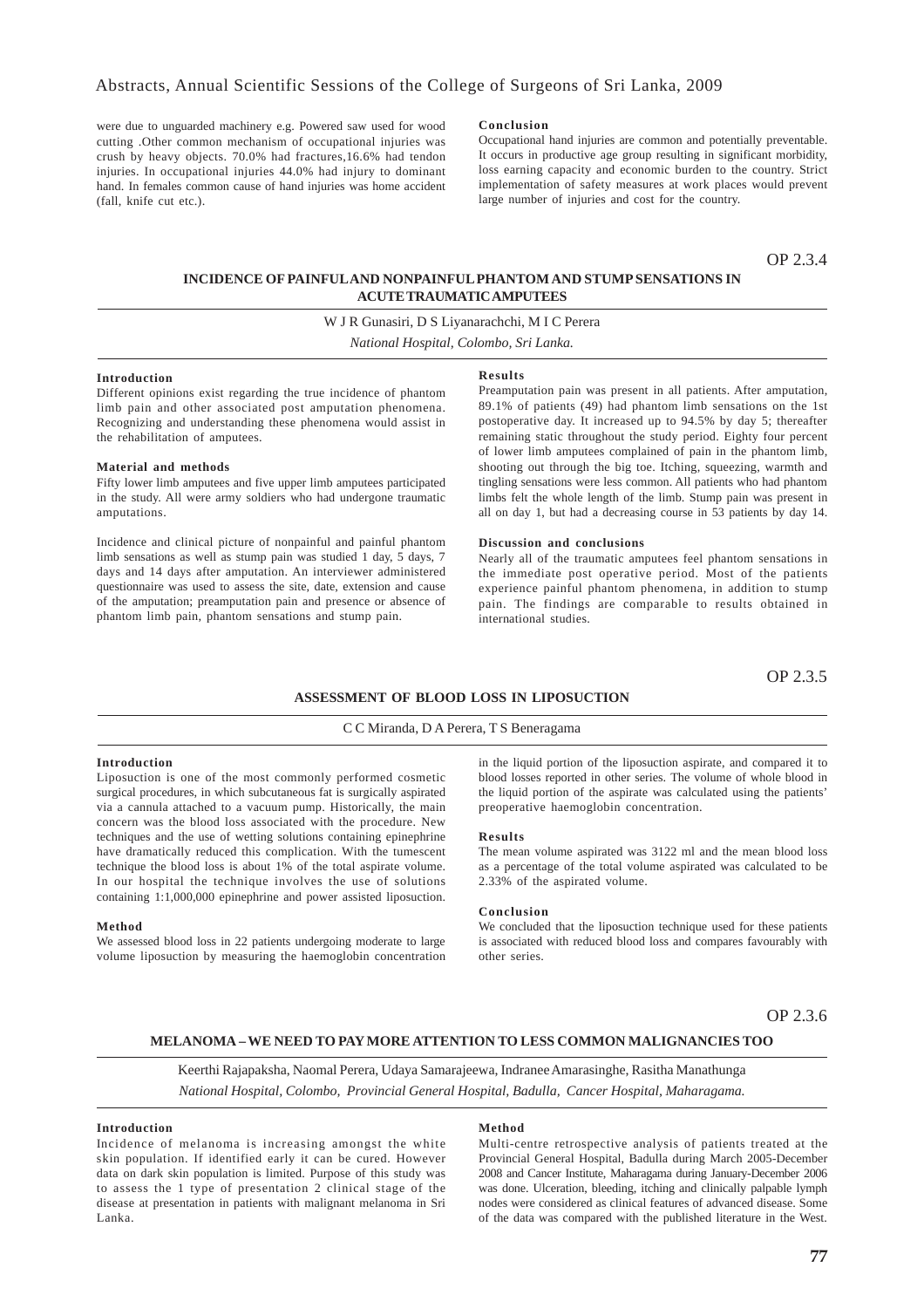were due to unguarded machinery e.g. Powered saw used for wood cutting .Other common mechanism of occupational injuries was crush by heavy objects. 70.0% had fractures,16.6% had tendon injuries. In occupational injuries 44.0% had injury to dominant hand. In females common cause of hand injuries was home accident (fall, knife cut etc.).

### **Conclusion**

Occupational hand injuries are common and potentially preventable. It occurs in productive age group resulting in significant morbidity, loss earning capacity and economic burden to the country. Strict implementation of safety measures at work places would prevent large number of injuries and cost for the country.

OP 2.3.4

### **INCIDENCE OF PAINFUL AND NONPAINFUL PHANTOM AND STUMP SENSATIONS IN ACUTE TRAUMATIC AMPUTEES**

W J R Gunasiri, D S Liyanarachchi, M I C Perera *National Hospital, Colombo, Sri Lanka.*

**Introduction**

Different opinions exist regarding the true incidence of phantom limb pain and other associated post amputation phenomena. Recognizing and understanding these phenomena would assist in the rehabilitation of amputees.

### **Material and methods**

Fifty lower limb amputees and five upper limb amputees participated in the study. All were army soldiers who had undergone traumatic amputations.

Incidence and clinical picture of nonpainful and painful phantom limb sensations as well as stump pain was studied 1 day, 5 days, 7 days and 14 days after amputation. An interviewer administered questionnaire was used to assess the site, date, extension and cause of the amputation; preamputation pain and presence or absence of phantom limb pain, phantom sensations and stump pain.

#### **Results**

Preamputation pain was present in all patients. After amputation, 89.1% of patients (49) had phantom limb sensations on the 1st postoperative day. It increased up to 94.5% by day 5; thereafter remaining static throughout the study period. Eighty four percent of lower limb amputees complained of pain in the phantom limb, shooting out through the big toe. Itching, squeezing, warmth and tingling sensations were less common. All patients who had phantom limbs felt the whole length of the limb. Stump pain was present in all on day 1, but had a decreasing course in 53 patients by day 14.

#### **Discussion and conclusions**

Nearly all of the traumatic amputees feel phantom sensations in the immediate post operative period. Most of the patients experience painful phantom phenomena, in addition to stump pain. The findings are comparable to results obtained in international studies.

OP 2.3.5

### **ASSESSMENT OF BLOOD LOSS IN LIPOSUCTION**

#### C C Miranda, D A Perera, T S Beneragama

### **Introduction**

Liposuction is one of the most commonly performed cosmetic surgical procedures, in which subcutaneous fat is surgically aspirated via a cannula attached to a vacuum pump. Historically, the main concern was the blood loss associated with the procedure. New techniques and the use of wetting solutions containing epinephrine have dramatically reduced this complication. With the tumescent technique the blood loss is about 1% of the total aspirate volume. In our hospital the technique involves the use of solutions containing 1:1,000,000 epinephrine and power assisted liposuction.

#### **Method**

We assessed blood loss in 22 patients undergoing moderate to large volume liposuction by measuring the haemoglobin concentration

in the liquid portion of the liposuction aspirate, and compared it to blood losses reported in other series. The volume of whole blood in the liquid portion of the aspirate was calculated using the patients' preoperative haemoglobin concentration.

#### **Results**

The mean volume aspirated was 3122 ml and the mean blood loss as a percentage of the total volume aspirated was calculated to be 2.33% of the aspirated volume.

### **Conclusion**

We concluded that the liposuction technique used for these patients is associated with reduced blood loss and compares favourably with other series.

OP 2.3.6

### **MELANOMA – WE NEED TO PAY MORE ATTENTION TO LESS COMMON MALIGNANCIES TOO**

Keerthi Rajapaksha, Naomal Perera, Udaya Samarajeewa, Indranee Amarasinghe, Rasitha Manathunga *National Hospital, Colombo, Provincial General Hospital, Badulla, Cancer Hospital, Maharagama.*

#### **Introduction**

Incidence of melanoma is increasing amongst the white skin population. If identified early it can be cured. However data on dark skin population is limited. Purpose of this study was to assess the 1 type of presentation 2 clinical stage of the disease at presentation in patients with malignant melanoma in Sri Lanka.

#### **Method**

Multi-centre retrospective analysis of patients treated at the Provincial General Hospital, Badulla during March 2005-December 2008 and Cancer Institute, Maharagama during January-December 2006 was done. Ulceration, bleeding, itching and clinically palpable lymph nodes were considered as clinical features of advanced disease. Some of the data was compared with the published literature in the West.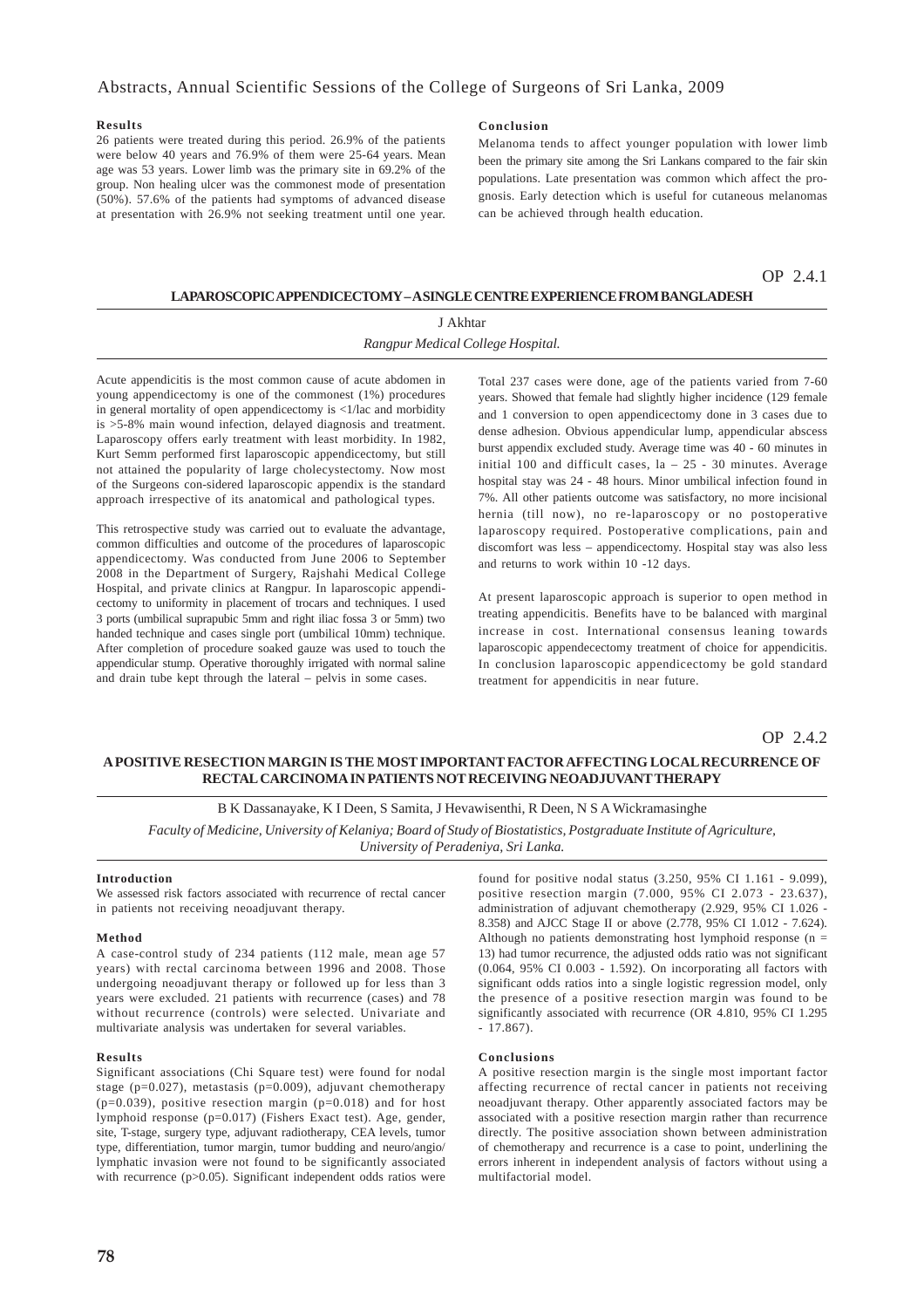### **Results**

26 patients were treated during this period. 26.9% of the patients were below 40 years and 76.9% of them were 25-64 years. Mean age was 53 years. Lower limb was the primary site in 69.2% of the group. Non healing ulcer was the commonest mode of presentation (50%). 57.6% of the patients had symptoms of advanced disease at presentation with 26.9% not seeking treatment until one year.

### **Conclusion**

Melanoma tends to affect younger population with lower limb been the primary site among the Sri Lankans compared to the fair skin populations. Late presentation was common which affect the prognosis. Early detection which is useful for cutaneous melanomas can be achieved through health education.

### OP 2.4.1

### **LAPAROSCOPIC APPENDICECTOMY – A SINGLE CENTRE EXPERIENCE FROM BANGLADESH**

## J Akhtar *Rangpur Medical College Hospital.*

Acute appendicitis is the most common cause of acute abdomen in young appendicectomy is one of the commonest (1%) procedures in general mortality of open appendicectomy is <1/lac and morbidity is >5-8% main wound infection, delayed diagnosis and treatment. Laparoscopy offers early treatment with least morbidity. In 1982, Kurt Semm performed first laparoscopic appendicectomy, but still not attained the popularity of large cholecystectomy. Now most of the Surgeons con-sidered laparoscopic appendix is the standard approach irrespective of its anatomical and pathological types.

This retrospective study was carried out to evaluate the advantage, common difficulties and outcome of the procedures of laparoscopic appendicectomy. Was conducted from June 2006 to September 2008 in the Department of Surgery, Rajshahi Medical College Hospital, and private clinics at Rangpur. In laparoscopic appendicectomy to uniformity in placement of trocars and techniques. I used 3 ports (umbilical suprapubic 5mm and right iliac fossa 3 or 5mm) two handed technique and cases single port (umbilical 10mm) technique. After completion of procedure soaked gauze was used to touch the appendicular stump. Operative thoroughly irrigated with normal saline and drain tube kept through the lateral – pelvis in some cases.

Total 237 cases were done, age of the patients varied from 7-60 years. Showed that female had slightly higher incidence (129 female and 1 conversion to open appendicectomy done in 3 cases due to dense adhesion. Obvious appendicular lump, appendicular abscess burst appendix excluded study. Average time was 40 - 60 minutes in initial 100 and difficult cases,  $1a - 25 - 30$  minutes. Average hospital stay was 24 - 48 hours. Minor umbilical infection found in 7%. All other patients outcome was satisfactory, no more incisional hernia (till now), no re-laparoscopy or no postoperative laparoscopy required. Postoperative complications, pain and discomfort was less – appendicectomy. Hospital stay was also less and returns to work within 10 -12 days.

At present laparoscopic approach is superior to open method in treating appendicitis. Benefits have to be balanced with marginal increase in cost. International consensus leaning towards laparoscopic appendecectomy treatment of choice for appendicitis. In conclusion laparoscopic appendicectomy be gold standard treatment for appendicitis in near future.

OP 2.4.2

### **A POSITIVE RESECTION MARGIN IS THE MOST IMPORTANT FACTOR AFFECTING LOCAL RECURRENCE OF RECTAL CARCINOMA IN PATIENTS NOT RECEIVING NEOADJUVANT THERAPY**

### B K Dassanayake, K I Deen, S Samita, J Hevawisenthi, R Deen, N S A Wickramasinghe

*Faculty of Medicine, University of Kelaniya; Board of Study of Biostatistics, Postgraduate Institute of Agriculture, University of Peradeniya, Sri Lanka.*

### **Introduction**

We assessed risk factors associated with recurrence of rectal cancer in patients not receiving neoadjuvant therapy.

#### **Method**

A case-control study of 234 patients (112 male, mean age 57 years) with rectal carcinoma between 1996 and 2008. Those undergoing neoadjuvant therapy or followed up for less than 3 years were excluded. 21 patients with recurrence (cases) and 78 without recurrence (controls) were selected. Univariate and multivariate analysis was undertaken for several variables.

### **Results**

Significant associations (Chi Square test) were found for nodal stage ( $p=0.027$ ), metastasis ( $p=0.009$ ), adjuvant chemotherapy  $(p=0.039)$ , positive resection margin  $(p=0.018)$  and for host lymphoid response (p=0.017) (Fishers Exact test). Age, gender, site, T-stage, surgery type, adjuvant radiotherapy, CEA levels, tumor type, differentiation, tumor margin, tumor budding and neuro/angio/ lymphatic invasion were not found to be significantly associated with recurrence (p>0.05). Significant independent odds ratios were

found for positive nodal status (3.250, 95% CI 1.161 - 9.099), positive resection margin (7.000, 95% CI 2.073 - 23.637), administration of adjuvant chemotherapy (2.929, 95% CI 1.026 - 8.358) and AJCC Stage II or above (2.778, 95% CI 1.012 - 7.624). Although no patients demonstrating host lymphoid response  $(n =$ 13) had tumor recurrence, the adjusted odds ratio was not significant (0.064, 95% CI 0.003 - 1.592). On incorporating all factors with significant odds ratios into a single logistic regression model, only the presence of a positive resection margin was found to be significantly associated with recurrence (OR 4.810, 95% CI 1.295 - 17.867).

#### **Conclusions**

A positive resection margin is the single most important factor affecting recurrence of rectal cancer in patients not receiving neoadjuvant therapy. Other apparently associated factors may be associated with a positive resection margin rather than recurrence directly. The positive association shown between administration of chemotherapy and recurrence is a case to point, underlining the errors inherent in independent analysis of factors without using a multifactorial model.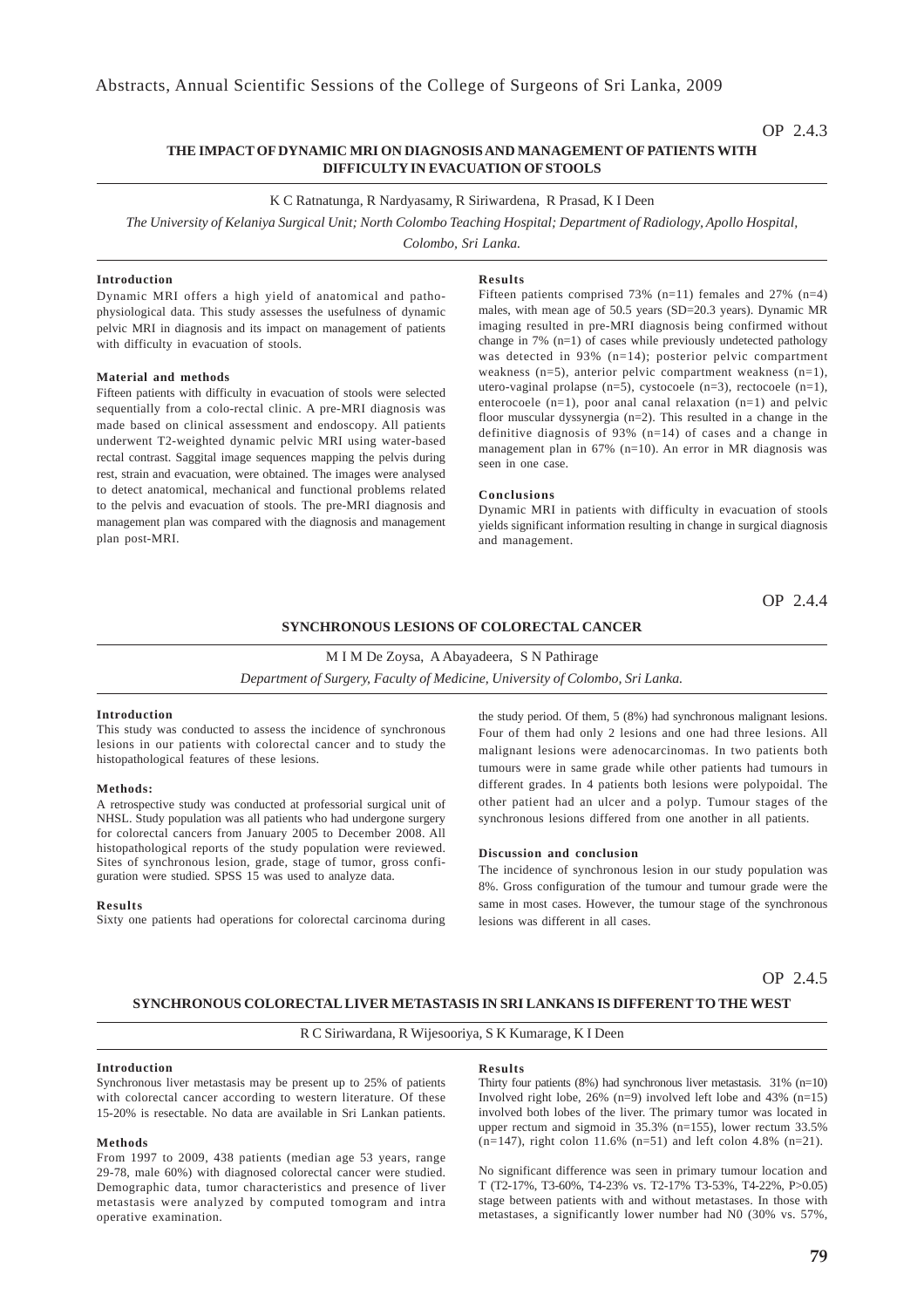### OP 2.4.3

### **THE IMPACT OF DYNAMIC MRI ON DIAGNOSIS AND MANAGEMENT OF PATIENTS WITH DIFFICULTY IN EVACUATION OF STOOLS**

### K C Ratnatunga, R Nardyasamy, R Siriwardena, R Prasad, K I Deen

*The University of Kelaniya Surgical Unit; North Colombo Teaching Hospital; Department of Radiology, Apollo Hospital,*

*Colombo, Sri Lanka.*

### **Introduction**

Dynamic MRI offers a high yield of anatomical and pathophysiological data. This study assesses the usefulness of dynamic pelvic MRI in diagnosis and its impact on management of patients with difficulty in evacuation of stools.

#### **Material and methods**

Fifteen patients with difficulty in evacuation of stools were selected sequentially from a colo-rectal clinic. A pre-MRI diagnosis was made based on clinical assessment and endoscopy. All patients underwent T2-weighted dynamic pelvic MRI using water-based rectal contrast. Saggital image sequences mapping the pelvis during rest, strain and evacuation, were obtained. The images were analysed to detect anatomical, mechanical and functional problems related to the pelvis and evacuation of stools. The pre-MRI diagnosis and management plan was compared with the diagnosis and management plan post-MRI.

### **Results**

Fifteen patients comprised 73% (n=11) females and 27% (n=4) males, with mean age of 50.5 years (SD=20.3 years). Dynamic MR imaging resulted in pre-MRI diagnosis being confirmed without change in 7%  $(n=1)$  of cases while previously undetected pathology was detected in 93% (n=14); posterior pelvic compartment weakness  $(n=5)$ , anterior pelvic compartment weakness  $(n=1)$ , utero-vaginal prolapse (n=5), cystocoele (n=3), rectocoele (n=1), enterocoele (n=1), poor anal canal relaxation (n=1) and pelvic floor muscular dyssynergia (n=2). This resulted in a change in the definitive diagnosis of 93% (n=14) of cases and a change in management plan in 67% (n=10). An error in MR diagnosis was seen in one case.

#### **Conclusions**

Dynamic MRI in patients with difficulty in evacuation of stools yields significant information resulting in change in surgical diagnosis and management.

OP 2.4.4

### **SYNCHRONOUS LESIONS OF COLORECTAL CANCER**

M I M De Zoysa, A Abayadeera, S N Pathirage

*Department of Surgery, Faculty of Medicine, University of Colombo, Sri Lanka.*

### **Introduction**

This study was conducted to assess the incidence of synchronous lesions in our patients with colorectal cancer and to study the histopathological features of these lesions.

### **Methods:**

A retrospective study was conducted at professorial surgical unit of NHSL. Study population was all patients who had undergone surgery for colorectal cancers from January 2005 to December 2008. All histopathological reports of the study population were reviewed. Sites of synchronous lesion, grade, stage of tumor, gross configuration were studied. SPSS 15 was used to analyze data.

#### **Results**

Sixty one patients had operations for colorectal carcinoma during

the study period. Of them, 5 (8%) had synchronous malignant lesions. Four of them had only 2 lesions and one had three lesions. All malignant lesions were adenocarcinomas. In two patients both tumours were in same grade while other patients had tumours in different grades. In 4 patients both lesions were polypoidal. The other patient had an ulcer and a polyp. Tumour stages of the synchronous lesions differed from one another in all patients.

#### **Discussion and conclusion**

The incidence of synchronous lesion in our study population was 8%. Gross configuration of the tumour and tumour grade were the same in most cases. However, the tumour stage of the synchronous lesions was different in all cases.

OP 2.4.5

### **SYNCHRONOUS COLORECTAL LIVER METASTASIS IN SRI LANKANS IS DIFFERENT TO THE WEST**

### R C Siriwardana, R Wijesooriya, S K Kumarage, K I Deen

### **Introduction**

Synchronous liver metastasis may be present up to 25% of patients with colorectal cancer according to western literature. Of these 15-20% is resectable. No data are available in Sri Lankan patients.

#### **Methods**

From 1997 to 2009, 438 patients (median age 53 years, range 29-78, male 60%) with diagnosed colorectal cancer were studied. Demographic data, tumor characteristics and presence of liver metastasis were analyzed by computed tomogram and intra operative examination.

### **Results**

Thirty four patients  $(8\%)$  had synchronous liver metastasis. 31%  $(n=10)$ Involved right lobe,  $26\%$  (n=9) involved left lobe and 43% (n=15) involved both lobes of the liver. The primary tumor was located in upper rectum and sigmoid in 35.3% (n=155), lower rectum 33.5%  $(n=147)$ , right colon 11.6%  $(n=51)$  and left colon 4.8%  $(n=21)$ .

No significant difference was seen in primary tumour location and T (T2-17%, T3-60%, T4-23% vs. T2-17% T3-53%, T4-22%, P>0.05) stage between patients with and without metastases. In those with metastases, a significantly lower number had N0 (30% vs. 57%,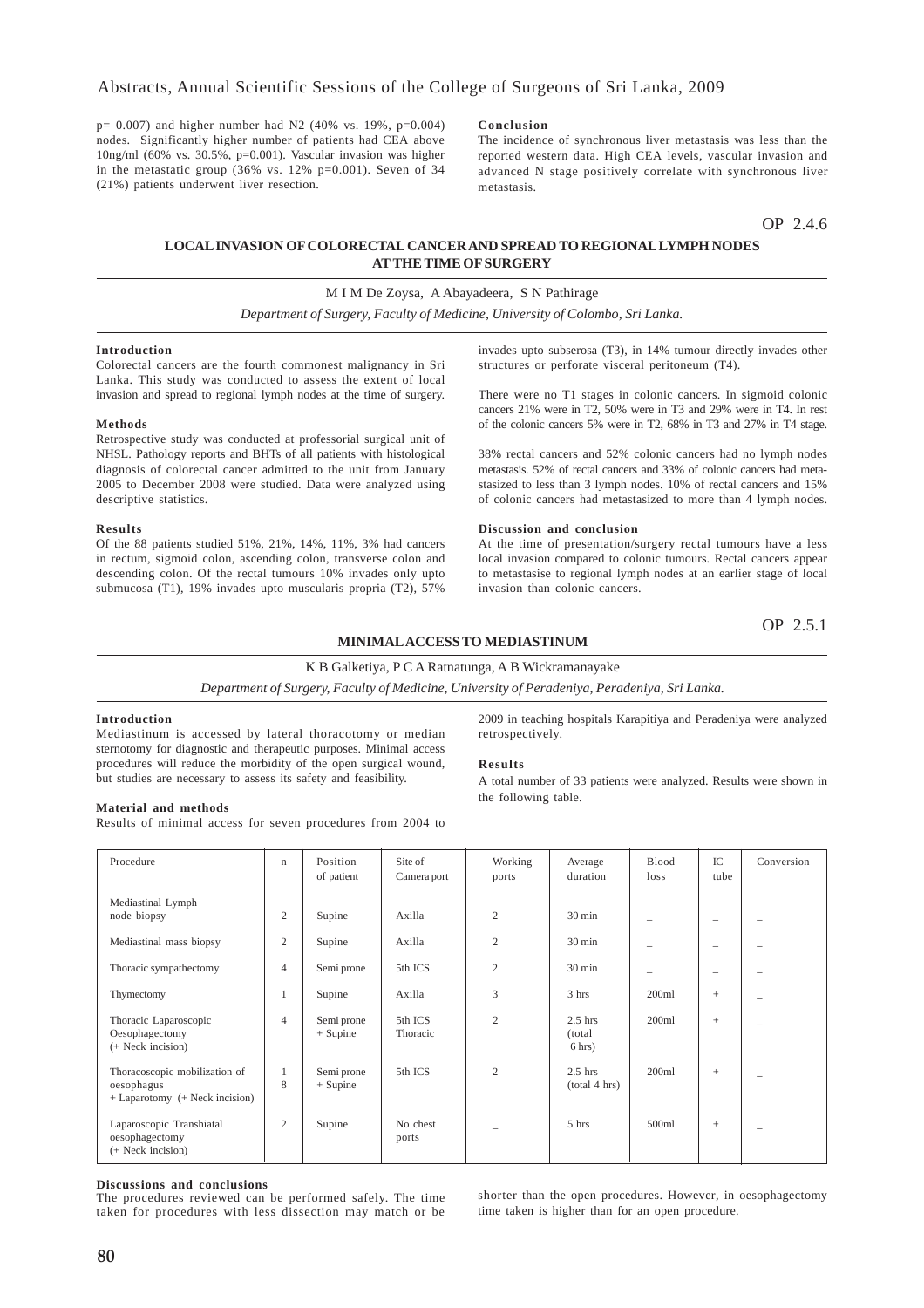$p= 0.007$ ) and higher number had N2 (40% vs. 19%,  $p=0.004$ ) nodes. Significantly higher number of patients had CEA above 10ng/ml (60% vs. 30.5%, p=0.001). Vascular invasion was higher in the metastatic group  $(36\% \text{ vs. } 12\% \text{ p}=0.001)$ . Seven of 34 (21%) patients underwent liver resection.

### **Conclusion**

The incidence of synchronous liver metastasis was less than the reported western data. High CEA levels, vascular invasion and advanced N stage positively correlate with synchronous liver metastasis.

OP 2.4.6

## **LOCAL INVASION OF COLORECTAL CANCER AND SPREAD TO REGIONAL LYMPH NODES AT THE TIME OF SURGERY**

### M I M De Zoysa, A Abayadeera, S N Pathirage

*Department of Surgery, Faculty of Medicine, University of Colombo, Sri Lanka.*

#### **Introduction**

Colorectal cancers are the fourth commonest malignancy in Sri Lanka. This study was conducted to assess the extent of local invasion and spread to regional lymph nodes at the time of surgery.

#### **Methods**

Retrospective study was conducted at professorial surgical unit of NHSL. Pathology reports and BHTs of all patients with histological diagnosis of colorectal cancer admitted to the unit from January 2005 to December 2008 were studied. Data were analyzed using descriptive statistics.

#### **Results**

Of the 88 patients studied 51%, 21%, 14%, 11%, 3% had cancers in rectum, sigmoid colon, ascending colon, transverse colon and descending colon. Of the rectal tumours 10% invades only upto submucosa (T1), 19% invades upto muscularis propria (T2), 57%

invades upto subserosa (T3), in 14% tumour directly invades other structures or perforate visceral peritoneum (T4).

There were no T1 stages in colonic cancers. In sigmoid colonic cancers 21% were in T2, 50% were in T3 and 29% were in T4. In rest of the colonic cancers 5% were in T2, 68% in T3 and 27% in T4 stage.

38% rectal cancers and 52% colonic cancers had no lymph nodes metastasis. 52% of rectal cancers and 33% of colonic cancers had metastasized to less than 3 lymph nodes. 10% of rectal cancers and 15% of colonic cancers had metastasized to more than 4 lymph nodes.

#### **Discussion and conclusion**

At the time of presentation/surgery rectal tumours have a less local invasion compared to colonic tumours. Rectal cancers appear to metastasise to regional lymph nodes at an earlier stage of local invasion than colonic cancers.

OP 2.5.1

### **MINIMAL ACCESS TO MEDIASTINUM**

### K B Galketiya, P C A Ratnatunga, A B Wickramanayake

*Department of Surgery, Faculty of Medicine, University of Peradeniya, Peradeniya, Sri Lanka.*

### **Introduction**

Mediastinum is accessed by lateral thoracotomy or median sternotomy for diagnostic and therapeutic purposes. Minimal access procedures will reduce the morbidity of the open surgical wound, but studies are necessary to assess its safety and feasibility.

2009 in teaching hospitals Karapitiya and Peradeniya were analyzed retrospectively.

### **Results**

A total number of 33 patients were analyzed. Results were shown in the following table.

### **Material and methods**

Results of minimal access for seven procedures from 2004 to

| Procedure                                                                         | $\mathbf n$    | Position<br>of patient   | Site of<br>Camera port | Working<br>ports | Average<br>duration                       | Blood<br>loss            | IC<br>tube               | Conversion |
|-----------------------------------------------------------------------------------|----------------|--------------------------|------------------------|------------------|-------------------------------------------|--------------------------|--------------------------|------------|
| Mediastinal Lymph<br>node biopsy                                                  | $\overline{c}$ | Supine                   | Axilla                 | 2                | $30 \text{ min}$                          | $\overline{\phantom{a}}$ | $\overline{\phantom{0}}$ |            |
| Mediastinal mass biopsy                                                           | $\mathfrak{2}$ | Supine                   | Axilla                 | $\overline{c}$   | $30 \text{ min}$                          |                          | -                        |            |
| Thoracic sympathectomy                                                            | $\overline{4}$ | Semi prone               | 5th ICS                | $\overline{c}$   | $30 \text{ min}$                          | $\overline{\phantom{a}}$ | $\overline{\phantom{0}}$ |            |
| Thymectomy                                                                        | 1              | Supine                   | Axilla                 | 3                | 3 hrs                                     | 200ml                    | $^{+}$                   | -          |
| Thoracic Laparoscopic<br>Oesophagectomy<br>(+ Neck incision)                      | 4              | Semi prone<br>$+$ Supine | 5th ICS<br>Thoracic    | 2                | $2.5$ hrs<br>(total)<br>$6 \text{ hrs}$ ) | 200ml                    | $^{+}$                   | -          |
| Thoracoscopic mobilization of<br>oesophagus<br>$+$ Laparotomy $(+$ Neck incision) | 8              | Semi prone<br>$+$ Supine | 5th ICS                | $\overline{c}$   | $2.5$ hrs<br>(total 4 hrs)                | 200ml                    | $^{+}$                   | -          |
| Laparoscopic Transhiatal<br>oesophagectomy<br>(+ Neck incision)                   | $\mathfrak{2}$ | Supine                   | No chest<br>ports      | -                | 5 hrs                                     | 500 <sub>ml</sub>        | $^{+}$                   | -          |

#### **Discussions and conclusions**

The procedures reviewed can be performed safely. The time taken for procedures with less dissection may match or be shorter than the open procedures. However, in oesophagectomy time taken is higher than for an open procedure.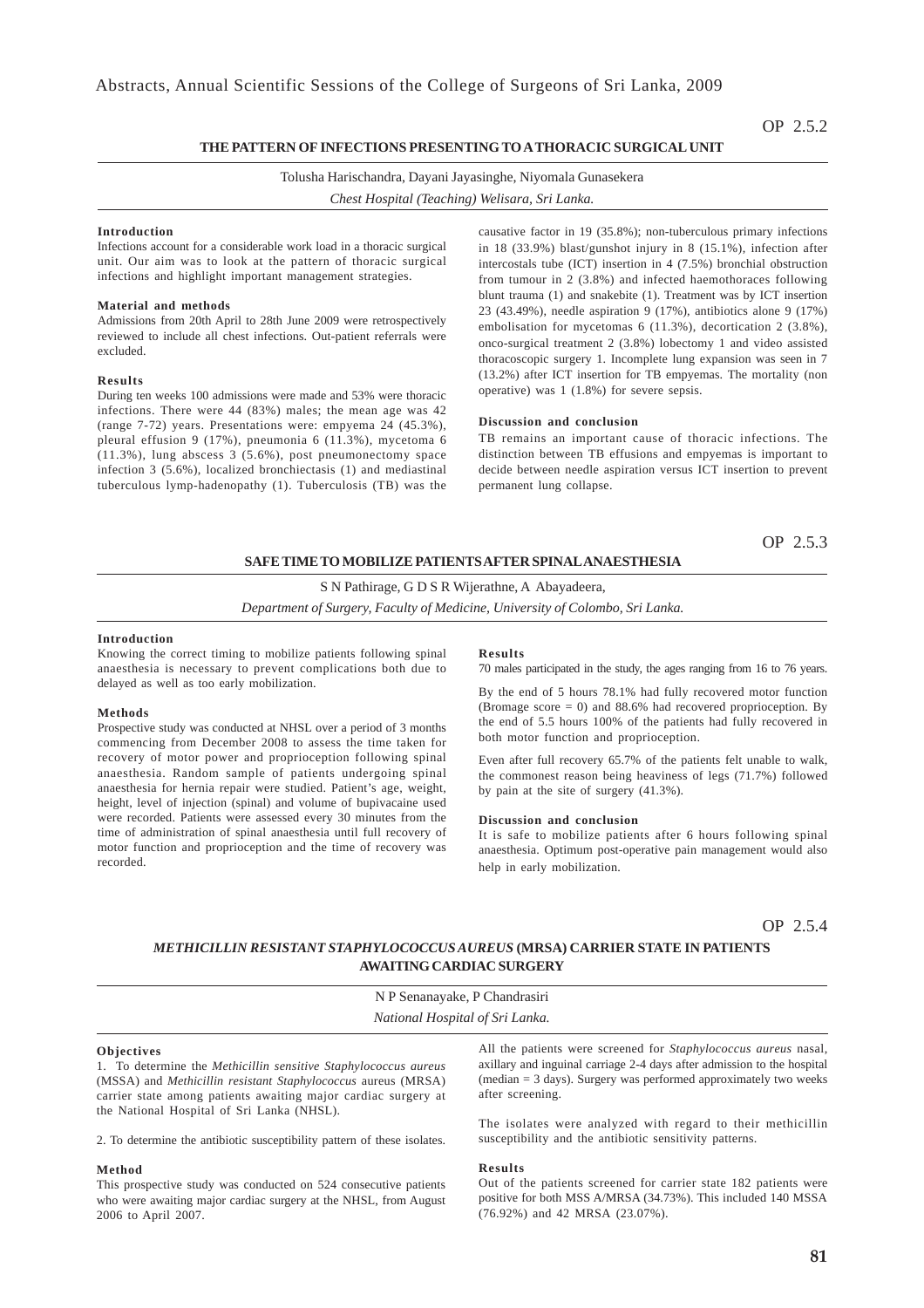### **THE PATTERN OF INFECTIONS PRESENTING TO A THORACIC SURGICAL UNIT**

Tolusha Harischandra, Dayani Jayasinghe, Niyomala Gunasekera

*Chest Hospital (Teaching) Welisara, Sri Lanka.*

#### **Introduction**

Infections account for a considerable work load in a thoracic surgical unit. Our aim was to look at the pattern of thoracic surgical infections and highlight important management strategies.

### **Material and methods**

Admissions from 20th April to 28th June 2009 were retrospectively reviewed to include all chest infections. Out-patient referrals were excluded.

### **Results**

During ten weeks 100 admissions were made and 53% were thoracic infections. There were 44 (83%) males; the mean age was 42 (range 7-72) years. Presentations were: empyema 24 (45.3%), pleural effusion 9 (17%), pneumonia 6 (11.3%), mycetoma 6  $(11.3\%)$ , lung abscess 3  $(5.6\%)$ , post pneumonectomy space infection 3 (5.6%), localized bronchiectasis (1) and mediastinal tuberculous lymp-hadenopathy (1). Tuberculosis (TB) was the

causative factor in 19 (35.8%); non-tuberculous primary infections in 18 (33.9%) blast/gunshot injury in 8 (15.1%), infection after intercostals tube (ICT) insertion in 4 (7.5%) bronchial obstruction from tumour in 2 (3.8%) and infected haemothoraces following blunt trauma (1) and snakebite (1). Treatment was by ICT insertion 23 (43.49%), needle aspiration 9 (17%), antibiotics alone 9 (17%) embolisation for mycetomas 6 (11.3%), decortication 2 (3.8%), onco-surgical treatment 2 (3.8%) lobectomy 1 and video assisted thoracoscopic surgery 1. Incomplete lung expansion was seen in 7 (13.2%) after ICT insertion for TB empyemas. The mortality (non operative) was 1 (1.8%) for severe sepsis.

### **Discussion and conclusion**

TB remains an important cause of thoracic infections. The distinction between TB effusions and empyemas is important to decide between needle aspiration versus ICT insertion to prevent permanent lung collapse.

OP 2.5.3

### **SAFE TIME TO MOBILIZE PATIENTS AFTER SPINAL ANAESTHESIA**

S N Pathirage, G D S R Wijerathne, A Abayadeera,

*Department of Surgery, Faculty of Medicine, University of Colombo, Sri Lanka.*

### **Introduction**

Knowing the correct timing to mobilize patients following spinal anaesthesia is necessary to prevent complications both due to delayed as well as too early mobilization.

#### **Methods**

Prospective study was conducted at NHSL over a period of 3 months commencing from December 2008 to assess the time taken for recovery of motor power and proprioception following spinal anaesthesia. Random sample of patients undergoing spinal anaesthesia for hernia repair were studied. Patient's age, weight, height, level of injection (spinal) and volume of bupivacaine used were recorded. Patients were assessed every 30 minutes from the time of administration of spinal anaesthesia until full recovery of motor function and proprioception and the time of recovery was recorded.

### **Results**

70 males participated in the study, the ages ranging from 16 to 76 years.

By the end of 5 hours 78.1% had fully recovered motor function (Bromage score  $= 0$ ) and 88.6% had recovered proprioception. By the end of 5.5 hours 100% of the patients had fully recovered in both motor function and proprioception.

Even after full recovery 65.7% of the patients felt unable to walk, the commonest reason being heaviness of legs (71.7%) followed by pain at the site of surgery (41.3%).

#### **Discussion and conclusion**

It is safe to mobilize patients after 6 hours following spinal anaesthesia. Optimum post-operative pain management would also help in early mobilization.

OP 2.5.4

### *METHICILLIN RESISTANT STAPHYLOCOCCUS AUREUS* **(MRSA) CARRIER STATE IN PATIENTS AWAITING CARDIAC SURGERY**

N P Senanayake, P Chandrasiri *National Hospital of Sri Lanka.*

### **Objectives**

1. To determine the *Methicillin sensitive Staphylococcus aureus* (MSSA) and *Methicillin resistant Staphylococcus* aureus (MRSA) carrier state among patients awaiting major cardiac surgery at the National Hospital of Sri Lanka (NHSL).

2. To determine the antibiotic susceptibility pattern of these isolates.

#### **Method**

This prospective study was conducted on 524 consecutive patients who were awaiting major cardiac surgery at the NHSL, from August 2006 to April 2007.

All the patients were screened for *Staphylococcus aureus* nasal, axillary and inguinal carriage 2-4 days after admission to the hospital (median = 3 days). Surgery was performed approximately two weeks after screening.

The isolates were analyzed with regard to their methicillin susceptibility and the antibiotic sensitivity patterns.

#### **Results**

Out of the patients screened for carrier state 182 patients were positive for both MSS A/MRSA (34.73%). This included 140 MSSA (76.92%) and 42 MRSA (23.07%).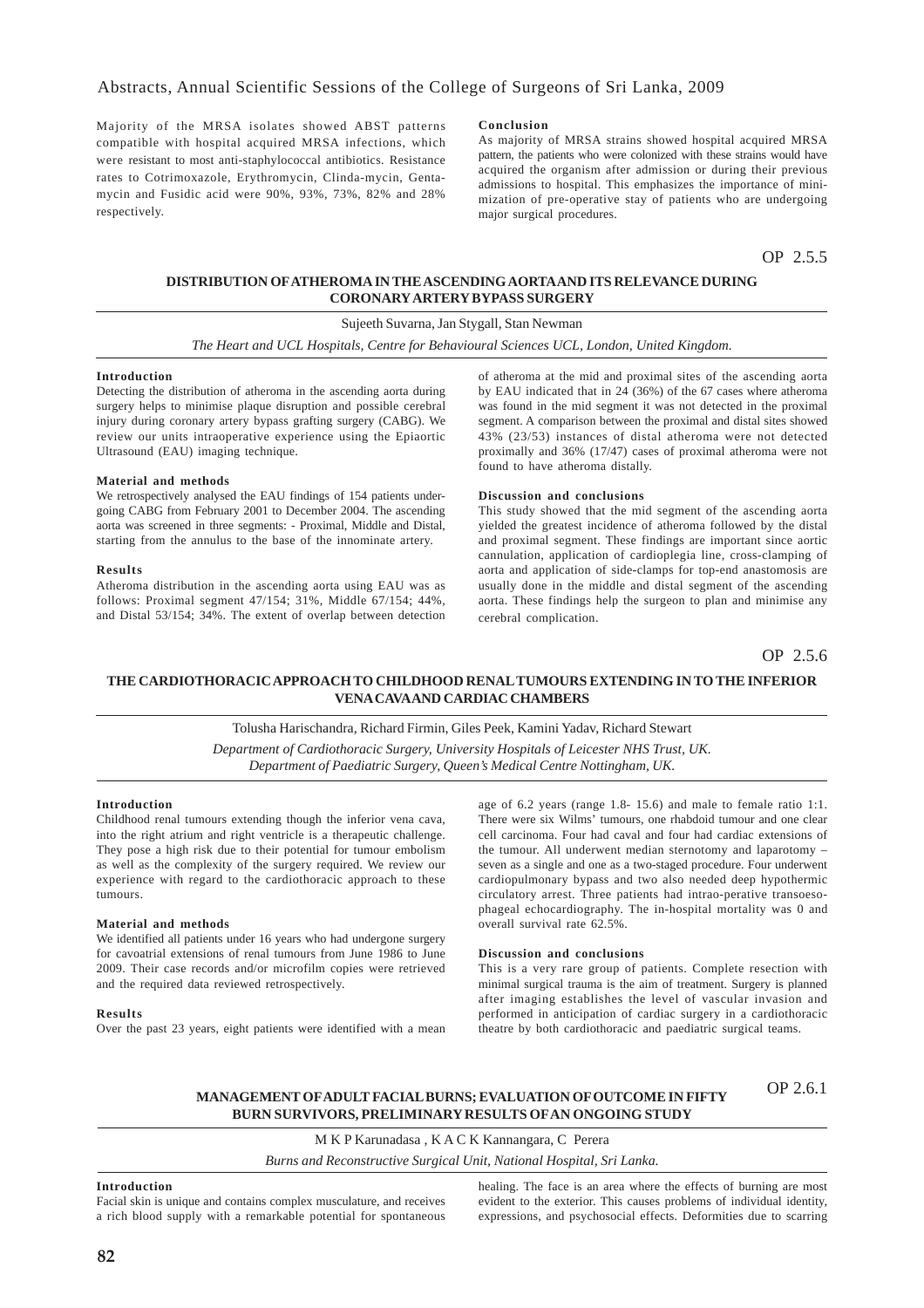Majority of the MRSA isolates showed ABST patterns compatible with hospital acquired MRSA infections, which were resistant to most anti-staphylococcal antibiotics. Resistance rates to Cotrimoxazole, Erythromycin, Clinda-mycin, Gentamycin and Fusidic acid were 90%, 93%, 73%, 82% and 28% respectively.

### **Conclusion**

As majority of MRSA strains showed hospital acquired MRSA pattern, the patients who were colonized with these strains would have acquired the organism after admission or during their previous admissions to hospital. This emphasizes the importance of minimization of pre-operative stay of patients who are undergoing major surgical procedures.

OP 2.5.5

### **DISTRIBUTION OF ATHEROMA IN THE ASCENDING AORTA AND ITS RELEVANCE DURING CORONARY ARTERY BYPASS SURGERY**

Sujeeth Suvarna, Jan Stygall, Stan Newman

*The Heart and UCL Hospitals, Centre for Behavioural Sciences UCL, London, United Kingdom.*

#### **Introduction**

Detecting the distribution of atheroma in the ascending aorta during surgery helps to minimise plaque disruption and possible cerebral injury during coronary artery bypass grafting surgery (CABG). We review our units intraoperative experience using the Epiaortic Ultrasound (EAU) imaging technique.

### **Material and methods**

We retrospectively analysed the EAU findings of 154 patients undergoing CABG from February 2001 to December 2004. The ascending aorta was screened in three segments: - Proximal, Middle and Distal, starting from the annulus to the base of the innominate artery.

### **Results**

Atheroma distribution in the ascending aorta using EAU was as follows: Proximal segment 47/154; 31%, Middle 67/154; 44%, and Distal 53/154; 34%. The extent of overlap between detection of atheroma at the mid and proximal sites of the ascending aorta by EAU indicated that in 24 (36%) of the 67 cases where atheroma was found in the mid segment it was not detected in the proximal segment. A comparison between the proximal and distal sites showed 43% (23/53) instances of distal atheroma were not detected proximally and 36% (17/47) cases of proximal atheroma were not found to have atheroma distally.

### **Discussion and conclusions**

This study showed that the mid segment of the ascending aorta yielded the greatest incidence of atheroma followed by the distal and proximal segment. These findings are important since aortic cannulation, application of cardioplegia line, cross-clamping of aorta and application of side-clamps for top-end anastomosis are usually done in the middle and distal segment of the ascending aorta. These findings help the surgeon to plan and minimise any cerebral complication.

OP 2.5.6

### **THE CARDIOTHORACIC APPROACH TO CHILDHOOD RENAL TUMOURS EXTENDING IN TO THE INFERIOR VENA CAVA AND CARDIAC CHAMBERS**

### Tolusha Harischandra, Richard Firmin, Giles Peek, Kamini Yadav, Richard Stewart

*Department of Cardiothoracic Surgery, University Hospitals of Leicester NHS Trust, UK. Department of Paediatric Surgery, Queen's Medical Centre Nottingham, UK.*

### **Introduction**

Childhood renal tumours extending though the inferior vena cava, into the right atrium and right ventricle is a therapeutic challenge. They pose a high risk due to their potential for tumour embolism as well as the complexity of the surgery required. We review our experience with regard to the cardiothoracic approach to these tumours.

### **Material and methods**

We identified all patients under 16 years who had undergone surgery for cavoatrial extensions of renal tumours from June 1986 to June 2009. Their case records and/or microfilm copies were retrieved and the required data reviewed retrospectively.

#### **Results**

Over the past 23 years, eight patients were identified with a mean

age of 6.2 years (range 1.8- 15.6) and male to female ratio 1:1. There were six Wilms' tumours, one rhabdoid tumour and one clear cell carcinoma. Four had caval and four had cardiac extensions of the tumour. All underwent median sternotomy and laparotomy – seven as a single and one as a two-staged procedure. Four underwent cardiopulmonary bypass and two also needed deep hypothermic circulatory arrest. Three patients had intrao-perative transoesophageal echocardiography. The in-hospital mortality was 0 and overall survival rate 62.5%.

#### **Discussion and conclusions**

This is a very rare group of patients. Complete resection with minimal surgical trauma is the aim of treatment. Surgery is planned after imaging establishes the level of vascular invasion and performed in anticipation of cardiac surgery in a cardiothoracic theatre by both cardiothoracic and paediatric surgical teams.

#### **MANAGEMENT OF ADULT FACIAL BURNS; EVALUATION OF OUTCOME IN FIFTY BURN SURVIVORS, PRELIMINARY RESULTS OF AN ONGOING STUDY** OP 2.6.1

M K P Karunadasa , K A C K Kannangara, C Perera

*Burns and Reconstructive Surgical Unit, National Hospital, Sri Lanka.*

### **Introduction**

Facial skin is unique and contains complex musculature, and receives a rich blood supply with a remarkable potential for spontaneous healing. The face is an area where the effects of burning are most evident to the exterior. This causes problems of individual identity, expressions, and psychosocial effects. Deformities due to scarring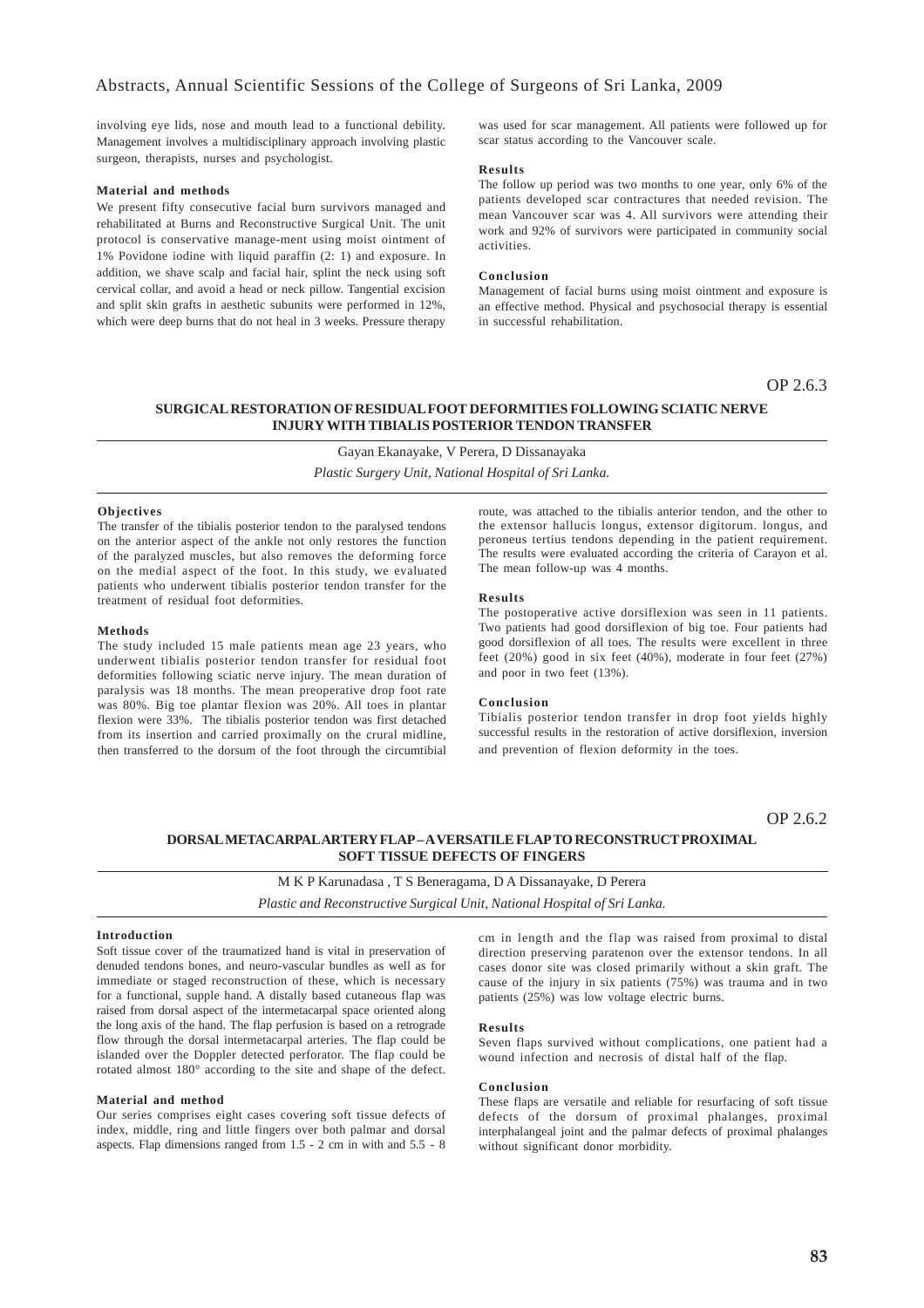involving eye lids, nose and mouth lead to a functional debility. Management involves a multidisciplinary approach involving plastic surgeon, therapists, nurses and psychologist.

#### **Material and methods**

We present fifty consecutive facial burn survivors managed and rehabilitated at Burns and Reconstructive Surgical Unit. The unit protocol is conservative manage-ment using moist ointment of 1% Povidone iodine with liquid paraffin (2: 1) and exposure. In addition, we shave scalp and facial hair, splint the neck using soft cervical collar, and avoid a head or neck pillow. Tangential excision and split skin grafts in aesthetic subunits were performed in 12%, which were deep burns that do not heal in 3 weeks. Pressure therapy was used for scar management. All patients were followed up for scar status according to the Vancouver scale.

#### **Results**

The follow up period was two months to one year, only 6% of the patients developed scar contractures that needed revision. The mean Vancouver scar was 4. All survivors were attending their work and 92% of survivors were participated in community social activities.

### **Conclusion**

Management of facial burns using moist ointment and exposure is an effective method. Physical and psychosocial therapy is essential in successful rehabilitation.

OP 2.6.3

### **SURGICAL RESTORATION OF RESIDUAL FOOT DEFORMITIES FOLLOWING SCIATIC NERVE INJURY WITH TIBIALIS POSTERIOR TENDON TRANSFER**

Gayan Ekanayake, V Perera, D Dissanayaka *Plastic Surgery Unit, National Hospital of Sri Lanka.*

#### **Objectives**

The transfer of the tibialis posterior tendon to the paralysed tendons on the anterior aspect of the ankle not only restores the function of the paralyzed muscles, but also removes the deforming force on the medial aspect of the foot. In this study, we evaluated patients who underwent tibialis posterior tendon transfer for the treatment of residual foot deformities.

#### **Methods**

The study included 15 male patients mean age 23 years, who underwent tibialis posterior tendon transfer for residual foot deformities following sciatic nerve injury. The mean duration of paralysis was 18 months. The mean preoperative drop foot rate was 80%. Big toe plantar flexion was 20%. All toes in plantar flexion were 33%. The tibialis posterior tendon was first detached from its insertion and carried proximally on the crural midline, then transferred to the dorsum of the foot through the circumtibial

route, was attached to the tibialis anterior tendon, and the other to the extensor hallucis longus, extensor digitorum. longus, and peroneus tertius tendons depending in the patient requirement. The results were evaluated according the criteria of Carayon et al. The mean follow-up was 4 months.

### **Results**

The postoperative active dorsiflexion was seen in 11 patients. Two patients had good dorsiflexion of big toe. Four patients had good dorsiflexion of all toes. The results were excellent in three feet (20%) good in six feet (40%), moderate in four feet (27%) and poor in two feet (13%).

### **Conclusion**

Tibialis posterior tendon transfer in drop foot yields highly successful results in the restoration of active dorsiflexion, inversion and prevention of flexion deformity in the toes.

OP 2.6.2

### **DORSAL METACARPAL ARTERY FLAP – A VERSATILE FLAP TO RECONSTRUCT PROXIMAL SOFT TISSUE DEFECTS OF FINGERS**

M K P Karunadasa , T S Beneragama, D A Dissanayake, D Perera *Plastic and Reconstructive Surgical Unit, National Hospital of Sri Lanka.*

#### **Introduction**

Soft tissue cover of the traumatized hand is vital in preservation of denuded tendons bones, and neuro-vascular bundles as well as for immediate or staged reconstruction of these, which is necessary for a functional, supple hand. A distally based cutaneous flap was raised from dorsal aspect of the intermetacarpal space oriented along the long axis of the hand. The flap perfusion is based on a retrograde flow through the dorsal intermetacarpal arteries. The flap could be islanded over the Doppler detected perforator. The flap could be rotated almost 180° according to the site and shape of the defect.

### **Material and method**

Our series comprises eight cases covering soft tissue defects of index, middle, ring and little fingers over both palmar and dorsal aspects. Flap dimensions ranged from 1.5 - 2 cm in with and 5.5 - 8 cm in length and the flap was raised from proximal to distal direction preserving paratenon over the extensor tendons. In all cases donor site was closed primarily without a skin graft. The cause of the injury in six patients (75%) was trauma and in two patients (25%) was low voltage electric burns.

#### **Results**

Seven flaps survived without complications, one patient had a wound infection and necrosis of distal half of the flap.

### **Conclusion**

These flaps are versatile and reliable for resurfacing of soft tissue defects of the dorsum of proximal phalanges, proximal interphalangeal joint and the palmar defects of proximal phalanges without significant donor morbidity.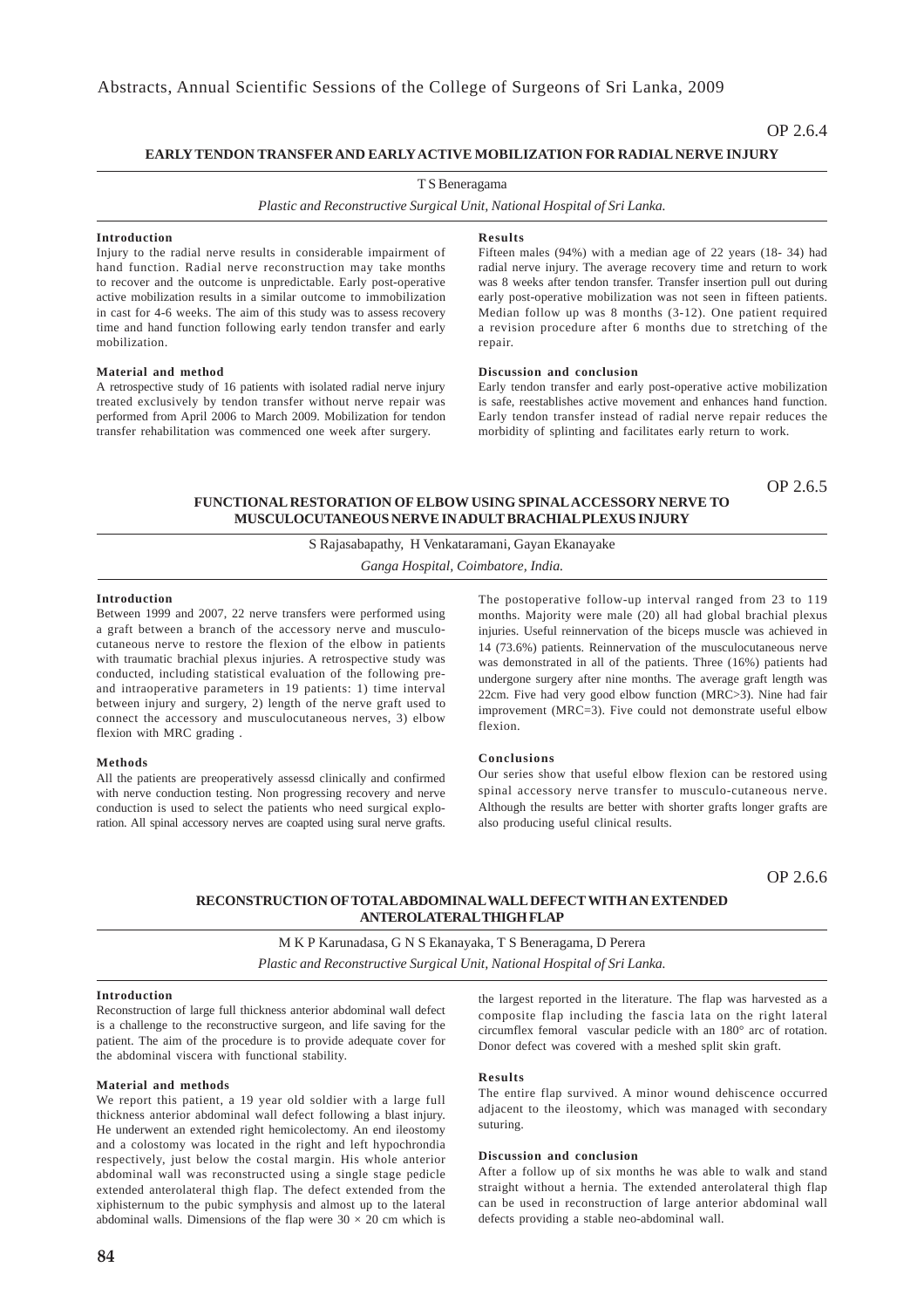### **EARLY TENDON TRANSFER AND EARLY ACTIVE MOBILIZATION FOR RADIAL NERVE INJURY**

### T S Beneragama

*Plastic and Reconstructive Surgical Unit, National Hospital of Sri Lanka.*

#### **Introduction**

Injury to the radial nerve results in considerable impairment of hand function. Radial nerve reconstruction may take months to recover and the outcome is unpredictable. Early post-operative active mobilization results in a similar outcome to immobilization in cast for 4-6 weeks. The aim of this study was to assess recovery time and hand function following early tendon transfer and early mobilization.

### **Material and method**

A retrospective study of 16 patients with isolated radial nerve injury treated exclusively by tendon transfer without nerve repair was performed from April 2006 to March 2009. Mobilization for tendon transfer rehabilitation was commenced one week after surgery.

#### **Results**

Fifteen males (94%) with a median age of 22 years (18- 34) had radial nerve injury. The average recovery time and return to work was 8 weeks after tendon transfer. Transfer insertion pull out during early post-operative mobilization was not seen in fifteen patients. Median follow up was 8 months (3-12). One patient required a revision procedure after 6 months due to stretching of the repair.

### **Discussion and conclusion**

Early tendon transfer and early post-operative active mobilization is safe, reestablishes active movement and enhances hand function. Early tendon transfer instead of radial nerve repair reduces the morbidity of splinting and facilitates early return to work.

OP 2.6.5

### **FUNCTIONAL RESTORATION OF ELBOW USING SPINAL ACCESSORY NERVE TO MUSCULOCUTANEOUS NERVE IN ADULT BRACHIAL PLEXUS INJURY**

S Rajasabapathy, H Venkataramani, Gayan Ekanayake

*Ganga Hospital, Coimbatore, India.*

### **Introduction**

Between 1999 and 2007, 22 nerve transfers were performed using a graft between a branch of the accessory nerve and musculocutaneous nerve to restore the flexion of the elbow in patients with traumatic brachial plexus injuries. A retrospective study was conducted, including statistical evaluation of the following preand intraoperative parameters in 19 patients: 1) time interval between injury and surgery, 2) length of the nerve graft used to connect the accessory and musculocutaneous nerves, 3) elbow flexion with MRC grading .

#### **Methods**

All the patients are preoperatively assessd clinically and confirmed with nerve conduction testing. Non progressing recovery and nerve conduction is used to select the patients who need surgical exploration. All spinal accessory nerves are coapted using sural nerve grafts.

The postoperative follow-up interval ranged from 23 to 119 months. Majority were male (20) all had global brachial plexus injuries. Useful reinnervation of the biceps muscle was achieved in 14 (73.6%) patients. Reinnervation of the musculocutaneous nerve was demonstrated in all of the patients. Three (16%) patients had undergone surgery after nine months. The average graft length was 22cm. Five had very good elbow function (MRC>3). Nine had fair improvement (MRC=3). Five could not demonstrate useful elbow flexion.

### **Conclusions**

Our series show that useful elbow flexion can be restored using spinal accessory nerve transfer to musculo-cutaneous nerve. Although the results are better with shorter grafts longer grafts are also producing useful clinical results.

OP 2.6.6

### **RECONSTRUCTION OF TOTAL ABDOMINAL WALL DEFECT WITH AN EXTENDED ANTEROLATERAL THIGH FLAP**

### M K P Karunadasa, G N S Ekanayaka, T S Beneragama, D Perera

*Plastic and Reconstructive Surgical Unit, National Hospital of Sri Lanka.*

### **Introduction**

Reconstruction of large full thickness anterior abdominal wall defect is a challenge to the reconstructive surgeon, and life saving for the patient. The aim of the procedure is to provide adequate cover for the abdominal viscera with functional stability.

### **Material and methods**

We report this patient, a 19 year old soldier with a large full thickness anterior abdominal wall defect following a blast injury. He underwent an extended right hemicolectomy. An end ileostomy and a colostomy was located in the right and left hypochrondia respectively, just below the costal margin. His whole anterior abdominal wall was reconstructed using a single stage pedicle extended anterolateral thigh flap. The defect extended from the xiphisternum to the pubic symphysis and almost up to the lateral abdominal walls. Dimensions of the flap were  $30 \times 20$  cm which is

**84**

the largest reported in the literature. The flap was harvested as a composite flap including the fascia lata on the right lateral circumflex femoral vascular pedicle with an 180° arc of rotation. Donor defect was covered with a meshed split skin graft.

### **Results**

The entire flap survived. A minor wound dehiscence occurred adjacent to the ileostomy, which was managed with secondary suturing.

#### **Discussion and conclusion**

After a follow up of six months he was able to walk and stand straight without a hernia. The extended anterolateral thigh flap can be used in reconstruction of large anterior abdominal wall defects providing a stable neo-abdominal wall.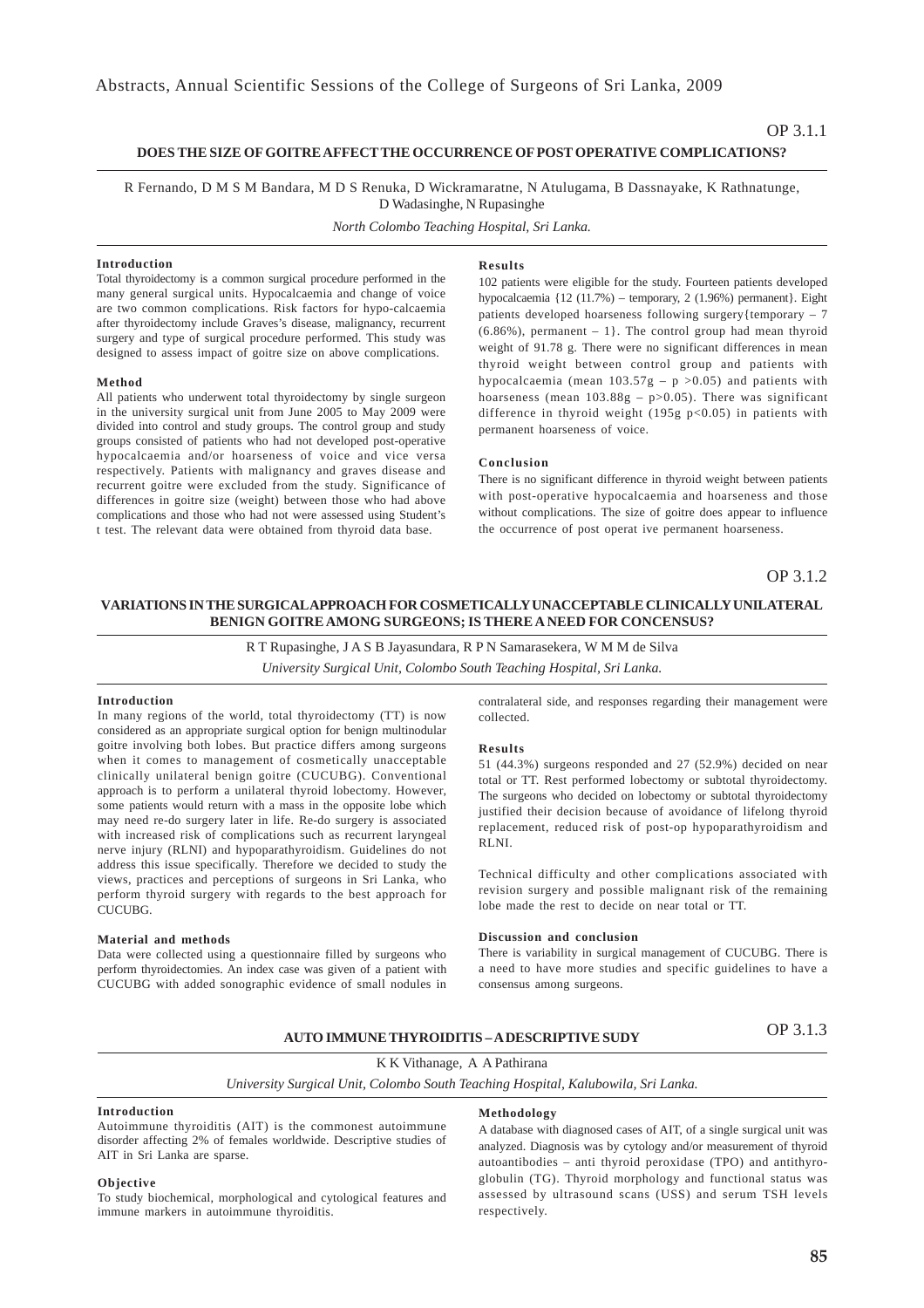### **DOES THE SIZE OF GOITRE AFFECT THE OCCURRENCE OF POST OPERATIVE COMPLICATIONS?**

R Fernando, D M S M Bandara, M D S Renuka, D Wickramaratne, N Atulugama, B Dassnayake, K Rathnatunge, D Wadasinghe, N Rupasinghe

*North Colombo Teaching Hospital, Sri Lanka.*

### **Introduction**

Total thyroidectomy is a common surgical procedure performed in the many general surgical units. Hypocalcaemia and change of voice are two common complications. Risk factors for hypo-calcaemia after thyroidectomy include Graves's disease, malignancy, recurrent surgery and type of surgical procedure performed. This study was designed to assess impact of goitre size on above complications.

#### **Method**

All patients who underwent total thyroidectomy by single surgeon in the university surgical unit from June 2005 to May 2009 were divided into control and study groups. The control group and study groups consisted of patients who had not developed post-operative hypocalcaemia and/or hoarseness of voice and vice versa respectively. Patients with malignancy and graves disease and recurrent goitre were excluded from the study. Significance of differences in goitre size (weight) between those who had above complications and those who had not were assessed using Student's t test. The relevant data were obtained from thyroid data base.

#### **Results**

102 patients were eligible for the study. Fourteen patients developed hypocalcaemia {12 (11.7%) – temporary, 2 (1.96%) permanent}. Eight patients developed hoarseness following surgery{temporary – 7  $(6.86\%)$ , permanent  $-1$ }. The control group had mean thyroid weight of 91.78 g. There were no significant differences in mean thyroid weight between control group and patients with hypocalcaemia (mean  $103.57g - p > 0.05$ ) and patients with hoarseness (mean  $103.88g - p > 0.05$ ). There was significant difference in thyroid weight (195g p<0.05) in patients with permanent hoarseness of voice.

#### **Conclusion**

There is no significant difference in thyroid weight between patients with post-operative hypocalcaemia and hoarseness and those without complications. The size of goitre does appear to influence the occurrence of post operat ive permanent hoarseness.

### OP 3.1.2

### **VARIATIONS IN THE SURGICAL APPROACH FOR COSMETICALLY UNACCEPTABLE CLINICALLY UNILATERAL BENIGN GOITRE AMONG SURGEONS; IS THERE A NEED FOR CONCENSUS?**

R T Rupasinghe, J A S B Jayasundara, R P N Samarasekera, W M M de Silva

*University Surgical Unit, Colombo South Teaching Hospital, Sri Lanka.*

#### **Introduction**

In many regions of the world, total thyroidectomy (TT) is now considered as an appropriate surgical option for benign multinodular goitre involving both lobes. But practice differs among surgeons when it comes to management of cosmetically unacceptable clinically unilateral benign goitre (CUCUBG). Conventional approach is to perform a unilateral thyroid lobectomy. However, some patients would return with a mass in the opposite lobe which may need re-do surgery later in life. Re-do surgery is associated with increased risk of complications such as recurrent laryngeal nerve injury (RLNI) and hypoparathyroidism. Guidelines do not address this issue specifically. Therefore we decided to study the views, practices and perceptions of surgeons in Sri Lanka, who perform thyroid surgery with regards to the best approach for CUCUBG.

#### **Material and methods**

Data were collected using a questionnaire filled by surgeons who perform thyroidectomies. An index case was given of a patient with CUCUBG with added sonographic evidence of small nodules in

contralateral side, and responses regarding their management were collected.

#### **Results**

51 (44.3%) surgeons responded and 27 (52.9%) decided on near total or TT. Rest performed lobectomy or subtotal thyroidectomy. The surgeons who decided on lobectomy or subtotal thyroidectomy justified their decision because of avoidance of lifelong thyroid replacement, reduced risk of post-op hypoparathyroidism and RLNI.

Technical difficulty and other complications associated with revision surgery and possible malignant risk of the remaining lobe made the rest to decide on near total or TT.

#### **Discussion and conclusion**

There is variability in surgical management of CUCUBG. There is a need to have more studies and specific guidelines to have a consensus among surgeons.

# OP 3.1.3 **AUTO IMMUNE THYROIDITIS – A DESCRIPTIVE SUDY**

K K Vithanage, A A Pathirana

*University Surgical Unit, Colombo South Teaching Hospital, Kalubowila, Sri Lanka.*

#### **Introduction**

Autoimmune thyroiditis (AIT) is the commonest autoimmune disorder affecting 2% of females worldwide. Descriptive studies of AIT in Sri Lanka are sparse.

#### **Objective**

To study biochemical, morphological and cytological features and immune markers in autoimmune thyroiditis.

### **Methodology**

A database with diagnosed cases of AIT, of a single surgical unit was analyzed. Diagnosis was by cytology and/or measurement of thyroid autoantibodies – anti thyroid peroxidase (TPO) and antithyroglobulin (TG). Thyroid morphology and functional status was assessed by ultrasound scans (USS) and serum TSH levels respectively.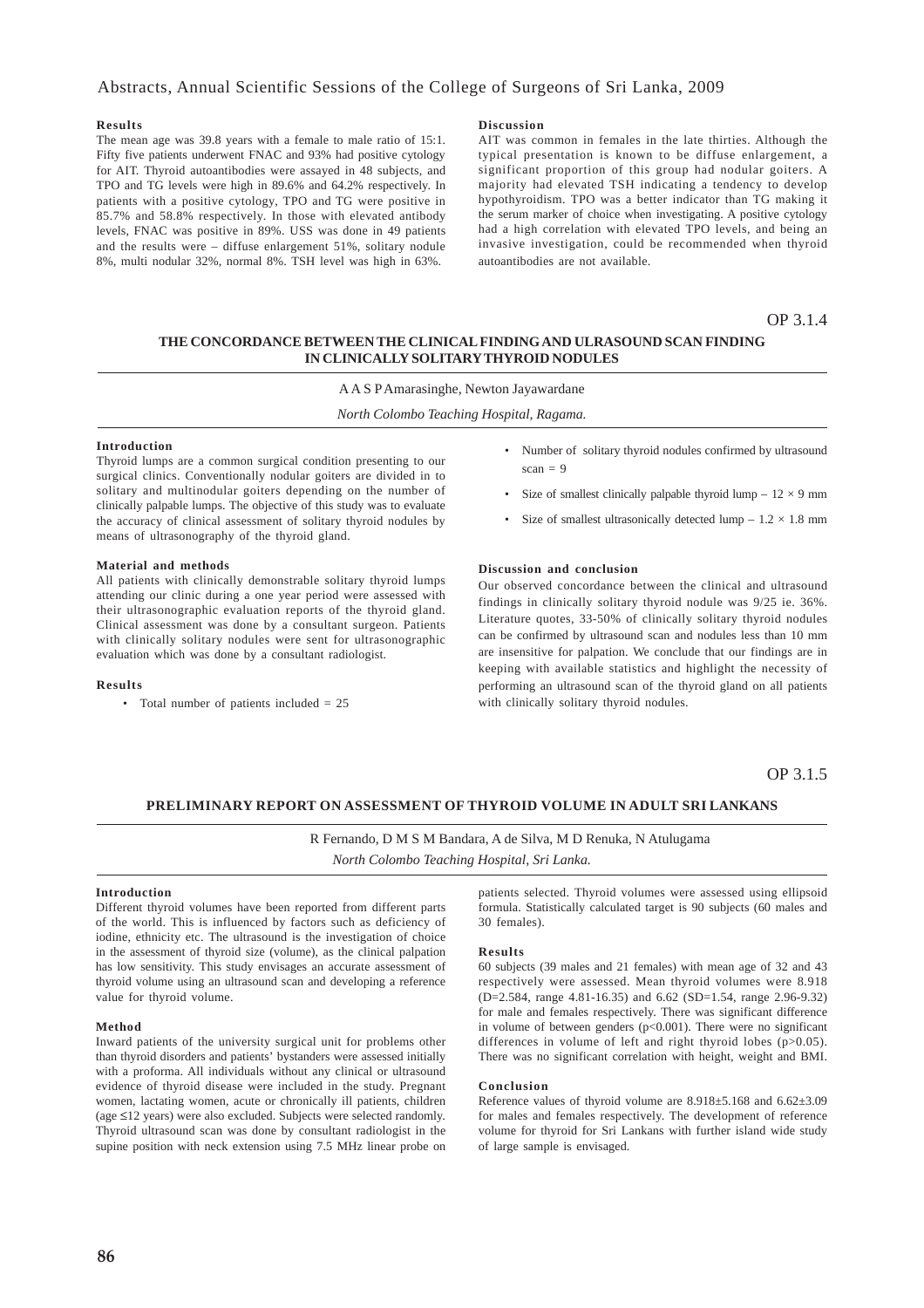### Abstracts, Annual Scientific Sessions of the College of Surgeons of Sri Lanka, 2009

### **Results**

The mean age was 39.8 years with a female to male ratio of 15:1. Fifty five patients underwent FNAC and 93% had positive cytology for AIT. Thyroid autoantibodies were assayed in 48 subjects, and TPO and TG levels were high in 89.6% and 64.2% respectively. In patients with a positive cytology, TPO and TG were positive in 85.7% and 58.8% respectively. In those with elevated antibody levels, FNAC was positive in 89%. USS was done in 49 patients and the results were – diffuse enlargement 51%, solitary nodule 8%, multi nodular 32%, normal 8%. TSH level was high in 63%.

#### **Discussion**

AIT was common in females in the late thirties. Although the typical presentation is known to be diffuse enlargement, a significant proportion of this group had nodular goiters. A majority had elevated TSH indicating a tendency to develop hypothyroidism. TPO was a better indicator than TG making it the serum marker of choice when investigating. A positive cytology had a high correlation with elevated TPO levels, and being an invasive investigation, could be recommended when thyroid autoantibodies are not available.

OP 3.1.4

### **THE CONCORDANCE BETWEEN THE CLINICAL FINDING AND ULRASOUND SCAN FINDING IN CLINICALLY SOLITARY THYROID NODULES**

### A A S P Amarasinghe, Newton Jayawardane

*North Colombo Teaching Hospital, Ragama.*

#### **Introduction**

Thyroid lumps are a common surgical condition presenting to our surgical clinics. Conventionally nodular goiters are divided in to solitary and multinodular goiters depending on the number of clinically palpable lumps. The objective of this study was to evaluate the accuracy of clinical assessment of solitary thyroid nodules by means of ultrasonography of the thyroid gland.

#### **Material and methods**

All patients with clinically demonstrable solitary thyroid lumps attending our clinic during a one year period were assessed with their ultrasonographic evaluation reports of the thyroid gland. Clinical assessment was done by a consultant surgeon. Patients with clinically solitary nodules were sent for ultrasonographic evaluation which was done by a consultant radiologist.

### **Results**

• Total number of patients included  $= 25$ 

- Number of solitary thyroid nodules confirmed by ultrasound  $scan = 9$
- Size of smallest clinically palpable thyroid lump  $-12 \times 9$  mm
- Size of smallest ultrasonically detected lump  $-1.2 \times 1.8$  mm

### **Discussion and conclusion**

Our observed concordance between the clinical and ultrasound findings in clinically solitary thyroid nodule was 9/25 ie. 36%. Literature quotes, 33-50% of clinically solitary thyroid nodules can be confirmed by ultrasound scan and nodules less than 10 mm are insensitive for palpation. We conclude that our findings are in keeping with available statistics and highlight the necessity of performing an ultrasound scan of the thyroid gland on all patients with clinically solitary thyroid nodules.

### OP 3.1.5

### **PRELIMINARY REPORT ON ASSESSMENT OF THYROID VOLUME IN ADULT SRI LANKANS**

 R Fernando, D M S M Bandara, A de Silva, M D Renuka, N Atulugama *North Colombo Teaching Hospital, Sri Lanka.*

### **Introduction**

Different thyroid volumes have been reported from different parts of the world. This is influenced by factors such as deficiency of iodine, ethnicity etc. The ultrasound is the investigation of choice in the assessment of thyroid size (volume), as the clinical palpation has low sensitivity. This study envisages an accurate assessment of thyroid volume using an ultrasound scan and developing a reference value for thyroid volume.

#### **Method**

Inward patients of the university surgical unit for problems other than thyroid disorders and patients' bystanders were assessed initially with a proforma. All individuals without any clinical or ultrasound evidence of thyroid disease were included in the study. Pregnant women, lactating women, acute or chronically ill patients, children (age ≤12 years) were also excluded. Subjects were selected randomly. Thyroid ultrasound scan was done by consultant radiologist in the supine position with neck extension using 7.5 MHz linear probe on patients selected. Thyroid volumes were assessed using ellipsoid formula. Statistically calculated target is 90 subjects (60 males and 30 females).

#### **Results**

60 subjects (39 males and 21 females) with mean age of 32 and 43 respectively were assessed. Mean thyroid volumes were 8.918 (D=2.584, range 4.81-16.35) and 6.62 (SD=1.54, range 2.96-9.32) for male and females respectively. There was significant difference in volume of between genders (p<0.001). There were no significant differences in volume of left and right thyroid lobes (p>0.05). There was no significant correlation with height, weight and BMI.

### **Conclusion**

Reference values of thyroid volume are 8.918±5.168 and 6.62±3.09 for males and females respectively. The development of reference volume for thyroid for Sri Lankans with further island wide study of large sample is envisaged.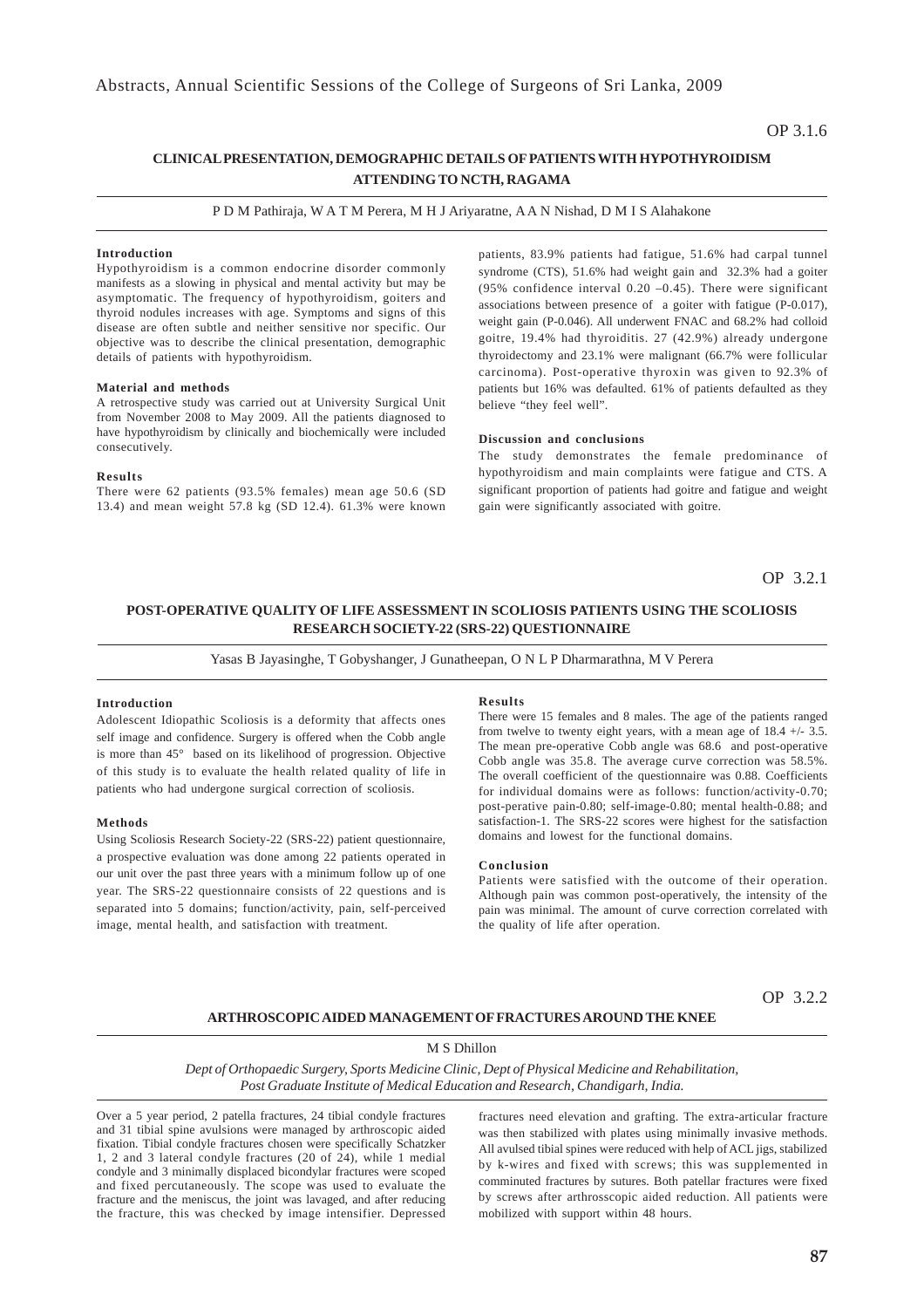### OP 3.1.6

### **CLINICAL PRESENTATION, DEMOGRAPHIC DETAILS OF PATIENTS WITH HYPOTHYROIDISM ATTENDING TO NCTH, RAGAMA**

P D M Pathiraja, W A T M Perera, M H J Ariyaratne, A A N Nishad, D M I S Alahakone

### **Introduction**

Hypothyroidism is a common endocrine disorder commonly manifests as a slowing in physical and mental activity but may be asymptomatic. The frequency of hypothyroidism, goiters and thyroid nodules increases with age. Symptoms and signs of this disease are often subtle and neither sensitive nor specific. Our objective was to describe the clinical presentation, demographic details of patients with hypothyroidism.

### **Material and methods**

A retrospective study was carried out at University Surgical Unit from November 2008 to May 2009. All the patients diagnosed to have hypothyroidism by clinically and biochemically were included consecutively.

### **Results**

There were 62 patients (93.5% females) mean age 50.6 (SD 13.4) and mean weight 57.8 kg (SD 12.4). 61.3% were known

patients, 83.9% patients had fatigue, 51.6% had carpal tunnel syndrome (CTS), 51.6% had weight gain and 32.3% had a goiter (95% confidence interval  $0.20 -0.45$ ). There were significant associations between presence of a goiter with fatigue (P-0.017), weight gain (P-0.046). All underwent FNAC and 68.2% had colloid goitre, 19.4% had thyroiditis. 27 (42.9%) already undergone thyroidectomy and 23.1% were malignant (66.7% were follicular carcinoma). Post-operative thyroxin was given to 92.3% of patients but 16% was defaulted. 61% of patients defaulted as they believe "they feel well".

### **Discussion and conclusions**

The study demonstrates the female predominance of hypothyroidism and main complaints were fatigue and CTS. A significant proportion of patients had goitre and fatigue and weight gain were significantly associated with goitre.

OP 3.2.1

### **POST-OPERATIVE QUALITY OF LIFE ASSESSMENT IN SCOLIOSIS PATIENTS USING THE SCOLIOSIS RESEARCH SOCIETY-22 (SRS-22) QUESTIONNAIRE**

Yasas B Jayasinghe, T Gobyshanger, J Gunatheepan, O N L P Dharmarathna, M V Perera

### **Introduction**

Adolescent Idiopathic Scoliosis is a deformity that affects ones self image and confidence. Surgery is offered when the Cobb angle is more than 45° based on its likelihood of progression. Objective of this study is to evaluate the health related quality of life in patients who had undergone surgical correction of scoliosis.

### **Methods**

Using Scoliosis Research Society-22 (SRS-22) patient questionnaire, a prospective evaluation was done among 22 patients operated in our unit over the past three years with a minimum follow up of one year. The SRS-22 questionnaire consists of 22 questions and is separated into 5 domains; function/activity, pain, self-perceived image, mental health, and satisfaction with treatment.

#### **Results**

There were 15 females and 8 males. The age of the patients ranged from twelve to twenty eight years, with a mean age of 18.4 +/- 3.5. The mean pre-operative Cobb angle was 68.6 and post-operative Cobb angle was 35.8. The average curve correction was 58.5%. The overall coefficient of the questionnaire was 0.88. Coefficients for individual domains were as follows: function/activity-0.70; post-perative pain-0.80; self-image-0.80; mental health-0.88; and satisfaction-1. The SRS-22 scores were highest for the satisfaction domains and lowest for the functional domains.

#### **Conclusion**

Patients were satisfied with the outcome of their operation. Although pain was common post-operatively, the intensity of the pain was minimal. The amount of curve correction correlated with the quality of life after operation.

OP 3.2.2

### **ARTHROSCOPIC AIDED MANAGEMENT OF FRACTURES AROUND THE KNEE**

### M S Dhillon

*Dept of Orthopaedic Surgery, Sports Medicine Clinic, Dept of Physical Medicine and Rehabilitation, Post Graduate Institute of Medical Education and Research, Chandigarh, India.*

Over a 5 year period, 2 patella fractures, 24 tibial condyle fractures and 31 tibial spine avulsions were managed by arthroscopic aided fixation. Tibial condyle fractures chosen were specifically Schatzker 1, 2 and 3 lateral condyle fractures (20 of 24), while 1 medial condyle and 3 minimally displaced bicondylar fractures were scoped and fixed percutaneously. The scope was used to evaluate the fracture and the meniscus, the joint was lavaged, and after reducing the fracture, this was checked by image intensifier. Depressed

fractures need elevation and grafting. The extra-articular fracture was then stabilized with plates using minimally invasive methods. All avulsed tibial spines were reduced with help of ACL jigs, stabilized by k-wires and fixed with screws; this was supplemented in comminuted fractures by sutures. Both patellar fractures were fixed by screws after arthrosscopic aided reduction. All patients were mobilized with support within 48 hours.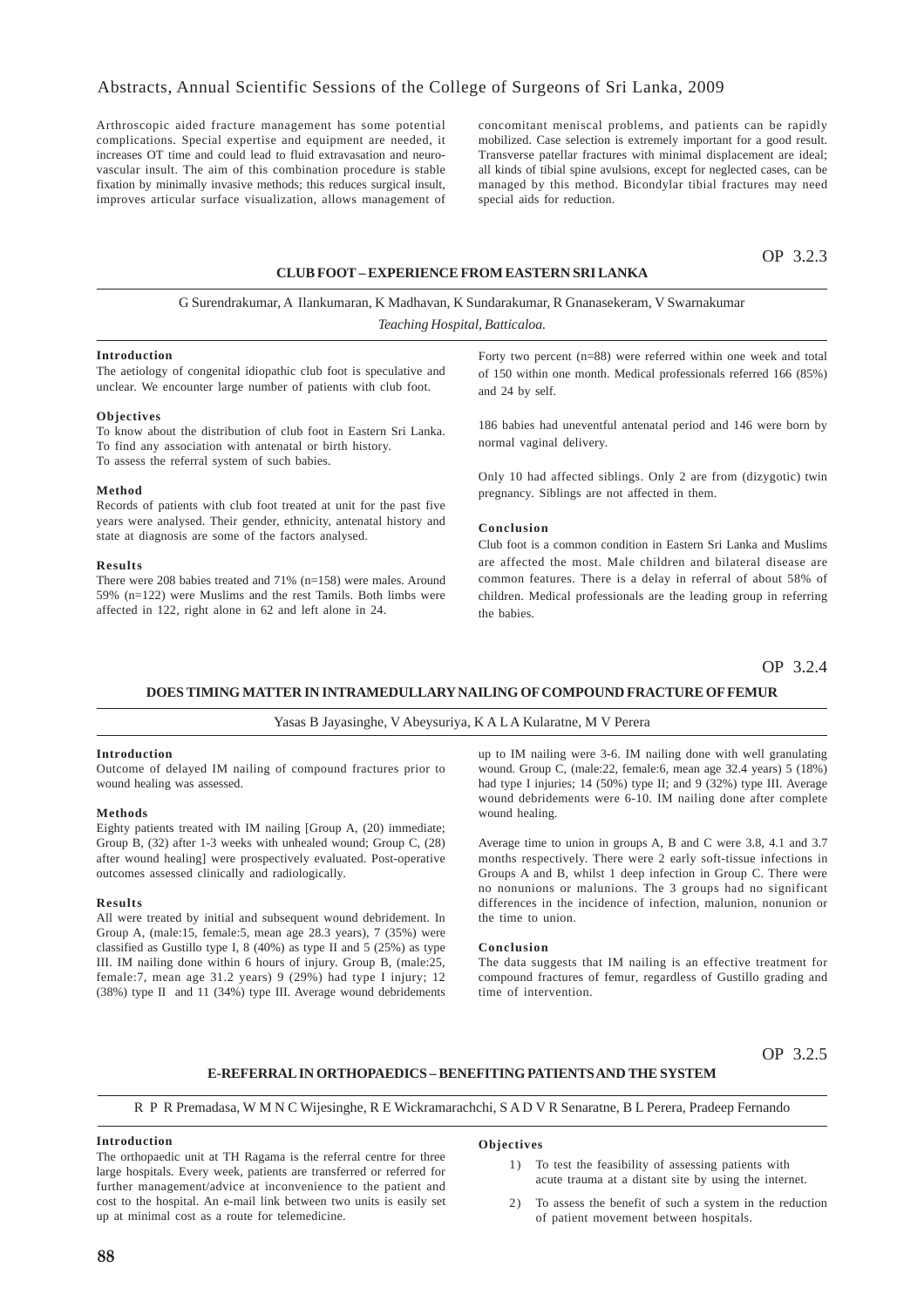Arthroscopic aided fracture management has some potential complications. Special expertise and equipment are needed, it increases OT time and could lead to fluid extravasation and neurovascular insult. The aim of this combination procedure is stable fixation by minimally invasive methods; this reduces surgical insult, improves articular surface visualization, allows management of concomitant meniscal problems, and patients can be rapidly mobilized. Case selection is extremely important for a good result. Transverse patellar fractures with minimal displacement are ideal; all kinds of tibial spine avulsions, except for neglected cases, can be managed by this method. Bicondylar tibial fractures may need special aids for reduction.

## OP 3.2.3

### **CLUB FOOT – EXPERIENCE FROM EASTERN SRI LANKA**

# G Surendrakumar, A Ilankumaran, K Madhavan, K Sundarakumar, R Gnanasekeram, V Swarnakumar

*Teaching Hospital, Batticaloa.*

#### **Introduction**

The aetiology of congenital idiopathic club foot is speculative and unclear. We encounter large number of patients with club foot.

#### **Objectives**

To know about the distribution of club foot in Eastern Sri Lanka. To find any association with antenatal or birth history. To assess the referral system of such babies.

#### **Method**

Records of patients with club foot treated at unit for the past five years were analysed. Their gender, ethnicity, antenatal history and state at diagnosis are some of the factors analysed.

#### **Results**

There were 208 babies treated and 71% (n=158) were males. Around 59% (n=122) were Muslims and the rest Tamils. Both limbs were affected in 122, right alone in 62 and left alone in 24.

Forty two percent (n=88) were referred within one week and total of 150 within one month. Medical professionals referred 166 (85%) and 24 by self.

186 babies had uneventful antenatal period and 146 were born by normal vaginal delivery.

Only 10 had affected siblings. Only 2 are from (dizygotic) twin pregnancy. Siblings are not affected in them.

### **Conclusion**

Club foot is a common condition in Eastern Sri Lanka and Muslims are affected the most. Male children and bilateral disease are common features. There is a delay in referral of about 58% of children. Medical professionals are the leading group in referring the babies.

OP 3.2.4

### **DOES TIMING MATTER IN INTRAMEDULLARY NAILING OF COMPOUND FRACTURE OF FEMUR**

### Yasas B Jayasinghe, V Abeysuriya, K A L A Kularatne, M V Perera

### **Introduction**

Outcome of delayed IM nailing of compound fractures prior to wound healing was assessed.

#### **Methods**

Eighty patients treated with IM nailing [Group A, (20) immediate; Group B, (32) after 1-3 weeks with unhealed wound; Group C, (28) after wound healing] were prospectively evaluated. Post-operative outcomes assessed clinically and radiologically.

#### **Results**

All were treated by initial and subsequent wound debridement. In Group A, (male:15, female:5, mean age 28.3 years), 7 (35%) were classified as Gustillo type I,  $8(40%)$  as type II and  $5(25%)$  as type III. IM nailing done within 6 hours of injury. Group B, (male:25, female:7, mean age 31.2 years) 9 (29%) had type I injury; 12 (38%) type II and 11 (34%) type III. Average wound debridements

up to IM nailing were 3-6. IM nailing done with well granulating wound. Group C, (male:22, female:6, mean age 32.4 years) 5 (18%) had type I injuries; 14 (50%) type II; and 9 (32%) type III. Average wound debridements were 6-10. IM nailing done after complete wound healing.

Average time to union in groups A, B and C were 3.8, 4.1 and 3.7 months respectively. There were 2 early soft-tissue infections in Groups A and B, whilst 1 deep infection in Group C. There were no nonunions or malunions. The 3 groups had no significant differences in the incidence of infection, malunion, nonunion or the time to union.

#### **Conclusion**

The data suggests that IM nailing is an effective treatment for compound fractures of femur, regardless of Gustillo grading and time of intervention.

### OP 3.2.5

### **E-REFERRAL IN ORTHOPAEDICS – BENEFITING PATIENTS AND THE SYSTEM**

R P R Premadasa, W M N C Wijesinghe, R E Wickramarachchi, S A D V R Senaratne, B L Perera, Pradeep Fernando

### **Introduction**

The orthopaedic unit at TH Ragama is the referral centre for three large hospitals. Every week, patients are transferred or referred for further management/advice at inconvenience to the patient and cost to the hospital. An e-mail link between two units is easily set up at minimal cost as a route for telemedicine.

#### **Objectives**

- 1) To test the feasibility of assessing patients with acute trauma at a distant site by using the internet.
- 2) To assess the benefit of such a system in the reduction of patient movement between hospitals.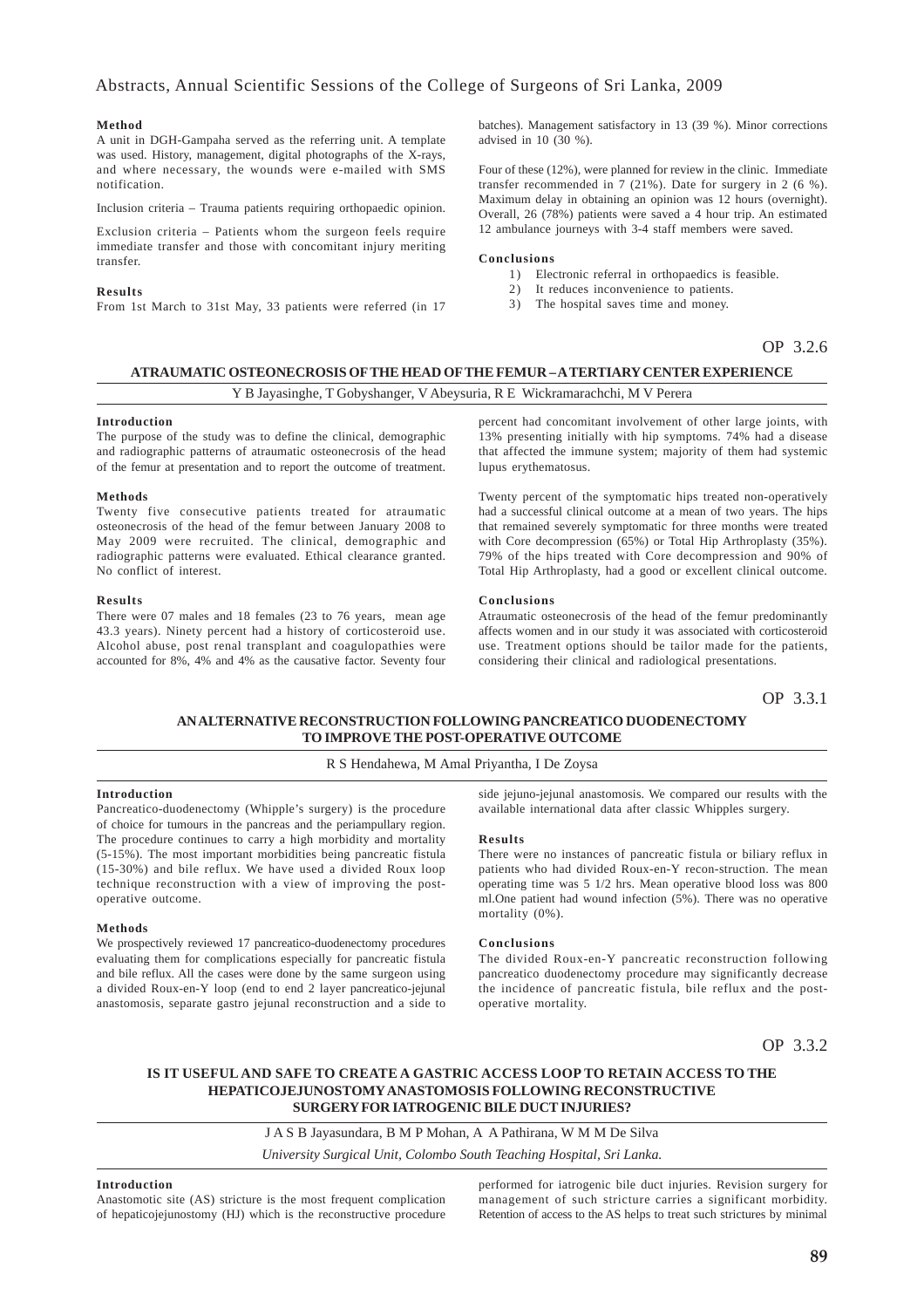### **Method**

A unit in DGH-Gampaha served as the referring unit. A template was used. History, management, digital photographs of the X-rays, and where necessary, the wounds were e-mailed with SMS notification.

Inclusion criteria – Trauma patients requiring orthopaedic opinion.

Exclusion criteria – Patients whom the surgeon feels require immediate transfer and those with concomitant injury meriting transfer.

### **Results**

From 1st March to 31st May, 33 patients were referred (in 17

batches). Management satisfactory in 13 (39 %). Minor corrections advised in 10 (30 %).

Four of these (12%), were planned for review in the clinic. Immediate transfer recommended in 7 (21%). Date for surgery in 2 (6 %). Maximum delay in obtaining an opinion was 12 hours (overnight). Overall, 26 (78%) patients were saved a 4 hour trip. An estimated 12 ambulance journeys with 3-4 staff members were saved.

#### **Conclusions**

- 1) Electronic referral in orthopaedics is feasible.
- 2) It reduces inconvenience to patients.
- 3) The hospital saves time and money.

### OP 3.2.6

### **ATRAUMATIC OSTEONECROSIS OF THE HEAD OF THE FEMUR – A TERTIARY CENTER EXPERIENCE**

### Y B Jayasinghe, T Gobyshanger, V Abeysuria, R E Wickramarachchi, M V Perera

#### **Introduction**

The purpose of the study was to define the clinical, demographic and radiographic patterns of atraumatic osteonecrosis of the head of the femur at presentation and to report the outcome of treatment.

#### **Methods**

Twenty five consecutive patients treated for atraumatic osteonecrosis of the head of the femur between January 2008 to May 2009 were recruited. The clinical, demographic and radiographic patterns were evaluated. Ethical clearance granted. No conflict of interest.

### **Results**

There were 07 males and 18 females (23 to 76 years, mean age 43.3 years). Ninety percent had a history of corticosteroid use. Alcohol abuse, post renal transplant and coagulopathies were accounted for 8%, 4% and 4% as the causative factor. Seventy four percent had concomitant involvement of other large joints, with 13% presenting initially with hip symptoms. 74% had a disease that affected the immune system; majority of them had systemic lupus erythematosus.

Twenty percent of the symptomatic hips treated non-operatively had a successful clinical outcome at a mean of two years. The hips that remained severely symptomatic for three months were treated with Core decompression (65%) or Total Hip Arthroplasty (35%). 79% of the hips treated with Core decompression and 90% of Total Hip Arthroplasty, had a good or excellent clinical outcome.

### **Conclusions**

Atraumatic osteonecrosis of the head of the femur predominantly affects women and in our study it was associated with corticosteroid use. Treatment options should be tailor made for the patients, considering their clinical and radiological presentations.

OP 3.3.1

### **AN ALTERNATIVE RECONSTRUCTION FOLLOWING PANCREATICO DUODENECTOMY TO IMPROVE THE POST-OPERATIVE OUTCOME**

### R S Hendahewa, M Amal Priyantha, I De Zoysa

### **Introduction**

Pancreatico-duodenectomy (Whipple's surgery) is the procedure of choice for tumours in the pancreas and the periampullary region. The procedure continues to carry a high morbidity and mortality (5-15%). The most important morbidities being pancreatic fistula (15-30%) and bile reflux. We have used a divided Roux loop technique reconstruction with a view of improving the postoperative outcome.

### **Methods**

We prospectively reviewed 17 pancreatico-duodenectomy procedures evaluating them for complications especially for pancreatic fistula and bile reflux. All the cases were done by the same surgeon using a divided Roux-en-Y loop (end to end 2 layer pancreatico-jejunal anastomosis, separate gastro jejunal reconstruction and a side to

side jejuno-jejunal anastomosis. We compared our results with the available international data after classic Whipples surgery.

#### **Results**

There were no instances of pancreatic fistula or biliary reflux in patients who had divided Roux-en-Y recon-struction. The mean operating time was 5 1/2 hrs. Mean operative blood loss was 800 ml.One patient had wound infection (5%). There was no operative mortality  $(0\%)$ .

#### **Conclusions**

The divided Roux-en-Y pancreatic reconstruction following pancreatico duodenectomy procedure may significantly decrease the incidence of pancreatic fistula, bile reflux and the postoperative mortality.

OP 3.3.2

### **IS IT USEFUL AND SAFE TO CREATE A GASTRIC ACCESS LOOP TO RETAIN ACCESS TO THE HEPATICOJEJUNOSTOMY ANASTOMOSIS FOLLOWING RECONSTRUCTIVE SURGERY FOR IATROGENIC BILE DUCT INJURIES?**

J A S B Jayasundara, B M P Mohan, A A Pathirana, W M M De Silva *University Surgical Unit, Colombo South Teaching Hospital, Sri Lanka.*

### **Introduction**

Anastomotic site (AS) stricture is the most frequent complication of hepaticojejunostomy (HJ) which is the reconstructive procedure performed for iatrogenic bile duct injuries. Revision surgery for management of such stricture carries a significant morbidity. Retention of access to the AS helps to treat such strictures by minimal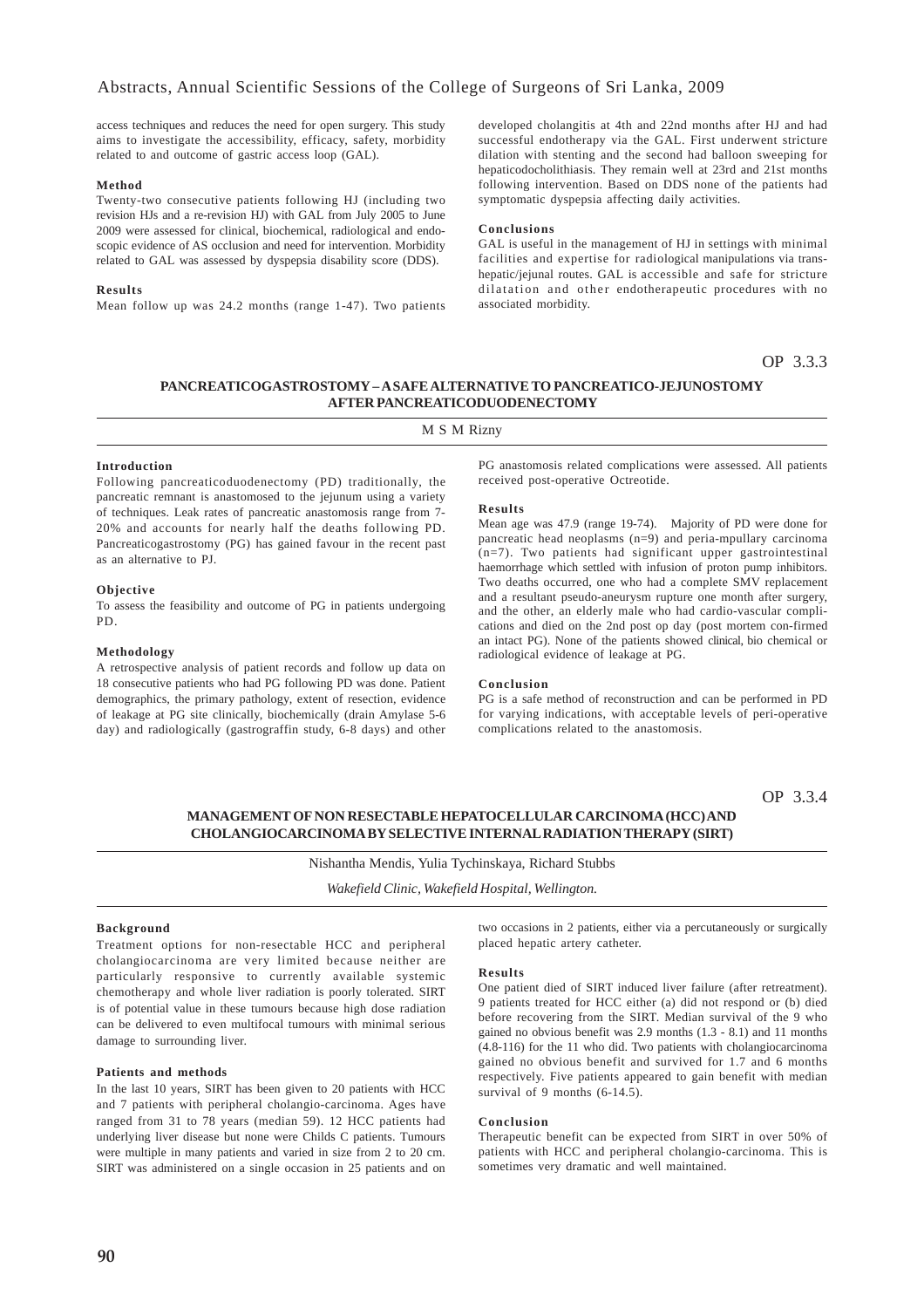access techniques and reduces the need for open surgery. This study aims to investigate the accessibility, efficacy, safety, morbidity related to and outcome of gastric access loop (GAL).

### **Method**

Twenty-two consecutive patients following HJ (including two revision HJs and a re-revision HJ) with GAL from July 2005 to June 2009 were assessed for clinical, biochemical, radiological and endoscopic evidence of AS occlusion and need for intervention. Morbidity related to GAL was assessed by dyspepsia disability score (DDS).

### **Results**

Mean follow up was 24.2 months (range 1-47). Two patients

developed cholangitis at 4th and 22nd months after HJ and had successful endotherapy via the GAL. First underwent stricture dilation with stenting and the second had balloon sweeping for hepaticodocholithiasis. They remain well at 23rd and 21st months following intervention. Based on DDS none of the patients had symptomatic dyspepsia affecting daily activities.

### **Conclusions**

GAL is useful in the management of HJ in settings with minimal facilities and expertise for radiological manipulations via transhepatic/jejunal routes. GAL is accessible and safe for stricture dilatation and other endotherapeutic procedures with no associated morbidity.

OP 3.3.3

### **PANCREATICOGASTROSTOMY – A SAFE ALTERNATIVE TO PANCREATICO-JEJUNOSTOMY AFTER PANCREATICODUODENECTOMY**

M S M Rizny

### **Introduction**

Following pancreaticoduodenectomy (PD) traditionally, the pancreatic remnant is anastomosed to the jejunum using a variety of techniques. Leak rates of pancreatic anastomosis range from 7- 20% and accounts for nearly half the deaths following PD. Pancreaticogastrostomy (PG) has gained favour in the recent past as an alternative to PJ.

### **Objective**

To assess the feasibility and outcome of PG in patients undergoing PD.

### **Methodology**

A retrospective analysis of patient records and follow up data on 18 consecutive patients who had PG following PD was done. Patient demographics, the primary pathology, extent of resection, evidence of leakage at PG site clinically, biochemically (drain Amylase 5-6 day) and radiologically (gastrograffin study, 6-8 days) and other PG anastomosis related complications were assessed. All patients received post-operative Octreotide.

#### **Results**

Mean age was 47.9 (range 19-74). Majority of PD were done for pancreatic head neoplasms (n=9) and peria-mpullary carcinoma (n=7). Two patients had significant upper gastrointestinal haemorrhage which settled with infusion of proton pump inhibitors. Two deaths occurred, one who had a complete SMV replacement and a resultant pseudo-aneurysm rupture one month after surgery, and the other, an elderly male who had cardio-vascular complications and died on the 2nd post op day (post mortem con-firmed an intact PG). None of the patients showed clinical, bio chemical or radiological evidence of leakage at PG.

#### **Conclusion**

PG is a safe method of reconstruction and can be performed in PD for varying indications, with acceptable levels of peri-operative complications related to the anastomosis.

OP 3.3.4

### **MANAGEMENT OF NON RESECTABLE HEPATOCELLULAR CARCINOMA (HCC) AND CHOLANGIOCARCINOMA BY SELECTIVE INTERNAL RADIATION THERAPY (SIRT)**

Nishantha Mendis, Yulia Tychinskaya, Richard Stubbs

*Wakefield Clinic, Wakefield Hospital, Wellington.*

### **Background**

Treatment options for non-resectable HCC and peripheral cholangiocarcinoma are very limited because neither are particularly responsive to currently available systemic chemotherapy and whole liver radiation is poorly tolerated. SIRT is of potential value in these tumours because high dose radiation can be delivered to even multifocal tumours with minimal serious damage to surrounding liver.

### **Patients and methods**

In the last 10 years, SIRT has been given to 20 patients with HCC and 7 patients with peripheral cholangio-carcinoma. Ages have ranged from 31 to 78 years (median 59). 12 HCC patients had underlying liver disease but none were Childs C patients. Tumours were multiple in many patients and varied in size from 2 to 20 cm. SIRT was administered on a single occasion in 25 patients and on

two occasions in 2 patients, either via a percutaneously or surgically placed hepatic artery catheter.

#### **Results**

One patient died of SIRT induced liver failure (after retreatment). 9 patients treated for HCC either (a) did not respond or (b) died before recovering from the SIRT. Median survival of the 9 who gained no obvious benefit was 2.9 months (1.3 - 8.1) and 11 months (4.8-116) for the 11 who did. Two patients with cholangiocarcinoma gained no obvious benefit and survived for 1.7 and 6 months respectively. Five patients appeared to gain benefit with median survival of 9 months (6-14.5).

#### **Conclusion**

Therapeutic benefit can be expected from SIRT in over 50% of patients with HCC and peripheral cholangio-carcinoma. This is sometimes very dramatic and well maintained.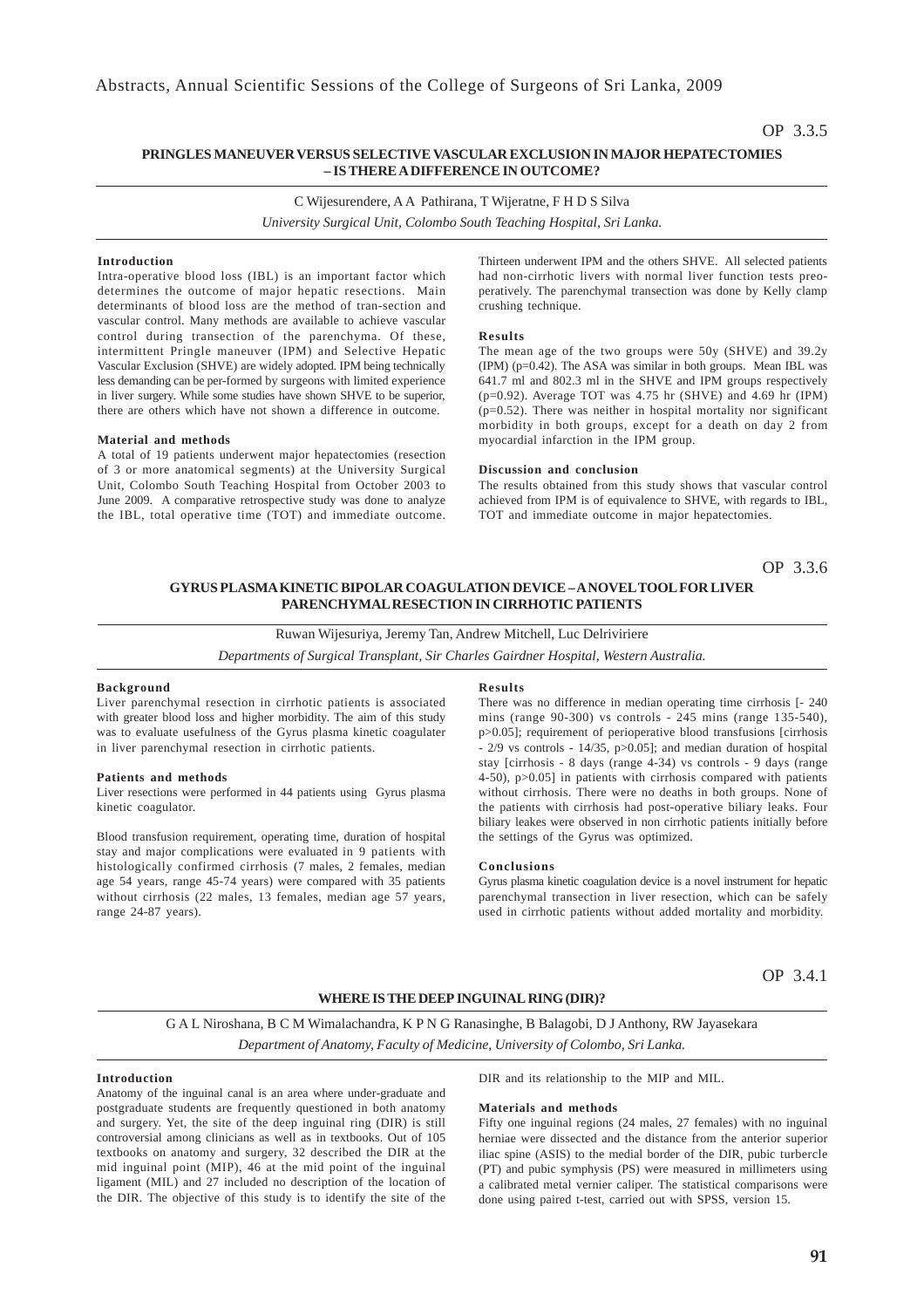## OP 3.3.5

### **PRINGLES MANEUVER VERSUS SELECTIVE VASCULAR EXCLUSION IN MAJOR HEPATECTOMIES – IS THERE A DIFFERENCE IN OUTCOME?**

C Wijesurendere, A A Pathirana, T Wijeratne, F H D S Silva

*University Surgical Unit, Colombo South Teaching Hospital, Sri Lanka.*

### **Introduction**

Intra-operative blood loss (IBL) is an important factor which determines the outcome of major hepatic resections. Main determinants of blood loss are the method of tran-section and vascular control. Many methods are available to achieve vascular control during transection of the parenchyma. Of these, intermittent Pringle maneuver (IPM) and Selective Hepatic Vascular Exclusion (SHVE) are widely adopted. IPM being technically less demanding can be per-formed by surgeons with limited experience in liver surgery. While some studies have shown SHVE to be superior, there are others which have not shown a difference in outcome.

#### **Material and methods**

A total of 19 patients underwent major hepatectomies (resection of 3 or more anatomical segments) at the University Surgical Unit, Colombo South Teaching Hospital from October 2003 to June 2009. A comparative retrospective study was done to analyze the IBL, total operative time (TOT) and immediate outcome.

Thirteen underwent IPM and the others SHVE. All selected patients had non-cirrhotic livers with normal liver function tests preoperatively. The parenchymal transection was done by Kelly clamp crushing technique.

### **Results**

The mean age of the two groups were 50y (SHVE) and 39.2y (IPM) (p=0.42). The ASA was similar in both groups. Mean IBL was 641.7 ml and 802.3 ml in the SHVE and IPM groups respectively (p=0.92). Average TOT was 4.75 hr (SHVE) and 4.69 hr (IPM)  $(p=0.52)$ . There was neither in hospital mortality nor significant morbidity in both groups, except for a death on day 2 from myocardial infarction in the IPM group.

### **Discussion and conclusion**

The results obtained from this study shows that vascular control achieved from IPM is of equivalence to SHVE, with regards to IBL, TOT and immediate outcome in major hepatectomies.

OP 3.3.6

### **GYRUS PLASMA KINETIC BIPOLAR COAGULATION DEVICE – A NOVEL TOOL FOR LIVER PARENCHYMAL RESECTION IN CIRRHOTIC PATIENTS**

### Ruwan Wijesuriya, Jeremy Tan, Andrew Mitchell, Luc Delriviriere

*Departments of Surgical Transplant, Sir Charles Gairdner Hospital, Western Australia.*

### **Background**

Liver parenchymal resection in cirrhotic patients is associated with greater blood loss and higher morbidity. The aim of this study was to evaluate usefulness of the Gyrus plasma kinetic coagulater in liver parenchymal resection in cirrhotic patients.

#### **Patients and methods**

Liver resections were performed in 44 patients using Gyrus plasma kinetic coagulator.

Blood transfusion requirement, operating time, duration of hospital stay and major complications were evaluated in 9 patients with histologically confirmed cirrhosis (7 males, 2 females, median age 54 years, range 45-74 years) were compared with 35 patients without cirrhosis (22 males, 13 females, median age 57 years, range 24-87 years).

#### **Results**

There was no difference in median operating time cirrhosis [- 240 mins (range 90-300) vs controls - 245 mins (range 135-540), p>0.05]; requirement of perioperative blood transfusions [cirrhosis  $-$  2/9 vs controls  $-$  14/35, p $>$ 0.05]; and median duration of hospital stay [cirrhosis - 8 days (range 4-34) vs controls - 9 days (range 4-50), p>0.05] in patients with cirrhosis compared with patients without cirrhosis. There were no deaths in both groups. None of the patients with cirrhosis had post-operative biliary leaks. Four biliary leakes were observed in non cirrhotic patients initially before the settings of the Gyrus was optimized.

#### **Conclusions**

Gyrus plasma kinetic coagulation device is a novel instrument for hepatic parenchymal transection in liver resection, which can be safely used in cirrhotic patients without added mortality and morbidity.

OP 3.4.1

### **WHERE IS THE DEEP INGUINAL RING (DIR)?**

G A L Niroshana, B C M Wimalachandra, K P N G Ranasinghe, B Balagobi, D J Anthony, RW Jayasekara *Department of Anatomy, Faculty of Medicine, University of Colombo, Sri Lanka.*

### **Introduction**

Anatomy of the inguinal canal is an area where under-graduate and postgraduate students are frequently questioned in both anatomy and surgery. Yet, the site of the deep inguinal ring (DIR) is still controversial among clinicians as well as in textbooks. Out of 105 textbooks on anatomy and surgery, 32 described the DIR at the mid inguinal point (MIP), 46 at the mid point of the inguinal ligament (MIL) and 27 included no description of the location of the DIR. The objective of this study is to identify the site of the

DIR and its relationship to the MIP and MIL.

#### **Materials and methods**

Fifty one inguinal regions (24 males, 27 females) with no inguinal herniae were dissected and the distance from the anterior superior iliac spine (ASIS) to the medial border of the DIR, pubic turbercle (PT) and pubic symphysis (PS) were measured in millimeters using a calibrated metal vernier caliper. The statistical comparisons were done using paired t-test, carried out with SPSS, version 15.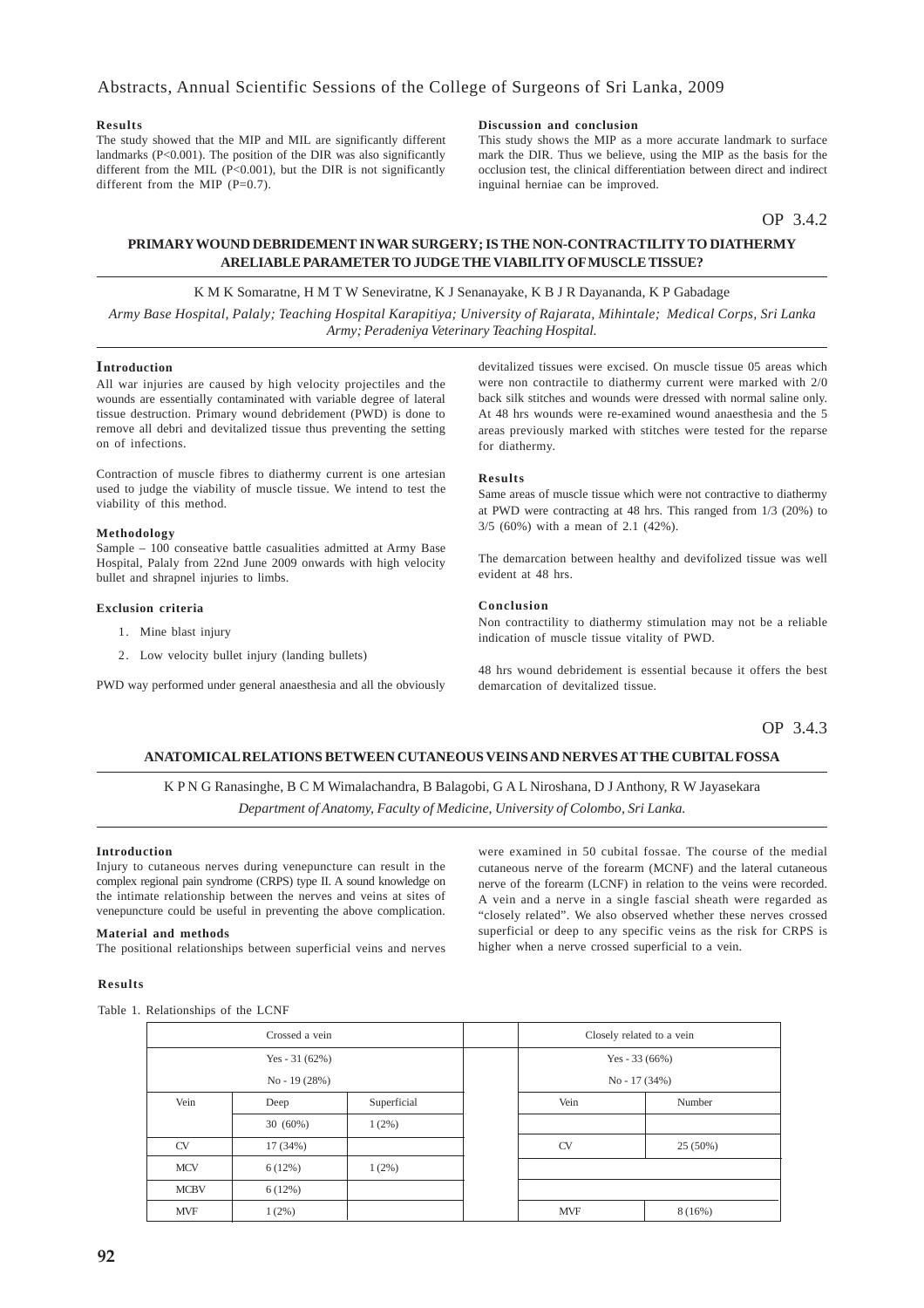### **Results**

The study showed that the MIP and MIL are significantly different landmarks (P<0.001). The position of the DIR was also significantly different from the MIL  $(P<0.001)$ , but the DIR is not significantly different from the MIP  $(P=0.7)$ .

### **Discussion and conclusion**

This study shows the MIP as a more accurate landmark to surface mark the DIR. Thus we believe, using the MIP as the basis for the occlusion test, the clinical differentiation between direct and indirect inguinal herniae can be improved.

OP 3.4.2

### **PRIMARY WOUND DEBRIDEMENT IN WAR SURGERY; IS THE NON-CONTRACTILITY TO DIATHERMY ARELIABLE PARAMETER TO JUDGE THE VIABILITY OF MUSCLE TISSUE?**

K M K Somaratne, H M T W Seneviratne, K J Senanayake, K B J R Dayananda, K P Gabadage *Army Base Hospital, Palaly; Teaching Hospital Karapitiya; University of Rajarata, Mihintale; Medical Corps, Sri Lanka Army; Peradeniya Veterinary Teaching Hospital.*

### **Introduction**

All war injuries are caused by high velocity projectiles and the wounds are essentially contaminated with variable degree of lateral tissue destruction. Primary wound debridement (PWD) is done to remove all debri and devitalized tissue thus preventing the setting on of infections.

Contraction of muscle fibres to diathermy current is one artesian used to judge the viability of muscle tissue. We intend to test the viability of this method.

#### **Methodology**

Sample – 100 conseative battle casualities admitted at Army Base Hospital, Palaly from 22nd June 2009 onwards with high velocity bullet and shrapnel injuries to limbs.

#### **Exclusion criteria**

- 1. Mine blast injury
- 2. Low velocity bullet injury (landing bullets)

PWD way performed under general anaesthesia and all the obviously

devitalized tissues were excised. On muscle tissue 05 areas which were non contractile to diathermy current were marked with 2/0 back silk stitches and wounds were dressed with normal saline only. At 48 hrs wounds were re-examined wound anaesthesia and the 5 areas previously marked with stitches were tested for the reparse for diathermy.

### **Results**

Same areas of muscle tissue which were not contractive to diathermy at PWD were contracting at 48 hrs. This ranged from 1/3 (20%) to 3/5 (60%) with a mean of 2.1 (42%).

The demarcation between healthy and devifolized tissue was well evident at 48 hrs.

### **Conclusion**

Non contractility to diathermy stimulation may not be a reliable indication of muscle tissue vitality of PWD.

48 hrs wound debridement is essential because it offers the best demarcation of devitalized tissue.

OP 3.4.3

### **ANATOMICAL RELATIONS BETWEEN CUTANEOUS VEINS AND NERVES AT THE CUBITAL FOSSA**

K P N G Ranasinghe, B C M Wimalachandra, B Balagobi, G A L Niroshana, D J Anthony, R W Jayasekara *Department of Anatomy, Faculty of Medicine, University of Colombo, Sri Lanka.*

#### **Introduction**

Injury to cutaneous nerves during venepuncture can result in the complex regional pain syndrome (CRPS) type II. A sound knowledge on the intimate relationship between the nerves and veins at sites of venepuncture could be useful in preventing the above complication.

### **Material and methods**

The positional relationships between superficial veins and nerves

### **Results**

Table 1. Relationships of the LCNF

were examined in 50 cubital fossae. The course of the medial cutaneous nerve of the forearm (MCNF) and the lateral cutaneous nerve of the forearm (LCNF) in relation to the veins were recorded. A vein and a nerve in a single fascial sheath were regarded as "closely related". We also observed whether these nerves crossed superficial or deep to any specific veins as the risk for CRPS is higher when a nerve crossed superficial to a vein.

|             | Crossed a vein  |             |  | Closely related to a vein |                 |  |
|-------------|-----------------|-------------|--|---------------------------|-----------------|--|
|             | Yes - $31(62%)$ |             |  |                           | Yes - $33(66%)$ |  |
|             | $No - 19(28%)$  |             |  |                           | $No - 17(34%)$  |  |
| Vein        | Deep            | Superficial |  | Vein                      | Number          |  |
|             | $30(60\%)$      | $1(2\%)$    |  |                           |                 |  |
| <b>CV</b>   | 17 (34%)        |             |  | CV                        | $25(50\%)$      |  |
| <b>MCV</b>  | 6(12%)          | 1(2%)       |  |                           |                 |  |
| <b>MCBV</b> | 6(12%)          |             |  |                           |                 |  |
| <b>MVF</b>  | 1(2%)           |             |  | <b>MVF</b>                | 8(16%)          |  |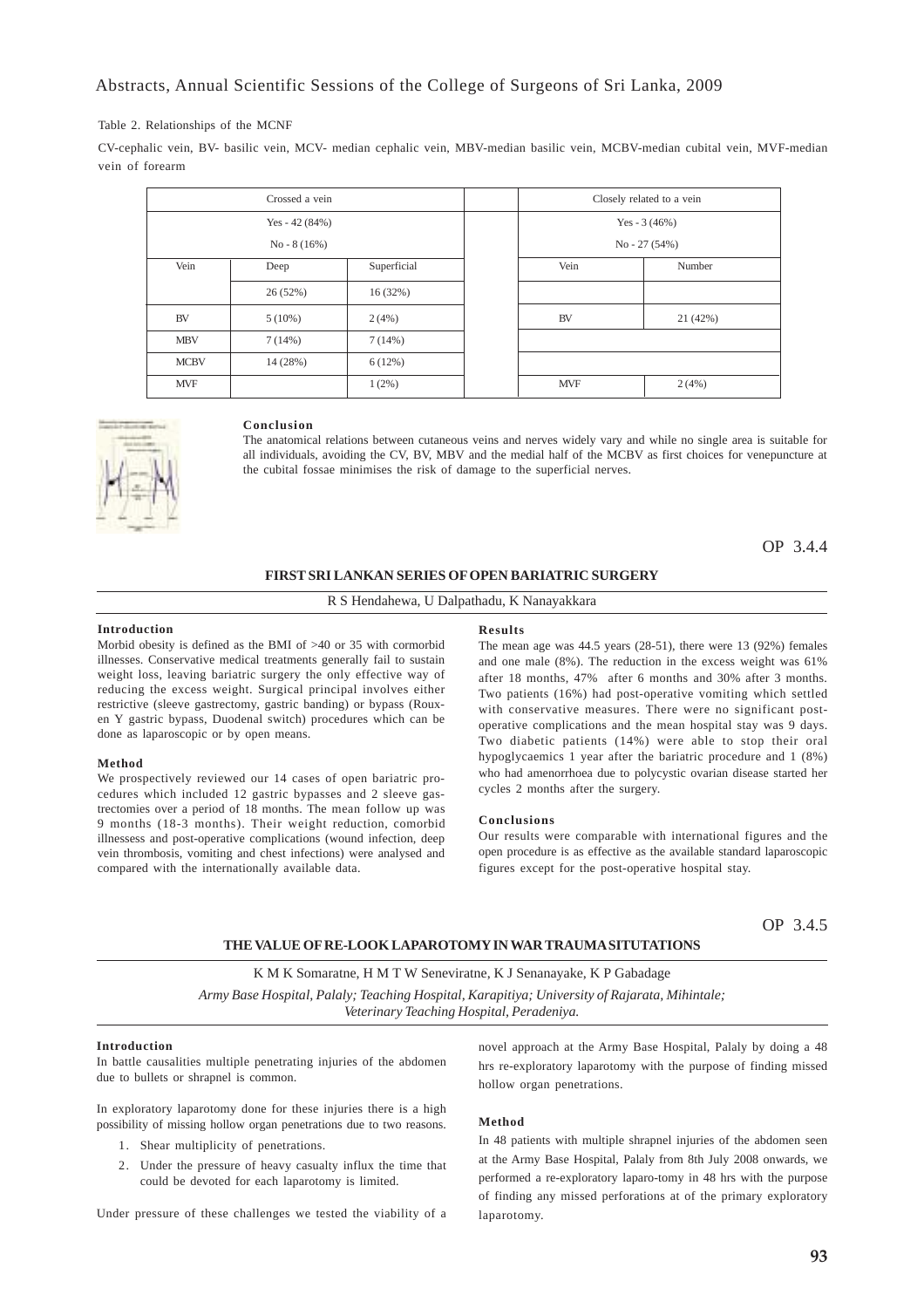### Abstracts, Annual Scientific Sessions of the College of Surgeons of Sri Lanka, 2009

### Table 2. Relationships of the MCNF

CV-cephalic vein, BV- basilic vein, MCV- median cephalic vein, MBV-median basilic vein, MCBV-median cubital vein, MVF-median vein of forearm

|             | Crossed a vein  |             |  | Closely related to a vein |                |  |
|-------------|-----------------|-------------|--|---------------------------|----------------|--|
|             | Yes - $42(84%)$ |             |  | Yes - $3(46%)$            |                |  |
|             | $No - 8(16%)$   |             |  |                           | $No - 27(54%)$ |  |
| Vein        | Deep            | Superficial |  | Vein                      | Number         |  |
|             | 26(52%)         | 16(32%)     |  |                           |                |  |
| <b>BV</b>   | $5(10\%)$       | 2(4%)       |  | <b>BV</b>                 | 21 (42%)       |  |
| <b>MBV</b>  | 7(14%)          | 7(14%)      |  |                           |                |  |
| <b>MCBV</b> | 14(28%)         | 6(12%)      |  |                           |                |  |
| <b>MVF</b>  |                 | $1(2\%)$    |  | <b>MVF</b>                | 2(4%)          |  |



### **Conclusion**

The anatomical relations between cutaneous veins and nerves widely vary and while no single area is suitable for all individuals, avoiding the CV, BV, MBV and the medial half of the MCBV as first choices for venepuncture at the cubital fossae minimises the risk of damage to the superficial nerves.

OP 3.4.4

### **FIRST SRI LANKAN SERIES OF OPEN BARIATRIC SURGERY**

### R S Hendahewa, U Dalpathadu, K Nanayakkara

#### **Introduction**

Morbid obesity is defined as the BMI of >40 or 35 with cormorbid illnesses. Conservative medical treatments generally fail to sustain weight loss, leaving bariatric surgery the only effective way of reducing the excess weight. Surgical principal involves either restrictive (sleeve gastrectomy, gastric banding) or bypass (Rouxen Y gastric bypass, Duodenal switch) procedures which can be done as laparoscopic or by open means.

#### **Method**

We prospectively reviewed our 14 cases of open bariatric procedures which included 12 gastric bypasses and 2 sleeve gastrectomies over a period of 18 months. The mean follow up was 9 months (18-3 months). Their weight reduction, comorbid illnessess and post-operative complications (wound infection, deep vein thrombosis, vomiting and chest infections) were analysed and compared with the internationally available data.

#### **Results**

The mean age was 44.5 years (28-51), there were 13 (92%) females and one male (8%). The reduction in the excess weight was 61% after 18 months, 47% after 6 months and 30% after 3 months. Two patients (16%) had post-operative vomiting which settled with conservative measures. There were no significant postoperative complications and the mean hospital stay was 9 days. Two diabetic patients (14%) were able to stop their oral hypoglycaemics 1 year after the bariatric procedure and 1 (8%) who had amenorrhoea due to polycystic ovarian disease started her cycles 2 months after the surgery.

### **Conclusions**

Our results were comparable with international figures and the open procedure is as effective as the available standard laparoscopic figures except for the post-operative hospital stay.

OP 3.4.5

### **THE VALUE OF RE-LOOK LAPAROTOMY IN WAR TRAUMA SITUTATIONS**

K M K Somaratne, H M T W Seneviratne, K J Senanayake, K P Gabadage *Army Base Hospital, Palaly; Teaching Hospital, Karapitiya; University of Rajarata, Mihintale; Veterinary Teaching Hospital, Peradeniya.*

### **Introduction**

In battle causalities multiple penetrating injuries of the abdomen due to bullets or shrapnel is common.

In exploratory laparotomy done for these injuries there is a high possibility of missing hollow organ penetrations due to two reasons.

- 1. Shear multiplicity of penetrations.
- 2. Under the pressure of heavy casualty influx the time that could be devoted for each laparotomy is limited.

Under pressure of these challenges we tested the viability of a

novel approach at the Army Base Hospital, Palaly by doing a 48 hrs re-exploratory laparotomy with the purpose of finding missed hollow organ penetrations.

### **Method**

In 48 patients with multiple shrapnel injuries of the abdomen seen at the Army Base Hospital, Palaly from 8th July 2008 onwards, we performed a re-exploratory laparo-tomy in 48 hrs with the purpose of finding any missed perforations at of the primary exploratory laparotomy.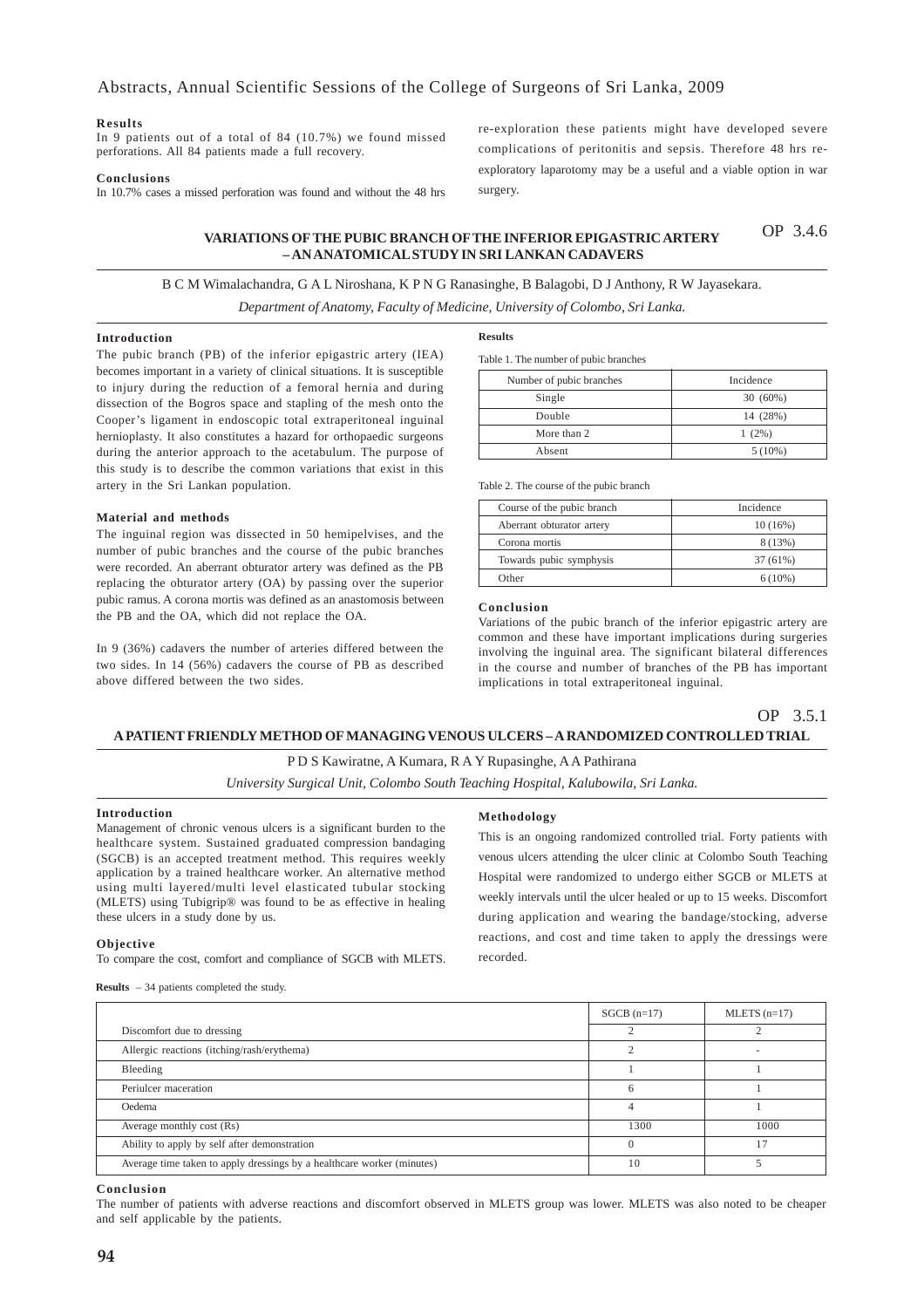#### **Results**

In 9 patients out of a total of 84 (10.7%) we found missed perforations. All 84 patients made a full recovery.

### **Conclusions**

In 10.7% cases a missed perforation was found and without the 48 hrs

re-exploration these patients might have developed severe complications of peritonitis and sepsis. Therefore 48 hrs reexploratory laparotomy may be a useful and a viable option in war surgery.

#### **VARIATIONS OF THE PUBIC BRANCH OF THE INFERIOR EPIGASTRIC ARTERY – AN ANATOMICAL STUDY IN SRI LANKAN CADAVERS** OP 3.4.6

### B C M Wimalachandra, G A L Niroshana, K P N G Ranasinghe, B Balagobi, D J Anthony, R W Jayasekara.

*Department of Anatomy, Faculty of Medicine, University of Colombo, Sri Lanka.*

#### **Introduction**

The pubic branch (PB) of the inferior epigastric artery (IEA) becomes important in a variety of clinical situations. It is susceptible to injury during the reduction of a femoral hernia and during dissection of the Bogros space and stapling of the mesh onto the Cooper's ligament in endoscopic total extraperitoneal inguinal hernioplasty. It also constitutes a hazard for orthopaedic surgeons during the anterior approach to the acetabulum. The purpose of this study is to describe the common variations that exist in this artery in the Sri Lankan population.

### **Material and methods**

The inguinal region was dissected in 50 hemipelvises, and the number of pubic branches and the course of the pubic branches were recorded. An aberrant obturator artery was defined as the PB replacing the obturator artery (OA) by passing over the superior pubic ramus. A corona mortis was defined as an anastomosis between the PB and the OA, which did not replace the OA.

In 9 (36%) cadavers the number of arteries differed between the two sides. In 14 (56%) cadavers the course of PB as described above differed between the two sides.

#### **Results**

Table 1. The number of pubic branches

| Number of pubic branches | Incidence  |
|--------------------------|------------|
| Single                   | $30(60\%)$ |
| Double                   | 14 (28%)   |
| More than 2              | $1(2\%)$   |
| Absent                   | $5(10\%)$  |

Table 2. The course of the pubic branch

| Course of the pubic branch | Incidence  |
|----------------------------|------------|
| Aberrant obturator artery  | $10(16\%)$ |
| Corona mortis              | 8 (13%)    |
| Towards pubic symphysis    | 37 (61%)   |
| Other                      | $6(10\%)$  |

### **Conclusion**

Variations of the pubic branch of the inferior epigastric artery are common and these have important implications during surgeries involving the inguinal area. The significant bilateral differences in the course and number of branches of the PB has important implications in total extraperitoneal inguinal.

## OP 3.5.1

#### **A PATIENT FRIENDLY METHOD OF MANAGING VENOUS ULCERS – A RANDOMIZED CONTROLLED TRIAL**

### P D S Kawiratne, A Kumara, R A Y Rupasinghe, A A Pathirana

*University Surgical Unit, Colombo South Teaching Hospital, Kalubowila, Sri Lanka.*

#### **Introduction**

Management of chronic venous ulcers is a significant burden to the healthcare system. Sustained graduated compression bandaging (SGCB) is an accepted treatment method. This requires weekly application by a trained healthcare worker. An alternative method using multi layered/multi level elasticated tubular stocking (MLETS) using Tubigrip® was found to be as effective in healing these ulcers in a study done by us.

#### **Objective**

To compare the cost, comfort and compliance of SGCB with MLETS.

#### **Methodology**

This is an ongoing randomized controlled trial. Forty patients with venous ulcers attending the ulcer clinic at Colombo South Teaching Hospital were randomized to undergo either SGCB or MLETS at weekly intervals until the ulcer healed or up to 15 weeks. Discomfort during application and wearing the bandage/stocking, adverse reactions, and cost and time taken to apply the dressings were recorded.

**Results** – 34 patients completed the study.

|                                                                        | $SGCB (n=17)$ | $MLETS (n=17)$ |
|------------------------------------------------------------------------|---------------|----------------|
| Discomfort due to dressing                                             |               |                |
| Allergic reactions (itching/rash/erythema)                             |               |                |
| Bleeding                                                               |               |                |
| Periulcer maceration                                                   | 6             |                |
| Oedema                                                                 | 4             |                |
| Average monthly cost (Rs)                                              | 1300          | 1000           |
| Ability to apply by self after demonstration                           |               | 17             |
| Average time taken to apply dressings by a healthcare worker (minutes) | 10            |                |

#### **Conclusion**

The number of patients with adverse reactions and discomfort observed in MLETS group was lower. MLETS was also noted to be cheaper and self applicable by the patients.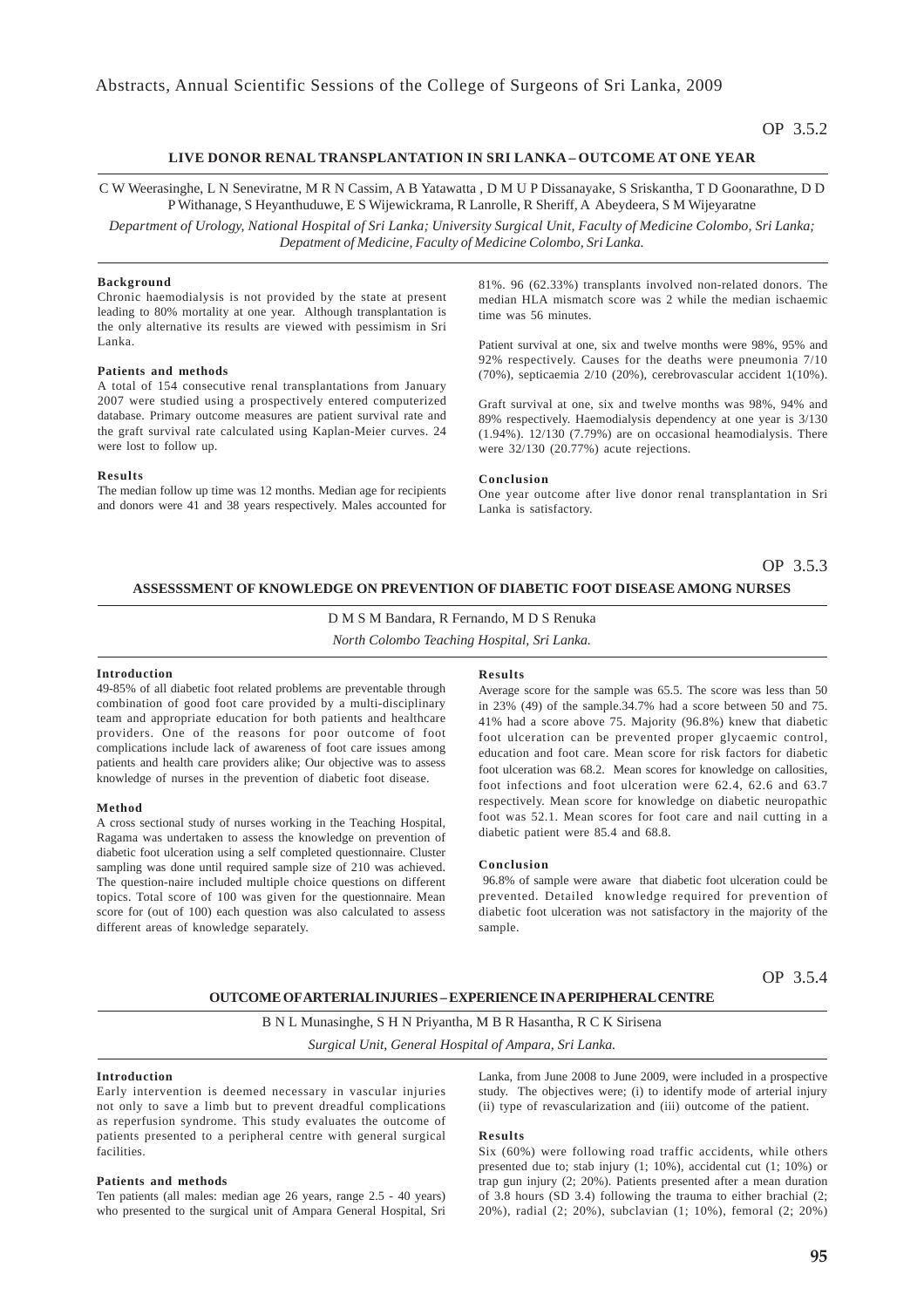### **LIVE DONOR RENAL TRANSPLANTATION IN SRI LANKA – OUTCOME AT ONE YEAR**

C W Weerasinghe, L N Seneviratne, M R N Cassim, A B Yatawatta , D M U P Dissanayake, S Sriskantha, T D Goonarathne, D D P Withanage, S Heyanthuduwe, E S Wijewickrama, R Lanrolle, R Sheriff, A Abeydeera, S M Wijeyaratne

*Department of Urology, National Hospital of Sri Lanka; University Surgical Unit, Faculty of Medicine Colombo, Sri Lanka; Depatment of Medicine, Faculty of Medicine Colombo, Sri Lanka.*

### **Background**

Chronic haemodialysis is not provided by the state at present leading to 80% mortality at one year. Although transplantation is the only alternative its results are viewed with pessimism in Sri Lanka.

### **Patients and methods**

A total of 154 consecutive renal transplantations from January 2007 were studied using a prospectively entered computerized database. Primary outcome measures are patient survival rate and the graft survival rate calculated using Kaplan-Meier curves. 24 were lost to follow up.

### **Results**

The median follow up time was 12 months. Median age for recipients and donors were 41 and 38 years respectively. Males accounted for

81%. 96 (62.33%) transplants involved non-related donors. The median HLA mismatch score was 2 while the median ischaemic time was 56 minutes.

Patient survival at one, six and twelve months were 98%, 95% and 92% respectively. Causes for the deaths were pneumonia 7/10 (70%), septicaemia 2/10 (20%), cerebrovascular accident 1(10%).

Graft survival at one, six and twelve months was 98%, 94% and 89% respectively. Haemodialysis dependency at one year is 3/130 (1.94%). 12/130 (7.79%) are on occasional heamodialysis. There were 32/130 (20.77%) acute rejections.

#### **Conclusion**

One year outcome after live donor renal transplantation in Sri Lanka is satisfactory.

### OP 3.5.3

### **ASSESSSMENT OF KNOWLEDGE ON PREVENTION OF DIABETIC FOOT DISEASE AMONG NURSES**

D M S M Bandara, R Fernando, M D S Renuka

*North Colombo Teaching Hospital, Sri Lanka.*

### **Introduction**

49-85% of all diabetic foot related problems are preventable through combination of good foot care provided by a multi-disciplinary team and appropriate education for both patients and healthcare providers. One of the reasons for poor outcome of foot complications include lack of awareness of foot care issues among patients and health care providers alike; Our objective was to assess knowledge of nurses in the prevention of diabetic foot disease.

### **Method**

A cross sectional study of nurses working in the Teaching Hospital, Ragama was undertaken to assess the knowledge on prevention of diabetic foot ulceration using a self completed questionnaire. Cluster sampling was done until required sample size of 210 was achieved. The question-naire included multiple choice questions on different topics. Total score of 100 was given for the questionnaire. Mean score for (out of 100) each question was also calculated to assess different areas of knowledge separately.

#### **Results**

Average score for the sample was 65.5. The score was less than 50 in 23% (49) of the sample.34.7% had a score between 50 and 75. 41% had a score above 75. Majority (96.8%) knew that diabetic foot ulceration can be prevented proper glycaemic control, education and foot care. Mean score for risk factors for diabetic foot ulceration was 68.2. Mean scores for knowledge on callosities, foot infections and foot ulceration were 62.4, 62.6 and 63.7 respectively. Mean score for knowledge on diabetic neuropathic foot was 52.1. Mean scores for foot care and nail cutting in a diabetic patient were 85.4 and 68.8.

#### **Conclusion**

 96.8% of sample were aware that diabetic foot ulceration could be prevented. Detailed knowledge required for prevention of diabetic foot ulceration was not satisfactory in the majority of the sample.

### OP 3.5.4

### **OUTCOME OF ARTERIAL INJURIES – EXPERIENCE IN A PERIPHERAL CENTRE**

B N L Munasinghe, S H N Priyantha, M B R Hasantha, R C K Sirisena *Surgical Unit, General Hospital of Ampara, Sri Lanka.*

### **Introduction**

Early intervention is deemed necessary in vascular injuries not only to save a limb but to prevent dreadful complications as reperfusion syndrome. This study evaluates the outcome of patients presented to a peripheral centre with general surgical facilities.

### **Patients and methods**

Ten patients (all males: median age 26 years, range 2.5 - 40 years) who presented to the surgical unit of Ampara General Hospital, Sri Lanka, from June 2008 to June 2009, were included in a prospective study. The objectives were; (i) to identify mode of arterial injury (ii) type of revascularization and (iii) outcome of the patient.

#### **Results**

Six (60%) were following road traffic accidents, while others presented due to; stab injury (1; 10%), accidental cut (1; 10%) or trap gun injury (2; 20%). Patients presented after a mean duration of 3.8 hours (SD 3.4) following the trauma to either brachial (2; 20%), radial (2; 20%), subclavian (1; 10%), femoral (2; 20%)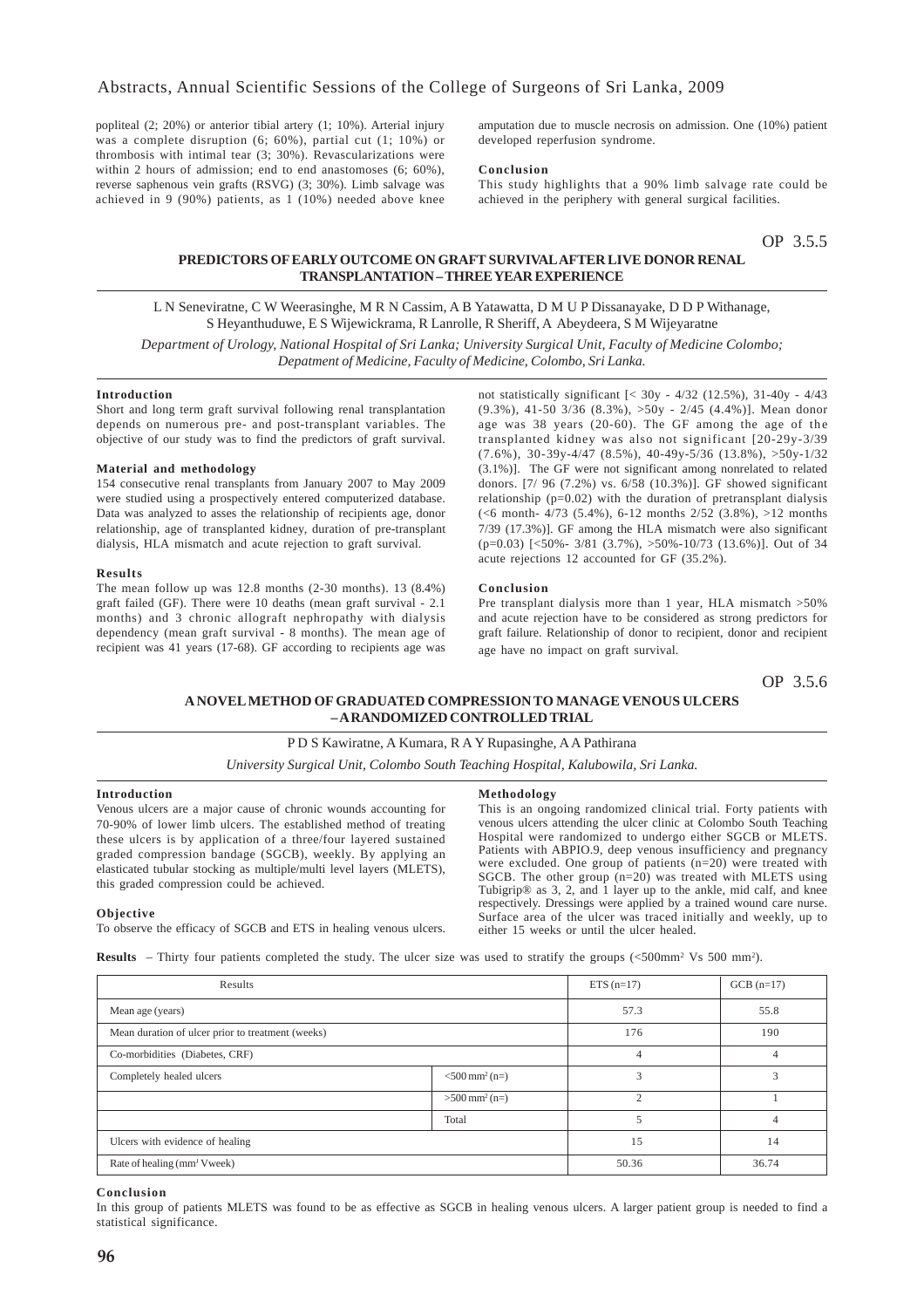popliteal (2; 20%) or anterior tibial artery (1; 10%). Arterial injury was a complete disruption (6; 60%), partial cut (1; 10%) or thrombosis with intimal tear (3; 30%). Revascularizations were within 2 hours of admission; end to end anastomoses (6; 60%), reverse saphenous vein grafts (RSVG) (3; 30%). Limb salvage was achieved in 9 (90%) patients, as 1 (10%) needed above knee

amputation due to muscle necrosis on admission. One (10%) patient developed reperfusion syndrome.

### **Conclusion**

This study highlights that a 90% limb salvage rate could be achieved in the periphery with general surgical facilities.

OP 3.5.5

### **PREDICTORS OF EARLY OUTCOME ON GRAFT SURVIVAL AFTER LIVE DONOR RENAL TRANSPLANTATION – THREE YEAR EXPERIENCE**

L N Seneviratne, C W Weerasinghe, M R N Cassim, A B Yatawatta, D M U P Dissanayake, D D P Withanage, S Heyanthuduwe, E S Wijewickrama, R Lanrolle, R Sheriff, A Abeydeera, S M Wijeyaratne

*Department of Urology, National Hospital of Sri Lanka; University Surgical Unit, Faculty of Medicine Colombo; Depatment of Medicine, Faculty of Medicine, Colombo, Sri Lanka.*

### **Introduction**

Short and long term graft survival following renal transplantation depends on numerous pre- and post-transplant variables. The objective of our study was to find the predictors of graft survival.

### **Material and methodology**

154 consecutive renal transplants from January 2007 to May 2009 were studied using a prospectively entered computerized database. Data was analyzed to asses the relationship of recipients age, donor relationship, age of transplanted kidney, duration of pre-transplant dialysis, HLA mismatch and acute rejection to graft survival.

#### **Results**

The mean follow up was 12.8 months (2-30 months). 13 (8.4%) graft failed (GF). There were 10 deaths (mean graft survival - 2.1 months) and 3 chronic allograft nephropathy with dialysis dependency (mean graft survival - 8 months). The mean age of recipient was 41 years (17-68). GF according to recipients age was

not statistically significant [< 30y - 4/32 (12.5%), 31-40y - 4/43 (9.3%), 41-50 3/36 (8.3%), >50y - 2/45 (4.4%)]. Mean donor age was 38 years (20-60). The GF among the age of the transplanted kidney was also not significant [20-29y-3/39  $(7.6\%), 30-39y-4/47$   $(8.5\%), 40-49y-5/36$   $(13.8\%), >50y-1/32$ (3.1%)]. The GF were not significant among nonrelated to related donors. [7/ 96 (7.2%) vs. 6/58 (10.3%)]. GF showed significant relationship (p=0.02) with the duration of pretransplant dialysis (<6 month- 4/73 (5.4%), 6-12 months 2/52 (3.8%), >12 months 7/39 (17.3%)]. GF among the HLA mismatch were also significant (p=0.03) [<50%- 3/81 (3.7%), >50%-10/73 (13.6%)]. Out of 34 acute rejections 12 accounted for GF (35.2%).

#### **Conclusion**

Pre transplant dialysis more than 1 year, HLA mismatch >50% and acute rejection have to be considered as strong predictors for graft failure. Relationship of donor to recipient, donor and recipient age have no impact on graft survival.

OP 3.5.6

### **A NOVEL METHOD OF GRADUATED COMPRESSION TO MANAGE VENOUS ULCERS – A RANDOMIZED CONTROLLED TRIAL**

### P D S Kawiratne, A Kumara, R A Y Rupasinghe, A A Pathirana

*University Surgical Unit, Colombo South Teaching Hospital, Kalubowila, Sri Lanka.*

### **Introduction**

Venous ulcers are a major cause of chronic wounds accounting for 70-90% of lower limb ulcers. The established method of treating these ulcers is by application of a three/four layered sustained graded compression bandage (SGCB), weekly. By applying an elasticated tubular stocking as multiple/multi level layers (MLETS), this graded compression could be achieved.

#### **Methodology**

This is an ongoing randomized clinical trial. Forty patients with venous ulcers attending the ulcer clinic at Colombo South Teaching Hospital were randomized to undergo either SGCB or MLETS. Patients with ABPIO.9, deep venous insufficiency and pregnancy were excluded. One group of patients (n=20) were treated with SGCB. The other group (n=20) was treated with MLETS using Tubigrip® as 3, 2, and 1 layer up to the ankle, mid calf, and knee respectively. Dressings were applied by a trained wound care nurse. Surface area of the ulcer was traced initially and weekly, up to either 15 weeks or until the ulcer healed.

### **Objective**

To observe the efficacy of SGCB and ETS in healing venous ulcers.

**Results**  $-$  Thirty four patients completed the study. The ulcer size was used to stratify the groups  $( $500 \text{ mm}^2$ )$ .

| Results                                           | $ETS (n=17)$                 | $GCB (n=17)$             |       |
|---------------------------------------------------|------------------------------|--------------------------|-------|
| Mean age (years)                                  |                              | 57.3                     | 55.8  |
| Mean duration of ulcer prior to treatment (weeks) | 176                          | 190                      |       |
| Co-morbidities (Diabetes, CRF)                    | $\overline{4}$               | $\overline{4}$           |       |
| Completely healed ulcers                          | $<$ 500 mm <sup>2</sup> (n=) | 3                        | 3     |
|                                                   | $>500$ mm <sup>2</sup> (n=)  | $\mathfrak{D}$           |       |
|                                                   | Total                        | $\overline{\phantom{0}}$ | 4     |
| Ulcers with evidence of healing                   |                              | 15                       | 14    |
| Rate of healing (mm <sup>J</sup> Vweek)           |                              | 50.36                    | 36.74 |

#### **Conclusion**

In this group of patients MLETS was found to be as effective as SGCB in healing venous ulcers. A larger patient group is needed to find a statistical significance.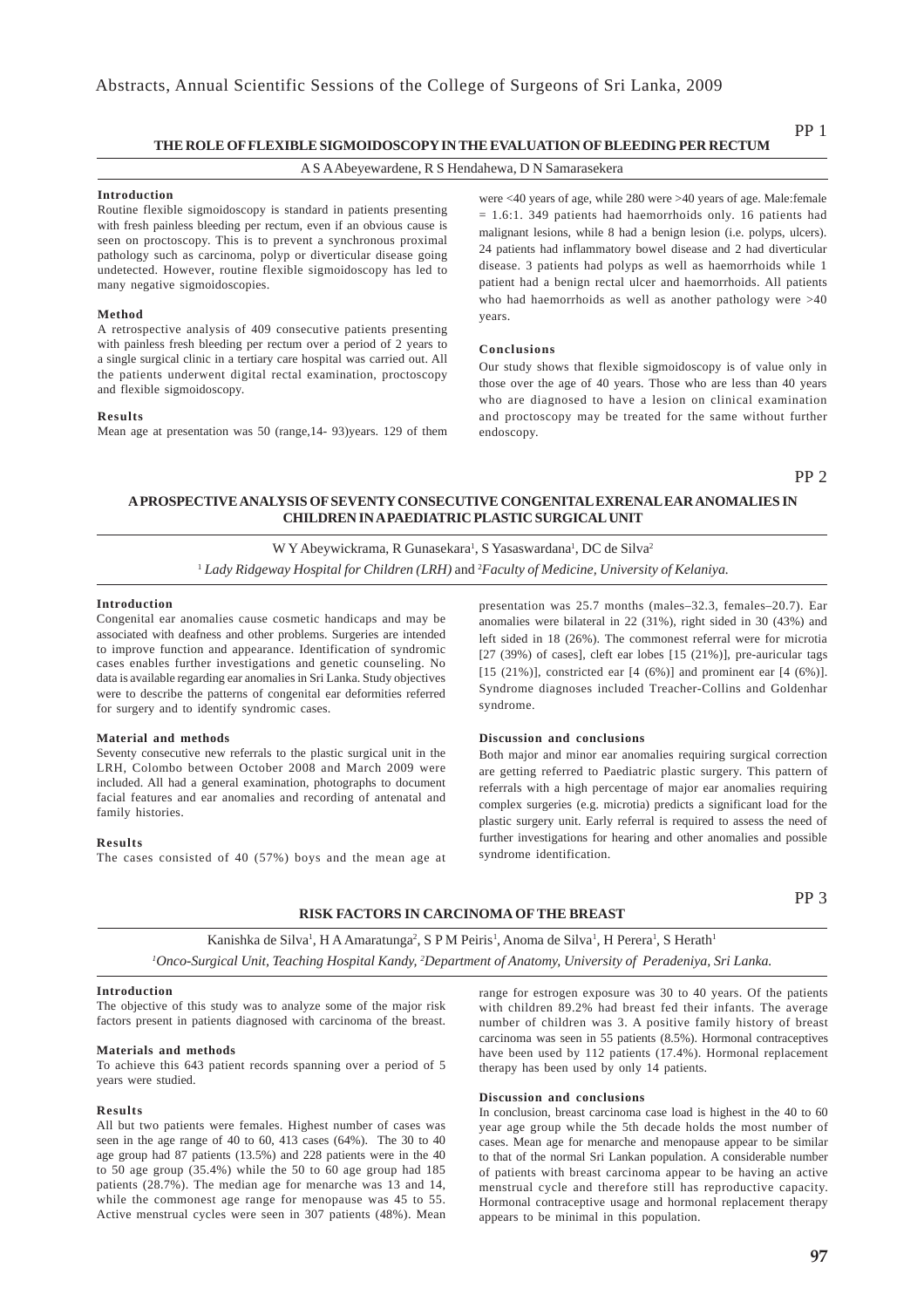### **THE ROLE OF FLEXIBLE SIGMOIDOSCOPY IN THE EVALUATION OF BLEEDING PER RECTUM**

### A S A Abeyewardene, R S Hendahewa, D N Samarasekera

### **Introduction**

Routine flexible sigmoidoscopy is standard in patients presenting with fresh painless bleeding per rectum, even if an obvious cause is seen on proctoscopy. This is to prevent a synchronous proximal pathology such as carcinoma, polyp or diverticular disease going undetected. However, routine flexible sigmoidoscopy has led to many negative sigmoidoscopies.

#### **Method**

A retrospective analysis of 409 consecutive patients presenting with painless fresh bleeding per rectum over a period of 2 years to a single surgical clinic in a tertiary care hospital was carried out. All the patients underwent digital rectal examination, proctoscopy and flexible sigmoidoscopy.

#### **Results**

Mean age at presentation was 50 (range,14- 93)years. 129 of them

were <40 years of age, while 280 were >40 years of age. Male:female  $= 1.6:1.$  349 patients had haemorrhoids only. 16 patients had malignant lesions, while 8 had a benign lesion (i.e. polyps, ulcers). 24 patients had inflammatory bowel disease and 2 had diverticular disease. 3 patients had polyps as well as haemorrhoids while 1 patient had a benign rectal ulcer and haemorrhoids. All patients who had haemorrhoids as well as another pathology were >40 years.

### **Conclusions**

Our study shows that flexible sigmoidoscopy is of value only in those over the age of 40 years. Those who are less than 40 years who are diagnosed to have a lesion on clinical examination and proctoscopy may be treated for the same without further endoscopy.

PP 2

### **A PROSPECTIVE ANALYSIS OF SEVENTY CONSECUTIVE CONGENITAL EXRENAL EAR ANOMALIES IN CHILDREN IN A PAEDIATRIC PLASTIC SURGICAL UNIT**

W Y Abeywickrama, R Gunasekara<sup>1</sup>, S Yasaswardana<sup>1</sup>, DC de Silva<sup>2</sup> 1  *Lady Ridgeway Hospital for Children (LRH)* and 2 *Faculty of Medicine, University of Kelaniya.*

### **Introduction**

Congenital ear anomalies cause cosmetic handicaps and may be associated with deafness and other problems. Surgeries are intended to improve function and appearance. Identification of syndromic cases enables further investigations and genetic counseling. No data is available regarding ear anomalies in Sri Lanka. Study objectives were to describe the patterns of congenital ear deformities referred for surgery and to identify syndromic cases.

### **Material and methods**

Seventy consecutive new referrals to the plastic surgical unit in the LRH, Colombo between October 2008 and March 2009 were included. All had a general examination, photographs to document facial features and ear anomalies and recording of antenatal and family histories.

### **Results**

The cases consisted of 40 (57%) boys and the mean age at

presentation was 25.7 months (males–32.3, females–20.7). Ear anomalies were bilateral in 22 (31%), right sided in 30 (43%) and left sided in 18 (26%). The commonest referral were for microtia  $[27 (39%)$  of cases], cleft ear lobes  $[15 (21%)]$ , pre-auricular tags [15 (21%)], constricted ear  $[4 (6%)]$  and prominent ear  $[4 (6%)]$ . Syndrome diagnoses included Treacher-Collins and Goldenhar syndrome.

### **Discussion and conclusions**

Both major and minor ear anomalies requiring surgical correction are getting referred to Paediatric plastic surgery. This pattern of referrals with a high percentage of major ear anomalies requiring complex surgeries (e.g. microtia) predicts a significant load for the plastic surgery unit. Early referral is required to assess the need of further investigations for hearing and other anomalies and possible syndrome identification.

### **RISK FACTORS IN CARCINOMA OF THE BREAST**

PP 3

Kanishka de Silva<sup>1</sup>, H A Amaratunga<sup>2</sup>, S P M Peiris<sup>1</sup>, Anoma de Silva<sup>1</sup>, H Perera<sup>1</sup>, S Herath<sup>1</sup> *1 Onco-Surgical Unit, Teaching Hospital Kandy, 2 Department of Anatomy, University of Peradeniya, Sri Lanka.*

### **Introduction**

The objective of this study was to analyze some of the major risk factors present in patients diagnosed with carcinoma of the breast.

### **Materials and methods**

To achieve this 643 patient records spanning over a period of 5 years were studied.

#### **Results**

All but two patients were females. Highest number of cases was seen in the age range of 40 to 60, 413 cases (64%). The 30 to 40 age group had 87 patients (13.5%) and 228 patients were in the 40 to 50 age group (35.4%) while the 50 to 60 age group had 185 patients (28.7%). The median age for menarche was 13 and 14, while the commonest age range for menopause was 45 to 55. Active menstrual cycles were seen in 307 patients (48%). Mean

range for estrogen exposure was 30 to 40 years. Of the patients with children 89.2% had breast fed their infants. The average number of children was 3. A positive family history of breast carcinoma was seen in 55 patients (8.5%). Hormonal contraceptives have been used by 112 patients (17.4%). Hormonal replacement therapy has been used by only 14 patients.

### **Discussion and conclusions**

In conclusion, breast carcinoma case load is highest in the 40 to 60 year age group while the 5th decade holds the most number of cases. Mean age for menarche and menopause appear to be similar to that of the normal Sri Lankan population. A considerable number of patients with breast carcinoma appear to be having an active menstrual cycle and therefore still has reproductive capacity. Hormonal contraceptive usage and hormonal replacement therapy appears to be minimal in this population.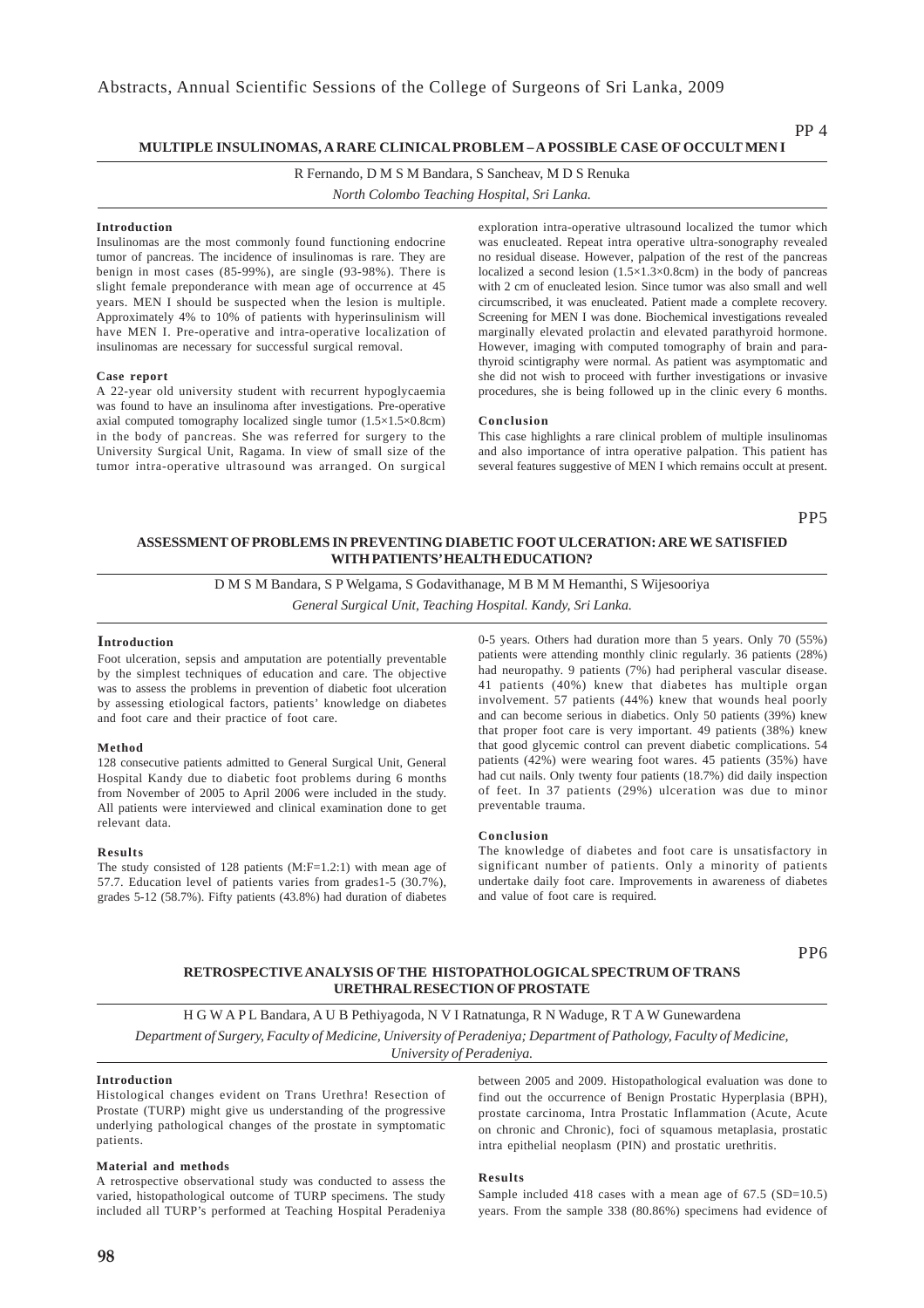### **MULTIPLE INSULINOMAS, A RARE CLINICAL PROBLEM – A POSSIBLE CASE OF OCCULT MEN I**

R Fernando, D M S M Bandara, S Sancheav, M D S Renuka

*North Colombo Teaching Hospital, Sri Lanka.*

### **Introduction**

Insulinomas are the most commonly found functioning endocrine tumor of pancreas. The incidence of insulinomas is rare. They are benign in most cases (85-99%), are single (93-98%). There is slight female preponderance with mean age of occurrence at 45 years. MEN I should be suspected when the lesion is multiple. Approximately 4% to 10% of patients with hyperinsulinism will have MEN I. Pre-operative and intra-operative localization of insulinomas are necessary for successful surgical removal.

#### **Case report**

A 22-year old university student with recurrent hypoglycaemia was found to have an insulinoma after investigations. Pre-operative axial computed tomography localized single tumor (1.5×1.5×0.8cm) in the body of pancreas. She was referred for surgery to the University Surgical Unit, Ragama. In view of small size of the tumor intra-operative ultrasound was arranged. On surgical exploration intra-operative ultrasound localized the tumor which was enucleated. Repeat intra operative ultra-sonography revealed no residual disease. However, palpation of the rest of the pancreas localized a second lesion (1.5×1.3×0.8cm) in the body of pancreas with 2 cm of enucleated lesion. Since tumor was also small and well circumscribed, it was enucleated. Patient made a complete recovery. Screening for MEN I was done. Biochemical investigations revealed marginally elevated prolactin and elevated parathyroid hormone. However, imaging with computed tomography of brain and parathyroid scintigraphy were normal. As patient was asymptomatic and she did not wish to proceed with further investigations or invasive procedures, she is being followed up in the clinic every 6 months.

#### **Conclusion**

This case highlights a rare clinical problem of multiple insulinomas and also importance of intra operative palpation. This patient has several features suggestive of MEN I which remains occult at present.

PP5

### **ASSESSMENT OF PROBLEMS IN PREVENTING DIABETIC FOOT ULCERATION: ARE WE SATISFIED WITH PATIENTS' HEALTH EDUCATION?**

D M S M Bandara, S P Welgama, S Godavithanage, M B M M Hemanthi, S Wijesooriya

*General Surgical Unit, Teaching Hospital. Kandy, Sri Lanka.*

### **Introduction**

Foot ulceration, sepsis and amputation are potentially preventable by the simplest techniques of education and care. The objective was to assess the problems in prevention of diabetic foot ulceration by assessing etiological factors, patients' knowledge on diabetes and foot care and their practice of foot care.

#### **Method**

128 consecutive patients admitted to General Surgical Unit, General Hospital Kandy due to diabetic foot problems during 6 months from November of 2005 to April 2006 were included in the study. All patients were interviewed and clinical examination done to get relevant data.

#### **Results**

The study consisted of 128 patients (M:F=1.2:1) with mean age of 57.7. Education level of patients varies from grades1-5 (30.7%), grades 5-12 (58.7%). Fifty patients (43.8%) had duration of diabetes

0-5 years. Others had duration more than 5 years. Only 70 (55%) patients were attending monthly clinic regularly. 36 patients (28%) had neuropathy. 9 patients (7%) had peripheral vascular disease. 41 patients (40%) knew that diabetes has multiple organ involvement. 57 patients (44%) knew that wounds heal poorly and can become serious in diabetics. Only 50 patients (39%) knew that proper foot care is very important. 49 patients (38%) knew that good glycemic control can prevent diabetic complications. 54 patients (42%) were wearing foot wares. 45 patients (35%) have had cut nails. Only twenty four patients (18.7%) did daily inspection of feet. In 37 patients (29%) ulceration was due to minor preventable trauma.

#### **Conclusion**

The knowledge of diabetes and foot care is unsatisfactory in significant number of patients. Only a minority of patients undertake daily foot care. Improvements in awareness of diabetes and value of foot care is required.

PP6

### **RETROSPECTIVE ANALYSIS OF THE HISTOPATHOLOGICAL SPECTRUM OF TRANS URETHRAL RESECTION OF PROSTATE**

H G W A P L Bandara, A U B Pethiyagoda, N V I Ratnatunga, R N Waduge, R T A W Gunewardena

*Department of Surgery, Faculty of Medicine, University of Peradeniya; Department of Pathology, Faculty of Medicine, University of Peradeniya.*

### **Introduction**

Histological changes evident on Trans Urethra! Resection of Prostate (TURP) might give us understanding of the progressive underlying pathological changes of the prostate in symptomatic patients.

### **Material and methods**

A retrospective observational study was conducted to assess the varied, histopathological outcome of TURP specimens. The study included all TURP's performed at Teaching Hospital Peradeniya between 2005 and 2009. Histopathological evaluation was done to find out the occurrence of Benign Prostatic Hyperplasia (BPH), prostate carcinoma, Intra Prostatic Inflammation (Acute, Acute on chronic and Chronic), foci of squamous metaplasia, prostatic intra epithelial neoplasm (PIN) and prostatic urethritis.

### **Results**

Sample included 418 cases with a mean age of 67.5 (SD=10.5) years. From the sample 338 (80.86%) specimens had evidence of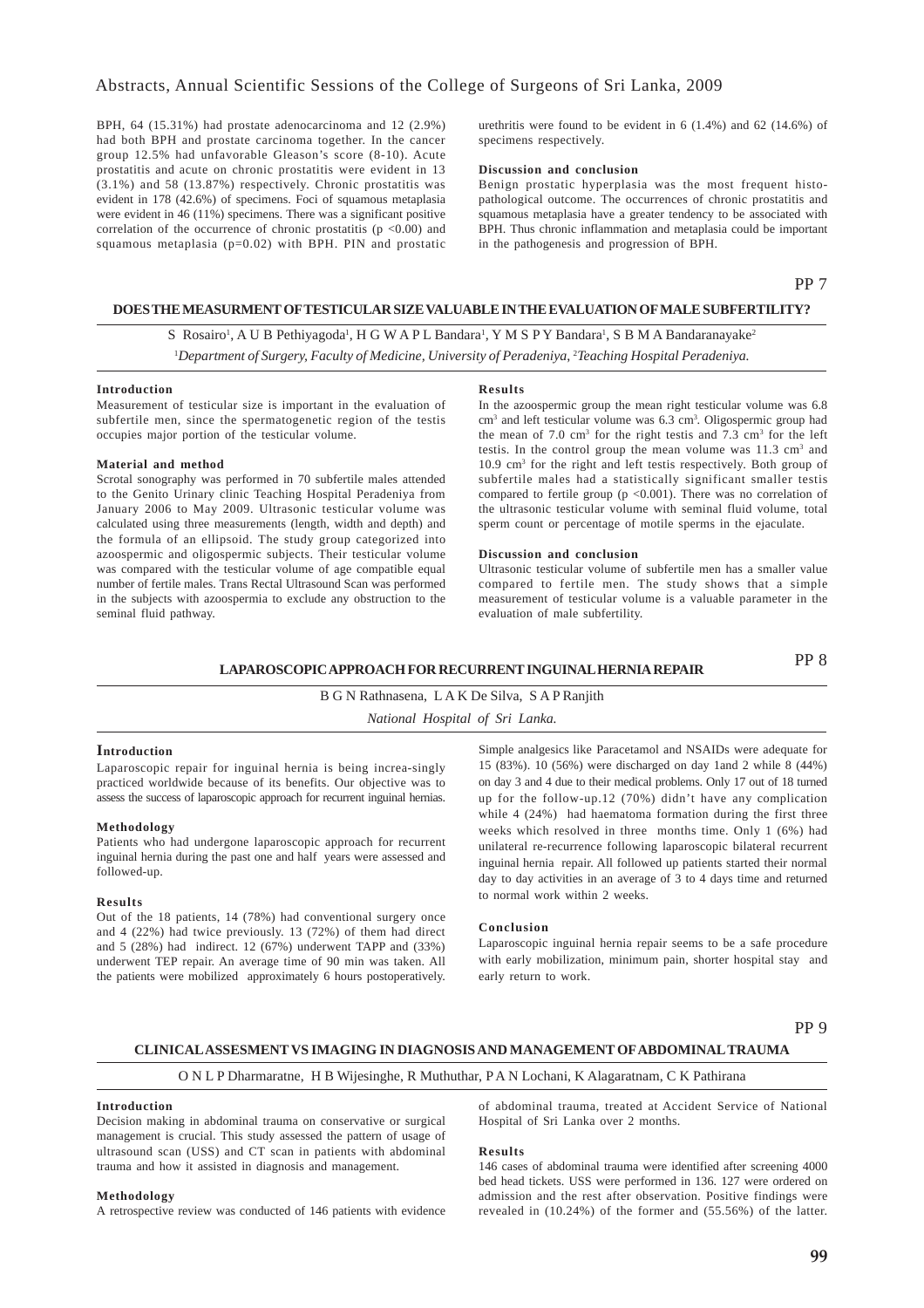BPH, 64 (15.31%) had prostate adenocarcinoma and 12 (2.9%) had both BPH and prostate carcinoma together. In the cancer group 12.5% had unfavorable Gleason's score (8-10). Acute prostatitis and acute on chronic prostatitis were evident in 13 (3.1%) and 58 (13.87%) respectively. Chronic prostatitis was evident in 178 (42.6%) of specimens. Foci of squamous metaplasia were evident in 46 (11%) specimens. There was a significant positive correlation of the occurrence of chronic prostatitis  $(p < 0.00)$  and squamous metaplasia ( $p=0.02$ ) with BPH. PIN and prostatic

urethritis were found to be evident in 6 (1.4%) and 62 (14.6%) of specimens respectively.

### **Discussion and conclusion**

Benign prostatic hyperplasia was the most frequent histopathological outcome. The occurrences of chronic prostatitis and squamous metaplasia have a greater tendency to be associated with BPH. Thus chronic inflammation and metaplasia could be important in the pathogenesis and progression of BPH.

### PP 7

### **DOES THE MEASURMENT OF TESTICULAR SIZE VALUABLE IN THE EVALUATION OF MALE SUBFERTILITY?**

S Rosairo<sup>1</sup>, A U B Pethiyagoda<sup>1</sup>, H G W A P L Bandara<sup>1</sup>, Y M S P Y Bandara<sup>1</sup>, S B M A Bandaranayake<sup>2</sup> <sup>1</sup>Department of Surgery, Faculty of Medicine, University of Peradeniya, <sup>2</sup>Teaching Hospital Peradeniya.

### **Introduction**

Measurement of testicular size is important in the evaluation of subfertile men, since the spermatogenetic region of the testis occupies major portion of the testicular volume.

#### **Material and method**

Scrotal sonography was performed in 70 subfertile males attended to the Genito Urinary clinic Teaching Hospital Peradeniya from January 2006 to May 2009. Ultrasonic testicular volume was calculated using three measurements (length, width and depth) and the formula of an ellipsoid. The study group categorized into azoospermic and oligospermic subjects. Their testicular volume was compared with the testicular volume of age compatible equal number of fertile males. Trans Rectal Ultrasound Scan was performed in the subjects with azoospermia to exclude any obstruction to the seminal fluid pathway.

#### **Results**

In the azoospermic group the mean right testicular volume was 6.8 cm<sup>3</sup> and left testicular volume was 6.3 cm<sup>3</sup>. Oligospermic group had the mean of  $7.0 \text{ cm}^3$  for the right testis and  $7.3 \text{ cm}^3$  for the left testis. In the control group the mean volume was 11.3 cm<sup>3</sup> and 10.9 cm3 for the right and left testis respectively. Both group of subfertile males had a statistically significant smaller testis compared to fertile group (p <0.001). There was no correlation of the ultrasonic testicular volume with seminal fluid volume, total sperm count or percentage of motile sperms in the ejaculate.

#### **Discussion and conclusion**

Ultrasonic testicular volume of subfertile men has a smaller value compared to fertile men. The study shows that a simple measurement of testicular volume is a valuable parameter in the evaluation of male subfertility.

### **LAPAROSCOPIC APPROACH FOR RECURRENT INGUINAL HERNIA REPAIR**

PP 8

### B G N Rathnasena, L A K De Silva, S A P Ranjith *National Hospital of Sri Lanka.*

### **Introduction**

Laparoscopic repair for inguinal hernia is being increa-singly practiced worldwide because of its benefits. Our objective was to assess the success of laparoscopic approach for recurrent inguinal hernias.

#### **Methodology**

Patients who had undergone laparoscopic approach for recurrent inguinal hernia during the past one and half years were assessed and followed-up.

#### **Results**

Out of the 18 patients, 14 (78%) had conventional surgery once and 4 (22%) had twice previously. 13 (72%) of them had direct and 5 (28%) had indirect. 12 (67%) underwent TAPP and (33%) underwent TEP repair. An average time of 90 min was taken. All the patients were mobilized approximately 6 hours postoperatively.

Simple analgesics like Paracetamol and NSAIDs were adequate for 15 (83%). 10 (56%) were discharged on day 1and 2 while 8 (44%) on day 3 and 4 due to their medical problems. Only 17 out of 18 turned up for the follow-up.12 (70%) didn't have any complication while 4 (24%) had haematoma formation during the first three weeks which resolved in three months time. Only 1 (6%) had unilateral re-recurrence following laparoscopic bilateral recurrent inguinal hernia repair. All followed up patients started their normal day to day activities in an average of 3 to 4 days time and returned to normal work within 2 weeks.

### **Conclusion**

Laparoscopic inguinal hernia repair seems to be a safe procedure with early mobilization, minimum pain, shorter hospital stay and early return to work.

### PP 9

### **CLINICAL ASSESMENT VS IMAGING IN DIAGNOSIS AND MANAGEMENT OF ABDOMINAL TRAUMA**

### O N L P Dharmaratne, H B Wijesinghe, R Muthuthar, P A N Lochani, K Alagaratnam, C K Pathirana

### **Introduction**

Decision making in abdominal trauma on conservative or surgical management is crucial. This study assessed the pattern of usage of ultrasound scan (USS) and CT scan in patients with abdominal trauma and how it assisted in diagnosis and management.

### **Methodology**

A retrospective review was conducted of 146 patients with evidence

of abdominal trauma, treated at Accident Service of National Hospital of Sri Lanka over 2 months.

#### **Results**

146 cases of abdominal trauma were identified after screening 4000 bed head tickets. USS were performed in 136. 127 were ordered on admission and the rest after observation. Positive findings were revealed in (10.24%) of the former and (55.56%) of the latter.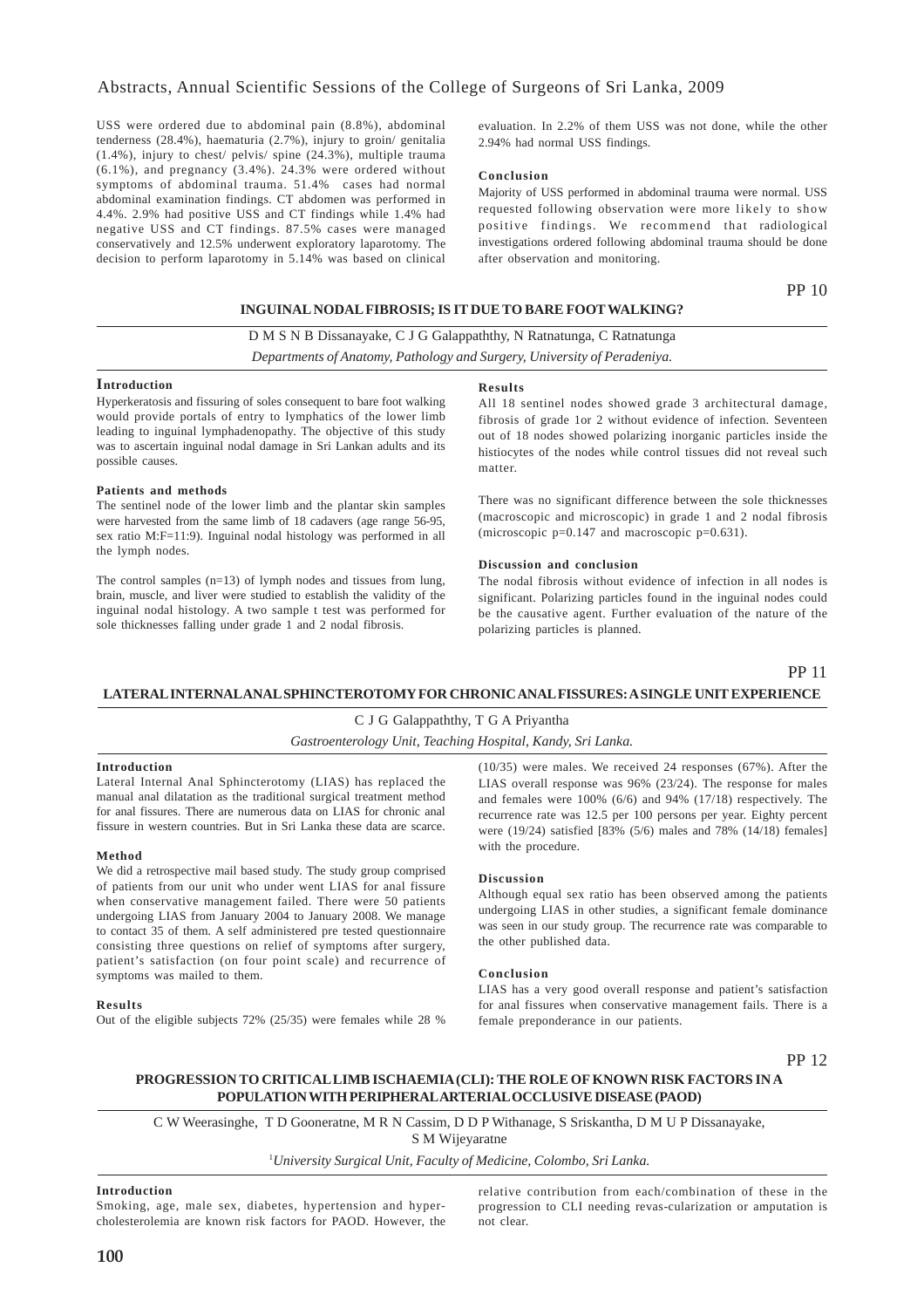### Abstracts, Annual Scientific Sessions of the College of Surgeons of Sri Lanka, 2009

USS were ordered due to abdominal pain (8.8%), abdominal tenderness (28.4%), haematuria (2.7%), injury to groin/ genitalia (1.4%), injury to chest/ pelvis/ spine (24.3%), multiple trauma (6.1%), and pregnancy (3.4%). 24.3% were ordered without symptoms of abdominal trauma. 51.4% cases had normal abdominal examination findings. CT abdomen was performed in 4.4%. 2.9% had positive USS and CT findings while 1.4% had negative USS and CT findings. 87.5% cases were managed conservatively and 12.5% underwent exploratory laparotomy. The decision to perform laparotomy in 5.14% was based on clinical

evaluation. In 2.2% of them USS was not done, while the other 2.94% had normal USS findings.

### **Conclusion**

Majority of USS performed in abdominal trauma were normal. USS requested following observation were more likely to show positive findings. We recommend that radiological investigations ordered following abdominal trauma should be done after observation and monitoring.

PP 10

### **INGUINAL NODAL FIBROSIS; IS IT DUE TO BARE FOOT WALKING?**

### D M S N B Dissanayake, C J G Galappaththy, N Ratnatunga, C Ratnatunga

*Departments of Anatomy, Pathology and Surgery, University of Peradeniya.*

### **Introduction**

Hyperkeratosis and fissuring of soles consequent to bare foot walking would provide portals of entry to lymphatics of the lower limb leading to inguinal lymphadenopathy. The objective of this study was to ascertain inguinal nodal damage in Sri Lankan adults and its possible causes.

#### **Patients and methods**

The sentinel node of the lower limb and the plantar skin samples were harvested from the same limb of 18 cadavers (age range 56-95, sex ratio M:F=11:9). Inguinal nodal histology was performed in all the lymph nodes.

The control samples (n=13) of lymph nodes and tissues from lung, brain, muscle, and liver were studied to establish the validity of the inguinal nodal histology. A two sample t test was performed for sole thicknesses falling under grade 1 and 2 nodal fibrosis.

#### **Results**

All 18 sentinel nodes showed grade 3 architectural damage, fibrosis of grade 1or 2 without evidence of infection. Seventeen out of 18 nodes showed polarizing inorganic particles inside the histiocytes of the nodes while control tissues did not reveal such matter.

There was no significant difference between the sole thicknesses (macroscopic and microscopic) in grade 1 and 2 nodal fibrosis (microscopic p=0.147 and macroscopic p=0.631).

#### **Discussion and conclusion**

The nodal fibrosis without evidence of infection in all nodes is significant. Polarizing particles found in the inguinal nodes could be the causative agent. Further evaluation of the nature of the polarizing particles is planned.

PP 11

### **LATERAL INTERNAL ANAL SPHINCTEROTOMY FOR CHRONIC ANAL FISSURES: A SINGLE UNIT EXPERIENCE**

### C J G Galappaththy, T G A Priyantha

### *Gastroenterology Unit, Teaching Hospital, Kandy, Sri Lanka.*

### **Introduction**

Lateral Internal Anal Sphincterotomy (LIAS) has replaced the manual anal dilatation as the traditional surgical treatment method for anal fissures. There are numerous data on LIAS for chronic anal fissure in western countries. But in Sri Lanka these data are scarce.

#### **Method**

We did a retrospective mail based study. The study group comprised of patients from our unit who under went LIAS for anal fissure when conservative management failed. There were 50 patients undergoing LIAS from January 2004 to January 2008. We manage to contact 35 of them. A self administered pre tested questionnaire consisting three questions on relief of symptoms after surgery, patient's satisfaction (on four point scale) and recurrence of symptoms was mailed to them.

#### **Results**

Out of the eligible subjects 72% (25/35) were females while 28 %

(10/35) were males. We received 24 responses (67%). After the LIAS overall response was 96% (23/24). The response for males and females were 100% (6/6) and 94% (17/18) respectively. The recurrence rate was 12.5 per 100 persons per year. Eighty percent were (19/24) satisfied [83% (5/6) males and 78% (14/18) females] with the procedure.

### **Discussion**

Although equal sex ratio has been observed among the patients undergoing LIAS in other studies, a significant female dominance was seen in our study group. The recurrence rate was comparable to the other published data.

### **Conclusion**

LIAS has a very good overall response and patient's satisfaction for anal fissures when conservative management fails. There is a female preponderance in our patients.

PP 12

### **PROGRESSION TO CRITICAL LIMB ISCHAEMIA (CLI): THE ROLE OF KNOWN RISK FACTORS IN A POPULATION WITH PERIPHERAL ARTERIAL OCCLUSIVE DISEASE (PAOD)**

C W Weerasinghe, T D Gooneratne, M R N Cassim, D D P Withanage, S Sriskantha, D M U P Dissanayake, S M Wijeyaratne

1 *University Surgical Unit, Faculty of Medicine, Colombo, Sri Lanka.*

### **Introduction**

Smoking, age, male sex, diabetes, hypertension and hypercholesterolemia are known risk factors for PAOD. However, the relative contribution from each/combination of these in the progression to CLI needing revas-cularization or amputation is not clear.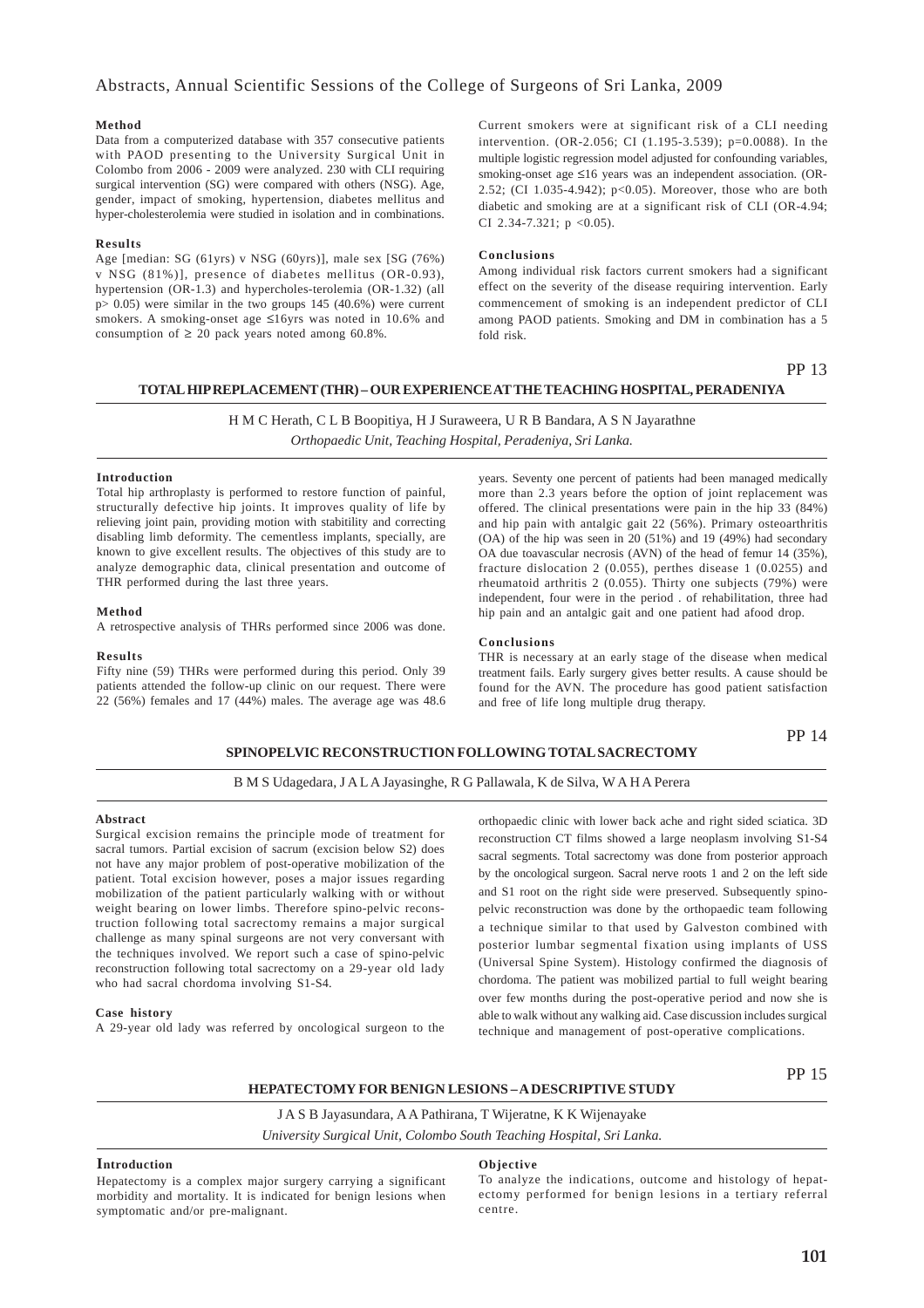### Abstracts, Annual Scientific Sessions of the College of Surgeons of Sri Lanka, 2009

### **Method**

Data from a computerized database with 357 consecutive patients with PAOD presenting to the University Surgical Unit in Colombo from 2006 - 2009 were analyzed. 230 with CLI requiring surgical intervention (SG) were compared with others (NSG). Age, gender, impact of smoking, hypertension, diabetes mellitus and hyper-cholesterolemia were studied in isolation and in combinations.

### **Results**

Age [median: SG (61yrs) v NSG (60yrs)], male sex [SG (76%) v NSG (81%)], presence of diabetes mellitus (OR-0.93), hypertension (OR-1.3) and hypercholes-terolemia (OR-1.32) (all p> 0.05) were similar in the two groups 145 (40.6%) were current smokers. A smoking-onset age ≤16yrs was noted in 10.6% and consumption of  $\geq 20$  pack years noted among 60.8%.

Current smokers were at significant risk of a CLI needing intervention. (OR-2.056; CI (1.195-3.539); p=0.0088). In the multiple logistic regression model adjusted for confounding variables, smoking-onset age ≤16 years was an independent association. (OR-2.52; (CI 1.035-4.942); p<0.05). Moreover, those who are both diabetic and smoking are at a significant risk of CLI (OR-4.94; CI 2.34-7.321;  $p < 0.05$ ).

### **Conclusions**

Among individual risk factors current smokers had a significant effect on the severity of the disease requiring intervention. Early commencement of smoking is an independent predictor of CLI among PAOD patients. Smoking and DM in combination has a 5 fold risk.

### PP 13

### **TOTAL HIP REPLACEMENT (THR) – OUR EXPERIENCE AT THE TEACHING HOSPITAL, PERADENIYA**

H M C Herath, C L B Boopitiya, H J Suraweera, U R B Bandara, A S N Jayarathne *Orthopaedic Unit, Teaching Hospital, Peradeniya, Sri Lanka.*

#### **Introduction**

Total hip arthroplasty is performed to restore function of painful, structurally defective hip joints. It improves quality of life by relieving joint pain, providing motion with stabitility and correcting disabling limb deformity. The cementless implants, specially, are known to give excellent results. The objectives of this study are to analyze demographic data, clinical presentation and outcome of THR performed during the last three years.

#### **Method**

A retrospective analysis of THRs performed since 2006 was done.

#### **Results**

Fifty nine (59) THRs were performed during this period. Only 39 patients attended the follow-up clinic on our request. There were 22 (56%) females and 17 (44%) males. The average age was 48.6 years. Seventy one percent of patients had been managed medically more than 2.3 years before the option of joint replacement was offered. The clinical presentations were pain in the hip 33 (84%) and hip pain with antalgic gait 22 (56%). Primary osteoarthritis (OA) of the hip was seen in 20 (51%) and 19 (49%) had secondary OA due toavascular necrosis (AVN) of the head of femur 14 (35%), fracture dislocation 2 (0.055), perthes disease 1 (0.0255) and rheumatoid arthritis 2 (0.055). Thirty one subjects (79%) were independent, four were in the period . of rehabilitation, three had hip pain and an antalgic gait and one patient had afood drop.

#### **Conclusions**

THR is necessary at an early stage of the disease when medical treatment fails. Early surgery gives better results. A cause should be found for the AVN. The procedure has good patient satisfaction and free of life long multiple drug therapy.

### **SPINOPELVIC RECONSTRUCTION FOLLOWING TOTAL SACRECTOMY**

# B M S Udagedara, J A L A Jayasinghe, R G Pallawala, K de Silva, W A H A Perera

# **Abstract**

Surgical excision remains the principle mode of treatment for sacral tumors. Partial excision of sacrum (excision below S2) does not have any major problem of post-operative mobilization of the patient. Total excision however, poses a major issues regarding mobilization of the patient particularly walking with or without weight bearing on lower limbs. Therefore spino-pelvic reconstruction following total sacrectomy remains a major surgical challenge as many spinal surgeons are not very conversant with the techniques involved. We report such a case of spino-pelvic reconstruction following total sacrectomy on a 29-year old lady who had sacral chordoma involving S1-S4.

#### **Case history**

A 29-year old lady was referred by oncological surgeon to the

orthopaedic clinic with lower back ache and right sided sciatica. 3D reconstruction CT films showed a large neoplasm involving S1-S4 sacral segments. Total sacrectomy was done from posterior approach by the oncological surgeon. Sacral nerve roots 1 and 2 on the left side and S1 root on the right side were preserved. Subsequently spinopelvic reconstruction was done by the orthopaedic team following a technique similar to that used by Galveston combined with posterior lumbar segmental fixation using implants of USS (Universal Spine System). Histology confirmed the diagnosis of chordoma. The patient was mobilized partial to full weight bearing over few months during the post-operative period and now she is able to walk without any walking aid. Case discussion includes surgical technique and management of post-operative complications.

PP 15

PP 14

**HEPATECTOMY FOR BENIGN LESIONS – A DESCRIPTIVE STUDY**

J A S B Jayasundara, A A Pathirana, T Wijeratne, K K Wijenayake

*University Surgical Unit, Colombo South Teaching Hospital, Sri Lanka.*

### **Introduction**

Hepatectomy is a complex major surgery carrying a significant morbidity and mortality. It is indicated for benign lesions when symptomatic and/or pre-malignant.

### **Objective**

To analyze the indications, outcome and histology of hepatectomy performed for benign lesions in a tertiary referral centre.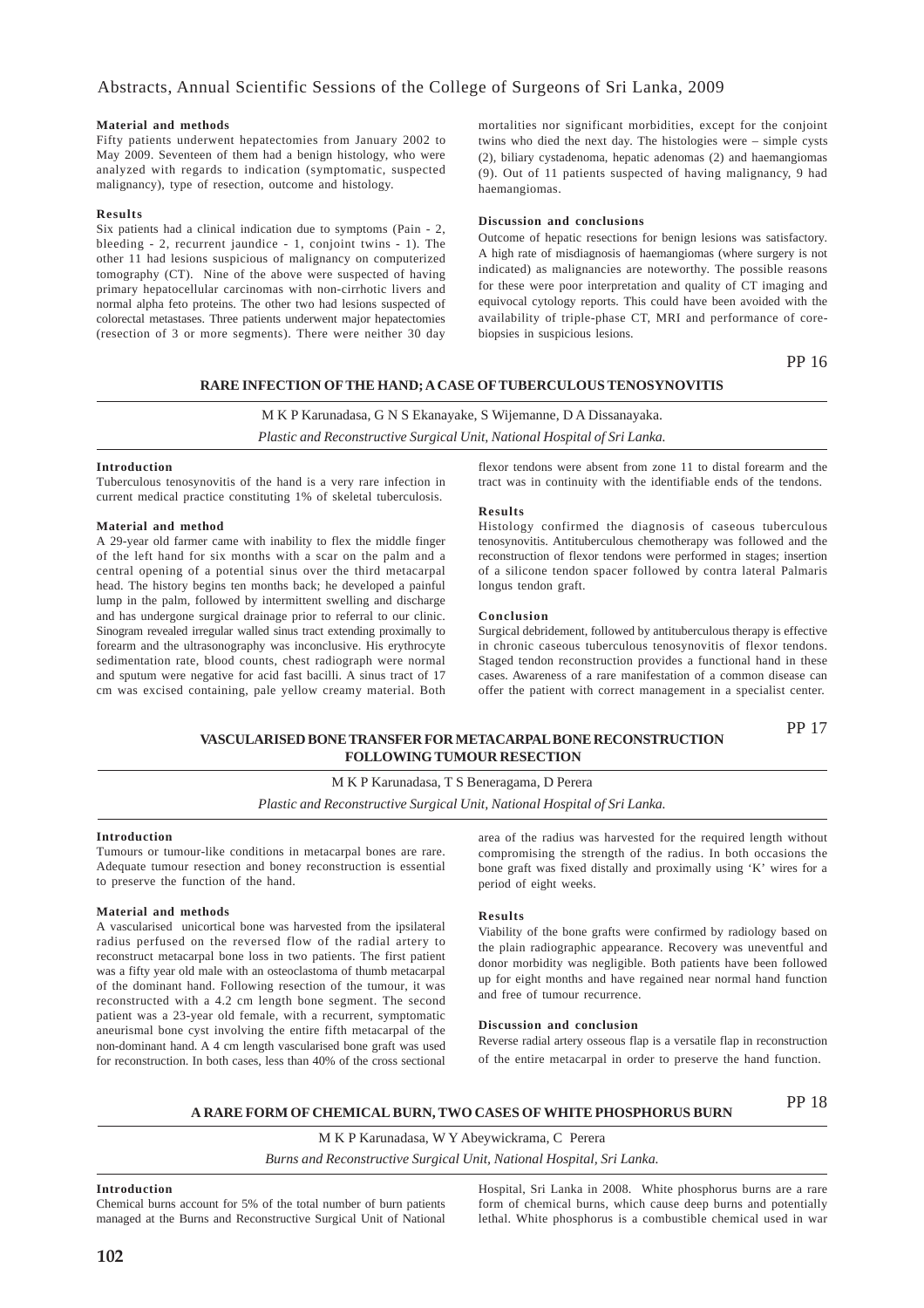### **Material and methods**

Fifty patients underwent hepatectomies from January 2002 to May 2009. Seventeen of them had a benign histology, who were analyzed with regards to indication (symptomatic, suspected malignancy), type of resection, outcome and histology.

### **Results**

Six patients had a clinical indication due to symptoms (Pain - 2, bleeding - 2, recurrent jaundice - 1, conjoint twins - 1). The other 11 had lesions suspicious of malignancy on computerized tomography (CT). Nine of the above were suspected of having primary hepatocellular carcinomas with non-cirrhotic livers and normal alpha feto proteins. The other two had lesions suspected of colorectal metastases. Three patients underwent major hepatectomies (resection of 3 or more segments). There were neither 30 day

mortalities nor significant morbidities, except for the conjoint twins who died the next day. The histologies were – simple cysts (2), biliary cystadenoma, hepatic adenomas (2) and haemangiomas (9). Out of 11 patients suspected of having malignancy, 9 had haemangiomas.

### **Discussion and conclusions**

Outcome of hepatic resections for benign lesions was satisfactory. A high rate of misdiagnosis of haemangiomas (where surgery is not indicated) as malignancies are noteworthy. The possible reasons for these were poor interpretation and quality of CT imaging and equivocal cytology reports. This could have been avoided with the availability of triple-phase CT, MRI and performance of corebiopsies in suspicious lesions.

### PP 16

PP 17

### **RARE INFECTION OF THE HAND; A CASE OF TUBERCULOUS TENOSYNOVITIS**

# M K P Karunadasa, G N S Ekanayake, S Wijemanne, D A Dissanayaka.

*Plastic and Reconstructive Surgical Unit, National Hospital of Sri Lanka.*

### **Introduction**

Tuberculous tenosynovitis of the hand is a very rare infection in current medical practice constituting 1% of skeletal tuberculosis.

### **Material and method**

A 29-year old farmer came with inability to flex the middle finger of the left hand for six months with a scar on the palm and a central opening of a potential sinus over the third metacarpal head. The history begins ten months back; he developed a painful lump in the palm, followed by intermittent swelling and discharge and has undergone surgical drainage prior to referral to our clinic. Sinogram revealed irregular walled sinus tract extending proximally to forearm and the ultrasonography was inconclusive. His erythrocyte sedimentation rate, blood counts, chest radiograph were normal and sputum were negative for acid fast bacilli. A sinus tract of 17 cm was excised containing, pale yellow creamy material. Both

flexor tendons were absent from zone 11 to distal forearm and the tract was in continuity with the identifiable ends of the tendons.

### **Results**

Histology confirmed the diagnosis of caseous tuberculous tenosynovitis. Antituberculous chemotherapy was followed and the reconstruction of flexor tendons were performed in stages; insertion of a silicone tendon spacer followed by contra lateral Palmaris longus tendon graft.

#### **Conclusion**

Surgical debridement, followed by antituberculous therapy is effective in chronic caseous tuberculous tenosynovitis of flexor tendons. Staged tendon reconstruction provides a functional hand in these cases. Awareness of a rare manifestation of a common disease can offer the patient with correct management in a specialist center.

### **VASCULARISED BONE TRANSFER FOR METACARPAL BONE RECONSTRUCTION FOLLOWING TUMOUR RESECTION**

M K P Karunadasa, T S Beneragama, D Perera *Plastic and Reconstructive Surgical Unit, National Hospital of Sri Lanka.*

### **Introduction**

Tumours or tumour-like conditions in metacarpal bones are rare. Adequate tumour resection and boney reconstruction is essential to preserve the function of the hand.

### **Material and methods**

A vascularised unicortical bone was harvested from the ipsilateral radius perfused on the reversed flow of the radial artery to reconstruct metacarpal bone loss in two patients. The first patient was a fifty year old male with an osteoclastoma of thumb metacarpal of the dominant hand. Following resection of the tumour, it was reconstructed with a 4.2 cm length bone segment. The second patient was a 23-year old female, with a recurrent, symptomatic aneurismal bone cyst involving the entire fifth metacarpal of the non-dominant hand. A 4 cm length vascularised bone graft was used for reconstruction. In both cases, less than 40% of the cross sectional area of the radius was harvested for the required length without compromising the strength of the radius. In both occasions the bone graft was fixed distally and proximally using 'K' wires for a period of eight weeks.

### **Results**

Viability of the bone grafts were confirmed by radiology based on the plain radiographic appearance. Recovery was uneventful and donor morbidity was negligible. Both patients have been followed up for eight months and have regained near normal hand function and free of tumour recurrence.

### **Discussion and conclusion**

Reverse radial artery osseous flap is a versatile flap in reconstruction of the entire metacarpal in order to preserve the hand function.

### **A RARE FORM OF CHEMICAL BURN, TWO CASES OF WHITE PHOSPHORUS BURN**

PP 18

M K P Karunadasa, W Y Abeywickrama, C Perera *Burns and Reconstructive Surgical Unit, National Hospital, Sri Lanka.*

### **Introduction**

Chemical burns account for 5% of the total number of burn patients managed at the Burns and Reconstructive Surgical Unit of National Hospital, Sri Lanka in 2008. White phosphorus burns are a rare form of chemical burns, which cause deep burns and potentially lethal. White phosphorus is a combustible chemical used in war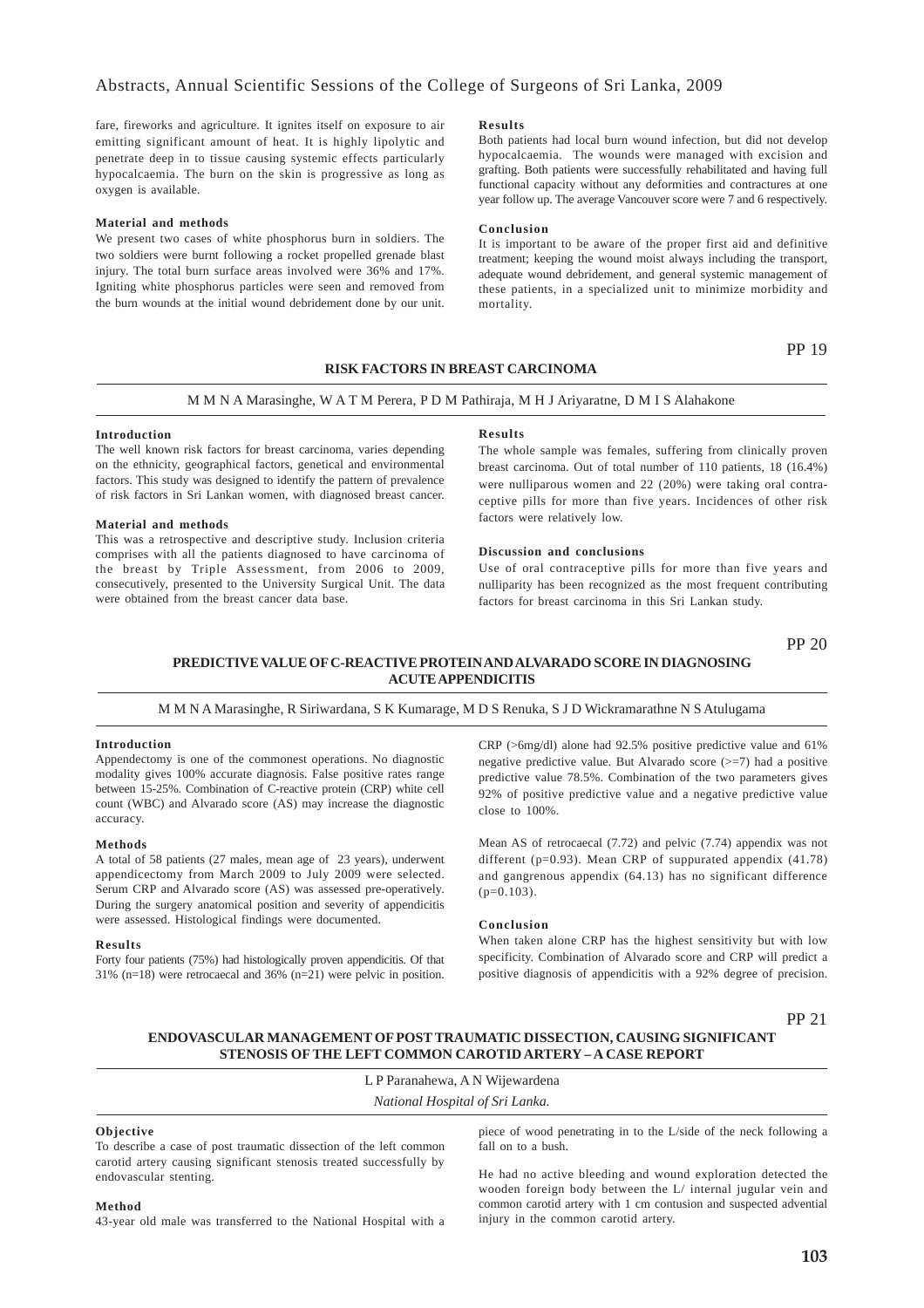fare, fireworks and agriculture. It ignites itself on exposure to air emitting significant amount of heat. It is highly lipolytic and penetrate deep in to tissue causing systemic effects particularly hypocalcaemia. The burn on the skin is progressive as long as oxygen is available.

#### **Material and methods**

We present two cases of white phosphorus burn in soldiers. The two soldiers were burnt following a rocket propelled grenade blast injury. The total burn surface areas involved were 36% and 17%. Igniting white phosphorus particles were seen and removed from the burn wounds at the initial wound debridement done by our unit.

### **Results**

Both patients had local burn wound infection, but did not develop hypocalcaemia. The wounds were managed with excision and grafting. Both patients were successfully rehabilitated and having full functional capacity without any deformities and contractures at one year follow up. The average Vancouver score were 7 and 6 respectively.

### **Conclusion**

It is important to be aware of the proper first aid and definitive treatment; keeping the wound moist always including the transport, adequate wound debridement, and general systemic management of these patients, in a specialized unit to minimize morbidity and mortality.

### **RISK FACTORS IN BREAST CARCINOMA**

PP 19

### M M N A Marasinghe, W A T M Perera, P D M Pathiraja, M H J Ariyaratne, D M I S Alahakone

### **Introduction**

The well known risk factors for breast carcinoma, varies depending on the ethnicity, geographical factors, genetical and environmental factors. This study was designed to identify the pattern of prevalence of risk factors in Sri Lankan women, with diagnosed breast cancer.

#### **Material and methods**

This was a retrospective and descriptive study. Inclusion criteria comprises with all the patients diagnosed to have carcinoma of the breast by Triple Assessment, from 2006 to 2009, consecutively, presented to the University Surgical Unit. The data were obtained from the breast cancer data base.

### **Results**

The whole sample was females, suffering from clinically proven breast carcinoma. Out of total number of 110 patients, 18 (16.4%) were nulliparous women and 22 (20%) were taking oral contraceptive pills for more than five years. Incidences of other risk factors were relatively low.

#### **Discussion and conclusions**

Use of oral contraceptive pills for more than five years and nulliparity has been recognized as the most frequent contributing factors for breast carcinoma in this Sri Lankan study.

PP 20

### **PREDICTIVE VALUE OF C-REACTIVE PROTEIN AND ALVARADO SCORE IN DIAGNOSING ACUTE APPENDICITIS**

M M N A Marasinghe, R Siriwardana, S K Kumarage, M D S Renuka, S J D Wickramarathne N S Atulugama

### **Introduction**

Appendectomy is one of the commonest operations. No diagnostic modality gives 100% accurate diagnosis. False positive rates range between 15-25%. Combination of C-reactive protein (CRP) white cell count (WBC) and Alvarado score (AS) may increase the diagnostic accuracy.

### **Methods**

A total of 58 patients (27 males, mean age of 23 years), underwent appendicectomy from March 2009 to July 2009 were selected. Serum CRP and Alvarado score (AS) was assessed pre-operatively. During the surgery anatomical position and severity of appendicitis were assessed. Histological findings were documented.

#### **Results**

Forty four patients (75%) had histologically proven appendicitis. Of that 31% (n=18) were retrocaecal and 36% (n=21) were pelvic in position.

CRP (>6mg/dl) alone had 92.5% positive predictive value and 61% negative predictive value. But Alvarado score  $(>=7)$  had a positive predictive value 78.5%. Combination of the two parameters gives 92% of positive predictive value and a negative predictive value close to 100%.

Mean AS of retrocaecal (7.72) and pelvic (7.74) appendix was not different ( $p=0.93$ ). Mean CRP of suppurated appendix (41.78) and gangrenous appendix (64.13) has no significant difference (p=0.103).

### **Conclusion**

When taken alone CRP has the highest sensitivity but with low specificity. Combination of Alvarado score and CRP will predict a positive diagnosis of appendicitis with a 92% degree of precision.

PP 21

### **ENDOVASCULAR MANAGEMENT OF POST TRAUMATIC DISSECTION, CAUSING SIGNIFICANT STENOSIS OF THE LEFT COMMON CAROTID ARTERY – A CASE REPORT**

L P Paranahewa, A N Wijewardena *National Hospital of Sri Lanka.*

### **Objective**

To describe a case of post traumatic dissection of the left common carotid artery causing significant stenosis treated successfully by endovascular stenting.

piece of wood penetrating in to the L/side of the neck following a fall on to a bush.

He had no active bleeding and wound exploration detected the wooden foreign body between the L/ internal jugular vein and common carotid artery with 1 cm contusion and suspected advential injury in the common carotid artery.

### **Method**

43-year old male was transferred to the National Hospital with a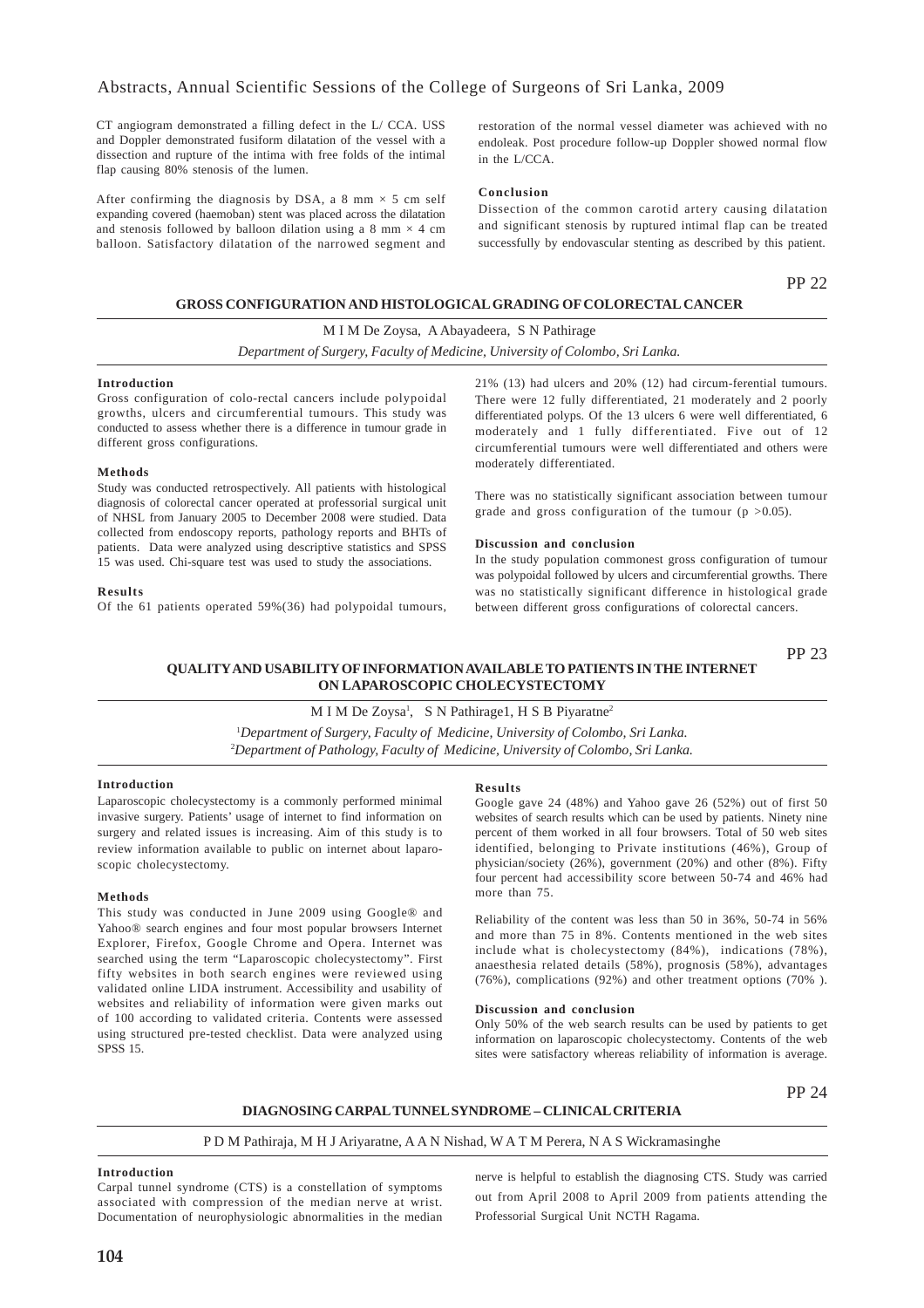CT angiogram demonstrated a filling defect in the L/ CCA. USS and Doppler demonstrated fusiform dilatation of the vessel with a dissection and rupture of the intima with free folds of the intimal flap causing 80% stenosis of the lumen.

After confirming the diagnosis by DSA, a 8 mm  $\times$  5 cm self expanding covered (haemoban) stent was placed across the dilatation and stenosis followed by balloon dilation using a 8 mm  $\times$  4 cm balloon. Satisfactory dilatation of the narrowed segment and

restoration of the normal vessel diameter was achieved with no endoleak. Post procedure follow-up Doppler showed normal flow in the L/CCA.

### **Conclusion**

Dissection of the common carotid artery causing dilatation and significant stenosis by ruptured intimal flap can be treated successfully by endovascular stenting as described by this patient.

### PP 22

### **GROSS CONFIGURATION AND HISTOLOGICAL GRADING OF COLORECTAL CANCER**

M I M De Zoysa, A Abayadeera, S N Pathirage *Department of Surgery, Faculty of Medicine, University of Colombo, Sri Lanka.*

### **Introduction**

Gross configuration of colo-rectal cancers include polypoidal growths, ulcers and circumferential tumours. This study was conducted to assess whether there is a difference in tumour grade in different gross configurations.

### **Methods**

Study was conducted retrospectively. All patients with histological diagnosis of colorectal cancer operated at professorial surgical unit of NHSL from January 2005 to December 2008 were studied. Data collected from endoscopy reports, pathology reports and BHTs of patients. Data were analyzed using descriptive statistics and SPSS 15 was used. Chi-square test was used to study the associations.

### **Results**

Of the 61 patients operated 59%(36) had polypoidal tumours,

21% (13) had ulcers and 20% (12) had circum-ferential tumours. There were 12 fully differentiated, 21 moderately and 2 poorly differentiated polyps. Of the 13 ulcers 6 were well differentiated, 6 moderately and 1 fully differentiated. Five out of 12 circumferential tumours were well differentiated and others were moderately differentiated.

There was no statistically significant association between tumour grade and gross configuration of the tumour ( $p > 0.05$ ).

### **Discussion and conclusion**

In the study population commonest gross configuration of tumour was polypoidal followed by ulcers and circumferential growths. There was no statistically significant difference in histological grade between different gross configurations of colorectal cancers.

### **QUALITY AND USABILITY OF INFORMATION AVAILABLE TO PATIENTS IN THE INTERNET ON LAPAROSCOPIC CHOLECYSTECTOMY** PP 23

### M I M De Zoysa<sup>1</sup>, S N Pathirage1, H S B Piyaratne<sup>2</sup>

1 *Department of Surgery, Faculty of Medicine, University of Colombo, Sri Lanka.* 2 *Department of Pathology, Faculty of Medicine, University of Colombo, Sri Lanka.*

### **Introduction**

Laparoscopic cholecystectomy is a commonly performed minimal invasive surgery. Patients' usage of internet to find information on surgery and related issues is increasing. Aim of this study is to review information available to public on internet about laparoscopic cholecystectomy.

### **Methods**

This study was conducted in June 2009 using Google® and Yahoo® search engines and four most popular browsers Internet Explorer, Firefox, Google Chrome and Opera. Internet was searched using the term "Laparoscopic cholecystectomy". First fifty websites in both search engines were reviewed using validated online LIDA instrument. Accessibility and usability of websites and reliability of information were given marks out of 100 according to validated criteria. Contents were assessed using structured pre-tested checklist. Data were analyzed using SPSS 15.

### **Results**

Google gave 24 (48%) and Yahoo gave 26 (52%) out of first 50 websites of search results which can be used by patients. Ninety nine percent of them worked in all four browsers. Total of 50 web sites identified, belonging to Private institutions (46%), Group of physician/society (26%), government (20%) and other (8%). Fifty four percent had accessibility score between 50-74 and 46% had more than 75.

Reliability of the content was less than 50 in 36%, 50-74 in 56% and more than 75 in 8%. Contents mentioned in the web sites include what is cholecystectomy (84%), indications (78%), anaesthesia related details (58%), prognosis (58%), advantages (76%), complications (92%) and other treatment options (70% ).

#### **Discussion and conclusion**

Only 50% of the web search results can be used by patients to get information on laparoscopic cholecystectomy. Contents of the web sites were satisfactory whereas reliability of information is average.

PP 24

**DIAGNOSING CARPAL TUNNEL SYNDROME – CLINICAL CRITERIA**

### P D M Pathiraja, M H J Ariyaratne, A A N Nishad, W A T M Perera, N A S Wickramasinghe

### **Introduction**

Carpal tunnel syndrome (CTS) is a constellation of symptoms associated with compression of the median nerve at wrist. Documentation of neurophysiologic abnormalities in the median nerve is helpful to establish the diagnosing CTS. Study was carried out from April 2008 to April 2009 from patients attending the Professorial Surgical Unit NCTH Ragama.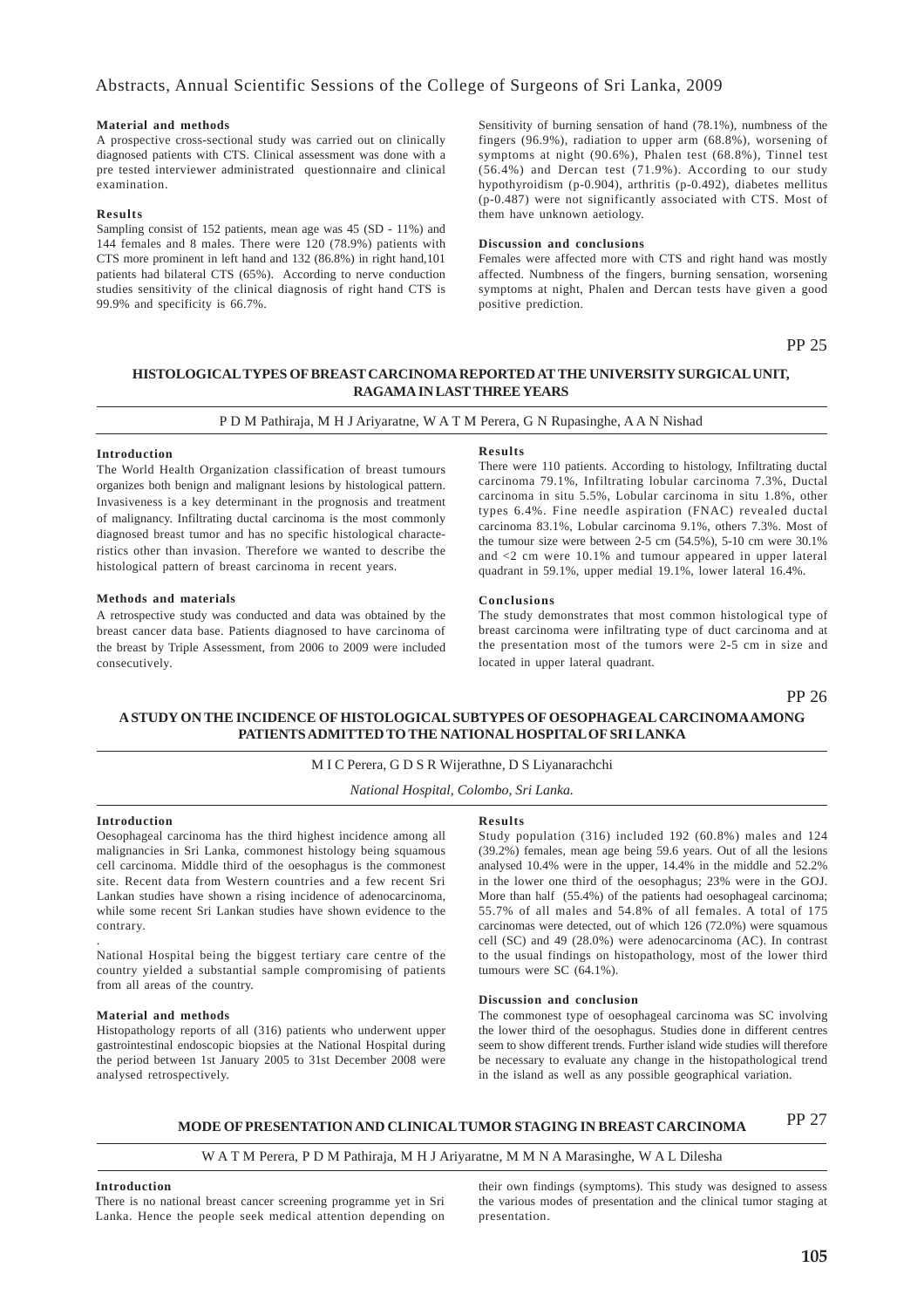### **Material and methods**

A prospective cross-sectional study was carried out on clinically diagnosed patients with CTS. Clinical assessment was done with a pre tested interviewer administrated questionnaire and clinical examination.

### **Results**

Sampling consist of 152 patients, mean age was 45 (SD - 11%) and 144 females and 8 males. There were 120 (78.9%) patients with CTS more prominent in left hand and 132 (86.8%) in right hand,101 patients had bilateral CTS (65%). According to nerve conduction studies sensitivity of the clinical diagnosis of right hand CTS is 99.9% and specificity is 66.7%.

Sensitivity of burning sensation of hand (78.1%), numbness of the fingers (96.9%), radiation to upper arm (68.8%), worsening of symptoms at night (90.6%), Phalen test (68.8%), Tinnel test (56.4%) and Dercan test (71.9%). According to our study hypothyroidism (p-0.904), arthritis (p-0.492), diabetes mellitus (p-0.487) were not significantly associated with CTS. Most of them have unknown aetiology.

### **Discussion and conclusions**

Females were affected more with CTS and right hand was mostly affected. Numbness of the fingers, burning sensation, worsening symptoms at night, Phalen and Dercan tests have given a good positive prediction.

PP 25

### **HISTOLOGICAL TYPES OF BREAST CARCINOMA REPORTED ATTHE UNIVERSITY SURGICAL UNIT, RAGAMA IN LAST THREE YEARS**

### P D M Pathiraja, M H J Ariyaratne, W A T M Perera, G N Rupasinghe, A A N Nishad

### **Introduction**

The World Health Organization classification of breast tumours organizes both benign and malignant lesions by histological pattern. Invasiveness is a key determinant in the prognosis and treatment of malignancy. Infiltrating ductal carcinoma is the most commonly diagnosed breast tumor and has no specific histological characteristics other than invasion. Therefore we wanted to describe the histological pattern of breast carcinoma in recent years.

### **Methods and materials**

A retrospective study was conducted and data was obtained by the breast cancer data base. Patients diagnosed to have carcinoma of the breast by Triple Assessment, from 2006 to 2009 were included consecutively.

#### **Results**

There were 110 patients. According to histology, Infiltrating ductal carcinoma 79.1%, Infiltrating lobular carcinoma 7.3%, Ductal carcinoma in situ 5.5%, Lobular carcinoma in situ 1.8%, other types 6.4%. Fine needle aspiration (FNAC) revealed ductal carcinoma 83.1%, Lobular carcinoma 9.1%, others 7.3%. Most of the tumour size were between 2-5 cm (54.5%), 5-10 cm were 30.1% and <2 cm were 10.1% and tumour appeared in upper lateral quadrant in 59.1%, upper medial 19.1%, lower lateral 16.4%.

### **Conclusions**

The study demonstrates that most common histological type of breast carcinoma were infiltrating type of duct carcinoma and at the presentation most of the tumors were 2-5 cm in size and located in upper lateral quadrant.

PP 26

### **A STUDY ON THE INCIDENCE OF HISTOLOGICAL SUBTYPES OF OESOPHAGEAL CARCINOMA AMONG PATIENTS ADMITTED TO THE NATIONAL HOSPITAL OF SRI LANKA**

### M I C Perera, G D S R Wijerathne, D S Liyanarachchi

*National Hospital, Colombo, Sri Lanka.*

### **Introduction**

.

Oesophageal carcinoma has the third highest incidence among all malignancies in Sri Lanka, commonest histology being squamous cell carcinoma. Middle third of the oesophagus is the commonest site. Recent data from Western countries and a few recent Sri Lankan studies have shown a rising incidence of adenocarcinoma, while some recent Sri Lankan studies have shown evidence to the contrary.

National Hospital being the biggest tertiary care centre of the country yielded a substantial sample compromising of patients from all areas of the country.

### **Material and methods**

Histopathology reports of all (316) patients who underwent upper gastrointestinal endoscopic biopsies at the National Hospital during the period between 1st January 2005 to 31st December 2008 were analysed retrospectively.

### **Results**

Study population (316) included 192 (60.8%) males and 124 (39.2%) females, mean age being 59.6 years. Out of all the lesions analysed 10.4% were in the upper, 14.4% in the middle and 52.2% in the lower one third of the oesophagus; 23% were in the GOJ. More than half (55.4%) of the patients had oesophageal carcinoma; 55.7% of all males and 54.8% of all females. A total of 175 carcinomas were detected, out of which 126 (72.0%) were squamous cell (SC) and 49 (28.0%) were adenocarcinoma (AC). In contrast to the usual findings on histopathology, most of the lower third tumours were SC (64.1%).

#### **Discussion and conclusion**

The commonest type of oesophageal carcinoma was SC involving the lower third of the oesophagus. Studies done in different centres seem to show different trends. Further island wide studies will therefore be necessary to evaluate any change in the histopathological trend in the island as well as any possible geographical variation.

#### PP 27 **MODE OF PRESENTATION AND CLINICAL TUMOR STAGING IN BREAST CARCINOMA**

### W A T M Perera, P D M Pathiraja, M H J Ariyaratne, M M N A Marasinghe, W A L Dilesha

### **Introduction**

There is no national breast cancer screening programme yet in Sri Lanka. Hence the people seek medical attention depending on

their own findings (symptoms). This study was designed to assess the various modes of presentation and the clinical tumor staging at presentation.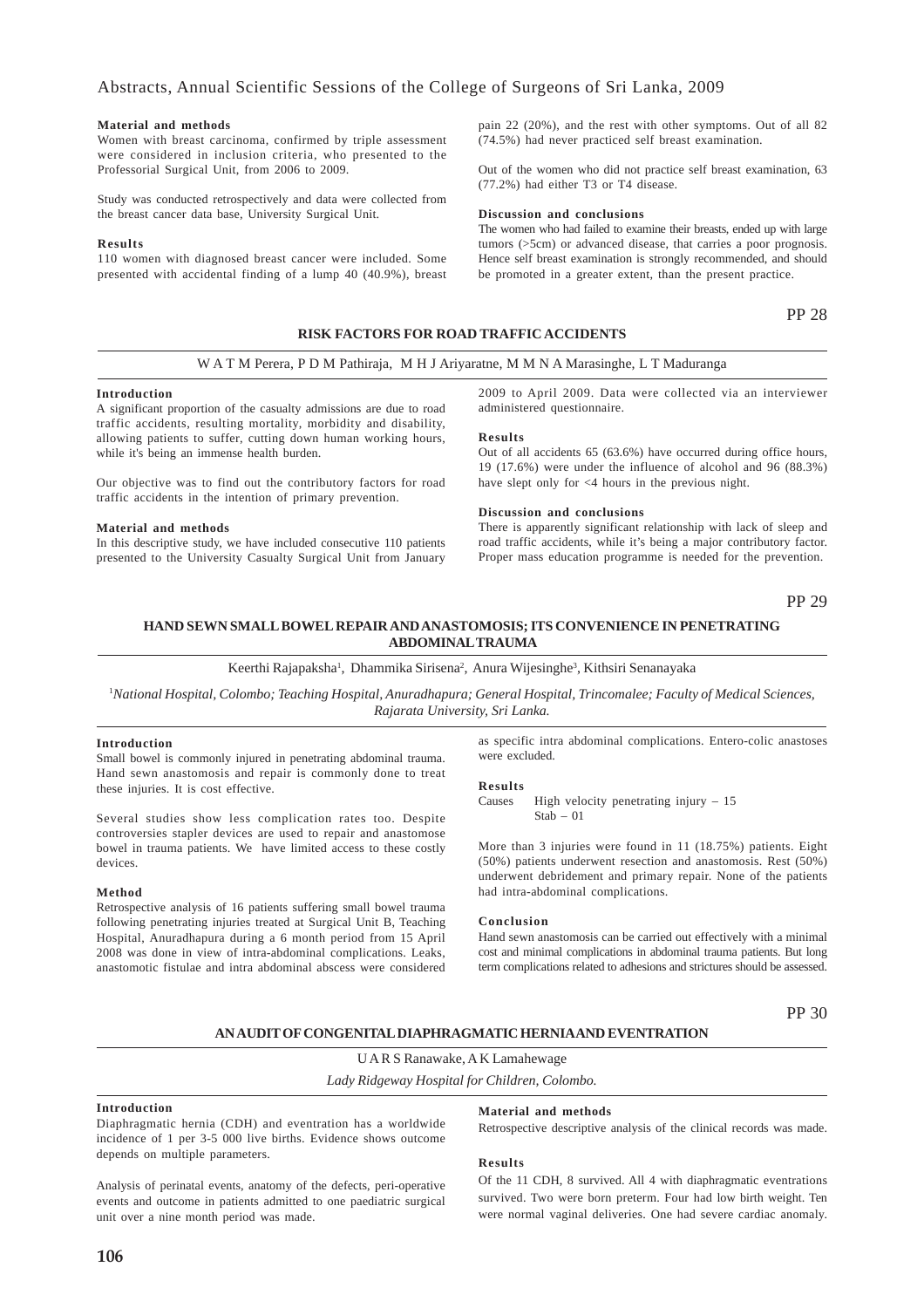### Abstracts, Annual Scientific Sessions of the College of Surgeons of Sri Lanka, 2009

### **Material and methods**

Women with breast carcinoma, confirmed by triple assessment were considered in inclusion criteria, who presented to the Professorial Surgical Unit, from 2006 to 2009.

Study was conducted retrospectively and data were collected from the breast cancer data base, University Surgical Unit.

### **Results**

110 women with diagnosed breast cancer were included. Some presented with accidental finding of a lump 40 (40.9%), breast

pain 22 (20%), and the rest with other symptoms. Out of all 82 (74.5%) had never practiced self breast examination.

Out of the women who did not practice self breast examination, 63 (77.2%) had either T3 or T4 disease.

### **Discussion and conclusions**

The women who had failed to examine their breasts, ended up with large tumors (>5cm) or advanced disease, that carries a poor prognosis. Hence self breast examination is strongly recommended, and should be promoted in a greater extent, than the present practice.

### PP 28

### **RISK FACTORS FOR ROAD TRAFFIC ACCIDENTS**

#### W A T M Perera, P D M Pathiraja, M H J Ariyaratne, M M N A Marasinghe, L T Maduranga

#### **Introduction**

A significant proportion of the casualty admissions are due to road traffic accidents, resulting mortality, morbidity and disability, allowing patients to suffer, cutting down human working hours, while it's being an immense health burden.

Our objective was to find out the contributory factors for road traffic accidents in the intention of primary prevention.

#### **Material and methods**

In this descriptive study, we have included consecutive 110 patients presented to the University Casualty Surgical Unit from January

2009 to April 2009. Data were collected via an interviewer administered questionnaire.

#### **Results**

Out of all accidents 65 (63.6%) have occurred during office hours, 19 (17.6%) were under the influence of alcohol and 96 (88.3%) have slept only for <4 hours in the previous night.

#### **Discussion and conclusions**

There is apparently significant relationship with lack of sleep and road traffic accidents, while it's being a major contributory factor. Proper mass education programme is needed for the prevention.

PP 29

### **HAND SEWN SMALL BOWEL REPAIR AND ANASTOMOSIS; ITS CONVENIENCE IN PENETRATING ABDOMINAL TRAUMA**

Keerthi Rajapaksha<sup>1</sup>, Dhammika Sirisena<sup>2</sup>, Anura Wijesinghe<sup>3</sup>, Kithsiri Senanayaka

1 *National Hospital, Colombo; Teaching Hospital, Anuradhapura; General Hospital, Trincomalee; Faculty of Medical Sciences, Rajarata University, Sri Lanka.*

### **Introduction**

Small bowel is commonly injured in penetrating abdominal trauma. Hand sewn anastomosis and repair is commonly done to treat these injuries. It is cost effective.

Several studies show less complication rates too. Despite controversies stapler devices are used to repair and anastomose bowel in trauma patients. We have limited access to these costly devices.

### **Method**

Retrospective analysis of 16 patients suffering small bowel trauma following penetrating injuries treated at Surgical Unit B, Teaching Hospital, Anuradhapura during a 6 month period from 15 April 2008 was done in view of intra-abdominal complications. Leaks, anastomotic fistulae and intra abdominal abscess were considered

as specific intra abdominal complications. Entero-colic anastoses were excluded.

#### **Results**

Causes High velocity penetrating injury – 15  $Stab = 01$ 

More than 3 injuries were found in 11 (18.75%) patients. Eight (50%) patients underwent resection and anastomosis. Rest (50%) underwent debridement and primary repair. None of the patients had intra-abdominal complications.

#### **Conclusion**

Hand sewn anastomosis can be carried out effectively with a minimal cost and minimal complications in abdominal trauma patients. But long term complications related to adhesions and strictures should be assessed.

PP 30

**AN AUDIT OF CONGENITAL DIAPHRAGMATIC HERNIA AND EVENTRATION**

U A R S Ranawake, A K Lamahewage

*Lady Ridgeway Hospital for Children, Colombo.*

### **Introduction**

Diaphragmatic hernia (CDH) and eventration has a worldwide incidence of 1 per 3-5 000 live births. Evidence shows outcome depends on multiple parameters.

### **Material and methods**

Retrospective descriptive analysis of the clinical records was made.

### **Results**

Analysis of perinatal events, anatomy of the defects, peri-operative events and outcome in patients admitted to one paediatric surgical unit over a nine month period was made.

Of the 11 CDH, 8 survived. All 4 with diaphragmatic eventrations survived. Two were born preterm. Four had low birth weight. Ten were normal vaginal deliveries. One had severe cardiac anomaly.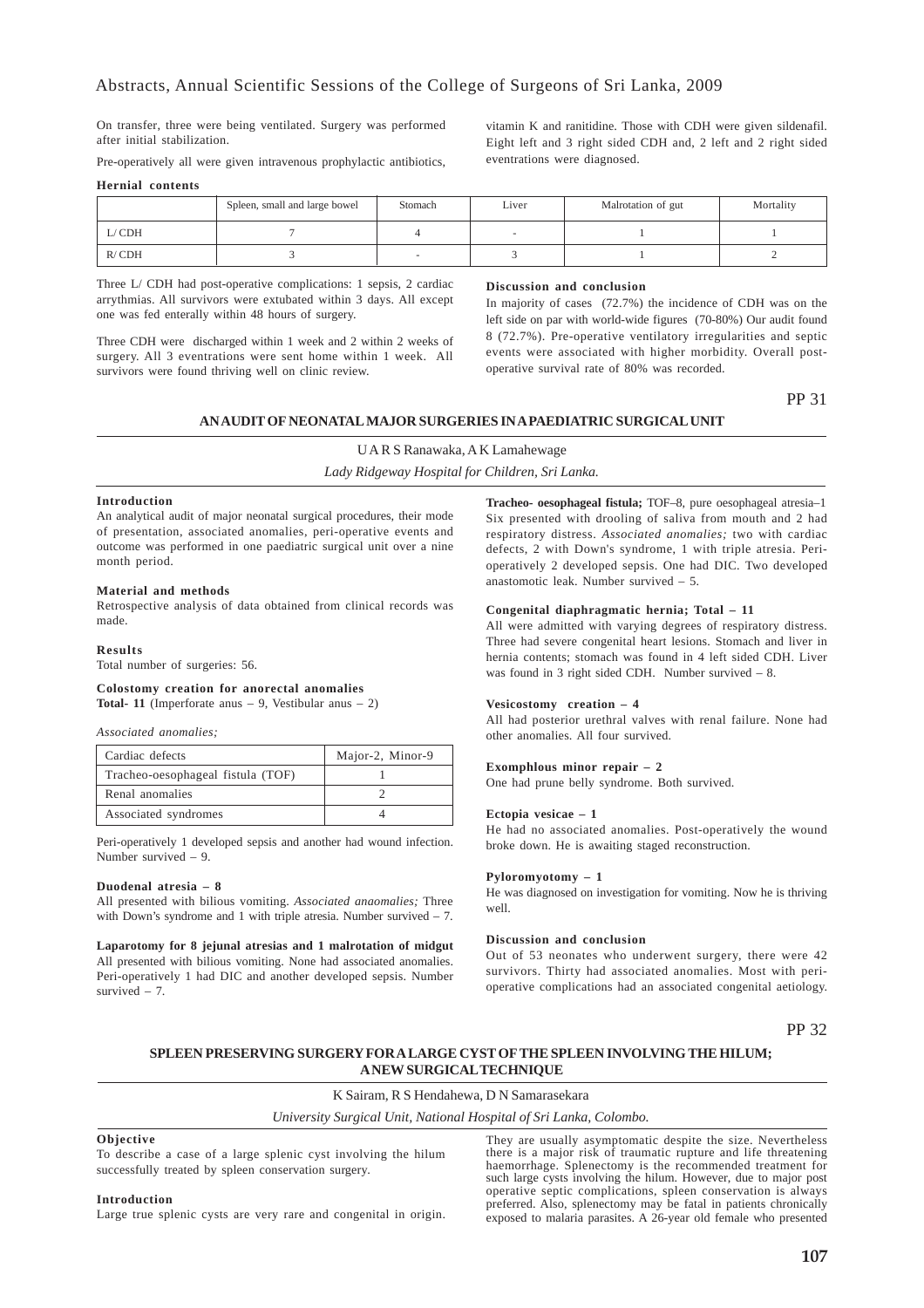On transfer, three were being ventilated. Surgery was performed after initial stabilization.

Pre-operatively all were given intravenous prophylactic antibiotics,

**Hernial contents**

|       | Spleen, small and large bowel | Stomach | Liver | Malrotation of gut | Mortality |
|-------|-------------------------------|---------|-------|--------------------|-----------|
| L/CDH |                               |         |       |                    |           |
| R/CDH |                               |         |       |                    |           |

Three L/ CDH had post-operative complications: 1 sepsis, 2 cardiac arrythmias. All survivors were extubated within 3 days. All except one was fed enterally within 48 hours of surgery.

Three CDH were discharged within 1 week and 2 within 2 weeks of surgery. All 3 eventrations were sent home within 1 week. All survivors were found thriving well on clinic review.

### **Discussion and conclusion**

In majority of cases (72.7%) the incidence of CDH was on the left side on par with world-wide figures (70-80%) Our audit found 8 (72.7%). Pre-operative ventilatory irregularities and septic events were associated with higher morbidity. Overall postoperative survival rate of 80% was recorded.

PP 31

### **AN AUDIT OF NEONATAL MAJOR SURGERIES IN A PAEDIATRIC SURGICAL UNIT**

U A R S Ranawaka, A K Lamahewage *Lady Ridgeway Hospital for Children, Sri Lanka.*

### **Introduction**

An analytical audit of major neonatal surgical procedures, their mode of presentation, associated anomalies, peri-operative events and outcome was performed in one paediatric surgical unit over a nine month period.

#### **Material and methods**

Retrospective analysis of data obtained from clinical records was made.

### **Results**

Total number of surgeries: 56.

## **Colostomy creation for anorectal anomalies**

**Total- 11** (Imperforate anus – 9, Vestibular anus – 2)

### *Associated anomalies;*

| Cardiac defects                   | Major-2, Minor-9 |
|-----------------------------------|------------------|
| Tracheo-oesophageal fistula (TOF) |                  |
| Renal anomalies                   |                  |
| Associated syndromes              |                  |

Peri-operatively 1 developed sepsis and another had wound infection. Number survived – 9.

### **Duodenal atresia – 8**

All presented with bilious vomiting. *Associated anaomalies;* Three with Down's syndrome and 1 with triple atresia. Number survived – 7.

**Laparotomy for 8 jejunal atresias and 1 malrotation of midgut** All presented with bilious vomiting. None had associated anomalies. Peri-operatively 1 had DIC and another developed sepsis. Number survived  $-7$ .

**Tracheo- oesophageal fistula;** TOF–8, pure oesophageal atresia–1 Six presented with drooling of saliva from mouth and 2 had respiratory distress. *Associated anomalies;* two with cardiac defects, 2 with Down's syndrome, 1 with triple atresia. Perioperatively 2 developed sepsis. One had DIC. Two developed anastomotic leak. Number survived – 5.

### **Congenital diaphragmatic hernia; Total – 11**

All were admitted with varying degrees of respiratory distress. Three had severe congenital heart lesions. Stomach and liver in hernia contents; stomach was found in 4 left sided CDH. Liver was found in 3 right sided CDH. Number survived – 8.

### **Vesicostomy creation – 4**

All had posterior urethral valves with renal failure. None had other anomalies. All four survived.

### **Exomphlous minor repair – 2**

One had prune belly syndrome. Both survived.

#### **Ectopia vesicae – 1**

He had no associated anomalies. Post-operatively the wound broke down. He is awaiting staged reconstruction.

### **Pyloromyotomy – 1**

He was diagnosed on investigation for vomiting. Now he is thriving well.

#### **Discussion and conclusion**

Out of 53 neonates who underwent surgery, there were 42 survivors. Thirty had associated anomalies. Most with perioperative complications had an associated congenital aetiology.

PP 32

### **SPLEEN PRESERVING SURGERY FOR A LARGE CYST OF THE SPLEEN INVOLVING THE HILUM; A NEW SURGICAL TECHNIQUE**

K Sairam, R S Hendahewa, D N Samarasekara

*University Surgical Unit, National Hospital of Sri Lanka, Colombo.*

#### **Objective**

To describe a case of a large splenic cyst involving the hilum successfully treated by spleen conservation surgery.

**Introduction**

Large true splenic cysts are very rare and congenital in origin.

They are usually asymptomatic despite the size. Nevertheless there is a major risk of traumatic rupture and life threatening haemorrhage. Splenectomy is the recommended treatment for such large cysts involving the hilum. However, due to major post operative septic complications, spleen conservation is always preferred. Also, splenectomy may be fatal in patients chronically exposed to malaria parasites. A 26-year old female who presented

vitamin K and ranitidine. Those with CDH were given sildenafil. Eight left and 3 right sided CDH and, 2 left and 2 right sided eventrations were diagnosed.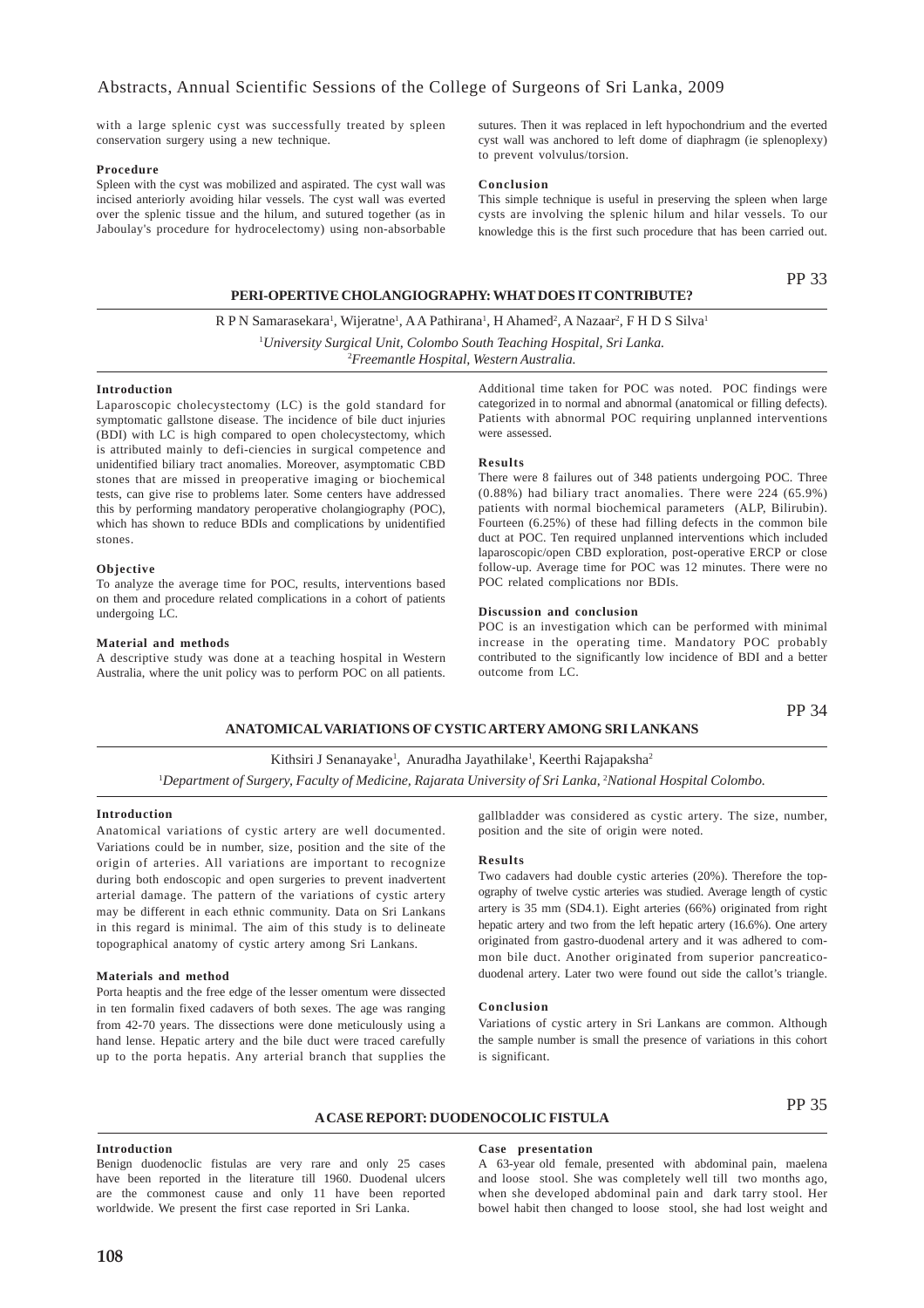with a large splenic cyst was successfully treated by spleen conservation surgery using a new technique.

#### **Procedure**

Spleen with the cyst was mobilized and aspirated. The cyst wall was incised anteriorly avoiding hilar vessels. The cyst wall was everted over the splenic tissue and the hilum, and sutured together (as in Jaboulay's procedure for hydrocelectomy) using non-absorbable

sutures. Then it was replaced in left hypochondrium and the everted cyst wall was anchored to left dome of diaphragm (ie splenoplexy) to prevent volvulus/torsion.

### **Conclusion**

This simple technique is useful in preserving the spleen when large cysts are involving the splenic hilum and hilar vessels. To our knowledge this is the first such procedure that has been carried out.

### **PERI-OPERTIVE CHOLANGIOGRAPHY: WHAT DOES IT CONTRIBUTE?**

PP 33

R P N Samarasekara<sup>1</sup>, Wijeratne<sup>1</sup>, A A Pathirana<sup>1</sup>, H Ahamed<sup>2</sup>, A Nazaar<sup>2</sup>, F H D S Silva<sup>1</sup> 1 *University Surgical Unit, Colombo South Teaching Hospital, Sri Lanka.* 2 *Freemantle Hospital, Western Australia.*

### **Introduction**

Laparoscopic cholecystectomy (LC) is the gold standard for symptomatic gallstone disease. The incidence of bile duct injuries (BDI) with LC is high compared to open cholecystectomy, which is attributed mainly to defi-ciencies in surgical competence and unidentified biliary tract anomalies. Moreover, asymptomatic CBD stones that are missed in preoperative imaging or biochemical tests, can give rise to problems later. Some centers have addressed this by performing mandatory peroperative cholangiography (POC), which has shown to reduce BDIs and complications by unidentified stones.

#### **Objective**

To analyze the average time for POC, results, interventions based on them and procedure related complications in a cohort of patients undergoing LC.

#### **Material and methods**

A descriptive study was done at a teaching hospital in Western Australia, where the unit policy was to perform POC on all patients.

Additional time taken for POC was noted. POC findings were categorized in to normal and abnormal (anatomical or filling defects). Patients with abnormal POC requiring unplanned interventions were assessed.

#### **Results**

There were 8 failures out of 348 patients undergoing POC. Three (0.88%) had biliary tract anomalies. There were 224 (65.9%) patients with normal biochemical parameters (ALP, Bilirubin). Fourteen (6.25%) of these had filling defects in the common bile duct at POC. Ten required unplanned interventions which included laparoscopic/open CBD exploration, post-operative ERCP or close follow-up. Average time for POC was 12 minutes. There were no POC related complications nor BDIs.

### **Discussion and conclusion**

POC is an investigation which can be performed with minimal increase in the operating time. Mandatory POC probably contributed to the significantly low incidence of BDI and a better outcome from LC.

PP 34

### **ANATOMICAL VARIATIONS OF CYSTIC ARTERY AMONG SRI LANKANS**

Kithsiri J Senanayake<sup>1</sup>, Anuradha Jayathilake<sup>1</sup>, Keerthi Rajapaksha<sup>2</sup>

<sup>1</sup>Department of Surgery, Faculty of Medicine, Rajarata University of Sri Lanka, <sup>2</sup>National Hospital Colombo.

### **Introduction**

Anatomical variations of cystic artery are well documented. Variations could be in number, size, position and the site of the origin of arteries. All variations are important to recognize during both endoscopic and open surgeries to prevent inadvertent arterial damage. The pattern of the variations of cystic artery may be different in each ethnic community. Data on Sri Lankans in this regard is minimal. The aim of this study is to delineate topographical anatomy of cystic artery among Sri Lankans.

### **Materials and method**

Porta heaptis and the free edge of the lesser omentum were dissected in ten formalin fixed cadavers of both sexes. The age was ranging from 42-70 years. The dissections were done meticulously using a hand lense. Hepatic artery and the bile duct were traced carefully up to the porta hepatis. Any arterial branch that supplies the gallbladder was considered as cystic artery. The size, number, position and the site of origin were noted.

#### **Results**

Two cadavers had double cystic arteries (20%). Therefore the topography of twelve cystic arteries was studied. Average length of cystic artery is 35 mm (SD4.1). Eight arteries (66%) originated from right hepatic artery and two from the left hepatic artery (16.6%). One artery originated from gastro-duodenal artery and it was adhered to common bile duct. Another originated from superior pancreaticoduodenal artery. Later two were found out side the callot's triangle.

#### **Conclusion**

Variations of cystic artery in Sri Lankans are common. Although the sample number is small the presence of variations in this cohort is significant.

### **A CASE REPORT: DUODENOCOLIC FISTULA**

PP 35

#### **Introduction**

Benign duodenoclic fistulas are very rare and only 25 cases have been reported in the literature till 1960. Duodenal ulcers are the commonest cause and only 11 have been reported worldwide. We present the first case reported in Sri Lanka.

#### **Case presentation**

A 63-year old female, presented with abdominal pain, maelena and loose stool. She was completely well till two months ago, when she developed abdominal pain and dark tarry stool. Her bowel habit then changed to loose stool, she had lost weight and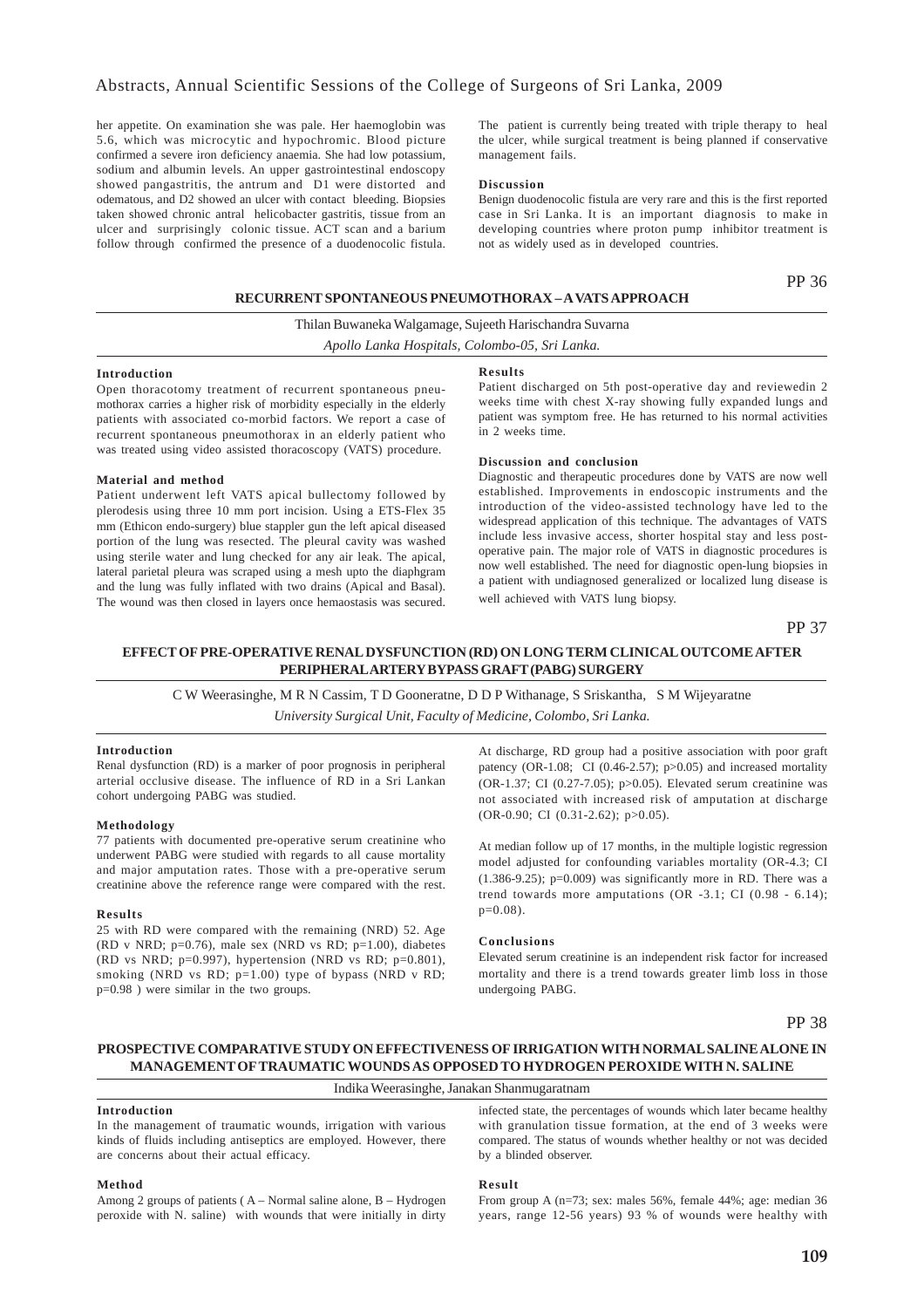her appetite. On examination she was pale. Her haemoglobin was 5.6, which was microcytic and hypochromic. Blood picture confirmed a severe iron deficiency anaemia. She had low potassium, sodium and albumin levels. An upper gastrointestinal endoscopy showed pangastritis, the antrum and D1 were distorted and odematous, and D2 showed an ulcer with contact bleeding. Biopsies taken showed chronic antral helicobacter gastritis, tissue from an ulcer and surprisingly colonic tissue. ACT scan and a barium follow through confirmed the presence of a duodenocolic fistula.

The patient is currently being treated with triple therapy to heal the ulcer, while surgical treatment is being planned if conservative management fails.

### **Discussion**

Benign duodenocolic fistula are very rare and this is the first reported case in Sri Lanka. It is an important diagnosis to make in developing countries where proton pump inhibitor treatment is not as widely used as in developed countries.

### **RECURRENT SPONTANEOUS PNEUMOTHORAX – A VATS APPROACH**

PP 36

Thilan Buwaneka Walgamage, Sujeeth Harischandra Suvarna *Apollo Lanka Hospitals, Colombo-05, Sri Lanka.*

#### **Introduction**

Open thoracotomy treatment of recurrent spontaneous pneumothorax carries a higher risk of morbidity especially in the elderly patients with associated co-morbid factors. We report a case of recurrent spontaneous pneumothorax in an elderly patient who was treated using video assisted thoracoscopy (VATS) procedure.

### **Material and method**

Patient underwent left VATS apical bullectomy followed by plerodesis using three 10 mm port incision. Using a ETS-Flex 35 mm (Ethicon endo-surgery) blue stappler gun the left apical diseased portion of the lung was resected. The pleural cavity was washed using sterile water and lung checked for any air leak. The apical, lateral parietal pleura was scraped using a mesh upto the diaphgram and the lung was fully inflated with two drains (Apical and Basal). The wound was then closed in layers once hemaostasis was secured.

# **Results**

Patient discharged on 5th post-operative day and reviewedin 2 weeks time with chest X-ray showing fully expanded lungs and patient was symptom free. He has returned to his normal activities in 2 weeks time.

#### **Discussion and conclusion**

Diagnostic and therapeutic procedures done by VATS are now well established. Improvements in endoscopic instruments and the introduction of the video-assisted technology have led to the widespread application of this technique. The advantages of VATS include less invasive access, shorter hospital stay and less postoperative pain. The major role of VATS in diagnostic procedures is now well established. The need for diagnostic open-lung biopsies in a patient with undiagnosed generalized or localized lung disease is well achieved with VATS lung biopsy.

PP 37

### **EFFECT OF PRE-OPERATIVE RENAL DYSFUNCTION (RD) ON LONG TERM CLINICAL OUTCOME AFTER PERIPHERAL ARTERY BYPASS GRAFT (PABG) SURGERY**

C W Weerasinghe, M R N Cassim, T D Gooneratne, D D P Withanage, S Sriskantha, S M Wijeyaratne *University Surgical Unit, Faculty of Medicine, Colombo, Sri Lanka.*

#### **Introduction**

Renal dysfunction (RD) is a marker of poor prognosis in peripheral arterial occlusive disease. The influence of RD in a Sri Lankan cohort undergoing PABG was studied.

### **Methodology**

77 patients with documented pre-operative serum creatinine who underwent PABG were studied with regards to all cause mortality and major amputation rates. Those with a pre-operative serum creatinine above the reference range were compared with the rest.

### **Results**

25 with RD were compared with the remaining (NRD) 52. Age (RD v NRD;  $p=0.76$ ), male sex (NRD vs RD;  $p=1.00$ ), diabetes (RD vs NRD;  $p=0.997$ ), hypertension (NRD vs RD;  $p=0.801$ ), smoking (NRD vs RD; p=1.00) type of bypass (NRD v RD; p=0.98 ) were similar in the two groups.

At discharge, RD group had a positive association with poor graft patency (OR-1.08; CI (0.46-2.57);  $p>0.05$ ) and increased mortality (OR-1.37; CI (0.27-7.05); p>0.05). Elevated serum creatinine was not associated with increased risk of amputation at discharge (OR-0.90; CI (0.31-2.62); p>0.05).

At median follow up of 17 months, in the multiple logistic regression model adjusted for confounding variables mortality (OR-4.3; CI  $(1.386-9.25)$ ; p=0.009) was significantly more in RD. There was a trend towards more amputations (OR -3.1; CI (0.98 - 6.14); p=0.08).

### **Conclusions**

Elevated serum creatinine is an independent risk factor for increased mortality and there is a trend towards greater limb loss in those undergoing PABG.

PP 38

### **PROSPECTIVE COMPARATIVE STUDY ON EFFECTIVENESS OF IRRIGATION WITH NORMAL SALINE ALONE IN MANAGEMENT OF TRAUMATIC WOUNDS AS OPPOSED TO HYDROGEN PEROXIDE WITH N. SALINE**

### Indika Weerasinghe, Janakan Shanmugaratnam

### **Introduction**

In the management of traumatic wounds, irrigation with various kinds of fluids including antiseptics are employed. However, there are concerns about their actual efficacy.

### **Method**

Among 2 groups of patients ( A – Normal saline alone, B – Hydrogen peroxide with N. saline) with wounds that were initially in dirty

infected state, the percentages of wounds which later became healthy with granulation tissue formation, at the end of 3 weeks were compared. The status of wounds whether healthy or not was decided by a blinded observer.

#### **Result**

From group A (n=73; sex: males 56%, female 44%; age: median 36 years, range 12-56 years) 93 % of wounds were healthy with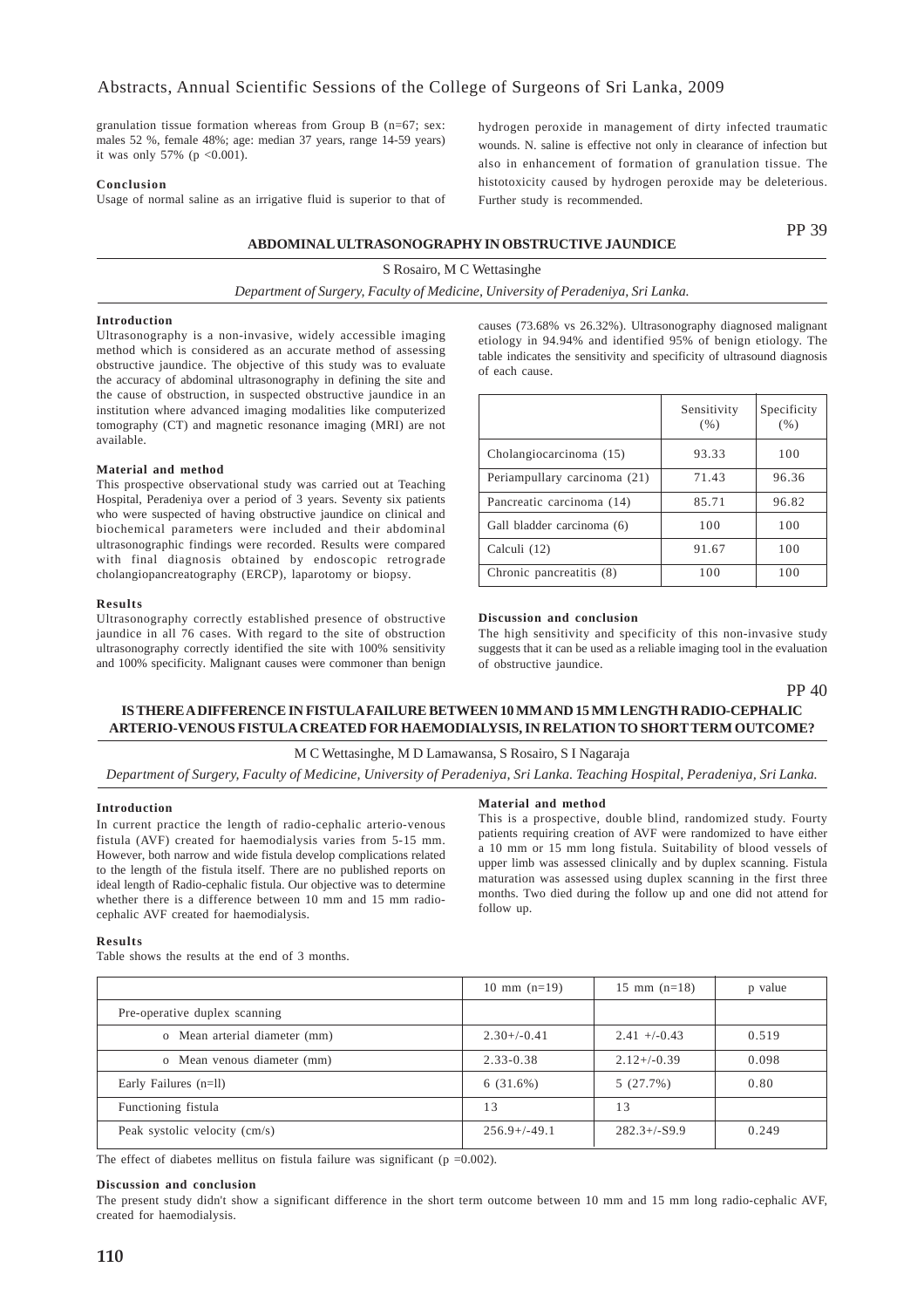granulation tissue formation whereas from Group B (n=67; sex: males 52 %, female 48%; age: median 37 years, range 14-59 years) it was only 57% ( $p < 0.001$ ).

### **Conclusion**

Usage of normal saline as an irrigative fluid is superior to that of

hydrogen peroxide in management of dirty infected traumatic wounds. N. saline is effective not only in clearance of infection but also in enhancement of formation of granulation tissue. The histotoxicity caused by hydrogen peroxide may be deleterious. Further study is recommended.

### **ABDOMINAL ULTRASONOGRAPHY IN OBSTRUCTIVE JAUNDICE**

S Rosairo, M C Wettasinghe

*Department of Surgery, Faculty of Medicine, University of Peradeniya, Sri Lanka.*

### **Introduction**

Ultrasonography is a non-invasive, widely accessible imaging method which is considered as an accurate method of assessing obstructive jaundice. The objective of this study was to evaluate the accuracy of abdominal ultrasonography in defining the site and the cause of obstruction, in suspected obstructive jaundice in an institution where advanced imaging modalities like computerized tomography (CT) and magnetic resonance imaging (MRI) are not available.

### **Material and method**

This prospective observational study was carried out at Teaching Hospital, Peradeniya over a period of 3 years. Seventy six patients who were suspected of having obstructive jaundice on clinical and biochemical parameters were included and their abdominal ultrasonographic findings were recorded. Results were compared with final diagnosis obtained by endoscopic retrograde cholangiopancreatography (ERCP), laparotomy or biopsy.

#### **Results**

Ultrasonography correctly established presence of obstructive jaundice in all 76 cases. With regard to the site of obstruction ultrasonography correctly identified the site with 100% sensitivity and 100% specificity. Malignant causes were commoner than benign

causes (73.68% vs 26.32%). Ultrasonography diagnosed malignant etiology in 94.94% and identified 95% of benign etiology. The table indicates the sensitivity and specificity of ultrasound diagnosis of each cause.

|                              | Sensitivity<br>(% ) | Specificity<br>(%) |
|------------------------------|---------------------|--------------------|
| Cholangiocarcinoma (15)      | 93.33               | 100                |
| Periampullary carcinoma (21) | 71.43               | 96.36              |
| Pancreatic carcinoma (14)    | 85.71               | 96.82              |
| Gall bladder carcinoma (6)   | 100                 | 100                |
| Calculi (12)                 | 91.67               | 100                |
| Chronic pancreatitis (8)     | 100                 | 100                |

### **Discussion and conclusion**

The high sensitivity and specificity of this non-invasive study suggests that it can be used as a reliable imaging tool in the evaluation of obstructive jaundice.

PP 40

PP 39

### **IS THERE A DIFFERENCE IN FISTULA FAILURE BETWEEN 10 MM AND 15 MM LENGTH RADIO-CEPHALIC ARTERIO-VENOUS FISTULA CREATED FOR HAEMODIALYSIS, IN RELATION TO SHORT TERM OUTCOME?**

### M C Wettasinghe, M D Lamawansa, S Rosairo, S I Nagaraja

*Department of Surgery, Faculty of Medicine, University of Peradeniya, Sri Lanka. Teaching Hospital, Peradeniya, Sri Lanka.*

#### **Introduction**

In current practice the length of radio-cephalic arterio-venous fistula (AVF) created for haemodialysis varies from 5-15 mm. However, both narrow and wide fistula develop complications related to the length of the fistula itself. There are no published reports on ideal length of Radio-cephalic fistula. Our objective was to determine whether there is a difference between 10 mm and 15 mm radiocephalic AVF created for haemodialysis.

#### **Material and method**

This is a prospective, double blind, randomized study. Fourty patients requiring creation of AVF were randomized to have either a 10 mm or 15 mm long fistula. Suitability of blood vessels of upper limb was assessed clinically and by duplex scanning. Fistula maturation was assessed using duplex scanning in the first three months. Two died during the follow up and one did not attend for follow up.

#### **Results**

Table shows the results at the end of 3 months.

|                               | $10 \text{ mm} (n=19)$ | $15 \text{ mm}$ (n=18) | p value |
|-------------------------------|------------------------|------------------------|---------|
| Pre-operative duplex scanning |                        |                        |         |
| o Mean arterial diameter (mm) | $2.30+/-0.41$          | $2.41 + (-0.43)$       | 0.519   |
| o Mean venous diameter (mm)   | $2.33 - 0.38$          | $2.12 + (-0.39)$       | 0.098   |
| Early Failures (n=ll)         | 6(31.6%)               | 5(27.7%)               | 0.80    |
| Functioning fistula           | 13                     | 13                     |         |
| Peak systolic velocity (cm/s) | $256.9+/-49.1$         | $282.3 + (-59.9)$      | 0.249   |

The effect of diabetes mellitus on fistula failure was significant ( $p = 0.002$ ).

#### **Discussion and conclusion**

The present study didn't show a significant difference in the short term outcome between 10 mm and 15 mm long radio-cephalic AVF, created for haemodialysis.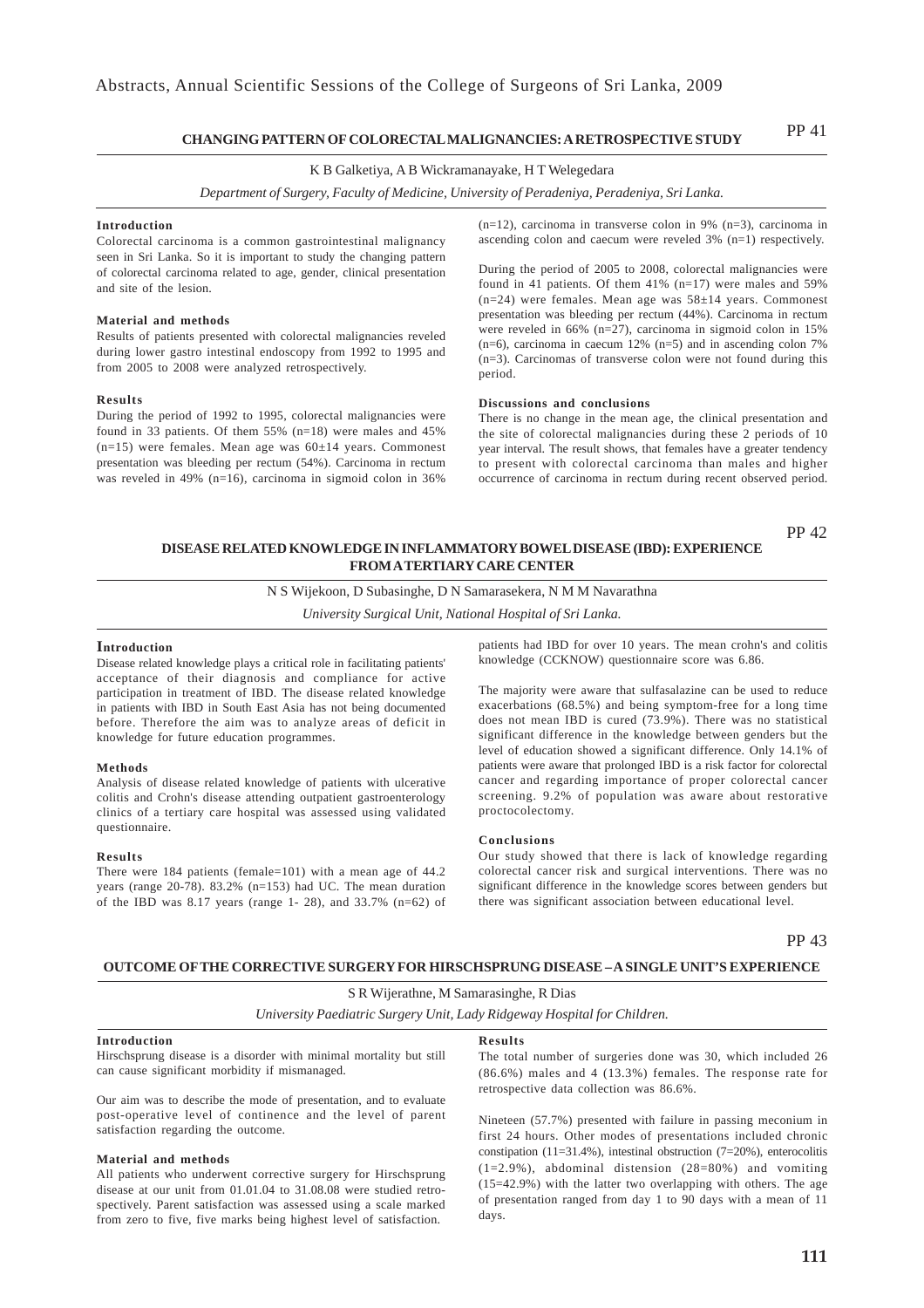#### **CHANGING PATTERN OF COLORECTAL MALIGNANCIES: A RETROSPECTIVE STUDY** PP 41

### K B Galketiya, A B Wickramanayake, H T Welegedara

*Department of Surgery, Faculty of Medicine, University of Peradeniya, Peradeniya, Sri Lanka.*

#### **Introduction**

Colorectal carcinoma is a common gastrointestinal malignancy seen in Sri Lanka. So it is important to study the changing pattern of colorectal carcinoma related to age, gender, clinical presentation and site of the lesion.

#### **Material and methods**

Results of patients presented with colorectal malignancies reveled during lower gastro intestinal endoscopy from 1992 to 1995 and from 2005 to 2008 were analyzed retrospectively.

#### **Results**

During the period of 1992 to 1995, colorectal malignancies were found in 33 patients. Of them 55% (n=18) were males and 45% (n=15) were females. Mean age was 60±14 years. Commonest presentation was bleeding per rectum (54%). Carcinoma in rectum was reveled in 49% (n=16), carcinoma in sigmoid colon in 36%

(n=12), carcinoma in transverse colon in 9% (n=3), carcinoma in ascending colon and caecum were reveled 3% (n=1) respectively.

During the period of 2005 to 2008, colorectal malignancies were found in 41 patients. Of them 41% (n=17) were males and 59% (n=24) were females. Mean age was 58±14 years. Commonest presentation was bleeding per rectum (44%). Carcinoma in rectum were reveled in 66% (n=27), carcinoma in sigmoid colon in 15%  $(n=6)$ , carcinoma in caecum 12%  $(n=5)$  and in ascending colon 7% (n=3). Carcinomas of transverse colon were not found during this period.

#### **Discussions and conclusions**

There is no change in the mean age, the clinical presentation and the site of colorectal malignancies during these 2 periods of 10 year interval. The result shows, that females have a greater tendency to present with colorectal carcinoma than males and higher occurrence of carcinoma in rectum during recent observed period.

### PP 42 **DISEASE RELATED KNOWLEDGE IN INFLAMMATORY BOWEL DISEASE (IBD): EXPERIENCE FROM A TERTIARY CARE CENTER**

N S Wijekoon, D Subasinghe, D N Samarasekera, N M M Navarathna

*University Surgical Unit, National Hospital of Sri Lanka.*

### **Introduction**

Disease related knowledge plays a critical role in facilitating patients' acceptance of their diagnosis and compliance for active participation in treatment of IBD. The disease related knowledge in patients with IBD in South East Asia has not being documented before. Therefore the aim was to analyze areas of deficit in knowledge for future education programmes.

#### **Methods**

Analysis of disease related knowledge of patients with ulcerative colitis and Crohn's disease attending outpatient gastroenterology clinics of a tertiary care hospital was assessed using validated questionnaire.

#### **Results**

There were 184 patients (female=101) with a mean age of 44.2 years (range 20-78). 83.2% (n=153) had UC. The mean duration of the IBD was 8.17 years (range 1- 28), and 33.7% (n=62) of patients had IBD for over 10 years. The mean crohn's and colitis knowledge (CCKNOW) questionnaire score was 6.86.

The majority were aware that sulfasalazine can be used to reduce exacerbations (68.5%) and being symptom-free for a long time does not mean IBD is cured (73.9%). There was no statistical significant difference in the knowledge between genders but the level of education showed a significant difference. Only 14.1% of patients were aware that prolonged IBD is a risk factor for colorectal cancer and regarding importance of proper colorectal cancer screening. 9.2% of population was aware about restorative proctocolectomy.

#### **Conclusions**

Our study showed that there is lack of knowledge regarding colorectal cancer risk and surgical interventions. There was no significant difference in the knowledge scores between genders but there was significant association between educational level.

PP 43

### **OUTCOME OF THE CORRECTIVE SURGERY FOR HIRSCHSPRUNG DISEASE – A SINGLE UNIT'S EXPERIENCE**

S R Wijerathne, M Samarasinghe, R Dias

*University Paediatric Surgery Unit, Lady Ridgeway Hospital for Children.*

#### **Introduction**

Hirschsprung disease is a disorder with minimal mortality but still can cause significant morbidity if mismanaged.

Our aim was to describe the mode of presentation, and to evaluate post-operative level of continence and the level of parent satisfaction regarding the outcome.

#### **Material and methods**

All patients who underwent corrective surgery for Hirschsprung disease at our unit from 01.01.04 to 31.08.08 were studied retrospectively. Parent satisfaction was assessed using a scale marked from zero to five, five marks being highest level of satisfaction.

#### **Results**

The total number of surgeries done was 30, which included 26 (86.6%) males and 4 (13.3%) females. The response rate for retrospective data collection was 86.6%.

Nineteen (57.7%) presented with failure in passing meconium in first 24 hours. Other modes of presentations included chronic constipation (11=31.4%), intestinal obstruction (7=20%), enterocolitis  $(1=2.9\%)$ , abdominal distension  $(28=80\%)$  and vomiting (15=42.9%) with the latter two overlapping with others. The age of presentation ranged from day 1 to 90 days with a mean of 11 days.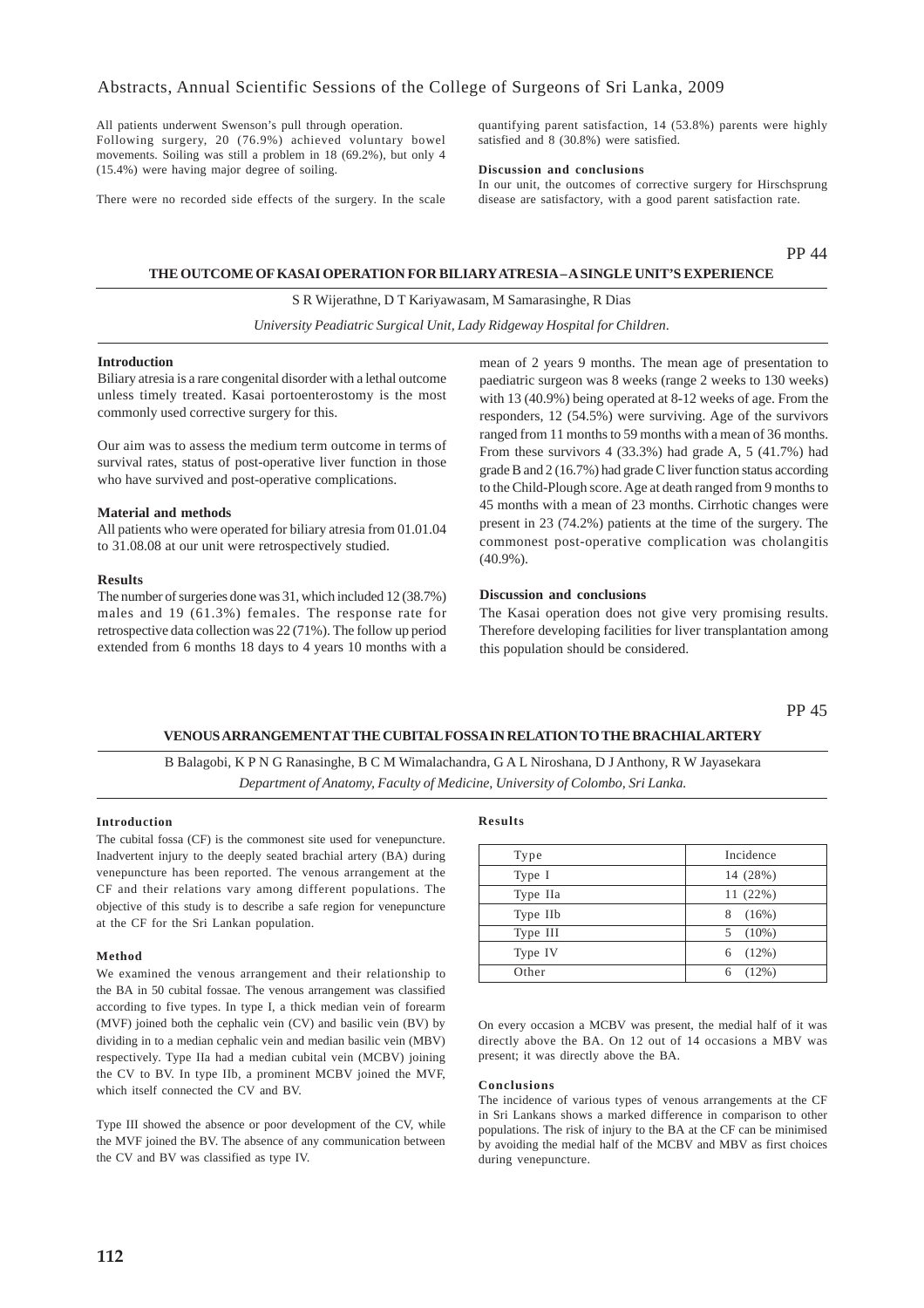All patients underwent Swenson's pull through operation. Following surgery, 20 (76.9%) achieved voluntary bowel movements. Soiling was still a problem in 18 (69.2%), but only 4 (15.4%) were having major degree of soiling.

There were no recorded side effects of the surgery. In the scale

quantifying parent satisfaction, 14 (53.8%) parents were highly satisfied and 8 (30.8%) were satisfied.

### **Discussion and conclusions**

In our unit, the outcomes of corrective surgery for Hirschsprung disease are satisfactory, with a good parent satisfaction rate.

### PP 44

### **THE OUTCOME OF KASAI OPERATION FOR BILIARY ATRESIA – A SINGLE UNIT'S EXPERIENCE**

S R Wijerathne, D T Kariyawasam, M Samarasinghe, R Dias

*University Peadiatric Surgical Unit, Lady Ridgeway Hospital for Children*.

### **Introduction**

Biliary atresia is a rare congenital disorder with a lethal outcome unless timely treated. Kasai portoenterostomy is the most commonly used corrective surgery for this.

Our aim was to assess the medium term outcome in terms of survival rates, status of post-operative liver function in those who have survived and post-operative complications.

### **Material and methods**

All patients who were operated for biliary atresia from 01.01.04 to 31.08.08 at our unit were retrospectively studied.

#### **Results**

The number of surgeries done was 31, which included 12 (38.7%) males and 19 (61.3%) females. The response rate for retrospective data collection was 22 (71%). The follow up period extended from 6 months 18 days to 4 years 10 months with a

mean of 2 years 9 months. The mean age of presentation to paediatric surgeon was 8 weeks (range 2 weeks to 130 weeks) with 13 (40.9%) being operated at 8-12 weeks of age. From the responders, 12 (54.5%) were surviving. Age of the survivors ranged from 11 months to 59 months with a mean of 36 months. From these survivors 4 (33.3%) had grade A, 5 (41.7%) had grade B and 2 (16.7%) had grade C liver function status according to the Child-Plough score. Age at death ranged from 9 months to 45 months with a mean of 23 months. Cirrhotic changes were present in 23 (74.2%) patients at the time of the surgery. The commonest post-operative complication was cholangitis (40.9%).

#### **Discussion and conclusions**

The Kasai operation does not give very promising results. Therefore developing facilities for liver transplantation among this population should be considered.

### **VENOUS ARRANGEMENT AT THE CUBITAL FOSSA IN RELATION TO THE BRACHIAL ARTERY**

B Balagobi, K P N G Ranasinghe, B C M Wimalachandra, G A L Niroshana, D J Anthony, R W Jayasekara *Department of Anatomy, Faculty of Medicine, University of Colombo, Sri Lanka.*

### **Introduction**

The cubital fossa (CF) is the commonest site used for venepuncture. Inadvertent injury to the deeply seated brachial artery (BA) during venepuncture has been reported. The venous arrangement at the CF and their relations vary among different populations. The objective of this study is to describe a safe region for venepuncture at the CF for the Sri Lankan population.

### **Method**

We examined the venous arrangement and their relationship to the BA in 50 cubital fossae. The venous arrangement was classified according to five types. In type I, a thick median vein of forearm (MVF) joined both the cephalic vein (CV) and basilic vein (BV) by dividing in to a median cephalic vein and median basilic vein (MBV) respectively. Type IIa had a median cubital vein (MCBV) joining the CV to BV. In type IIb, a prominent MCBV joined the MVF, which itself connected the CV and BV.

Type III showed the absence or poor development of the CV, while the MVF joined the BV. The absence of any communication between the CV and BV was classified as type IV.

### **Results**

| Type     | Incidence     |
|----------|---------------|
| Type I   | 14 (28%)      |
| Type IIa | 11(22%)       |
| Type IIb | $(16\%)$<br>8 |
| Type III | $(10\%)$<br>5 |
| Type IV  | $(12\%)$<br>6 |
| Other    | (12%)<br>6    |

On every occasion a MCBV was present, the medial half of it was directly above the BA. On 12 out of 14 occasions a MBV was present; it was directly above the BA.

### **Conclusions**

The incidence of various types of venous arrangements at the CF in Sri Lankans shows a marked difference in comparison to other populations. The risk of injury to the BA at the CF can be minimised by avoiding the medial half of the MCBV and MBV as first choices during venepuncture.